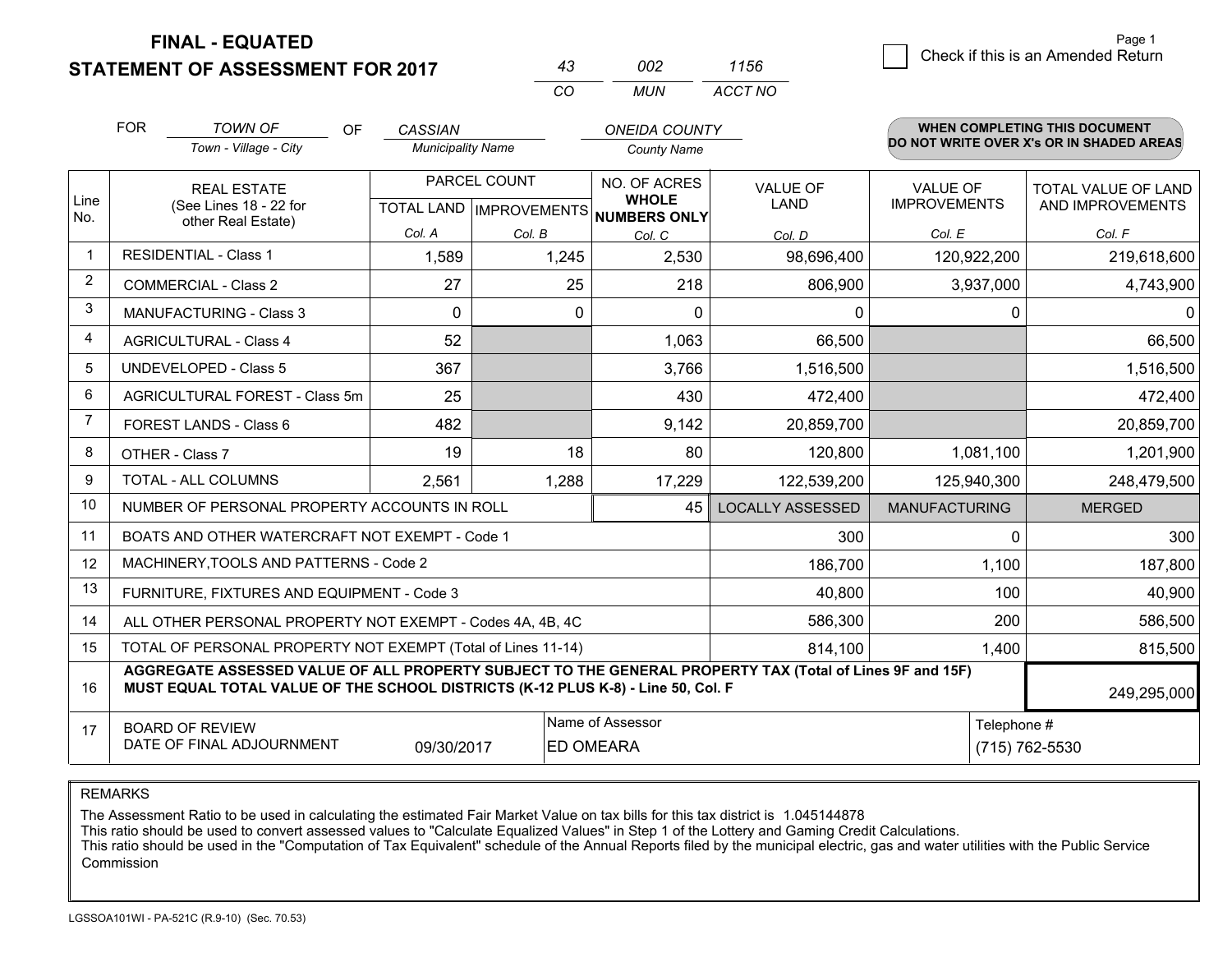#### **STATEMENT OF ASSESSMENT FOR 2017**

| 43  | nnə | 1156    |
|-----|-----|---------|
| CO. | MUN | ACCT NO |

|                | <b>FOR</b>                                                                                                                                                                                   | <b>TOWN OF</b><br><b>OF</b>                                  | <b>CASSIAN</b>           |                           | <b>ONEIDA COUNTY</b>                |                         |                      | <b>WHEN COMPLETING THIS DOCUMENT</b><br>DO NOT WRITE OVER X's OR IN SHADED AREAS |
|----------------|----------------------------------------------------------------------------------------------------------------------------------------------------------------------------------------------|--------------------------------------------------------------|--------------------------|---------------------------|-------------------------------------|-------------------------|----------------------|----------------------------------------------------------------------------------|
|                |                                                                                                                                                                                              | Town - Village - City                                        | <b>Municipality Name</b> |                           | <b>County Name</b>                  |                         |                      |                                                                                  |
|                |                                                                                                                                                                                              | <b>REAL ESTATE</b>                                           |                          | PARCEL COUNT              | NO. OF ACRES                        | <b>VALUE OF</b>         | <b>VALUE OF</b>      | <b>TOTAL VALUE OF LAND</b>                                                       |
| Line<br>No.    |                                                                                                                                                                                              | (See Lines 18 - 22 for<br>other Real Estate)                 |                          | TOTAL LAND   IMPROVEMENTS | <b>WHOLE</b><br><b>NUMBERS ONLY</b> | LAND                    | <b>IMPROVEMENTS</b>  | AND IMPROVEMENTS                                                                 |
|                |                                                                                                                                                                                              |                                                              | Col. A                   | Col. B                    | Col. C                              | Col. D                  | Col. E               | Col. F                                                                           |
| $\mathbf{1}$   |                                                                                                                                                                                              | <b>RESIDENTIAL - Class 1</b>                                 | 1,589                    | 1,245                     | 2,530                               | 98,696,400              | 120,922,200          | 219,618,600                                                                      |
| $\overline{2}$ |                                                                                                                                                                                              | <b>COMMERCIAL - Class 2</b>                                  | 27                       | 25                        | 218                                 | 806,900                 | 3,937,000            | 4,743,900                                                                        |
| 3              |                                                                                                                                                                                              | <b>MANUFACTURING - Class 3</b>                               | $\Omega$                 | $\Omega$                  | $\Omega$                            | $\Omega$                | $\Omega$             | 0                                                                                |
| 4              |                                                                                                                                                                                              | <b>AGRICULTURAL - Class 4</b>                                | 52                       |                           | 1,063                               | 66,500                  |                      | 66,500                                                                           |
| 5              |                                                                                                                                                                                              | <b>UNDEVELOPED - Class 5</b>                                 | 367                      |                           | 3,766                               | 1,516,500               |                      | 1,516,500                                                                        |
| 6              | AGRICULTURAL FOREST - Class 5m                                                                                                                                                               |                                                              | 25                       |                           | 430                                 | 472,400                 |                      | 472,400                                                                          |
| $\overline{7}$ | FOREST LANDS - Class 6                                                                                                                                                                       |                                                              | 482                      |                           | 9,142                               | 20,859,700              |                      | 20,859,700                                                                       |
| 8              | OTHER - Class 7                                                                                                                                                                              |                                                              | 19                       | 18                        | 80                                  | 120,800                 | 1,081,100            | 1,201,900                                                                        |
| 9              |                                                                                                                                                                                              | TOTAL - ALL COLUMNS                                          | 2,561                    | 1,288                     | 17,229                              | 122,539,200             | 125,940,300          | 248,479,500                                                                      |
| 10             |                                                                                                                                                                                              | NUMBER OF PERSONAL PROPERTY ACCOUNTS IN ROLL                 |                          |                           | 45                                  | <b>LOCALLY ASSESSED</b> | <b>MANUFACTURING</b> | <b>MERGED</b>                                                                    |
| 11             |                                                                                                                                                                                              | BOATS AND OTHER WATERCRAFT NOT EXEMPT - Code 1               |                          |                           |                                     | 300                     | 0                    | 300                                                                              |
| 12             |                                                                                                                                                                                              | MACHINERY, TOOLS AND PATTERNS - Code 2                       |                          |                           |                                     | 186,700                 | 1,100                | 187,800                                                                          |
| 13             |                                                                                                                                                                                              | FURNITURE, FIXTURES AND EQUIPMENT - Code 3                   |                          |                           |                                     | 40,800                  | 100                  | 40,900                                                                           |
| 14             |                                                                                                                                                                                              | ALL OTHER PERSONAL PROPERTY NOT EXEMPT - Codes 4A, 4B, 4C    |                          |                           |                                     | 586,300                 | 200                  | 586,500                                                                          |
| 15             |                                                                                                                                                                                              | TOTAL OF PERSONAL PROPERTY NOT EXEMPT (Total of Lines 11-14) | 814,100                  | 1,400                     | 815,500                             |                         |                      |                                                                                  |
| 16             | AGGREGATE ASSESSED VALUE OF ALL PROPERTY SUBJECT TO THE GENERAL PROPERTY TAX (Total of Lines 9F and 15F)<br>MUST EQUAL TOTAL VALUE OF THE SCHOOL DISTRICTS (K-12 PLUS K-8) - Line 50, Col. F |                                                              |                          |                           |                                     |                         |                      | 249,295,000                                                                      |
| 17             | Name of Assessor<br><b>BOARD OF REVIEW</b>                                                                                                                                                   |                                                              |                          |                           |                                     |                         | Telephone #          |                                                                                  |
|                |                                                                                                                                                                                              | DATE OF FINAL ADJOURNMENT                                    | 09/30/2017               |                           | <b>ED OMEARA</b>                    |                         |                      | (715) 762-5530                                                                   |

REMARKS

The Assessment Ratio to be used in calculating the estimated Fair Market Value on tax bills for this tax district is 1.045144878<br>This ratio should be used to convert assessed values to "Calculate Equalized Values" in Step Commission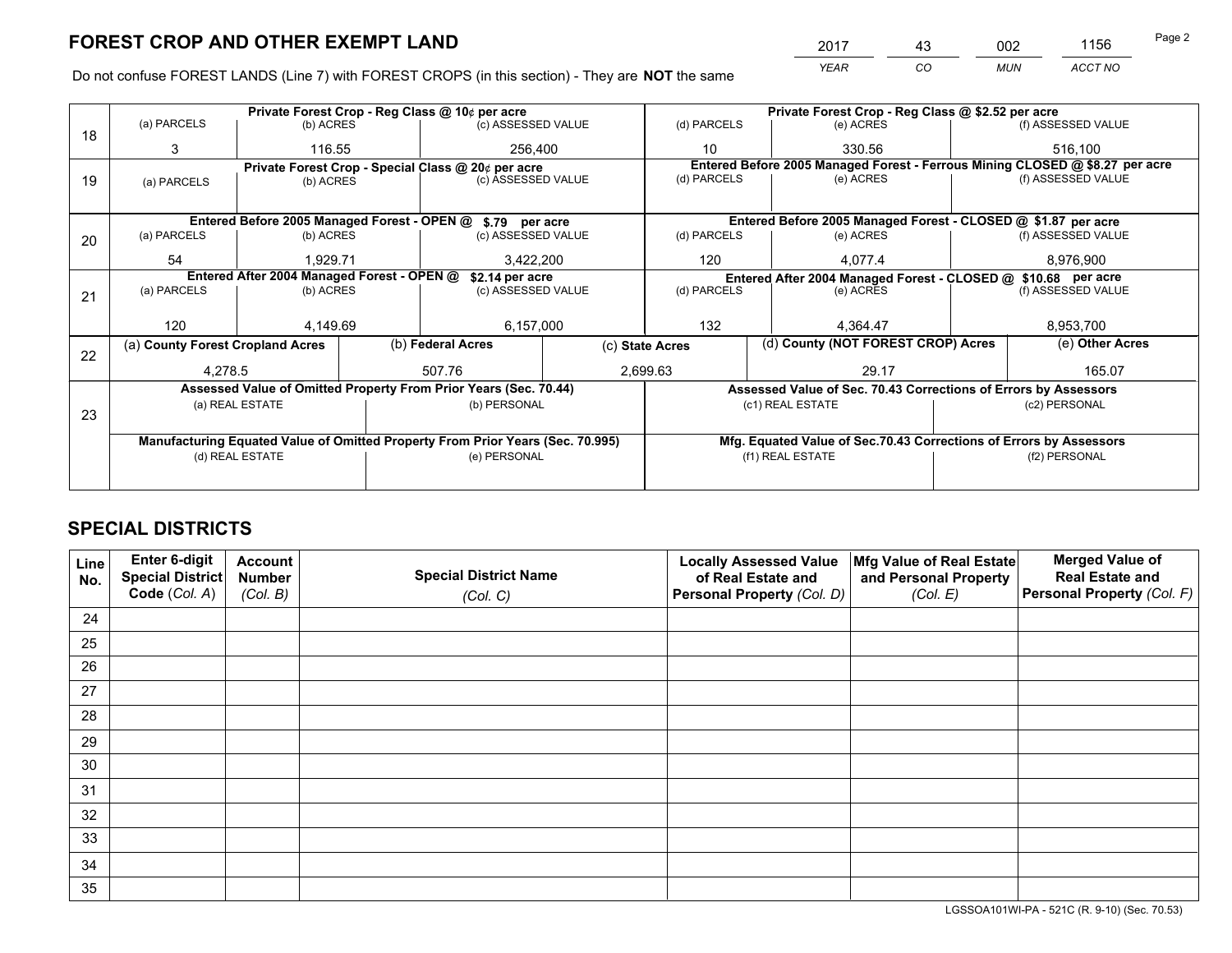*YEAR CO MUN ACCT NO* <sup>2017</sup> <sup>43</sup> <sup>002</sup> <sup>1156</sup>

Do not confuse FOREST LANDS (Line 7) with FOREST CROPS (in this section) - They are **NOT** the same

|    |                                                                                | Private Forest Crop - Reg Class @ 10¢ per acre |  |                                                                  |                 | Private Forest Crop - Reg Class @ \$2.52 per acre             |                                                                              |                                    |                    |  |
|----|--------------------------------------------------------------------------------|------------------------------------------------|--|------------------------------------------------------------------|-----------------|---------------------------------------------------------------|------------------------------------------------------------------------------|------------------------------------|--------------------|--|
| 18 | (a) PARCELS                                                                    | (b) ACRES                                      |  | (c) ASSESSED VALUE                                               |                 | (d) PARCELS                                                   | (e) ACRES                                                                    |                                    | (f) ASSESSED VALUE |  |
|    | 3                                                                              | 116.55                                         |  | 256,400                                                          |                 | 10                                                            | 330.56                                                                       |                                    | 516,100            |  |
|    |                                                                                |                                                |  | Private Forest Crop - Special Class @ 20¢ per acre               |                 |                                                               | Entered Before 2005 Managed Forest - Ferrous Mining CLOSED @ \$8.27 per acre |                                    |                    |  |
| 19 | (a) PARCELS                                                                    | (b) ACRES                                      |  | (c) ASSESSED VALUE                                               |                 | (d) PARCELS                                                   | (e) ACRES                                                                    |                                    | (f) ASSESSED VALUE |  |
|    |                                                                                |                                                |  |                                                                  |                 |                                                               |                                                                              |                                    |                    |  |
|    |                                                                                |                                                |  | Entered Before 2005 Managed Forest - OPEN @ \$.79 per acre       |                 |                                                               | Entered Before 2005 Managed Forest - CLOSED @ \$1.87 per acre                |                                    |                    |  |
| 20 | (a) PARCELS                                                                    | (b) ACRES                                      |  | (c) ASSESSED VALUE                                               |                 | (d) PARCELS                                                   | (e) ACRES                                                                    |                                    | (f) ASSESSED VALUE |  |
|    | 54                                                                             | 1.929.71                                       |  | 3,422,200                                                        |                 | 120                                                           | 4,077.4                                                                      |                                    | 8,976,900          |  |
|    | Entered After 2004 Managed Forest - OPEN @<br>\$2.14 per acre                  |                                                |  |                                                                  |                 | Entered After 2004 Managed Forest - CLOSED @ \$10.68 per acre |                                                                              |                                    |                    |  |
| 21 | (a) PARCELS                                                                    | (b) ACRES                                      |  | (c) ASSESSED VALUE                                               |                 | (d) PARCELS<br>(e) ACRES                                      |                                                                              |                                    | (f) ASSESSED VALUE |  |
|    |                                                                                |                                                |  |                                                                  |                 |                                                               |                                                                              |                                    |                    |  |
|    | 120                                                                            | 4,149.69                                       |  | 6,157,000                                                        |                 | 132                                                           | 4.364.47                                                                     |                                    | 8,953,700          |  |
|    | (a) County Forest Cropland Acres                                               |                                                |  | (b) Federal Acres                                                | (c) State Acres |                                                               |                                                                              | (d) County (NOT FOREST CROP) Acres |                    |  |
| 22 | 4,278.5                                                                        |                                                |  | 507.76                                                           |                 | 2,699.63<br>29.17                                             |                                                                              |                                    | 165.07             |  |
|    |                                                                                |                                                |  | Assessed Value of Omitted Property From Prior Years (Sec. 70.44) |                 |                                                               | Assessed Value of Sec. 70.43 Corrections of Errors by Assessors              |                                    |                    |  |
|    |                                                                                | (a) REAL ESTATE                                |  | (b) PERSONAL                                                     |                 |                                                               | (c1) REAL ESTATE                                                             |                                    | (c2) PERSONAL      |  |
| 23 |                                                                                |                                                |  |                                                                  |                 |                                                               |                                                                              |                                    |                    |  |
|    | Manufacturing Equated Value of Omitted Property From Prior Years (Sec. 70.995) |                                                |  |                                                                  |                 |                                                               | Mfg. Equated Value of Sec.70.43 Corrections of Errors by Assessors           |                                    |                    |  |
|    | (d) REAL ESTATE                                                                |                                                |  | (e) PERSONAL                                                     |                 | (f1) REAL ESTATE                                              |                                                                              |                                    | (f2) PERSONAL      |  |
|    |                                                                                |                                                |  |                                                                  |                 |                                                               |                                                                              |                                    |                    |  |

## **SPECIAL DISTRICTS**

| Line<br>No. | Enter 6-digit<br>Special District<br>Code (Col. A) | <b>Account</b><br><b>Number</b><br>(Col. B) | <b>Special District Name</b><br>(Col. C) | <b>Locally Assessed Value</b><br>of Real Estate and<br>Personal Property (Col. D) | Mfg Value of Real Estate<br>and Personal Property<br>(Col. E) | <b>Merged Value of</b><br><b>Real Estate and</b><br>Personal Property (Col. F) |
|-------------|----------------------------------------------------|---------------------------------------------|------------------------------------------|-----------------------------------------------------------------------------------|---------------------------------------------------------------|--------------------------------------------------------------------------------|
| 24          |                                                    |                                             |                                          |                                                                                   |                                                               |                                                                                |
| 25          |                                                    |                                             |                                          |                                                                                   |                                                               |                                                                                |
| 26          |                                                    |                                             |                                          |                                                                                   |                                                               |                                                                                |
| 27          |                                                    |                                             |                                          |                                                                                   |                                                               |                                                                                |
| 28          |                                                    |                                             |                                          |                                                                                   |                                                               |                                                                                |
| 29          |                                                    |                                             |                                          |                                                                                   |                                                               |                                                                                |
| 30          |                                                    |                                             |                                          |                                                                                   |                                                               |                                                                                |
| 31          |                                                    |                                             |                                          |                                                                                   |                                                               |                                                                                |
| 32          |                                                    |                                             |                                          |                                                                                   |                                                               |                                                                                |
| 33          |                                                    |                                             |                                          |                                                                                   |                                                               |                                                                                |
| 34          |                                                    |                                             |                                          |                                                                                   |                                                               |                                                                                |
| 35          |                                                    |                                             |                                          |                                                                                   |                                                               |                                                                                |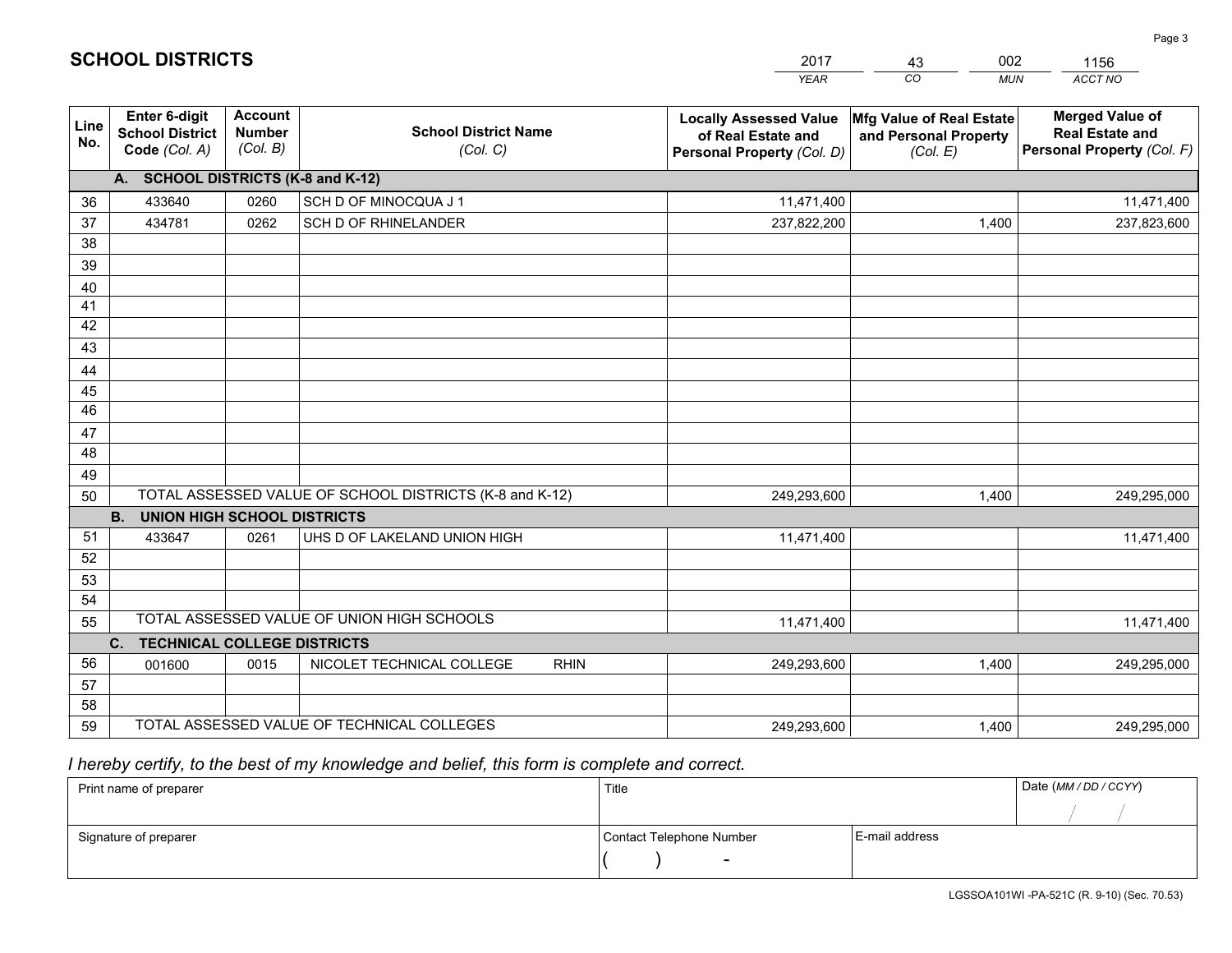|                 |                                                                 |                                             |                                                         | <b>YEAR</b>                                                                       | CO<br><b>MUN</b>                                              | ACCT NO                                                                        |
|-----------------|-----------------------------------------------------------------|---------------------------------------------|---------------------------------------------------------|-----------------------------------------------------------------------------------|---------------------------------------------------------------|--------------------------------------------------------------------------------|
| Line<br>No.     | <b>Enter 6-digit</b><br><b>School District</b><br>Code (Col. A) | <b>Account</b><br><b>Number</b><br>(Col. B) | <b>School District Name</b><br>(Col. C)                 | <b>Locally Assessed Value</b><br>of Real Estate and<br>Personal Property (Col. D) | Mfg Value of Real Estate<br>and Personal Property<br>(Col. E) | <b>Merged Value of</b><br><b>Real Estate and</b><br>Personal Property (Col. F) |
|                 | A. SCHOOL DISTRICTS (K-8 and K-12)                              |                                             |                                                         |                                                                                   |                                                               |                                                                                |
| 36              | 433640                                                          | 0260                                        | SCH D OF MINOCQUA J 1                                   | 11,471,400                                                                        |                                                               | 11,471,400                                                                     |
| 37              | 434781                                                          | 0262                                        | SCH D OF RHINELANDER                                    | 237,822,200                                                                       | 1,400                                                         | 237,823,600                                                                    |
| 38              |                                                                 |                                             |                                                         |                                                                                   |                                                               |                                                                                |
| 39              |                                                                 |                                             |                                                         |                                                                                   |                                                               |                                                                                |
| 40              |                                                                 |                                             |                                                         |                                                                                   |                                                               |                                                                                |
| 41              |                                                                 |                                             |                                                         |                                                                                   |                                                               |                                                                                |
| 42<br>43        |                                                                 |                                             |                                                         |                                                                                   |                                                               |                                                                                |
|                 |                                                                 |                                             |                                                         |                                                                                   |                                                               |                                                                                |
| 44<br>45        |                                                                 |                                             |                                                         |                                                                                   |                                                               |                                                                                |
| $\overline{46}$ |                                                                 |                                             |                                                         |                                                                                   |                                                               |                                                                                |
| 47              |                                                                 |                                             |                                                         |                                                                                   |                                                               |                                                                                |
| 48              |                                                                 |                                             |                                                         |                                                                                   |                                                               |                                                                                |
| 49              |                                                                 |                                             |                                                         |                                                                                   |                                                               |                                                                                |
| 50              |                                                                 |                                             | TOTAL ASSESSED VALUE OF SCHOOL DISTRICTS (K-8 and K-12) | 249,293,600                                                                       | 1,400                                                         | 249,295,000                                                                    |
|                 | <b>UNION HIGH SCHOOL DISTRICTS</b><br><b>B.</b>                 |                                             |                                                         |                                                                                   |                                                               |                                                                                |
| 51              | 433647                                                          | 0261                                        | UHS D OF LAKELAND UNION HIGH                            | 11,471,400                                                                        |                                                               | 11,471,400                                                                     |
| 52              |                                                                 |                                             |                                                         |                                                                                   |                                                               |                                                                                |
| 53              |                                                                 |                                             |                                                         |                                                                                   |                                                               |                                                                                |
| 54              |                                                                 |                                             |                                                         |                                                                                   |                                                               |                                                                                |
| 55              |                                                                 |                                             | TOTAL ASSESSED VALUE OF UNION HIGH SCHOOLS              | 11,471,400                                                                        |                                                               | 11,471,400                                                                     |
|                 | C.<br><b>TECHNICAL COLLEGE DISTRICTS</b>                        |                                             |                                                         |                                                                                   |                                                               |                                                                                |
| 56<br>57        | 001600                                                          | 0015                                        | NICOLET TECHNICAL COLLEGE<br><b>RHIN</b>                | 249,293,600                                                                       | 1,400                                                         | 249,295,000                                                                    |
| 58              |                                                                 |                                             |                                                         |                                                                                   |                                                               |                                                                                |
| 59              |                                                                 |                                             | TOTAL ASSESSED VALUE OF TECHNICAL COLLEGES              | 249,293,600                                                                       | 1,400                                                         | 249,295,000                                                                    |
|                 |                                                                 |                                             |                                                         |                                                                                   |                                                               |                                                                                |

43

002

 *I hereby certify, to the best of my knowledge and belief, this form is complete and correct.*

**SCHOOL DISTRICTS**

| Print name of preparer | Title                    |                | Date (MM / DD / CCYY) |
|------------------------|--------------------------|----------------|-----------------------|
|                        |                          |                |                       |
| Signature of preparer  | Contact Telephone Number | E-mail address |                       |
|                        | $\sim$                   |                |                       |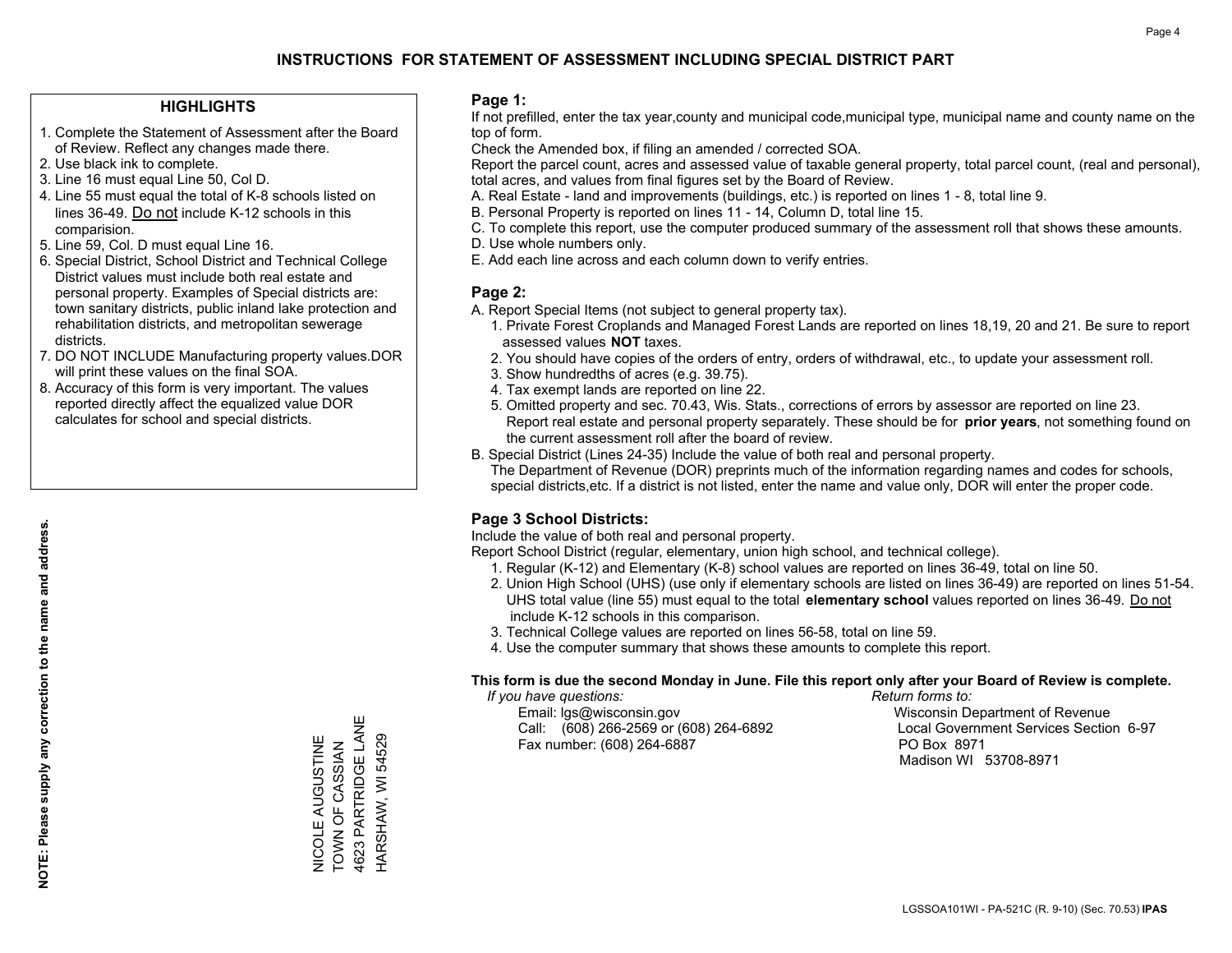#### **HIGHLIGHTS**

- 1. Complete the Statement of Assessment after the Board of Review. Reflect any changes made there.
- 2. Use black ink to complete.
- 3. Line 16 must equal Line 50, Col D.
- 4. Line 55 must equal the total of K-8 schools listed on lines 36-49. Do not include K-12 schools in this comparision.
- 5. Line 59, Col. D must equal Line 16.
- 6. Special District, School District and Technical College District values must include both real estate and personal property. Examples of Special districts are: town sanitary districts, public inland lake protection and rehabilitation districts, and metropolitan sewerage districts.
- 7. DO NOT INCLUDE Manufacturing property values.DOR will print these values on the final SOA.
- 8. Accuracy of this form is very important. The values reported directly affect the equalized value DOR calculates for school and special districts.

#### **Page 1:**

 If not prefilled, enter the tax year,county and municipal code,municipal type, municipal name and county name on the top of form.

Check the Amended box, if filing an amended / corrected SOA.

 Report the parcel count, acres and assessed value of taxable general property, total parcel count, (real and personal), total acres, and values from final figures set by the Board of Review.

- A. Real Estate land and improvements (buildings, etc.) is reported on lines 1 8, total line 9.
- B. Personal Property is reported on lines 11 14, Column D, total line 15.
- C. To complete this report, use the computer produced summary of the assessment roll that shows these amounts.
- D. Use whole numbers only.
- E. Add each line across and each column down to verify entries.

#### **Page 2:**

- A. Report Special Items (not subject to general property tax).
- 1. Private Forest Croplands and Managed Forest Lands are reported on lines 18,19, 20 and 21. Be sure to report assessed values **NOT** taxes.
- 2. You should have copies of the orders of entry, orders of withdrawal, etc., to update your assessment roll.
	- 3. Show hundredths of acres (e.g. 39.75).
- 4. Tax exempt lands are reported on line 22.
- 5. Omitted property and sec. 70.43, Wis. Stats., corrections of errors by assessor are reported on line 23. Report real estate and personal property separately. These should be for **prior years**, not something found on the current assessment roll after the board of review.
- B. Special District (Lines 24-35) Include the value of both real and personal property.

 The Department of Revenue (DOR) preprints much of the information regarding names and codes for schools, special districts,etc. If a district is not listed, enter the name and value only, DOR will enter the proper code.

### **Page 3 School Districts:**

Include the value of both real and personal property.

Report School District (regular, elementary, union high school, and technical college).

- 1. Regular (K-12) and Elementary (K-8) school values are reported on lines 36-49, total on line 50.
- 2. Union High School (UHS) (use only if elementary schools are listed on lines 36-49) are reported on lines 51-54. UHS total value (line 55) must equal to the total **elementary school** values reported on lines 36-49. Do notinclude K-12 schools in this comparison.
- 3. Technical College values are reported on lines 56-58, total on line 59.
- 4. Use the computer summary that shows these amounts to complete this report.

#### **This form is due the second Monday in June. File this report only after your Board of Review is complete.**

 *If you have questions: Return forms to:*

 Email: lgs@wisconsin.gov Wisconsin Department of RevenueCall:  $(608)$  266-2569 or  $(608)$  264-6892 Fax number: (608) 264-6887 PO Box 8971

Local Government Services Section 6-97 Madison WI 53708-8971

**NOTE: Please supply any correction to the name and address.**

4623 PARTRIDGE LANE 4623 PARTRIDGE LANE HARSHAW, WI 54529 **VICOLE AUGUSTINE<br>TOWN OF CASSIAN** HARSHAW, WI 54529 NICOLE AUGUSTINE TOWN OF CASSIAN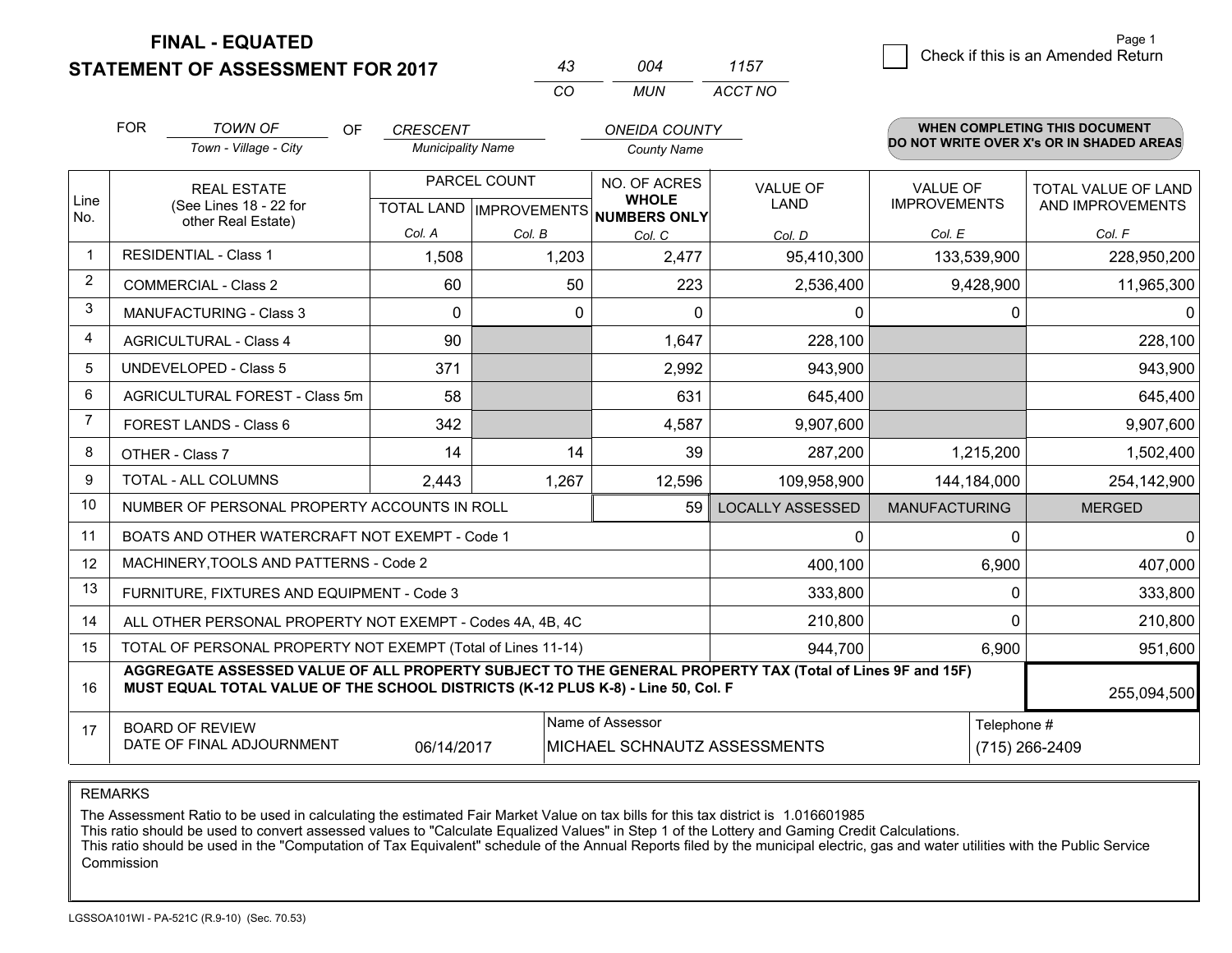**STATEMENT OF ASSESSMENT FOR 2017** 

| 43 | በበ4 | 1157    |
|----|-----|---------|
| cо | MUN | ACCT NO |

|                | <b>FOR</b>                                                                                                                                                                                                  | <b>TOWN OF</b><br>OF                                         | <b>CRESCENT</b>          |                           | <b>ONEIDA COUNTY</b>                |                         |                      | <b>WHEN COMPLETING THIS DOCUMENT</b>     |
|----------------|-------------------------------------------------------------------------------------------------------------------------------------------------------------------------------------------------------------|--------------------------------------------------------------|--------------------------|---------------------------|-------------------------------------|-------------------------|----------------------|------------------------------------------|
|                |                                                                                                                                                                                                             | Town - Village - City                                        | <b>Municipality Name</b> |                           | <b>County Name</b>                  |                         |                      | DO NOT WRITE OVER X's OR IN SHADED AREAS |
|                |                                                                                                                                                                                                             | <b>REAL ESTATE</b>                                           |                          | PARCEL COUNT              | NO. OF ACRES                        | <b>VALUE OF</b>         | <b>VALUE OF</b>      | <b>TOTAL VALUE OF LAND</b>               |
| Line<br>No.    |                                                                                                                                                                                                             | (See Lines 18 - 22 for<br>other Real Estate)                 |                          | TOTAL LAND   IMPROVEMENTS | <b>WHOLE</b><br><b>NUMBERS ONLY</b> | <b>LAND</b>             | <b>IMPROVEMENTS</b>  | AND IMPROVEMENTS                         |
|                |                                                                                                                                                                                                             |                                                              | Col. A                   | Col. B                    | Col. C                              | Col. D                  | Col. E               | Col. F                                   |
| $\mathbf{1}$   |                                                                                                                                                                                                             | <b>RESIDENTIAL - Class 1</b>                                 | 1,508                    | 1,203                     | 2,477                               | 95,410,300              | 133,539,900          | 228,950,200                              |
| 2              |                                                                                                                                                                                                             | <b>COMMERCIAL - Class 2</b>                                  | 60                       | 50                        | 223                                 | 2,536,400               | 9,428,900            | 11,965,300                               |
| 3              |                                                                                                                                                                                                             | <b>MANUFACTURING - Class 3</b>                               | $\Omega$                 | $\Omega$                  | $\Omega$                            | 0                       | 0                    |                                          |
| $\overline{4}$ |                                                                                                                                                                                                             | <b>AGRICULTURAL - Class 4</b>                                | 90                       |                           | 1,647                               | 228,100                 |                      | 228,100                                  |
| 5              |                                                                                                                                                                                                             | <b>UNDEVELOPED - Class 5</b>                                 | 371                      |                           | 2,992                               | 943,900                 |                      | 943,900                                  |
| 6              | AGRICULTURAL FOREST - Class 5m                                                                                                                                                                              |                                                              | 58                       |                           | 631                                 | 645,400                 |                      | 645,400                                  |
| $\overline{7}$ | FOREST LANDS - Class 6                                                                                                                                                                                      |                                                              | 342                      |                           | 4,587                               | 9,907,600               |                      | 9,907,600                                |
| 8              |                                                                                                                                                                                                             | OTHER - Class 7                                              | 14                       | 14                        | 39                                  | 287,200                 | 1,215,200            | 1,502,400                                |
| $\mathbf{Q}$   |                                                                                                                                                                                                             | TOTAL - ALL COLUMNS                                          | 2,443                    | 1,267                     | 12,596                              | 109,958,900             | 144,184,000          | 254,142,900                              |
| 10             |                                                                                                                                                                                                             | NUMBER OF PERSONAL PROPERTY ACCOUNTS IN ROLL                 |                          |                           | 59                                  | <b>LOCALLY ASSESSED</b> | <b>MANUFACTURING</b> | <b>MERGED</b>                            |
| 11             |                                                                                                                                                                                                             | BOATS AND OTHER WATERCRAFT NOT EXEMPT - Code 1               |                          |                           |                                     | 0                       | 0                    | 0                                        |
| 12             |                                                                                                                                                                                                             | MACHINERY, TOOLS AND PATTERNS - Code 2                       |                          |                           |                                     | 400,100                 | 6,900                | 407,000                                  |
| 13             |                                                                                                                                                                                                             | FURNITURE, FIXTURES AND EQUIPMENT - Code 3                   |                          |                           |                                     | 333,800                 | 0                    | 333,800                                  |
| 14             |                                                                                                                                                                                                             | ALL OTHER PERSONAL PROPERTY NOT EXEMPT - Codes 4A, 4B, 4C    |                          |                           |                                     | 210,800                 | 0                    | 210,800                                  |
| 15             |                                                                                                                                                                                                             | TOTAL OF PERSONAL PROPERTY NOT EXEMPT (Total of Lines 11-14) |                          |                           |                                     | 944,700                 | 6,900                | 951,600                                  |
| 16             | AGGREGATE ASSESSED VALUE OF ALL PROPERTY SUBJECT TO THE GENERAL PROPERTY TAX (Total of Lines 9F and 15F)<br>MUST EQUAL TOTAL VALUE OF THE SCHOOL DISTRICTS (K-12 PLUS K-8) - Line 50, Col. F<br>255,094,500 |                                                              |                          |                           |                                     |                         |                      |                                          |
| 17             |                                                                                                                                                                                                             | <b>BOARD OF REVIEW</b>                                       |                          |                           | Name of Assessor                    |                         | Telephone #          |                                          |
|                |                                                                                                                                                                                                             | DATE OF FINAL ADJOURNMENT                                    | 06/14/2017               |                           | MICHAEL SCHNAUTZ ASSESSMENTS        |                         |                      | (715) 266-2409                           |

REMARKS

The Assessment Ratio to be used in calculating the estimated Fair Market Value on tax bills for this tax district is 1.016601985

This ratio should be used to convert assessed values to "Calculate Equalized Values" in Step 1 of the Lottery and Gaming Credit Calculations.<br>This ratio should be used in the "Computation of Tax Equivalent" schedule of the Commission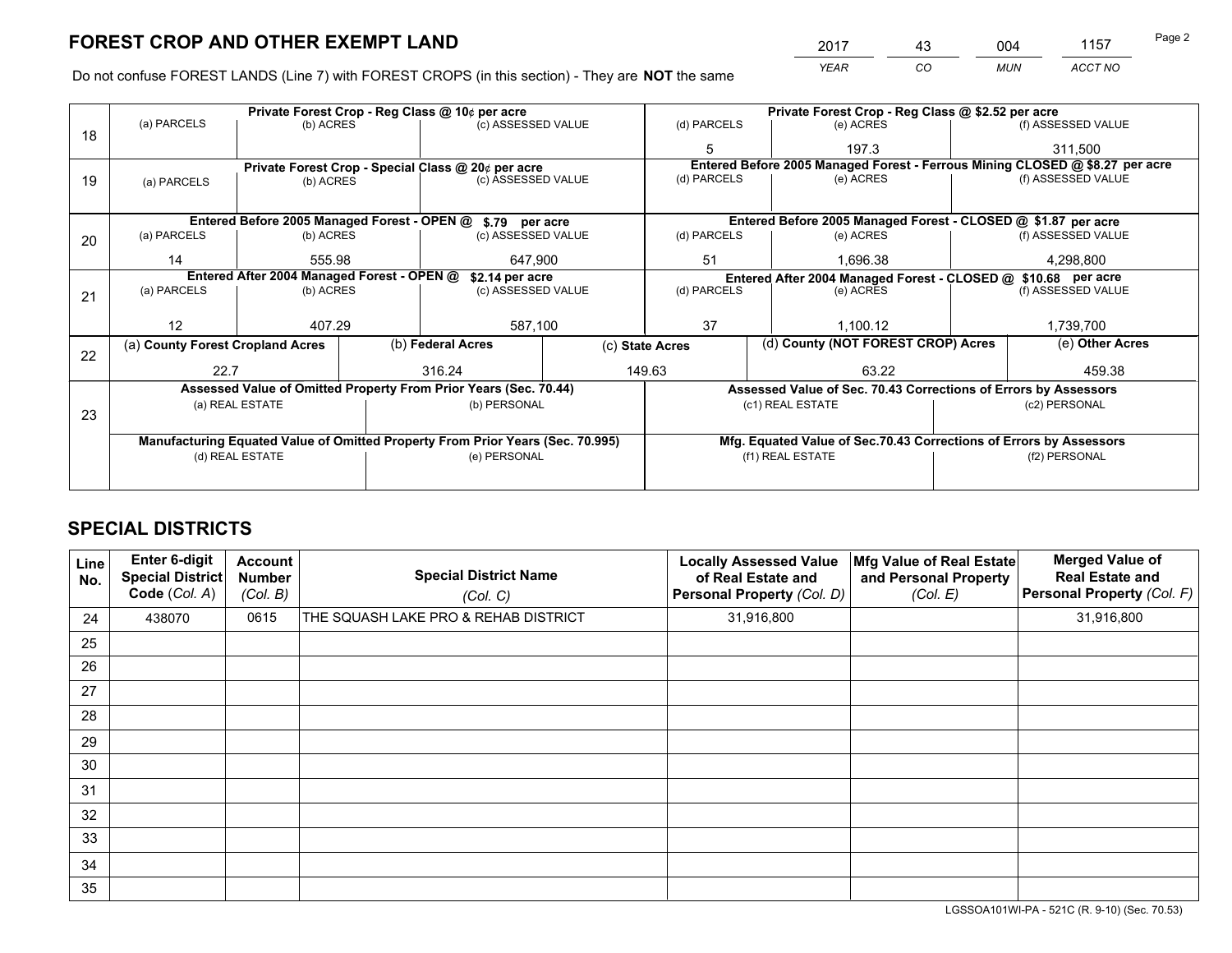*YEAR CO MUN ACCT NO* 2017 43 004 1157

Do not confuse FOREST LANDS (Line 7) with FOREST CROPS (in this section) - They are **NOT** the same

|    |                                                               |                                             |  | Private Forest Crop - Reg Class @ 10¢ per acre                                 |                                                               | Private Forest Crop - Reg Class @ \$2.52 per acre |                                    |                                                                    |                    |                                                                              |
|----|---------------------------------------------------------------|---------------------------------------------|--|--------------------------------------------------------------------------------|---------------------------------------------------------------|---------------------------------------------------|------------------------------------|--------------------------------------------------------------------|--------------------|------------------------------------------------------------------------------|
| 18 | (a) PARCELS                                                   | (b) ACRES                                   |  | (c) ASSESSED VALUE                                                             |                                                               | (d) PARCELS                                       |                                    | (e) ACRES                                                          |                    | (f) ASSESSED VALUE                                                           |
|    |                                                               |                                             |  |                                                                                |                                                               |                                                   |                                    | 197.3                                                              |                    | 311.500                                                                      |
|    |                                                               |                                             |  | Private Forest Crop - Special Class @ 20¢ per acre                             |                                                               |                                                   |                                    |                                                                    |                    | Entered Before 2005 Managed Forest - Ferrous Mining CLOSED @ \$8.27 per acre |
| 19 | (a) PARCELS                                                   | (b) ACRES                                   |  | (c) ASSESSED VALUE                                                             |                                                               | (d) PARCELS                                       |                                    | (e) ACRES                                                          |                    | (f) ASSESSED VALUE                                                           |
|    |                                                               |                                             |  |                                                                                |                                                               |                                                   |                                    |                                                                    |                    |                                                                              |
|    |                                                               | Entered Before 2005 Managed Forest - OPEN @ |  | \$.79 per acre                                                                 |                                                               |                                                   |                                    | Entered Before 2005 Managed Forest - CLOSED @ \$1.87 per acre      |                    |                                                                              |
| 20 | (a) PARCELS                                                   | (b) ACRES                                   |  | (c) ASSESSED VALUE                                                             |                                                               | (d) PARCELS                                       |                                    | (e) ACRES                                                          |                    | (f) ASSESSED VALUE                                                           |
|    | 14                                                            | 555.98                                      |  | 647,900                                                                        |                                                               | 51                                                |                                    | 1,696.38                                                           |                    | 4,298,800                                                                    |
|    | Entered After 2004 Managed Forest - OPEN @<br>\$2.14 per acre |                                             |  |                                                                                | Entered After 2004 Managed Forest - CLOSED @ \$10.68 per acre |                                                   |                                    |                                                                    |                    |                                                                              |
| 21 | (a) PARCELS                                                   | (b) ACRES                                   |  | (c) ASSESSED VALUE                                                             |                                                               | (d) PARCELS<br>(e) ACRES                          |                                    |                                                                    | (f) ASSESSED VALUE |                                                                              |
|    |                                                               |                                             |  |                                                                                |                                                               |                                                   |                                    |                                                                    |                    |                                                                              |
|    | 12                                                            | 407.29                                      |  | 587,100                                                                        |                                                               | 37                                                |                                    | 1,100.12                                                           |                    | 1,739,700                                                                    |
| 22 | (a) County Forest Cropland Acres                              |                                             |  | (b) Federal Acres                                                              | (c) State Acres                                               |                                                   | (d) County (NOT FOREST CROP) Acres |                                                                    |                    | (e) Other Acres                                                              |
|    | 22.7                                                          |                                             |  | 316.24                                                                         |                                                               | 149.63<br>63.22                                   |                                    |                                                                    | 459.38             |                                                                              |
|    |                                                               |                                             |  | Assessed Value of Omitted Property From Prior Years (Sec. 70.44)               |                                                               |                                                   |                                    | Assessed Value of Sec. 70.43 Corrections of Errors by Assessors    |                    |                                                                              |
|    |                                                               | (a) REAL ESTATE                             |  | (b) PERSONAL                                                                   |                                                               |                                                   |                                    | (c1) REAL ESTATE                                                   |                    | (c2) PERSONAL                                                                |
| 23 |                                                               |                                             |  |                                                                                |                                                               |                                                   |                                    |                                                                    |                    |                                                                              |
|    |                                                               |                                             |  | Manufacturing Equated Value of Omitted Property From Prior Years (Sec. 70.995) |                                                               |                                                   |                                    | Mfg. Equated Value of Sec.70.43 Corrections of Errors by Assessors |                    |                                                                              |
|    |                                                               | (d) REAL ESTATE                             |  | (e) PERSONAL                                                                   |                                                               | (f1) REAL ESTATE                                  |                                    | (f2) PERSONAL                                                      |                    |                                                                              |
|    |                                                               |                                             |  |                                                                                |                                                               |                                                   |                                    |                                                                    |                    |                                                                              |

## **SPECIAL DISTRICTS**

| Line<br>No. | Enter 6-digit<br>Special District<br>Code (Col. A) | <b>Account</b><br><b>Number</b><br>(Col. B) | <b>Special District Name</b><br>(Col. C) | <b>Locally Assessed Value</b><br>of Real Estate and<br>Personal Property (Col. D) | Mfg Value of Real Estate<br>and Personal Property<br>(Col. E) | <b>Merged Value of</b><br><b>Real Estate and</b><br>Personal Property (Col. F) |
|-------------|----------------------------------------------------|---------------------------------------------|------------------------------------------|-----------------------------------------------------------------------------------|---------------------------------------------------------------|--------------------------------------------------------------------------------|
| 24          | 438070                                             | 0615                                        | THE SQUASH LAKE PRO & REHAB DISTRICT     | 31,916,800                                                                        |                                                               | 31,916,800                                                                     |
| 25          |                                                    |                                             |                                          |                                                                                   |                                                               |                                                                                |
| 26          |                                                    |                                             |                                          |                                                                                   |                                                               |                                                                                |
| 27          |                                                    |                                             |                                          |                                                                                   |                                                               |                                                                                |
| 28          |                                                    |                                             |                                          |                                                                                   |                                                               |                                                                                |
| 29          |                                                    |                                             |                                          |                                                                                   |                                                               |                                                                                |
| 30          |                                                    |                                             |                                          |                                                                                   |                                                               |                                                                                |
| 31          |                                                    |                                             |                                          |                                                                                   |                                                               |                                                                                |
| 32          |                                                    |                                             |                                          |                                                                                   |                                                               |                                                                                |
| 33          |                                                    |                                             |                                          |                                                                                   |                                                               |                                                                                |
| 34          |                                                    |                                             |                                          |                                                                                   |                                                               |                                                                                |
| 35          |                                                    |                                             |                                          |                                                                                   |                                                               |                                                                                |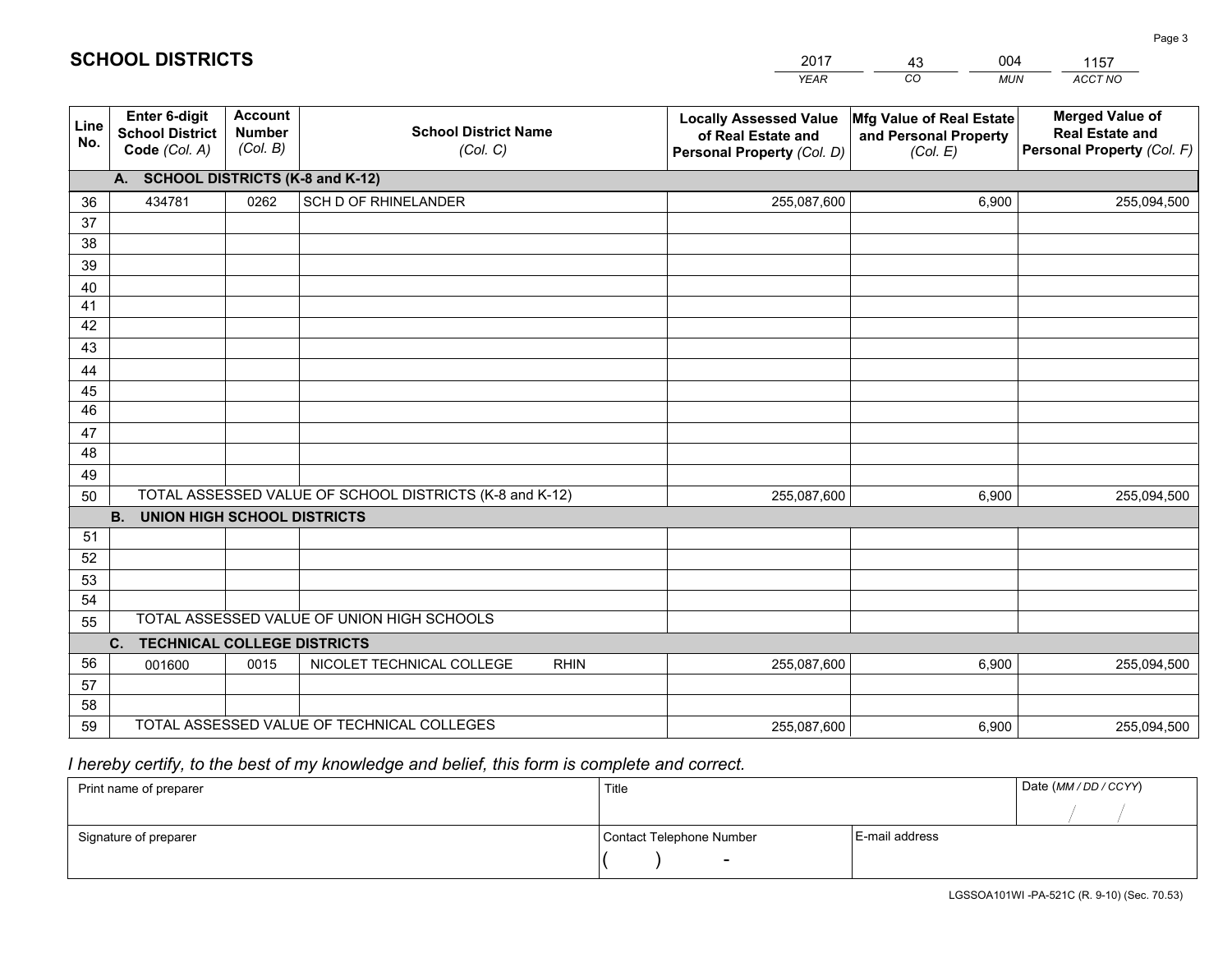|             |                                                                 |                                             |                                                         | <b>YEAR</b>                                                                       | CO<br><b>MUN</b>                                              | ACCT NO                                                                        |
|-------------|-----------------------------------------------------------------|---------------------------------------------|---------------------------------------------------------|-----------------------------------------------------------------------------------|---------------------------------------------------------------|--------------------------------------------------------------------------------|
| Line<br>No. | <b>Enter 6-digit</b><br><b>School District</b><br>Code (Col. A) | <b>Account</b><br><b>Number</b><br>(Col. B) | <b>School District Name</b><br>(Col. C)                 | <b>Locally Assessed Value</b><br>of Real Estate and<br>Personal Property (Col. D) | Mfg Value of Real Estate<br>and Personal Property<br>(Col. E) | <b>Merged Value of</b><br><b>Real Estate and</b><br>Personal Property (Col. F) |
|             | A. SCHOOL DISTRICTS (K-8 and K-12)                              |                                             |                                                         |                                                                                   |                                                               |                                                                                |
| 36          | 434781                                                          | 0262                                        | SCH D OF RHINELANDER                                    | 255,087,600                                                                       | 6,900                                                         | 255,094,500                                                                    |
| 37          |                                                                 |                                             |                                                         |                                                                                   |                                                               |                                                                                |
| 38          |                                                                 |                                             |                                                         |                                                                                   |                                                               |                                                                                |
| 39          |                                                                 |                                             |                                                         |                                                                                   |                                                               |                                                                                |
| 40          |                                                                 |                                             |                                                         |                                                                                   |                                                               |                                                                                |
| 41<br>42    |                                                                 |                                             |                                                         |                                                                                   |                                                               |                                                                                |
| 43          |                                                                 |                                             |                                                         |                                                                                   |                                                               |                                                                                |
|             |                                                                 |                                             |                                                         |                                                                                   |                                                               |                                                                                |
| 44<br>45    |                                                                 |                                             |                                                         |                                                                                   |                                                               |                                                                                |
| 46          |                                                                 |                                             |                                                         |                                                                                   |                                                               |                                                                                |
| 47          |                                                                 |                                             |                                                         |                                                                                   |                                                               |                                                                                |
| 48          |                                                                 |                                             |                                                         |                                                                                   |                                                               |                                                                                |
| 49          |                                                                 |                                             |                                                         |                                                                                   |                                                               |                                                                                |
| 50          |                                                                 |                                             | TOTAL ASSESSED VALUE OF SCHOOL DISTRICTS (K-8 and K-12) | 255,087,600                                                                       | 6,900                                                         | 255,094,500                                                                    |
|             | <b>B.</b><br><b>UNION HIGH SCHOOL DISTRICTS</b>                 |                                             |                                                         |                                                                                   |                                                               |                                                                                |
| 51          |                                                                 |                                             |                                                         |                                                                                   |                                                               |                                                                                |
| 52          |                                                                 |                                             |                                                         |                                                                                   |                                                               |                                                                                |
| 53          |                                                                 |                                             |                                                         |                                                                                   |                                                               |                                                                                |
| 54          |                                                                 |                                             |                                                         |                                                                                   |                                                               |                                                                                |
| 55          |                                                                 |                                             | TOTAL ASSESSED VALUE OF UNION HIGH SCHOOLS              |                                                                                   |                                                               |                                                                                |
|             | C.<br><b>TECHNICAL COLLEGE DISTRICTS</b>                        |                                             |                                                         |                                                                                   |                                                               |                                                                                |
| 56          | 001600                                                          | 0015                                        | NICOLET TECHNICAL COLLEGE<br><b>RHIN</b>                | 255,087,600                                                                       | 6,900                                                         | 255,094,500                                                                    |
| 57          |                                                                 |                                             |                                                         |                                                                                   |                                                               |                                                                                |
| 58<br>59    |                                                                 |                                             | TOTAL ASSESSED VALUE OF TECHNICAL COLLEGES              |                                                                                   |                                                               |                                                                                |
|             |                                                                 |                                             |                                                         | 255,087,600                                                                       | 6,900                                                         | 255,094,500                                                                    |

43

004

 *I hereby certify, to the best of my knowledge and belief, this form is complete and correct.*

**SCHOOL DISTRICTS**

| Print name of preparer | Title                    |                | Date (MM / DD / CCYY) |
|------------------------|--------------------------|----------------|-----------------------|
|                        |                          |                |                       |
| Signature of preparer  | Contact Telephone Number | E-mail address |                       |
|                        | $\overline{\phantom{a}}$ |                |                       |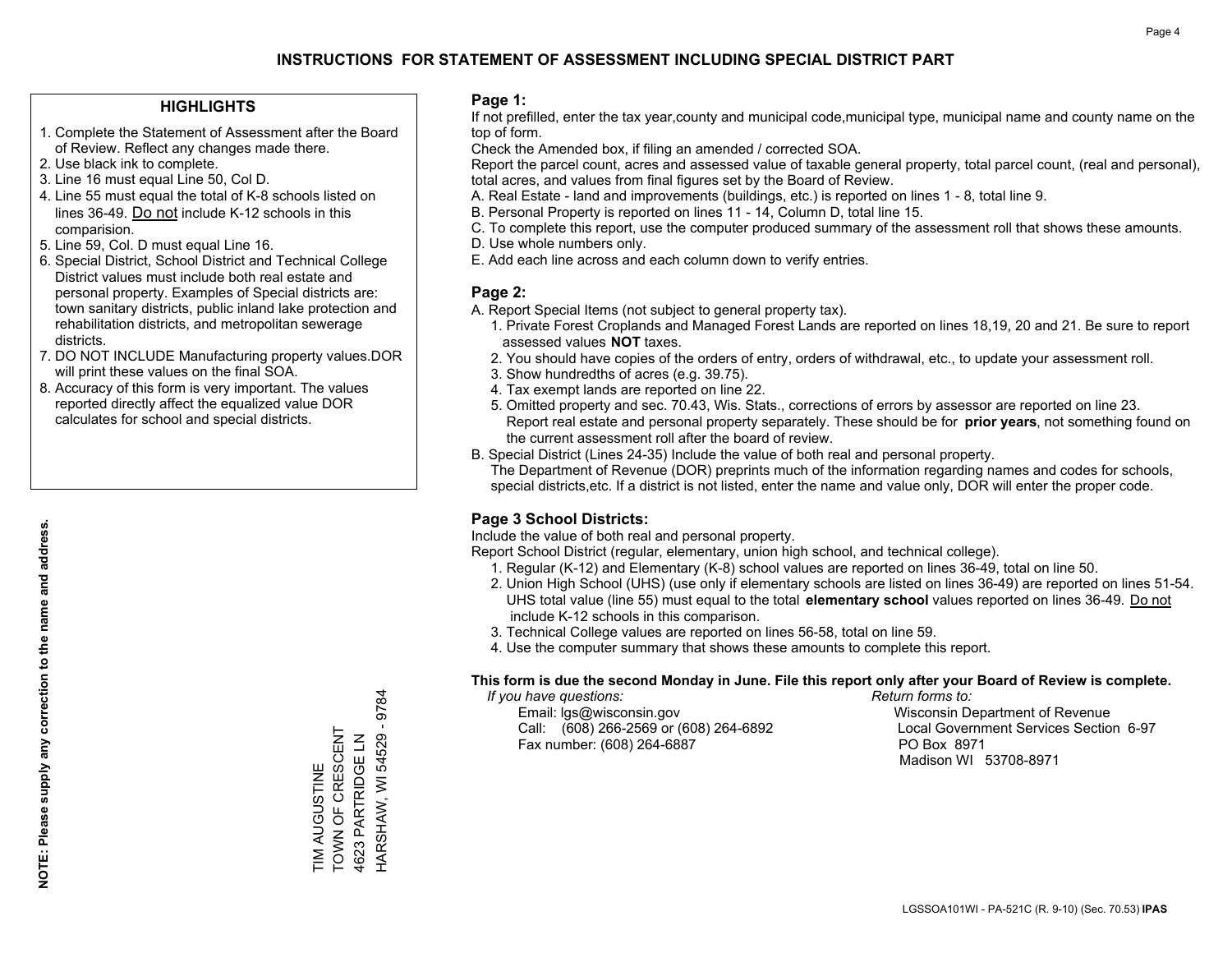#### **HIGHLIGHTS**

- 1. Complete the Statement of Assessment after the Board of Review. Reflect any changes made there.
- 2. Use black ink to complete.
- 3. Line 16 must equal Line 50, Col D.
- 4. Line 55 must equal the total of K-8 schools listed on lines 36-49. Do not include K-12 schools in this comparision.
- 5. Line 59, Col. D must equal Line 16.
- 6. Special District, School District and Technical College District values must include both real estate and personal property. Examples of Special districts are: town sanitary districts, public inland lake protection and rehabilitation districts, and metropolitan sewerage districts.
- 7. DO NOT INCLUDE Manufacturing property values.DOR will print these values on the final SOA.
- 8. Accuracy of this form is very important. The values reported directly affect the equalized value DOR calculates for school and special districts.

#### **Page 1:**

 If not prefilled, enter the tax year,county and municipal code,municipal type, municipal name and county name on the top of form.

Check the Amended box, if filing an amended / corrected SOA.

 Report the parcel count, acres and assessed value of taxable general property, total parcel count, (real and personal), total acres, and values from final figures set by the Board of Review.

- A. Real Estate land and improvements (buildings, etc.) is reported on lines 1 8, total line 9.
- B. Personal Property is reported on lines 11 14, Column D, total line 15.
- C. To complete this report, use the computer produced summary of the assessment roll that shows these amounts.
- D. Use whole numbers only.
- E. Add each line across and each column down to verify entries.

#### **Page 2:**

- A. Report Special Items (not subject to general property tax).
- 1. Private Forest Croplands and Managed Forest Lands are reported on lines 18,19, 20 and 21. Be sure to report assessed values **NOT** taxes.
- 2. You should have copies of the orders of entry, orders of withdrawal, etc., to update your assessment roll.
	- 3. Show hundredths of acres (e.g. 39.75).
- 4. Tax exempt lands are reported on line 22.
- 5. Omitted property and sec. 70.43, Wis. Stats., corrections of errors by assessor are reported on line 23. Report real estate and personal property separately. These should be for **prior years**, not something found on the current assessment roll after the board of review.
- B. Special District (Lines 24-35) Include the value of both real and personal property.

 The Department of Revenue (DOR) preprints much of the information regarding names and codes for schools, special districts,etc. If a district is not listed, enter the name and value only, DOR will enter the proper code.

### **Page 3 School Districts:**

Include the value of both real and personal property.

Report School District (regular, elementary, union high school, and technical college).

- 1. Regular (K-12) and Elementary (K-8) school values are reported on lines 36-49, total on line 50.
- 2. Union High School (UHS) (use only if elementary schools are listed on lines 36-49) are reported on lines 51-54. UHS total value (line 55) must equal to the total **elementary school** values reported on lines 36-49. Do notinclude K-12 schools in this comparison.
- 3. Technical College values are reported on lines 56-58, total on line 59.
- 4. Use the computer summary that shows these amounts to complete this report.

#### **This form is due the second Monday in June. File this report only after your Board of Review is complete.**

 *If you have questions: Return forms to:*

 Email: lgs@wisconsin.gov Wisconsin Department of RevenueCall:  $(608)$  266-2569 or  $(608)$  264-6892 Fax number: (608) 264-6887 PO Box 8971

Local Government Services Section 6-97 Madison WI 53708-8971

**NOTE: Please supply any correction to the name and address.**

NOTE: Please supply any correction to the name and address.

 $-9784$ HARSHAW, WI 54529 - 9784 TOWN OF CRESCENT TIM AUGUSTINE<br>TOWN OF CRESCENT 4623 PARTRIDGE LN HARSHAW, WI 54529 4623 PARTRIDGE LN TIM AUGUSTINE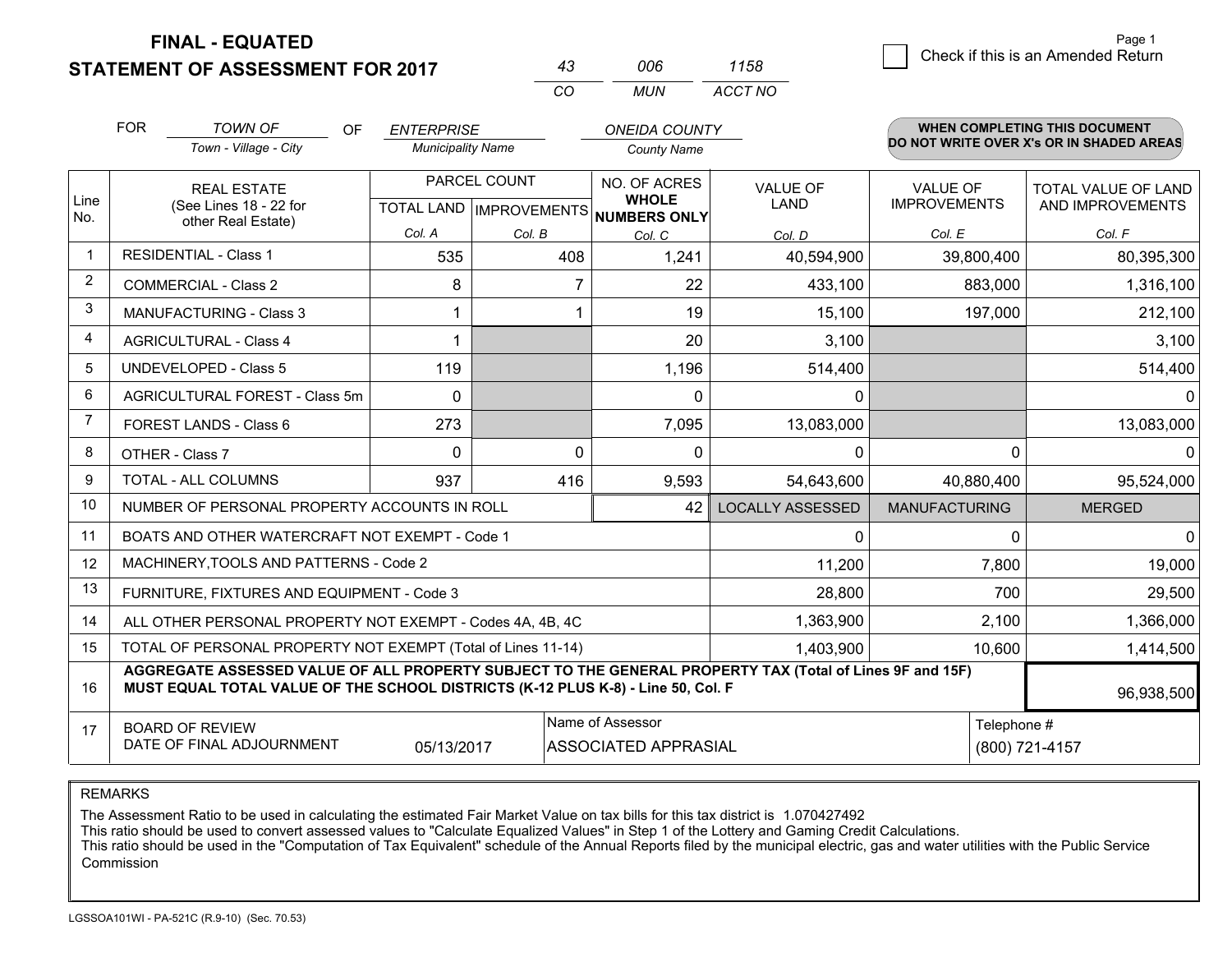**STATEMENT OF ASSESSMENT FOR 2017** 

| 43  | ററഞ | 1158    |
|-----|-----|---------|
| CO. | MUN | ACCT NO |

|                         | <b>FOR</b>                                                                                                                                                                                   | <b>TOWN OF</b><br>0F                                         | <b>ENTERPRISE</b>        |                | <b>ONEIDA COUNTY</b>                                 |                         |                      | <b>WHEN COMPLETING THIS DOCUMENT</b>     |
|-------------------------|----------------------------------------------------------------------------------------------------------------------------------------------------------------------------------------------|--------------------------------------------------------------|--------------------------|----------------|------------------------------------------------------|-------------------------|----------------------|------------------------------------------|
|                         |                                                                                                                                                                                              | Town - Village - City                                        | <b>Municipality Name</b> |                | <b>County Name</b>                                   |                         |                      | DO NOT WRITE OVER X's OR IN SHADED AREAS |
|                         |                                                                                                                                                                                              | PARCEL COUNT<br><b>REAL ESTATE</b>                           |                          |                | NO. OF ACRES                                         | VALUE OF                | <b>VALUE OF</b>      | TOTAL VALUE OF LAND                      |
| Line<br>No.             |                                                                                                                                                                                              | (See Lines 18 - 22 for<br>other Real Estate)                 |                          |                | <b>WHOLE</b><br>TOTAL LAND IMPROVEMENTS NUMBERS ONLY | LAND                    | <b>IMPROVEMENTS</b>  | AND IMPROVEMENTS                         |
|                         |                                                                                                                                                                                              |                                                              | Col. A                   | Col. B         | Col. C                                               | Col. D                  | Col. E               | Col. F                                   |
| $\mathbf 1$             |                                                                                                                                                                                              | <b>RESIDENTIAL - Class 1</b>                                 | 535                      | 408            | 1,241                                                | 40,594,900              | 39,800,400           | 80,395,300                               |
| $\overline{2}$          |                                                                                                                                                                                              | <b>COMMERCIAL - Class 2</b>                                  | 8                        | $\overline{7}$ | 22                                                   | 433,100                 | 883,000              | 1,316,100                                |
| 3                       |                                                                                                                                                                                              | <b>MANUFACTURING - Class 3</b>                               |                          |                | 19                                                   | 15,100                  | 197,000              | 212,100                                  |
| $\overline{\mathbf{4}}$ |                                                                                                                                                                                              | <b>AGRICULTURAL - Class 4</b>                                | 1                        |                | 20                                                   | 3,100                   |                      | 3,100                                    |
| 5                       |                                                                                                                                                                                              | <b>UNDEVELOPED - Class 5</b>                                 | 119                      |                | 1,196                                                | 514,400                 |                      | 514,400                                  |
| 6                       | AGRICULTURAL FOREST - Class 5m<br>FOREST LANDS - Class 6                                                                                                                                     |                                                              | $\Omega$                 |                | 0                                                    | $\Omega$                |                      | 0                                        |
| 7                       |                                                                                                                                                                                              |                                                              | 273                      |                | 7,095                                                | 13,083,000              |                      | 13,083,000                               |
| 8                       |                                                                                                                                                                                              | OTHER - Class 7                                              | $\Omega$                 | $\Omega$       | 0                                                    | $\mathbf{0}$            | 0                    | 0                                        |
| 9                       |                                                                                                                                                                                              | TOTAL - ALL COLUMNS                                          | 937                      | 416            | 9,593                                                | 54,643,600              | 40,880,400           | 95,524,000                               |
| 10                      |                                                                                                                                                                                              | NUMBER OF PERSONAL PROPERTY ACCOUNTS IN ROLL                 |                          |                | 42                                                   | <b>LOCALLY ASSESSED</b> | <b>MANUFACTURING</b> | <b>MERGED</b>                            |
| 11                      |                                                                                                                                                                                              | BOATS AND OTHER WATERCRAFT NOT EXEMPT - Code 1               |                          |                |                                                      | $\Omega$                | 0                    | $\Omega$                                 |
| 12                      |                                                                                                                                                                                              | MACHINERY, TOOLS AND PATTERNS - Code 2                       |                          |                |                                                      | 11,200                  | 7,800                | 19,000                                   |
| 13                      |                                                                                                                                                                                              | FURNITURE, FIXTURES AND EQUIPMENT - Code 3                   |                          |                |                                                      | 28,800                  | 700                  | 29,500                                   |
| 14                      |                                                                                                                                                                                              | ALL OTHER PERSONAL PROPERTY NOT EXEMPT - Codes 4A, 4B, 4C    |                          |                |                                                      | 1,363,900               | 2,100                | 1,366,000                                |
| 15                      |                                                                                                                                                                                              | TOTAL OF PERSONAL PROPERTY NOT EXEMPT (Total of Lines 11-14) |                          |                |                                                      | 1,403,900               | 10,600               | 1,414,500                                |
| 16                      | AGGREGATE ASSESSED VALUE OF ALL PROPERTY SUBJECT TO THE GENERAL PROPERTY TAX (Total of Lines 9F and 15F)<br>MUST EQUAL TOTAL VALUE OF THE SCHOOL DISTRICTS (K-12 PLUS K-8) - Line 50, Col. F |                                                              |                          |                |                                                      |                         |                      | 96,938,500                               |
| 17                      | Name of Assessor<br><b>BOARD OF REVIEW</b>                                                                                                                                                   |                                                              |                          |                | Telephone #                                          |                         |                      |                                          |
|                         |                                                                                                                                                                                              | DATE OF FINAL ADJOURNMENT                                    | 05/13/2017               |                | <b>ASSOCIATED APPRASIAL</b>                          |                         |                      | (800) 721-4157                           |

REMARKS

The Assessment Ratio to be used in calculating the estimated Fair Market Value on tax bills for this tax district is 1.070427492

This ratio should be used to convert assessed values to "Calculate Equalized Values" in Step 1 of the Lottery and Gaming Credit Calculations.<br>This ratio should be used in the "Computation of Tax Equivalent" schedule of the Commission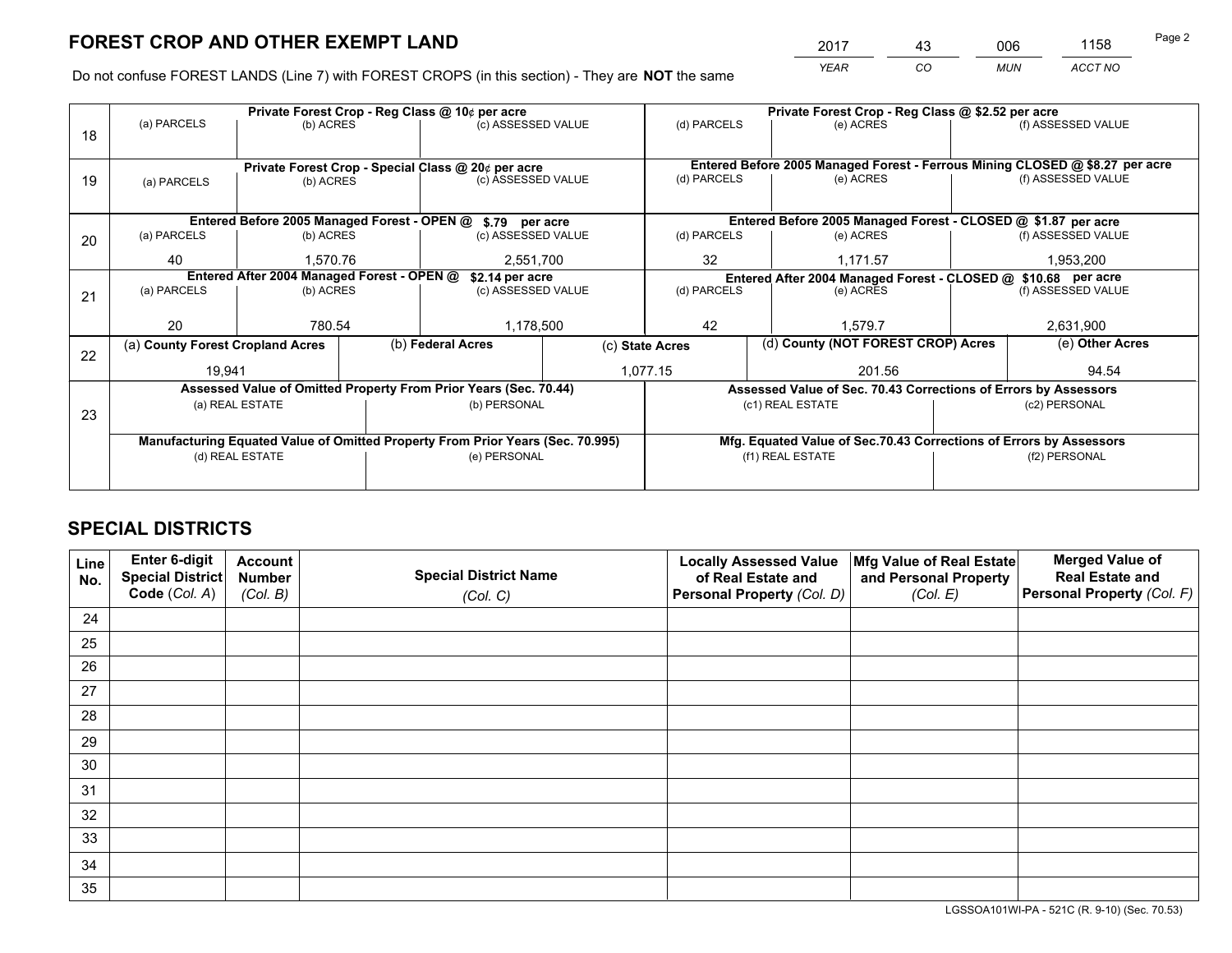*YEAR CO MUN ACCT NO* <sup>2017</sup> <sup>43</sup> <sup>006</sup> <sup>1158</sup>

Do not confuse FOREST LANDS (Line 7) with FOREST CROPS (in this section) - They are **NOT** the same

|    |                                                                                |                 |  | Private Forest Crop - Reg Class @ 10¢ per acre                   |                 | Private Forest Crop - Reg Class @ \$2.52 per acre                  |                                    |                                                                 |                 |                                                                              |
|----|--------------------------------------------------------------------------------|-----------------|--|------------------------------------------------------------------|-----------------|--------------------------------------------------------------------|------------------------------------|-----------------------------------------------------------------|-----------------|------------------------------------------------------------------------------|
| 18 | (a) PARCELS                                                                    | (b) ACRES       |  | (c) ASSESSED VALUE                                               |                 | (d) PARCELS                                                        |                                    | (e) ACRES                                                       |                 | (f) ASSESSED VALUE                                                           |
|    |                                                                                |                 |  |                                                                  |                 |                                                                    |                                    |                                                                 |                 |                                                                              |
|    |                                                                                |                 |  | Private Forest Crop - Special Class @ 20¢ per acre               |                 |                                                                    |                                    |                                                                 |                 | Entered Before 2005 Managed Forest - Ferrous Mining CLOSED @ \$8.27 per acre |
| 19 | (a) PARCELS                                                                    | (b) ACRES       |  | (c) ASSESSED VALUE                                               |                 | (d) PARCELS                                                        |                                    | (e) ACRES                                                       |                 | (f) ASSESSED VALUE                                                           |
|    |                                                                                |                 |  |                                                                  |                 |                                                                    |                                    |                                                                 |                 |                                                                              |
|    |                                                                                |                 |  | Entered Before 2005 Managed Forest - OPEN @ \$.79 per acre       |                 |                                                                    |                                    | Entered Before 2005 Managed Forest - CLOSED @ \$1.87 per acre   |                 |                                                                              |
| 20 | (a) PARCELS                                                                    | (b) ACRES       |  | (c) ASSESSED VALUE                                               |                 | (d) PARCELS                                                        |                                    | (e) ACRES                                                       |                 | (f) ASSESSED VALUE                                                           |
|    | 40                                                                             | 1.570.76        |  | 2,551,700                                                        |                 | 32<br>1.171.57                                                     |                                    | 1,953,200                                                       |                 |                                                                              |
|    | Entered After 2004 Managed Forest - OPEN @<br>\$2.14 per acre                  |                 |  |                                                                  |                 | Entered After 2004 Managed Forest - CLOSED @ \$10.68 per acre      |                                    |                                                                 |                 |                                                                              |
| 21 | (a) PARCELS                                                                    | (b) ACRES       |  | (c) ASSESSED VALUE                                               |                 | (d) PARCELS<br>(e) ACRES                                           |                                    | (f) ASSESSED VALUE                                              |                 |                                                                              |
|    |                                                                                |                 |  |                                                                  |                 |                                                                    |                                    |                                                                 |                 |                                                                              |
|    | 20                                                                             | 780.54          |  | 1,178,500                                                        |                 | 42<br>1.579.7                                                      |                                    |                                                                 | 2,631,900       |                                                                              |
|    | (a) County Forest Cropland Acres                                               |                 |  | (b) Federal Acres                                                | (c) State Acres |                                                                    | (d) County (NOT FOREST CROP) Acres |                                                                 | (e) Other Acres |                                                                              |
| 22 | 19,941                                                                         |                 |  |                                                                  |                 | 1,077.15                                                           |                                    | 201.56                                                          |                 | 94.54                                                                        |
|    |                                                                                |                 |  | Assessed Value of Omitted Property From Prior Years (Sec. 70.44) |                 |                                                                    |                                    | Assessed Value of Sec. 70.43 Corrections of Errors by Assessors |                 |                                                                              |
|    |                                                                                | (a) REAL ESTATE |  | (b) PERSONAL                                                     |                 |                                                                    |                                    | (c1) REAL ESTATE                                                |                 | (c2) PERSONAL                                                                |
| 23 |                                                                                |                 |  |                                                                  |                 |                                                                    |                                    |                                                                 |                 |                                                                              |
|    | Manufacturing Equated Value of Omitted Property From Prior Years (Sec. 70.995) |                 |  |                                                                  |                 | Mfg. Equated Value of Sec.70.43 Corrections of Errors by Assessors |                                    |                                                                 |                 |                                                                              |
|    | (d) REAL ESTATE                                                                |                 |  | (e) PERSONAL                                                     |                 | (f1) REAL ESTATE                                                   |                                    |                                                                 | (f2) PERSONAL   |                                                                              |
|    |                                                                                |                 |  |                                                                  |                 |                                                                    |                                    |                                                                 |                 |                                                                              |

## **SPECIAL DISTRICTS**

| Line<br>No. | Enter 6-digit<br><b>Special District</b> | <b>Account</b><br><b>Number</b> | <b>Special District Name</b> | <b>Locally Assessed Value</b><br>of Real Estate and | Mfg Value of Real Estate<br>and Personal Property | <b>Merged Value of</b><br><b>Real Estate and</b> |
|-------------|------------------------------------------|---------------------------------|------------------------------|-----------------------------------------------------|---------------------------------------------------|--------------------------------------------------|
|             | Code (Col. A)                            | (Col. B)                        | (Col. C)                     | Personal Property (Col. D)                          | (Col. E)                                          | Personal Property (Col. F)                       |
| 24          |                                          |                                 |                              |                                                     |                                                   |                                                  |
| 25          |                                          |                                 |                              |                                                     |                                                   |                                                  |
| 26          |                                          |                                 |                              |                                                     |                                                   |                                                  |
| 27          |                                          |                                 |                              |                                                     |                                                   |                                                  |
| 28          |                                          |                                 |                              |                                                     |                                                   |                                                  |
| 29          |                                          |                                 |                              |                                                     |                                                   |                                                  |
| 30          |                                          |                                 |                              |                                                     |                                                   |                                                  |
| 31          |                                          |                                 |                              |                                                     |                                                   |                                                  |
| 32          |                                          |                                 |                              |                                                     |                                                   |                                                  |
| 33          |                                          |                                 |                              |                                                     |                                                   |                                                  |
| 34          |                                          |                                 |                              |                                                     |                                                   |                                                  |
| 35          |                                          |                                 |                              |                                                     |                                                   |                                                  |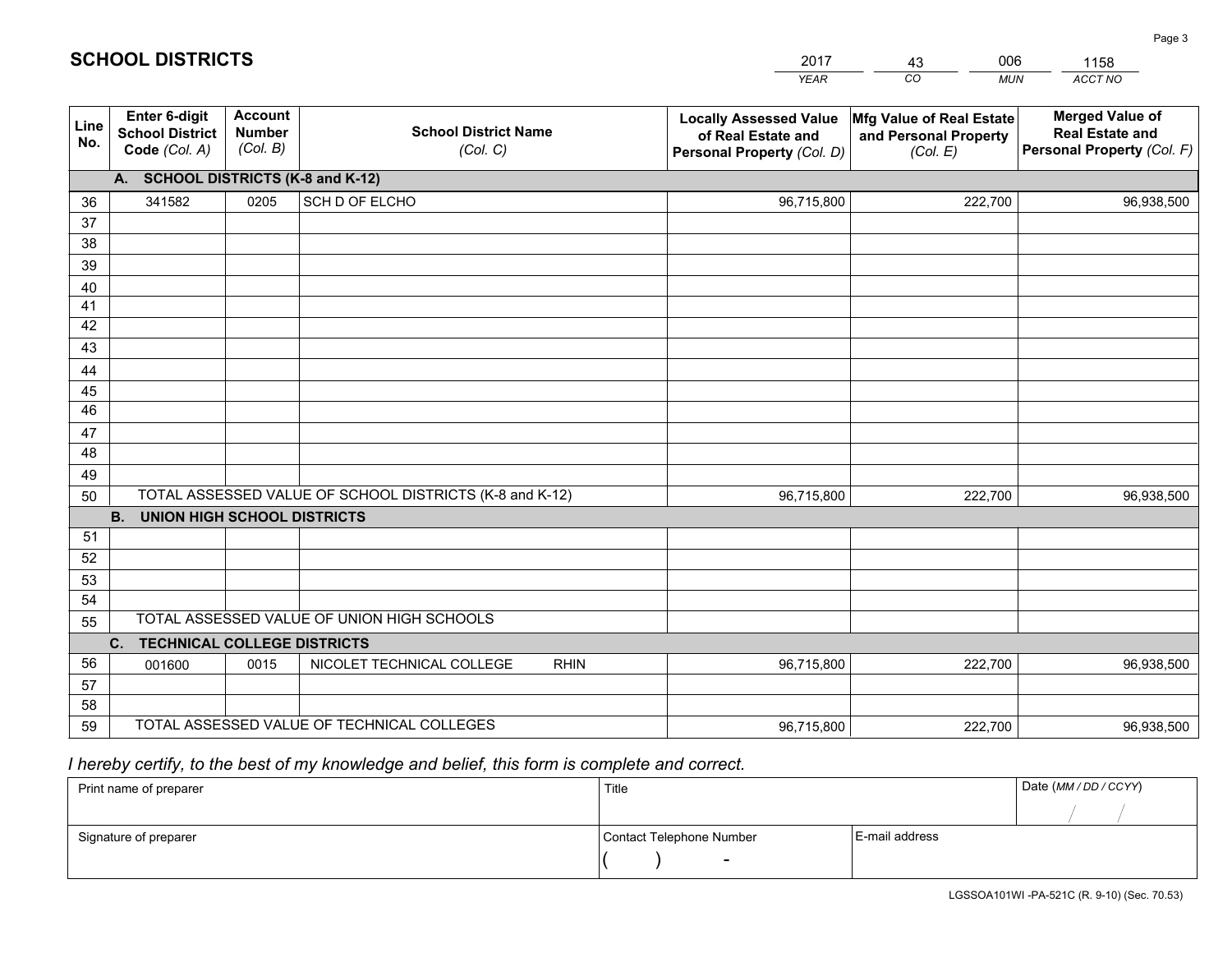|             |                                                                 |                                             |                                                         | <b>YEAR</b>                                                                       | CO<br><b>MUN</b>                                              | ACCT NO                                                                        |
|-------------|-----------------------------------------------------------------|---------------------------------------------|---------------------------------------------------------|-----------------------------------------------------------------------------------|---------------------------------------------------------------|--------------------------------------------------------------------------------|
| Line<br>No. | <b>Enter 6-digit</b><br><b>School District</b><br>Code (Col. A) | <b>Account</b><br><b>Number</b><br>(Col. B) | <b>School District Name</b><br>(Col. C)                 | <b>Locally Assessed Value</b><br>of Real Estate and<br>Personal Property (Col. D) | Mfg Value of Real Estate<br>and Personal Property<br>(Col. E) | <b>Merged Value of</b><br><b>Real Estate and</b><br>Personal Property (Col. F) |
|             | A. SCHOOL DISTRICTS (K-8 and K-12)                              |                                             |                                                         |                                                                                   |                                                               |                                                                                |
| 36          | 341582                                                          | 0205                                        | SCH D OF ELCHO                                          | 96,715,800                                                                        | 222,700                                                       | 96,938,500                                                                     |
| 37          |                                                                 |                                             |                                                         |                                                                                   |                                                               |                                                                                |
| 38          |                                                                 |                                             |                                                         |                                                                                   |                                                               |                                                                                |
| 39          |                                                                 |                                             |                                                         |                                                                                   |                                                               |                                                                                |
| 40          |                                                                 |                                             |                                                         |                                                                                   |                                                               |                                                                                |
| 41<br>42    |                                                                 |                                             |                                                         |                                                                                   |                                                               |                                                                                |
| 43          |                                                                 |                                             |                                                         |                                                                                   |                                                               |                                                                                |
| 44          |                                                                 |                                             |                                                         |                                                                                   |                                                               |                                                                                |
| 45          |                                                                 |                                             |                                                         |                                                                                   |                                                               |                                                                                |
| 46          |                                                                 |                                             |                                                         |                                                                                   |                                                               |                                                                                |
| 47          |                                                                 |                                             |                                                         |                                                                                   |                                                               |                                                                                |
| 48          |                                                                 |                                             |                                                         |                                                                                   |                                                               |                                                                                |
| 49          |                                                                 |                                             |                                                         |                                                                                   |                                                               |                                                                                |
| 50          |                                                                 |                                             | TOTAL ASSESSED VALUE OF SCHOOL DISTRICTS (K-8 and K-12) | 96,715,800                                                                        | 222,700                                                       | 96,938,500                                                                     |
|             | <b>B.</b><br>UNION HIGH SCHOOL DISTRICTS                        |                                             |                                                         |                                                                                   |                                                               |                                                                                |
| 51          |                                                                 |                                             |                                                         |                                                                                   |                                                               |                                                                                |
| 52          |                                                                 |                                             |                                                         |                                                                                   |                                                               |                                                                                |
| 53          |                                                                 |                                             |                                                         |                                                                                   |                                                               |                                                                                |
| 54          |                                                                 |                                             |                                                         |                                                                                   |                                                               |                                                                                |
| 55          |                                                                 |                                             | TOTAL ASSESSED VALUE OF UNION HIGH SCHOOLS              |                                                                                   |                                                               |                                                                                |
|             | C.<br><b>TECHNICAL COLLEGE DISTRICTS</b>                        |                                             |                                                         |                                                                                   |                                                               |                                                                                |
| 56          | 001600                                                          | 0015                                        | NICOLET TECHNICAL COLLEGE<br><b>RHIN</b>                | 96,715,800                                                                        | 222,700                                                       | 96,938,500                                                                     |
| 57<br>58    |                                                                 |                                             |                                                         |                                                                                   |                                                               |                                                                                |
| 59          |                                                                 |                                             | TOTAL ASSESSED VALUE OF TECHNICAL COLLEGES              | 96,715,800                                                                        | 222,700                                                       | 96,938,500                                                                     |
|             |                                                                 |                                             |                                                         |                                                                                   |                                                               |                                                                                |

43

006

 *I hereby certify, to the best of my knowledge and belief, this form is complete and correct.*

**SCHOOL DISTRICTS**

| Print name of preparer | Title                    |                | Date (MM / DD / CCYY) |
|------------------------|--------------------------|----------------|-----------------------|
|                        |                          |                |                       |
| Signature of preparer  | Contact Telephone Number | E-mail address |                       |
|                        | $\overline{\phantom{0}}$ |                |                       |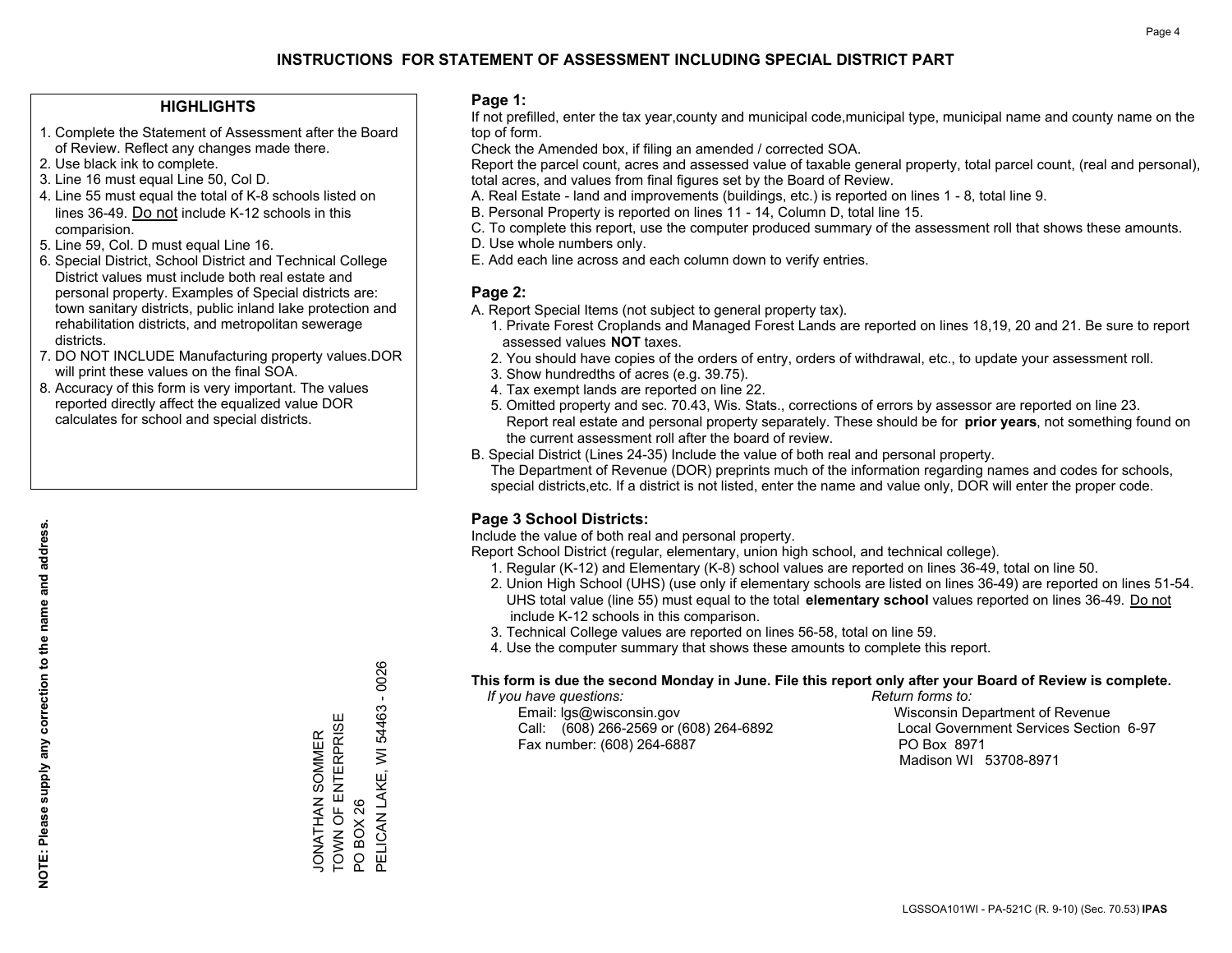#### **HIGHLIGHTS**

- 1. Complete the Statement of Assessment after the Board of Review. Reflect any changes made there.
- 2. Use black ink to complete.
- 3. Line 16 must equal Line 50, Col D.
- 4. Line 55 must equal the total of K-8 schools listed on lines 36-49. Do not include K-12 schools in this comparision.
- 5. Line 59, Col. D must equal Line 16.
- 6. Special District, School District and Technical College District values must include both real estate and personal property. Examples of Special districts are: town sanitary districts, public inland lake protection and rehabilitation districts, and metropolitan sewerage districts.
- 7. DO NOT INCLUDE Manufacturing property values.DOR will print these values on the final SOA.

JONATHAN SOMMER TOWN OF ENTERPRISE

JONATHAN SOMMER<br>TOWN OF ENTERPRISI

Ш

PO BOX 26

PO BOX 26

PELICAN LAKE, WI 54463 - 0026

PELICAN LAKE, WI 54463

 $-0026$ 

 8. Accuracy of this form is very important. The values reported directly affect the equalized value DOR calculates for school and special districts.

#### **Page 1:**

 If not prefilled, enter the tax year,county and municipal code,municipal type, municipal name and county name on the top of form.

Check the Amended box, if filing an amended / corrected SOA.

 Report the parcel count, acres and assessed value of taxable general property, total parcel count, (real and personal), total acres, and values from final figures set by the Board of Review.

- A. Real Estate land and improvements (buildings, etc.) is reported on lines 1 8, total line 9.
- B. Personal Property is reported on lines 11 14, Column D, total line 15.
- C. To complete this report, use the computer produced summary of the assessment roll that shows these amounts.
- D. Use whole numbers only.
- E. Add each line across and each column down to verify entries.

#### **Page 2:**

- A. Report Special Items (not subject to general property tax).
- 1. Private Forest Croplands and Managed Forest Lands are reported on lines 18,19, 20 and 21. Be sure to report assessed values **NOT** taxes.
- 2. You should have copies of the orders of entry, orders of withdrawal, etc., to update your assessment roll.
	- 3. Show hundredths of acres (e.g. 39.75).
- 4. Tax exempt lands are reported on line 22.
- 5. Omitted property and sec. 70.43, Wis. Stats., corrections of errors by assessor are reported on line 23. Report real estate and personal property separately. These should be for **prior years**, not something found on the current assessment roll after the board of review.
- B. Special District (Lines 24-35) Include the value of both real and personal property.
- The Department of Revenue (DOR) preprints much of the information regarding names and codes for schools, special districts,etc. If a district is not listed, enter the name and value only, DOR will enter the proper code.

### **Page 3 School Districts:**

Include the value of both real and personal property.

Report School District (regular, elementary, union high school, and technical college).

- 1. Regular (K-12) and Elementary (K-8) school values are reported on lines 36-49, total on line 50.
- 2. Union High School (UHS) (use only if elementary schools are listed on lines 36-49) are reported on lines 51-54. UHS total value (line 55) must equal to the total **elementary school** values reported on lines 36-49. Do notinclude K-12 schools in this comparison.
- 3. Technical College values are reported on lines 56-58, total on line 59.
- 4. Use the computer summary that shows these amounts to complete this report.

#### **This form is due the second Monday in June. File this report only after your Board of Review is complete.**

 *If you have questions: Return forms to:*

 Email: lgs@wisconsin.gov Wisconsin Department of RevenueCall:  $(608)$  266-2569 or  $(608)$  264-6892 Fax number: (608) 264-6887 PO Box 8971

Local Government Services Section 6-97 Madison WI 53708-8971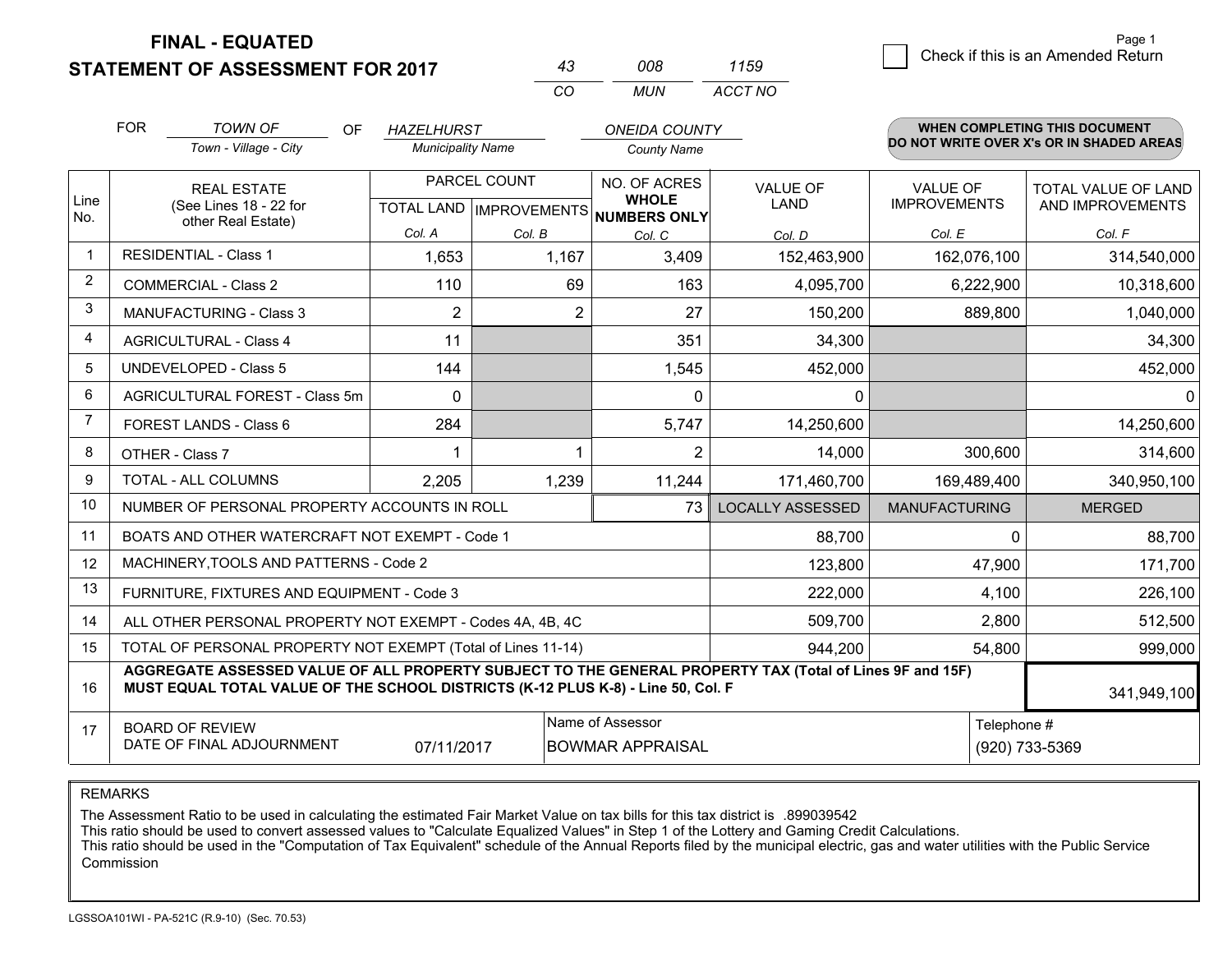### **STATEMENT OF ASSESSMENT FOR 2017**

| 43  | nnr | 1159    |
|-----|-----|---------|
| CO. | MUN | ACCT NO |

|                | <b>FOR</b>                                                                                                                                                                                   | <b>TOWN OF</b><br>OF<br>Town - Village - City                | <b>HAZELHURST</b><br><b>Municipality Name</b> |                           | <b>ONEIDA COUNTY</b><br><b>County Name</b> |                         |                                        | WHEN COMPLETING THIS DOCUMENT<br>DO NOT WRITE OVER X's OR IN SHADED AREAS |
|----------------|----------------------------------------------------------------------------------------------------------------------------------------------------------------------------------------------|--------------------------------------------------------------|-----------------------------------------------|---------------------------|--------------------------------------------|-------------------------|----------------------------------------|---------------------------------------------------------------------------|
| Line           |                                                                                                                                                                                              | <b>REAL ESTATE</b>                                           | PARCEL COUNT                                  |                           | NO. OF ACRES<br><b>WHOLE</b>               | <b>VALUE OF</b><br>LAND | <b>VALUE OF</b><br><b>IMPROVEMENTS</b> | <b>TOTAL VALUE OF LAND</b>                                                |
| No.            |                                                                                                                                                                                              | (See Lines 18 - 22 for<br>other Real Estate)                 |                                               | TOTAL LAND   IMPROVEMENTS | <b>NUMBERS ONLY</b>                        |                         |                                        | AND IMPROVEMENTS                                                          |
|                |                                                                                                                                                                                              |                                                              | Col. A                                        | Col. B                    | Col. C                                     | Col. D                  | Col. E                                 | Col. F                                                                    |
| -1             |                                                                                                                                                                                              | <b>RESIDENTIAL - Class 1</b>                                 | 1,653                                         | 1,167                     | 3,409                                      | 152,463,900             | 162,076,100                            | 314,540,000                                                               |
| 2              |                                                                                                                                                                                              | <b>COMMERCIAL - Class 2</b>                                  | 110                                           | 69                        | 163                                        | 4,095,700               | 6,222,900                              | 10,318,600                                                                |
| 3              |                                                                                                                                                                                              | <b>MANUFACTURING - Class 3</b>                               | $\overline{2}$                                | $\overline{2}$            | 27                                         | 150,200                 | 889,800                                | 1,040,000                                                                 |
| 4              |                                                                                                                                                                                              | <b>AGRICULTURAL - Class 4</b>                                | 11                                            |                           | 351                                        | 34,300                  |                                        | 34,300                                                                    |
| 5              |                                                                                                                                                                                              | <b>UNDEVELOPED - Class 5</b>                                 | 144                                           |                           | 1,545                                      | 452,000                 |                                        | 452,000                                                                   |
| 6              | AGRICULTURAL FOREST - Class 5m                                                                                                                                                               |                                                              | $\mathbf{0}$                                  |                           | $\Omega$                                   | 0                       |                                        | 0                                                                         |
| $\overline{7}$ |                                                                                                                                                                                              | FOREST LANDS - Class 6                                       | 284                                           |                           | 5,747                                      | 14,250,600              |                                        | 14,250,600                                                                |
| 8              |                                                                                                                                                                                              | OTHER - Class 7                                              | 1                                             | 1                         | $\overline{2}$                             | 14,000                  | 300,600                                | 314,600                                                                   |
| 9              |                                                                                                                                                                                              | TOTAL - ALL COLUMNS                                          | 2,205                                         | 1,239                     | 11,244                                     | 171,460,700             | 169,489,400                            | 340,950,100                                                               |
| 10             |                                                                                                                                                                                              | NUMBER OF PERSONAL PROPERTY ACCOUNTS IN ROLL                 |                                               |                           | 73                                         | <b>LOCALLY ASSESSED</b> | <b>MANUFACTURING</b>                   | <b>MERGED</b>                                                             |
| 11             |                                                                                                                                                                                              | BOATS AND OTHER WATERCRAFT NOT EXEMPT - Code 1               |                                               |                           |                                            | 88,700                  | $\Omega$                               | 88,700                                                                    |
| 12             |                                                                                                                                                                                              | MACHINERY, TOOLS AND PATTERNS - Code 2                       |                                               |                           |                                            | 123,800                 | 47,900                                 | 171,700                                                                   |
| 13             |                                                                                                                                                                                              | FURNITURE, FIXTURES AND EQUIPMENT - Code 3                   |                                               |                           |                                            | 222,000                 | 4,100                                  | 226,100                                                                   |
| 14             |                                                                                                                                                                                              | ALL OTHER PERSONAL PROPERTY NOT EXEMPT - Codes 4A, 4B, 4C    |                                               |                           |                                            | 509,700                 | 2,800                                  | 512,500                                                                   |
| 15             |                                                                                                                                                                                              | TOTAL OF PERSONAL PROPERTY NOT EXEMPT (Total of Lines 11-14) |                                               |                           |                                            | 944,200                 | 54,800                                 | 999,000                                                                   |
| 16             | AGGREGATE ASSESSED VALUE OF ALL PROPERTY SUBJECT TO THE GENERAL PROPERTY TAX (Total of Lines 9F and 15F)<br>MUST EQUAL TOTAL VALUE OF THE SCHOOL DISTRICTS (K-12 PLUS K-8) - Line 50, Col. F |                                                              |                                               |                           |                                            |                         |                                        | 341,949,100                                                               |
| 17             |                                                                                                                                                                                              | <b>BOARD OF REVIEW</b>                                       |                                               |                           | Name of Assessor                           |                         | Telephone #                            |                                                                           |
|                |                                                                                                                                                                                              | DATE OF FINAL ADJOURNMENT                                    | 07/11/2017                                    |                           | <b>BOWMAR APPRAISAL</b>                    |                         |                                        | (920) 733-5369                                                            |

REMARKS

The Assessment Ratio to be used in calculating the estimated Fair Market Value on tax bills for this tax district is .899039542

This ratio should be used to convert assessed values to "Calculate Equalized Values" in Step 1 of the Lottery and Gaming Credit Calculations.<br>This ratio should be used in the "Computation of Tax Equivalent" schedule of the Commission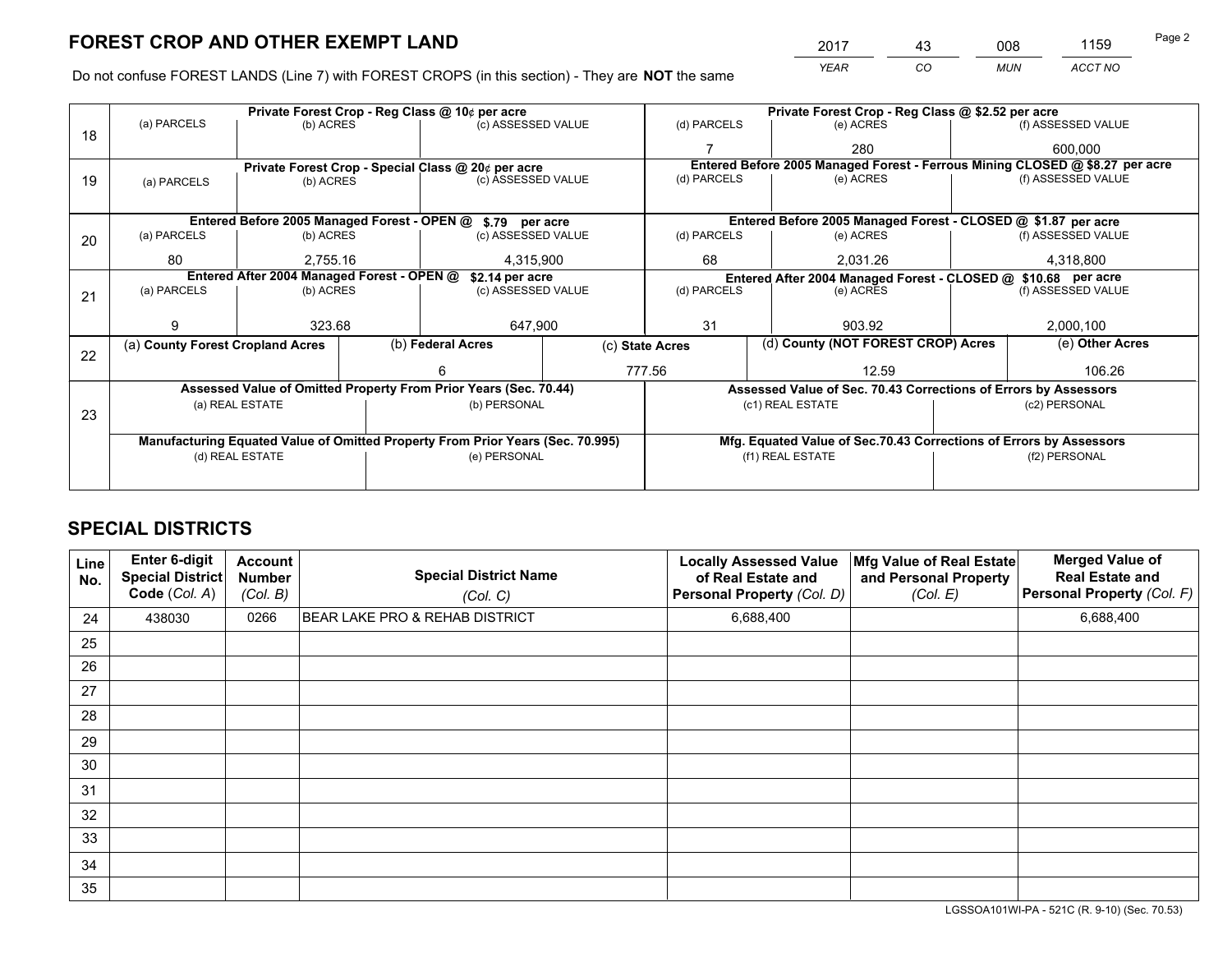*YEAR CO MUN ACCT NO* <sup>2017</sup> <sup>43</sup> <sup>008</sup> <sup>1159</sup>

Do not confuse FOREST LANDS (Line 7) with FOREST CROPS (in this section) - They are **NOT** the same

|    |                                                                                |                       | Private Forest Crop - Reg Class @ 10¢ per acre |                                                                  | Private Forest Crop - Reg Class @ \$2.52 per acre |                          |                                    |                                                                    |           |                                                                              |  |
|----|--------------------------------------------------------------------------------|-----------------------|------------------------------------------------|------------------------------------------------------------------|---------------------------------------------------|--------------------------|------------------------------------|--------------------------------------------------------------------|-----------|------------------------------------------------------------------------------|--|
| 18 | (a) PARCELS                                                                    | (b) ACRES             |                                                | (c) ASSESSED VALUE                                               |                                                   | (d) PARCELS              |                                    | (e) ACRES                                                          |           | (f) ASSESSED VALUE                                                           |  |
|    |                                                                                |                       |                                                |                                                                  |                                                   |                          |                                    | 280                                                                |           | 600.000                                                                      |  |
|    |                                                                                |                       |                                                | Private Forest Crop - Special Class @ 20¢ per acre               |                                                   |                          |                                    |                                                                    |           | Entered Before 2005 Managed Forest - Ferrous Mining CLOSED @ \$8.27 per acre |  |
| 19 | (a) PARCELS                                                                    | (b) ACRES             |                                                | (c) ASSESSED VALUE                                               |                                                   | (d) PARCELS              |                                    | (e) ACRES                                                          |           | (f) ASSESSED VALUE                                                           |  |
|    |                                                                                |                       |                                                |                                                                  |                                                   |                          |                                    |                                                                    |           |                                                                              |  |
|    |                                                                                |                       |                                                | Entered Before 2005 Managed Forest - OPEN @ \$.79 per acre       |                                                   |                          |                                    | Entered Before 2005 Managed Forest - CLOSED @ \$1.87 per acre      |           |                                                                              |  |
| 20 | (a) PARCELS                                                                    | (b) ACRES             |                                                | (c) ASSESSED VALUE                                               |                                                   | (d) PARCELS              |                                    | (e) ACRES                                                          |           | (f) ASSESSED VALUE                                                           |  |
|    | 80                                                                             | 4,315,900<br>2,755.16 |                                                |                                                                  | 68                                                |                          | 2,031.26                           |                                                                    | 4,318,800 |                                                                              |  |
|    | Entered After 2004 Managed Forest - OPEN @<br>\$2.14 per acre                  |                       |                                                |                                                                  |                                                   |                          |                                    | Entered After 2004 Managed Forest - CLOSED @ \$10.68 per acre      |           |                                                                              |  |
| 21 | (a) PARCELS                                                                    | (b) ACRES             |                                                | (c) ASSESSED VALUE                                               |                                                   | (d) PARCELS<br>(e) ACRES |                                    | (f) ASSESSED VALUE                                                 |           |                                                                              |  |
|    |                                                                                |                       |                                                |                                                                  |                                                   |                          |                                    |                                                                    |           |                                                                              |  |
|    | я                                                                              | 323.68                |                                                | 647,900                                                          |                                                   | 31                       |                                    | 903.92                                                             |           | 2,000,100                                                                    |  |
| 22 | (a) County Forest Cropland Acres                                               |                       |                                                | (b) Federal Acres<br>(c) State Acres                             |                                                   |                          | (d) County (NOT FOREST CROP) Acres |                                                                    |           | (e) Other Acres                                                              |  |
|    |                                                                                |                       |                                                |                                                                  |                                                   | 777.56<br>12.59          |                                    |                                                                    | 106.26    |                                                                              |  |
|    |                                                                                |                       |                                                | Assessed Value of Omitted Property From Prior Years (Sec. 70.44) |                                                   |                          |                                    | Assessed Value of Sec. 70.43 Corrections of Errors by Assessors    |           |                                                                              |  |
|    |                                                                                | (a) REAL ESTATE       |                                                | (b) PERSONAL                                                     |                                                   |                          |                                    | (c1) REAL ESTATE                                                   |           | (c2) PERSONAL                                                                |  |
| 23 |                                                                                |                       |                                                |                                                                  |                                                   |                          |                                    |                                                                    |           |                                                                              |  |
|    | Manufacturing Equated Value of Omitted Property From Prior Years (Sec. 70.995) |                       |                                                |                                                                  |                                                   |                          |                                    | Mfg. Equated Value of Sec.70.43 Corrections of Errors by Assessors |           |                                                                              |  |
|    |                                                                                | (d) REAL ESTATE       |                                                | (e) PERSONAL                                                     |                                                   |                          |                                    | (f1) REAL ESTATE                                                   |           | (f2) PERSONAL                                                                |  |
|    |                                                                                |                       |                                                |                                                                  |                                                   |                          |                                    |                                                                    |           |                                                                              |  |

## **SPECIAL DISTRICTS**

| Line<br>No. | Enter 6-digit<br><b>Special District</b><br>Code (Col. A) | <b>Account</b><br><b>Number</b><br>(Col. B) | <b>Special District Name</b><br>(Col. C) | <b>Locally Assessed Value</b><br>of Real Estate and<br>Personal Property (Col. D) | Mfg Value of Real Estate<br>and Personal Property<br>(Col. E) | <b>Merged Value of</b><br><b>Real Estate and</b><br>Personal Property (Col. F) |
|-------------|-----------------------------------------------------------|---------------------------------------------|------------------------------------------|-----------------------------------------------------------------------------------|---------------------------------------------------------------|--------------------------------------------------------------------------------|
| 24          | 438030                                                    | 0266                                        | BEAR LAKE PRO & REHAB DISTRICT           | 6,688,400                                                                         |                                                               | 6,688,400                                                                      |
| 25          |                                                           |                                             |                                          |                                                                                   |                                                               |                                                                                |
| 26          |                                                           |                                             |                                          |                                                                                   |                                                               |                                                                                |
| 27          |                                                           |                                             |                                          |                                                                                   |                                                               |                                                                                |
| 28          |                                                           |                                             |                                          |                                                                                   |                                                               |                                                                                |
| 29          |                                                           |                                             |                                          |                                                                                   |                                                               |                                                                                |
| 30          |                                                           |                                             |                                          |                                                                                   |                                                               |                                                                                |
| 31          |                                                           |                                             |                                          |                                                                                   |                                                               |                                                                                |
| 32          |                                                           |                                             |                                          |                                                                                   |                                                               |                                                                                |
| 33          |                                                           |                                             |                                          |                                                                                   |                                                               |                                                                                |
| 34          |                                                           |                                             |                                          |                                                                                   |                                                               |                                                                                |
| 35          |                                                           |                                             |                                          |                                                                                   |                                                               |                                                                                |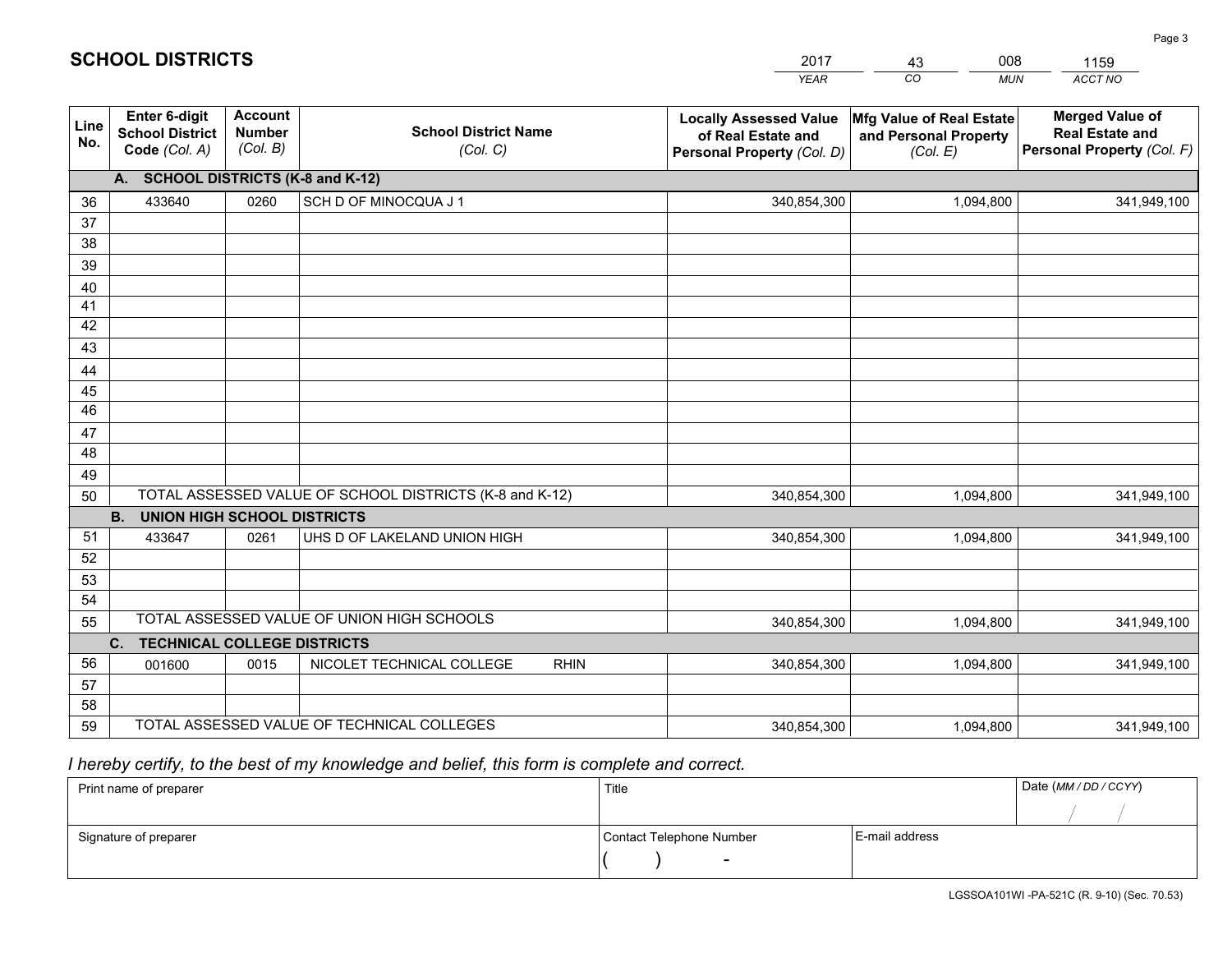|             |                                                          |                                             |                                                         | <b>YEAR</b>                                                                       | CO<br><b>MUN</b>                                              | ACCT NO                                                                        |
|-------------|----------------------------------------------------------|---------------------------------------------|---------------------------------------------------------|-----------------------------------------------------------------------------------|---------------------------------------------------------------|--------------------------------------------------------------------------------|
| Line<br>No. | Enter 6-digit<br><b>School District</b><br>Code (Col. A) | <b>Account</b><br><b>Number</b><br>(Col. B) | <b>School District Name</b><br>(Col. C)                 | <b>Locally Assessed Value</b><br>of Real Estate and<br>Personal Property (Col. D) | Mfg Value of Real Estate<br>and Personal Property<br>(Col. E) | <b>Merged Value of</b><br><b>Real Estate and</b><br>Personal Property (Col. F) |
|             | <b>SCHOOL DISTRICTS (K-8 and K-12)</b><br>A.             |                                             |                                                         |                                                                                   |                                                               |                                                                                |
| 36          | 433640                                                   | 0260                                        | SCH D OF MINOCQUA J 1                                   | 340,854,300                                                                       | 1,094,800                                                     | 341,949,100                                                                    |
| 37          |                                                          |                                             |                                                         |                                                                                   |                                                               |                                                                                |
| 38          |                                                          |                                             |                                                         |                                                                                   |                                                               |                                                                                |
| 39          |                                                          |                                             |                                                         |                                                                                   |                                                               |                                                                                |
| 40          |                                                          |                                             |                                                         |                                                                                   |                                                               |                                                                                |
| 41          |                                                          |                                             |                                                         |                                                                                   |                                                               |                                                                                |
| 42<br>43    |                                                          |                                             |                                                         |                                                                                   |                                                               |                                                                                |
|             |                                                          |                                             |                                                         |                                                                                   |                                                               |                                                                                |
| 44<br>45    |                                                          |                                             |                                                         |                                                                                   |                                                               |                                                                                |
| 46          |                                                          |                                             |                                                         |                                                                                   |                                                               |                                                                                |
| 47          |                                                          |                                             |                                                         |                                                                                   |                                                               |                                                                                |
| 48          |                                                          |                                             |                                                         |                                                                                   |                                                               |                                                                                |
| 49          |                                                          |                                             |                                                         |                                                                                   |                                                               |                                                                                |
| 50          |                                                          |                                             | TOTAL ASSESSED VALUE OF SCHOOL DISTRICTS (K-8 and K-12) | 340,854,300                                                                       | 1,094,800                                                     | 341,949,100                                                                    |
|             | <b>B.</b><br><b>UNION HIGH SCHOOL DISTRICTS</b>          |                                             |                                                         |                                                                                   |                                                               |                                                                                |
| 51          | 433647                                                   | 0261                                        | UHS D OF LAKELAND UNION HIGH                            | 340,854,300                                                                       | 1,094,800                                                     | 341,949,100                                                                    |
| 52          |                                                          |                                             |                                                         |                                                                                   |                                                               |                                                                                |
| 53          |                                                          |                                             |                                                         |                                                                                   |                                                               |                                                                                |
| 54          |                                                          |                                             |                                                         |                                                                                   |                                                               |                                                                                |
| 55          |                                                          |                                             | TOTAL ASSESSED VALUE OF UNION HIGH SCHOOLS              | 340,854,300                                                                       | 1,094,800                                                     | 341,949,100                                                                    |
|             | C <sub>1</sub><br><b>TECHNICAL COLLEGE DISTRICTS</b>     |                                             |                                                         |                                                                                   |                                                               |                                                                                |
| 56          | 001600                                                   | 0015                                        | NICOLET TECHNICAL COLLEGE<br><b>RHIN</b>                | 340,854,300                                                                       | 1,094,800                                                     | 341,949,100                                                                    |
| 57          |                                                          |                                             |                                                         |                                                                                   |                                                               |                                                                                |
| 58<br>59    |                                                          |                                             | TOTAL ASSESSED VALUE OF TECHNICAL COLLEGES              |                                                                                   |                                                               |                                                                                |
|             |                                                          |                                             |                                                         | 340,854,300                                                                       | 1,094,800                                                     | 341,949,100                                                                    |

43

008

## *I hereby certify, to the best of my knowledge and belief, this form is complete and correct.*

**SCHOOL DISTRICTS**

| Print name of preparer | Title                    |                | Date (MM / DD / CCYY) |
|------------------------|--------------------------|----------------|-----------------------|
|                        |                          |                |                       |
| Signature of preparer  | Contact Telephone Number | E-mail address |                       |
|                        | $\sim$                   |                |                       |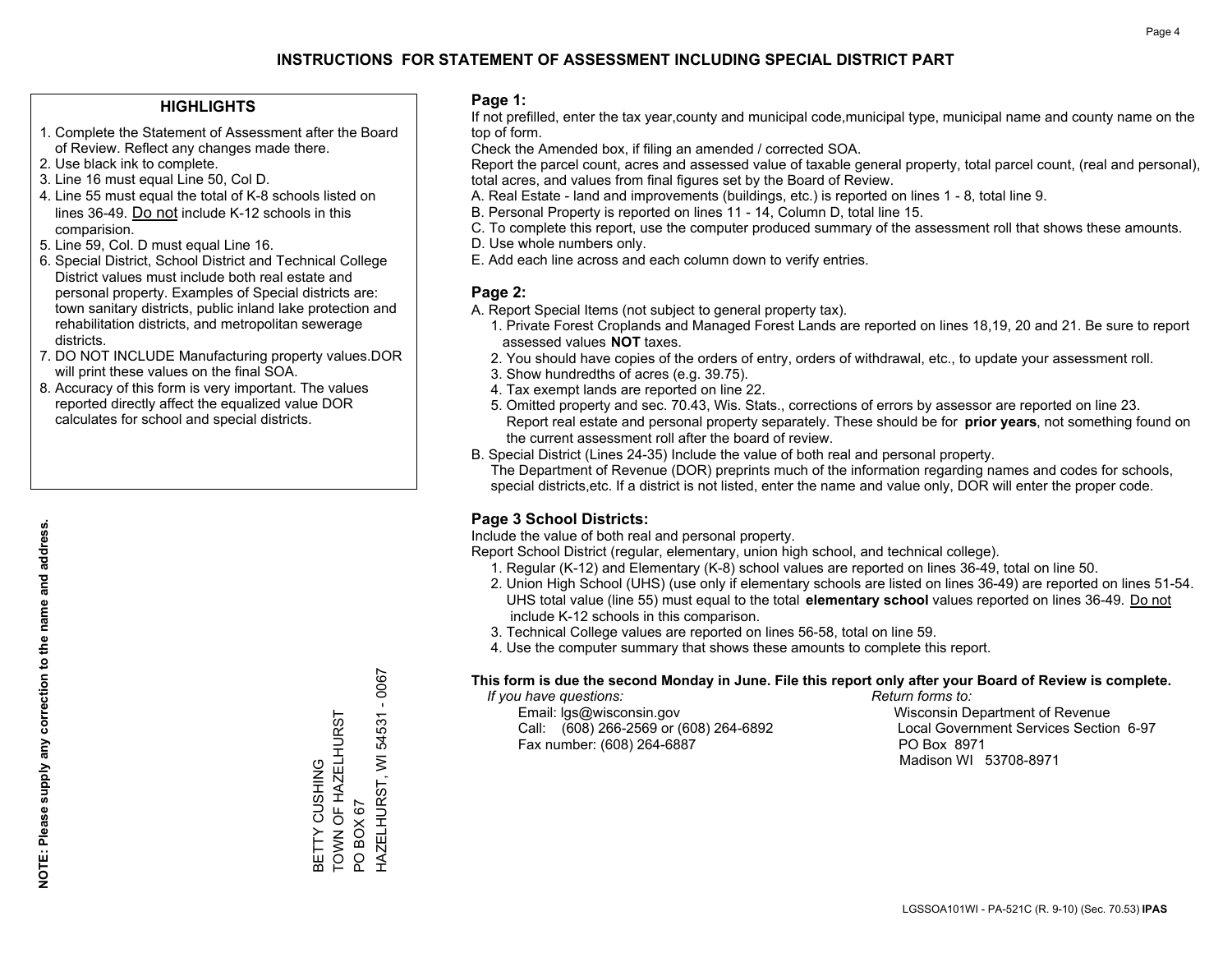#### **HIGHLIGHTS**

- 1. Complete the Statement of Assessment after the Board of Review. Reflect any changes made there.
- 2. Use black ink to complete.
- 3. Line 16 must equal Line 50, Col D.
- 4. Line 55 must equal the total of K-8 schools listed on lines 36-49. Do not include K-12 schools in this comparision.
- 5. Line 59, Col. D must equal Line 16.
- 6. Special District, School District and Technical College District values must include both real estate and personal property. Examples of Special districts are: town sanitary districts, public inland lake protection and rehabilitation districts, and metropolitan sewerage districts.
- 7. DO NOT INCLUDE Manufacturing property values.DOR will print these values on the final SOA.
- 8. Accuracy of this form is very important. The values reported directly affect the equalized value DOR calculates for school and special districts.

#### **Page 1:**

 If not prefilled, enter the tax year,county and municipal code,municipal type, municipal name and county name on the top of form.

Check the Amended box, if filing an amended / corrected SOA.

 Report the parcel count, acres and assessed value of taxable general property, total parcel count, (real and personal), total acres, and values from final figures set by the Board of Review.

- A. Real Estate land and improvements (buildings, etc.) is reported on lines 1 8, total line 9.
- B. Personal Property is reported on lines 11 14, Column D, total line 15.
- C. To complete this report, use the computer produced summary of the assessment roll that shows these amounts.
- D. Use whole numbers only.
- E. Add each line across and each column down to verify entries.

#### **Page 2:**

- A. Report Special Items (not subject to general property tax).
- 1. Private Forest Croplands and Managed Forest Lands are reported on lines 18,19, 20 and 21. Be sure to report assessed values **NOT** taxes.
- 2. You should have copies of the orders of entry, orders of withdrawal, etc., to update your assessment roll.
	- 3. Show hundredths of acres (e.g. 39.75).
- 4. Tax exempt lands are reported on line 22.
- 5. Omitted property and sec. 70.43, Wis. Stats., corrections of errors by assessor are reported on line 23. Report real estate and personal property separately. These should be for **prior years**, not something found on the current assessment roll after the board of review.
- B. Special District (Lines 24-35) Include the value of both real and personal property.
- The Department of Revenue (DOR) preprints much of the information regarding names and codes for schools, special districts,etc. If a district is not listed, enter the name and value only, DOR will enter the proper code.

### **Page 3 School Districts:**

Include the value of both real and personal property.

Report School District (regular, elementary, union high school, and technical college).

- 1. Regular (K-12) and Elementary (K-8) school values are reported on lines 36-49, total on line 50.
- 2. Union High School (UHS) (use only if elementary schools are listed on lines 36-49) are reported on lines 51-54. UHS total value (line 55) must equal to the total **elementary school** values reported on lines 36-49. Do notinclude K-12 schools in this comparison.
- 3. Technical College values are reported on lines 56-58, total on line 59.
- 4. Use the computer summary that shows these amounts to complete this report.

#### **This form is due the second Monday in June. File this report only after your Board of Review is complete.**

 *If you have questions: Return forms to:*

 Email: lgs@wisconsin.gov Wisconsin Department of RevenueCall:  $(608)$  266-2569 or  $(608)$  264-6892 Fax number: (608) 264-6887 PO Box 8971

Local Government Services Section 6-97 Madison WI 53708-8971

 $-0067$ HAZELHURST, WI 54531 - 0067 TOWN OF HAZELHURST HAZELHURST, WI 54531 BETTY CUSHING<br>TOWN OF HAZELHURST BETTY CUSHING PO BOX 67 PO BOX 67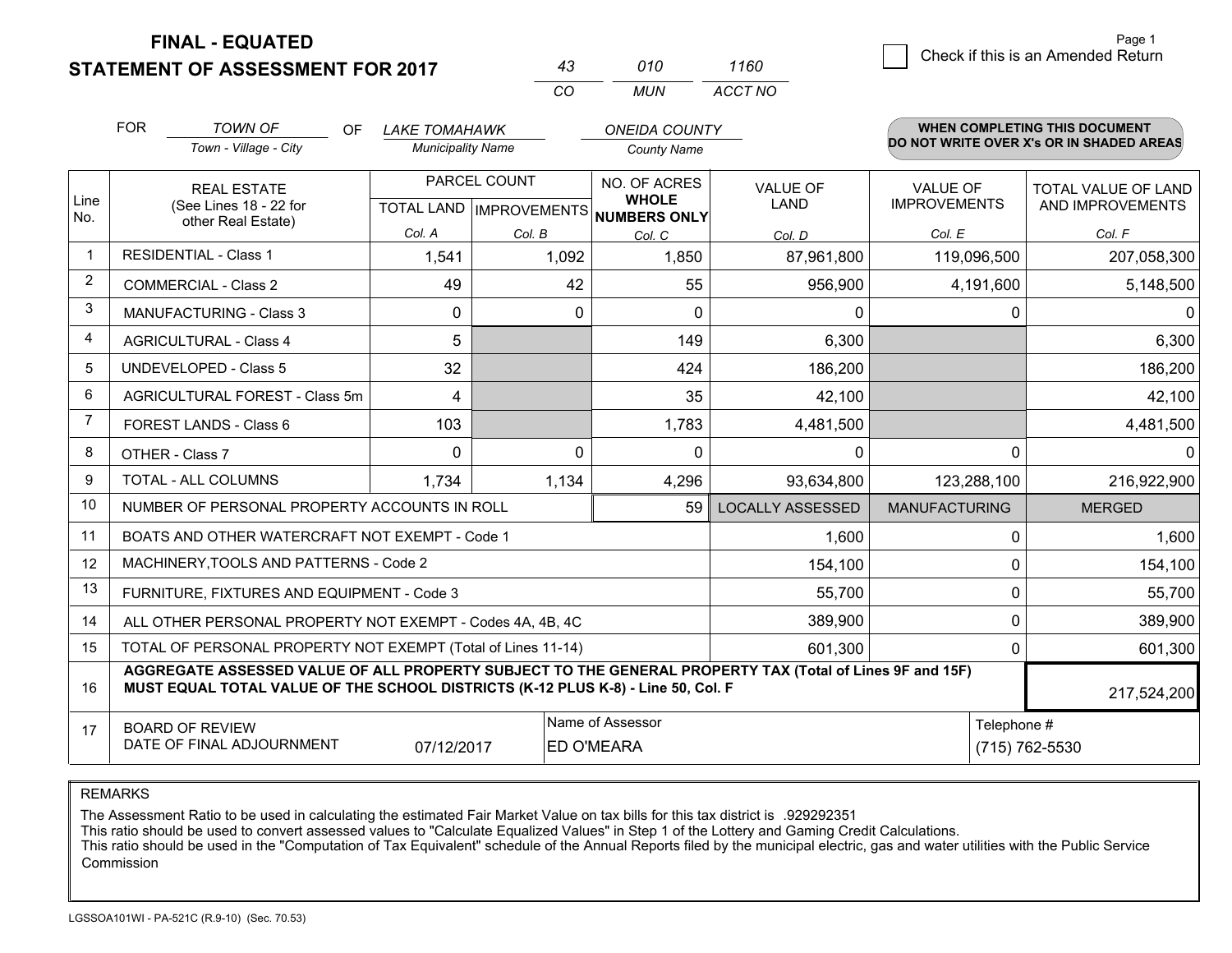**STATEMENT OF ASSESSMENT FOR 2017** 

| 43 | 010 | 1160    |
|----|-----|---------|
| cо | MUN | ACCT NO |

|                | <b>FOR</b>                                                                                                                                                                                   | <b>TOWN OF</b><br><b>OF</b><br>Town - Village - City               | <b>LAKE TOMAHAWK</b><br><b>Municipality Name</b>    |              | <b>ONEIDA COUNTY</b><br><b>County Name</b>              |                         |                                        | <b>WHEN COMPLETING THIS DOCUMENT</b><br>DO NOT WRITE OVER X's OR IN SHADED AREAS |
|----------------|----------------------------------------------------------------------------------------------------------------------------------------------------------------------------------------------|--------------------------------------------------------------------|-----------------------------------------------------|--------------|---------------------------------------------------------|-------------------------|----------------------------------------|----------------------------------------------------------------------------------|
| Line<br>No.    |                                                                                                                                                                                              | <b>REAL ESTATE</b><br>(See Lines 18 - 22 for<br>other Real Estate) | PARCEL COUNT<br>TOTAL LAND MPROVEMENTS NUMBERS ONLY |              | NO. OF ACRES<br><b>VALUE OF</b><br><b>WHOLE</b><br>LAND |                         | <b>VALUE OF</b><br><b>IMPROVEMENTS</b> | TOTAL VALUE OF LAND<br>AND IMPROVEMENTS                                          |
|                |                                                                                                                                                                                              |                                                                    | Col. A                                              | Col. B       | Col. C                                                  | Col. D                  | Col. E                                 | Col. F                                                                           |
| -1             |                                                                                                                                                                                              | <b>RESIDENTIAL - Class 1</b>                                       | 1,541                                               | 1,092        | 1,850                                                   | 87,961,800              | 119,096,500                            | 207,058,300                                                                      |
| $\overline{2}$ |                                                                                                                                                                                              | <b>COMMERCIAL - Class 2</b>                                        | 49                                                  | 42           | 55                                                      | 956,900                 | 4,191,600                              | 5,148,500                                                                        |
| 3              |                                                                                                                                                                                              | <b>MANUFACTURING - Class 3</b>                                     | $\Omega$                                            | $\mathbf{0}$ | $\Omega$                                                | 0                       |                                        | 0<br>0                                                                           |
| 4              |                                                                                                                                                                                              | <b>AGRICULTURAL - Class 4</b>                                      | 5                                                   |              | 149                                                     | 6,300                   |                                        | 6,300                                                                            |
| 5              |                                                                                                                                                                                              | <b>UNDEVELOPED - Class 5</b>                                       | 32                                                  |              | 424                                                     | 186,200                 |                                        | 186,200                                                                          |
| 6              |                                                                                                                                                                                              | AGRICULTURAL FOREST - Class 5m                                     | 4                                                   |              | 35                                                      | 42,100                  |                                        | 42,100                                                                           |
| 7              |                                                                                                                                                                                              | FOREST LANDS - Class 6                                             | 103                                                 |              | 1,783                                                   | 4,481,500               |                                        | 4,481,500                                                                        |
| 8              |                                                                                                                                                                                              | OTHER - Class 7                                                    | $\Omega$                                            | $\Omega$     | $\Omega$                                                | 0                       |                                        | $\Omega$<br>$\Omega$                                                             |
| 9              |                                                                                                                                                                                              | TOTAL - ALL COLUMNS                                                | 1,734                                               | 1,134        | 4,296                                                   | 93,634,800              | 123,288,100                            | 216,922,900                                                                      |
| 10             |                                                                                                                                                                                              | NUMBER OF PERSONAL PROPERTY ACCOUNTS IN ROLL                       |                                                     |              | 59                                                      | <b>LOCALLY ASSESSED</b> | <b>MANUFACTURING</b>                   | <b>MERGED</b>                                                                    |
| 11             |                                                                                                                                                                                              | BOATS AND OTHER WATERCRAFT NOT EXEMPT - Code 1                     |                                                     |              |                                                         | 1,600                   |                                        | 1,600<br>0                                                                       |
| 12             |                                                                                                                                                                                              | MACHINERY, TOOLS AND PATTERNS - Code 2                             |                                                     |              |                                                         | 154,100                 |                                        | 154,100<br>0                                                                     |
| 13             |                                                                                                                                                                                              | FURNITURE, FIXTURES AND EQUIPMENT - Code 3                         |                                                     |              |                                                         | 55,700                  |                                        | 0<br>55,700                                                                      |
| 14             |                                                                                                                                                                                              | ALL OTHER PERSONAL PROPERTY NOT EXEMPT - Codes 4A, 4B, 4C          |                                                     |              |                                                         | 389,900                 |                                        | $\Omega$<br>389,900                                                              |
| 15             |                                                                                                                                                                                              | TOTAL OF PERSONAL PROPERTY NOT EXEMPT (Total of Lines 11-14)       |                                                     |              |                                                         | 601,300                 |                                        | 601,300<br>0                                                                     |
| 16             | AGGREGATE ASSESSED VALUE OF ALL PROPERTY SUBJECT TO THE GENERAL PROPERTY TAX (Total of Lines 9F and 15F)<br>MUST EQUAL TOTAL VALUE OF THE SCHOOL DISTRICTS (K-12 PLUS K-8) - Line 50, Col. F |                                                                    |                                                     |              |                                                         |                         |                                        | 217,524,200                                                                      |
| 17             | Name of Assessor<br>Telephone #<br><b>BOARD OF REVIEW</b><br>DATE OF FINAL ADJOURNMENT<br>07/12/2017<br><b>ED O'MEARA</b>                                                                    |                                                                    |                                                     |              |                                                         |                         |                                        | (715) 762-5530                                                                   |

REMARKS

The Assessment Ratio to be used in calculating the estimated Fair Market Value on tax bills for this tax district is .929292351

This ratio should be used to convert assessed values to "Calculate Equalized Values" in Step 1 of the Lottery and Gaming Credit Calculations.<br>This ratio should be used in the "Computation of Tax Equivalent" schedule of the Commission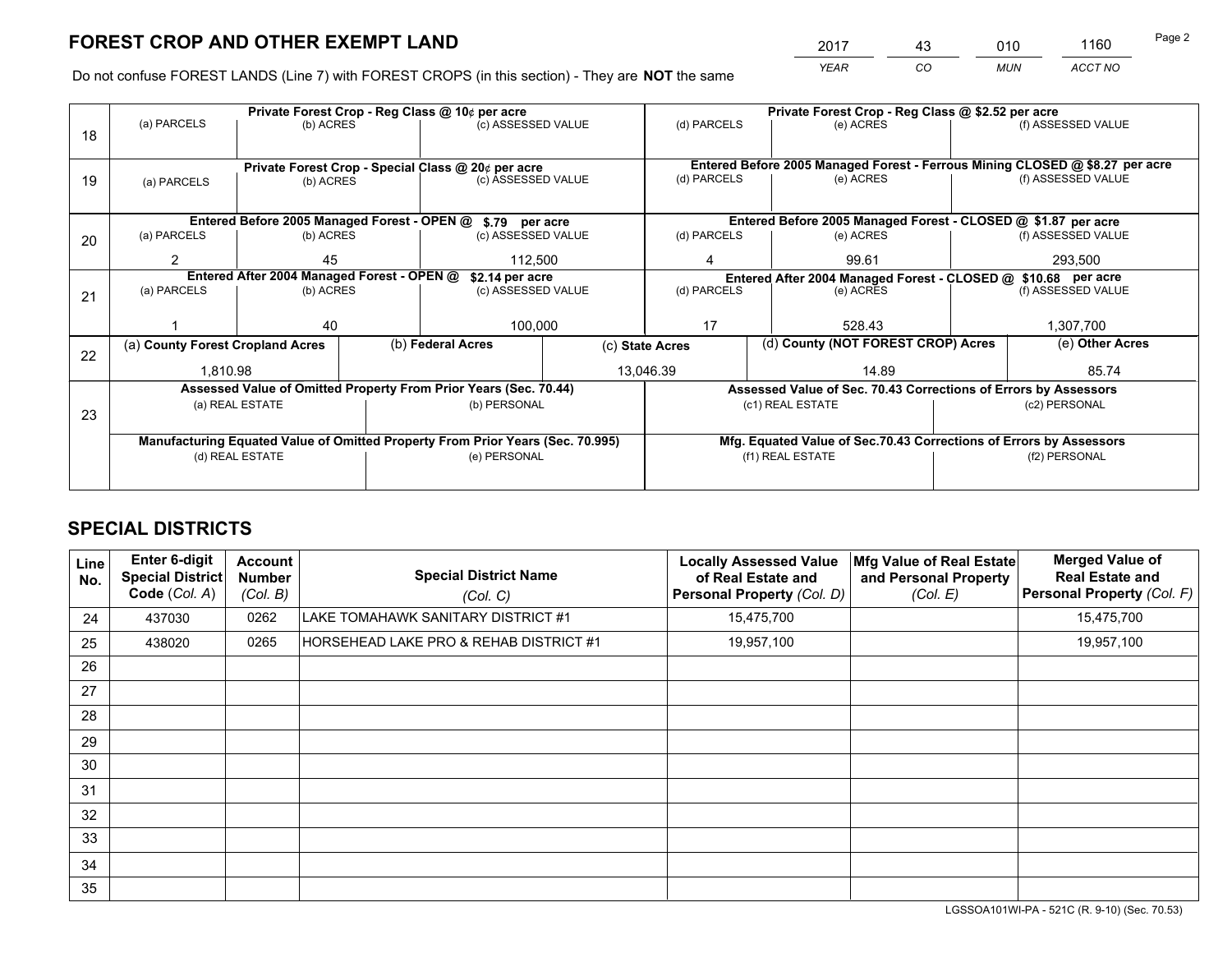*YEAR CO MUN ACCT NO* <sup>2017</sup> <sup>43</sup> <sup>010</sup> <sup>1160</sup>

Do not confuse FOREST LANDS (Line 7) with FOREST CROPS (in this section) - They are **NOT** the same

|    |                                                                                |                                 |  | Private Forest Crop - Reg Class @ 10¢ per acre                   | Private Forest Crop - Reg Class @ \$2.52 per acre             |                                                                    |           |                                                                 |                                                                              |                    |
|----|--------------------------------------------------------------------------------|---------------------------------|--|------------------------------------------------------------------|---------------------------------------------------------------|--------------------------------------------------------------------|-----------|-----------------------------------------------------------------|------------------------------------------------------------------------------|--------------------|
| 18 | (a) PARCELS                                                                    | (b) ACRES                       |  | (c) ASSESSED VALUE                                               |                                                               | (d) PARCELS                                                        |           | (e) ACRES                                                       |                                                                              | (f) ASSESSED VALUE |
|    |                                                                                |                                 |  |                                                                  |                                                               |                                                                    |           |                                                                 |                                                                              |                    |
|    | Private Forest Crop - Special Class @ 20¢ per acre                             |                                 |  |                                                                  |                                                               |                                                                    |           |                                                                 | Entered Before 2005 Managed Forest - Ferrous Mining CLOSED @ \$8.27 per acre |                    |
| 19 | (a) PARCELS                                                                    | (c) ASSESSED VALUE<br>(b) ACRES |  |                                                                  | (d) PARCELS                                                   |                                                                    | (e) ACRES |                                                                 | (f) ASSESSED VALUE                                                           |                    |
|    |                                                                                |                                 |  |                                                                  |                                                               |                                                                    |           |                                                                 |                                                                              |                    |
|    |                                                                                |                                 |  | Entered Before 2005 Managed Forest - OPEN @ \$.79 per acre       |                                                               |                                                                    |           | Entered Before 2005 Managed Forest - CLOSED @ \$1.87 per acre   |                                                                              |                    |
| 20 | (a) PARCELS                                                                    | (b) ACRES                       |  | (c) ASSESSED VALUE                                               |                                                               | (d) PARCELS                                                        |           | (e) ACRES                                                       |                                                                              | (f) ASSESSED VALUE |
|    | 2                                                                              | 45                              |  | 112,500                                                          |                                                               | 4                                                                  |           | 99.61                                                           |                                                                              | 293,500            |
|    | Entered After 2004 Managed Forest - OPEN @<br>\$2.14 per acre                  |                                 |  |                                                                  | Entered After 2004 Managed Forest - CLOSED @ \$10.68 per acre |                                                                    |           |                                                                 |                                                                              |                    |
| 21 | (a) PARCELS                                                                    | (b) ACRES                       |  | (c) ASSESSED VALUE                                               |                                                               | (d) PARCELS<br>(e) ACRES                                           |           | (f) ASSESSED VALUE                                              |                                                                              |                    |
|    |                                                                                |                                 |  |                                                                  |                                                               |                                                                    |           |                                                                 |                                                                              |                    |
|    |                                                                                | 40                              |  | 100,000                                                          |                                                               | 17                                                                 |           | 528.43                                                          |                                                                              | 1,307,700          |
| 22 | (a) County Forest Cropland Acres                                               |                                 |  | (b) Federal Acres                                                | (c) State Acres                                               |                                                                    |           | (d) County (NOT FOREST CROP) Acres                              |                                                                              | (e) Other Acres    |
|    | 1.810.98                                                                       |                                 |  |                                                                  |                                                               | 13.046.39                                                          |           | 14.89                                                           |                                                                              | 85.74              |
|    |                                                                                |                                 |  | Assessed Value of Omitted Property From Prior Years (Sec. 70.44) |                                                               |                                                                    |           | Assessed Value of Sec. 70.43 Corrections of Errors by Assessors |                                                                              |                    |
|    |                                                                                | (a) REAL ESTATE                 |  | (b) PERSONAL                                                     |                                                               |                                                                    |           | (c1) REAL ESTATE                                                |                                                                              | (c2) PERSONAL      |
| 23 |                                                                                |                                 |  |                                                                  |                                                               |                                                                    |           |                                                                 |                                                                              |                    |
|    | Manufacturing Equated Value of Omitted Property From Prior Years (Sec. 70.995) |                                 |  |                                                                  |                                                               | Mfg. Equated Value of Sec.70.43 Corrections of Errors by Assessors |           |                                                                 |                                                                              |                    |
|    | (d) REAL ESTATE                                                                |                                 |  | (e) PERSONAL                                                     |                                                               | (f1) REAL ESTATE                                                   |           | (f2) PERSONAL                                                   |                                                                              |                    |
|    |                                                                                |                                 |  |                                                                  |                                                               |                                                                    |           |                                                                 |                                                                              |                    |

## **SPECIAL DISTRICTS**

| Line<br>No.     | Enter 6-digit<br>Special District<br>Code (Col. A) | <b>Account</b><br><b>Number</b><br>(Col. B) | <b>Special District Name</b><br>(Col. C) | <b>Locally Assessed Value</b><br>of Real Estate and<br><b>Personal Property (Col. D)</b> | Mfg Value of Real Estate<br>and Personal Property<br>(Col. E) | <b>Merged Value of</b><br><b>Real Estate and</b><br>Personal Property (Col. F) |
|-----------------|----------------------------------------------------|---------------------------------------------|------------------------------------------|------------------------------------------------------------------------------------------|---------------------------------------------------------------|--------------------------------------------------------------------------------|
| 24              | 437030                                             | 0262                                        | LAKE TOMAHAWK SANITARY DISTRICT #1       | 15,475,700                                                                               |                                                               | 15,475,700                                                                     |
| 25              | 438020                                             | 0265                                        | HORSEHEAD LAKE PRO & REHAB DISTRICT #1   | 19,957,100                                                                               |                                                               | 19,957,100                                                                     |
| 26              |                                                    |                                             |                                          |                                                                                          |                                                               |                                                                                |
| 27              |                                                    |                                             |                                          |                                                                                          |                                                               |                                                                                |
| 28              |                                                    |                                             |                                          |                                                                                          |                                                               |                                                                                |
| 29              |                                                    |                                             |                                          |                                                                                          |                                                               |                                                                                |
| 30              |                                                    |                                             |                                          |                                                                                          |                                                               |                                                                                |
| 31              |                                                    |                                             |                                          |                                                                                          |                                                               |                                                                                |
| 32 <sup>2</sup> |                                                    |                                             |                                          |                                                                                          |                                                               |                                                                                |
| 33              |                                                    |                                             |                                          |                                                                                          |                                                               |                                                                                |
| 34              |                                                    |                                             |                                          |                                                                                          |                                                               |                                                                                |
| 35              |                                                    |                                             |                                          |                                                                                          |                                                               |                                                                                |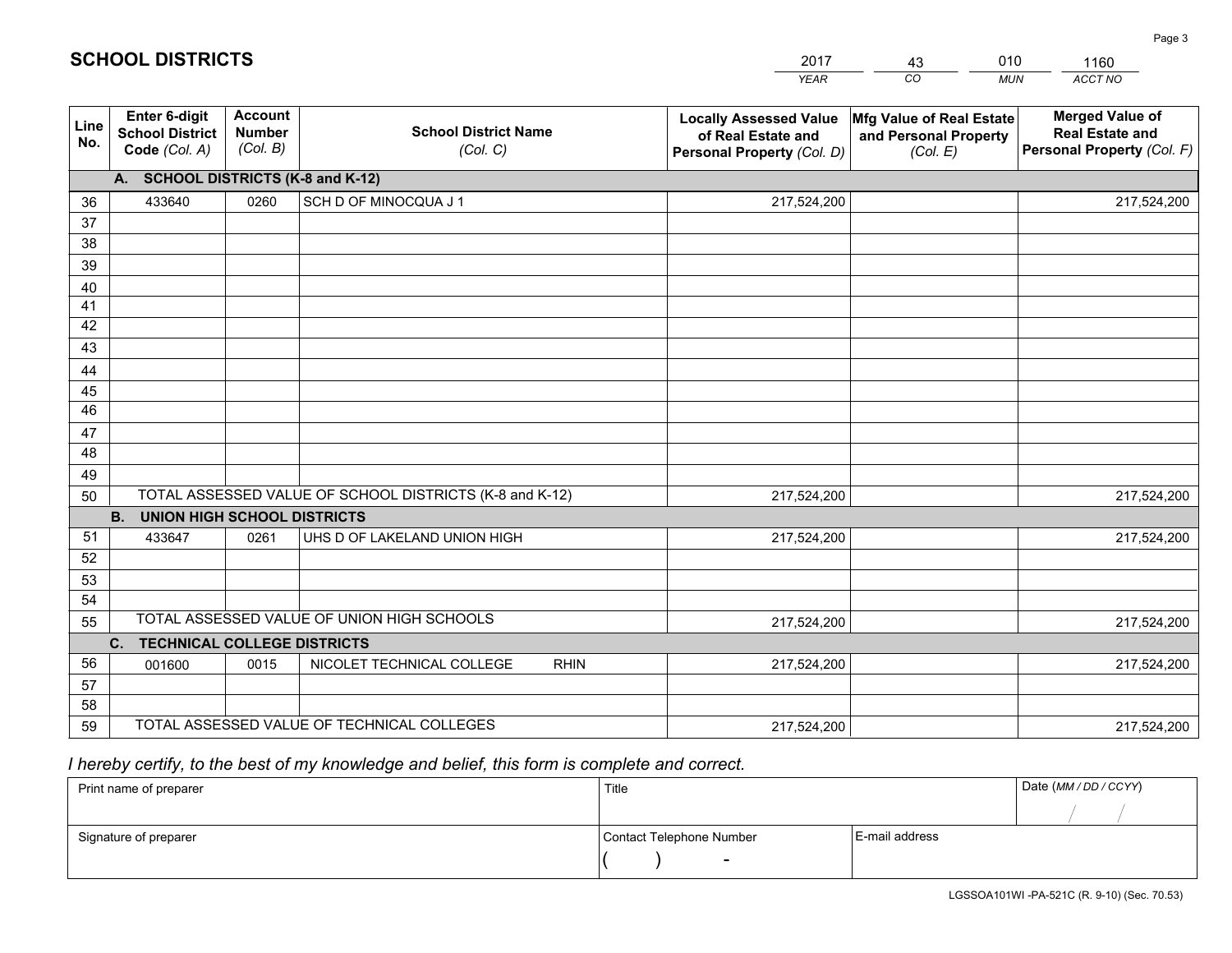|             |                                                          |                                             |                                                         | <b>YEAR</b>                                                                       | CO<br><b>MUN</b>                                              | ACCT NO                                                                        |
|-------------|----------------------------------------------------------|---------------------------------------------|---------------------------------------------------------|-----------------------------------------------------------------------------------|---------------------------------------------------------------|--------------------------------------------------------------------------------|
| Line<br>No. | Enter 6-digit<br><b>School District</b><br>Code (Col. A) | <b>Account</b><br><b>Number</b><br>(Col. B) | <b>School District Name</b><br>(Col. C)                 | <b>Locally Assessed Value</b><br>of Real Estate and<br>Personal Property (Col. D) | Mfg Value of Real Estate<br>and Personal Property<br>(Col. E) | <b>Merged Value of</b><br><b>Real Estate and</b><br>Personal Property (Col. F) |
|             | A. SCHOOL DISTRICTS (K-8 and K-12)                       |                                             |                                                         |                                                                                   |                                                               |                                                                                |
| 36          | 433640                                                   | 0260                                        | SCH D OF MINOCQUA J 1                                   | 217,524,200                                                                       |                                                               | 217,524,200                                                                    |
| 37          |                                                          |                                             |                                                         |                                                                                   |                                                               |                                                                                |
| 38          |                                                          |                                             |                                                         |                                                                                   |                                                               |                                                                                |
| 39          |                                                          |                                             |                                                         |                                                                                   |                                                               |                                                                                |
| 40          |                                                          |                                             |                                                         |                                                                                   |                                                               |                                                                                |
| 41<br>42    |                                                          |                                             |                                                         |                                                                                   |                                                               |                                                                                |
| 43          |                                                          |                                             |                                                         |                                                                                   |                                                               |                                                                                |
|             |                                                          |                                             |                                                         |                                                                                   |                                                               |                                                                                |
| 44<br>45    |                                                          |                                             |                                                         |                                                                                   |                                                               |                                                                                |
| 46          |                                                          |                                             |                                                         |                                                                                   |                                                               |                                                                                |
| 47          |                                                          |                                             |                                                         |                                                                                   |                                                               |                                                                                |
| 48          |                                                          |                                             |                                                         |                                                                                   |                                                               |                                                                                |
| 49          |                                                          |                                             |                                                         |                                                                                   |                                                               |                                                                                |
| 50          |                                                          |                                             | TOTAL ASSESSED VALUE OF SCHOOL DISTRICTS (K-8 and K-12) | 217,524,200                                                                       |                                                               | 217,524,200                                                                    |
|             | <b>B.</b><br><b>UNION HIGH SCHOOL DISTRICTS</b>          |                                             |                                                         |                                                                                   |                                                               |                                                                                |
| 51          | 433647                                                   | 0261                                        | UHS D OF LAKELAND UNION HIGH                            | 217,524,200                                                                       |                                                               | 217,524,200                                                                    |
| 52          |                                                          |                                             |                                                         |                                                                                   |                                                               |                                                                                |
| 53          |                                                          |                                             |                                                         |                                                                                   |                                                               |                                                                                |
| 54          |                                                          |                                             |                                                         |                                                                                   |                                                               |                                                                                |
| 55          |                                                          |                                             | TOTAL ASSESSED VALUE OF UNION HIGH SCHOOLS              | 217,524,200                                                                       |                                                               | 217,524,200                                                                    |
|             | $\mathbf{C}$ .<br><b>TECHNICAL COLLEGE DISTRICTS</b>     |                                             |                                                         |                                                                                   |                                                               |                                                                                |
| 56          | 001600                                                   | 0015                                        | NICOLET TECHNICAL COLLEGE<br><b>RHIN</b>                | 217,524,200                                                                       |                                                               | 217,524,200                                                                    |
| 57<br>58    |                                                          |                                             |                                                         |                                                                                   |                                                               |                                                                                |
| 59          |                                                          |                                             | TOTAL ASSESSED VALUE OF TECHNICAL COLLEGES              | 217,524,200                                                                       |                                                               | 217,524,200                                                                    |
|             |                                                          |                                             |                                                         |                                                                                   |                                                               |                                                                                |

43

010

 *I hereby certify, to the best of my knowledge and belief, this form is complete and correct.*

**SCHOOL DISTRICTS**

| Print name of preparer | Title                    |                | Date (MM / DD / CCYY) |
|------------------------|--------------------------|----------------|-----------------------|
|                        |                          |                |                       |
| Signature of preparer  | Contact Telephone Number | E-mail address |                       |
|                        | $\overline{\phantom{0}}$ |                |                       |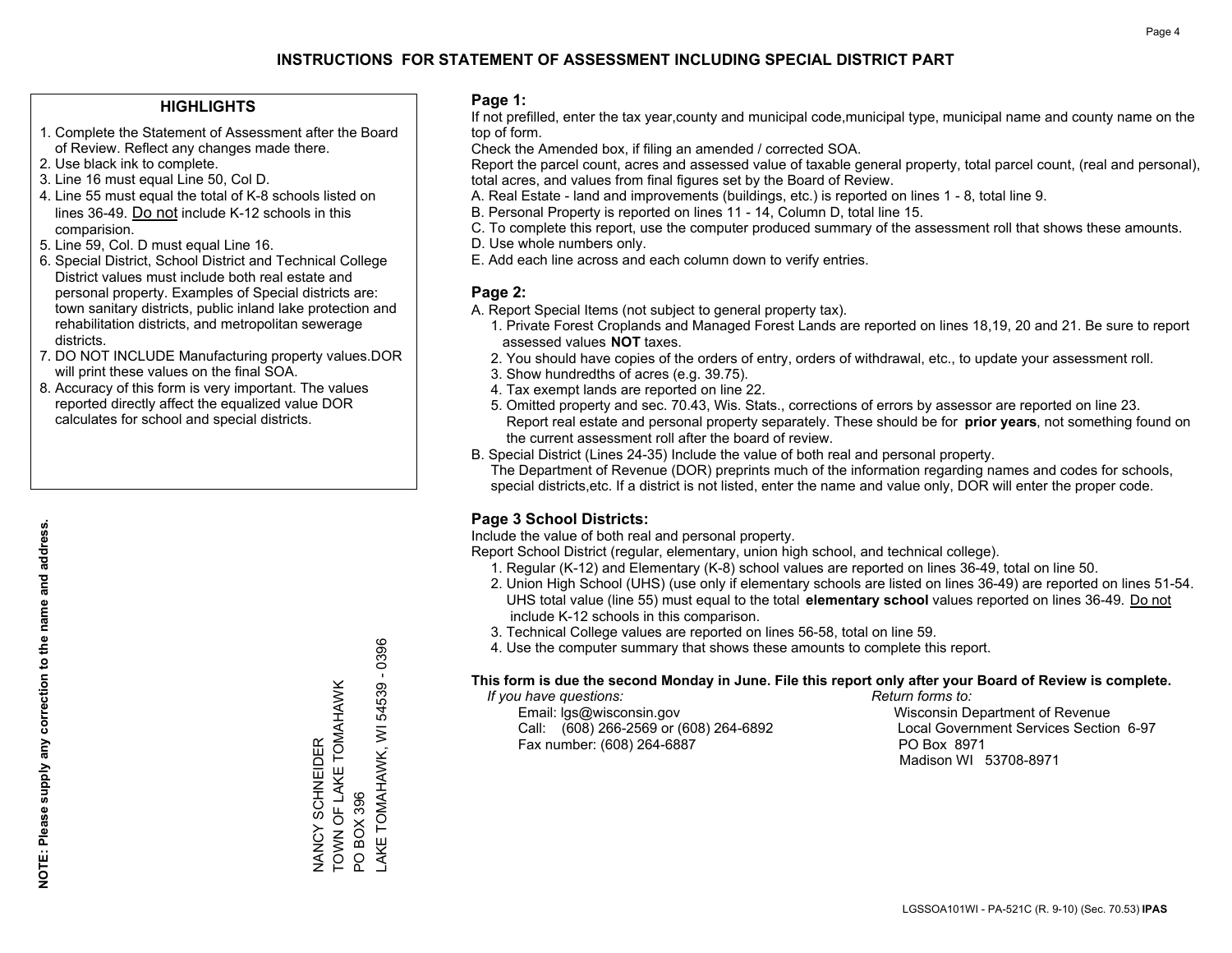#### **HIGHLIGHTS**

- 1. Complete the Statement of Assessment after the Board of Review. Reflect any changes made there.
- 2. Use black ink to complete.
- 3. Line 16 must equal Line 50, Col D.
- 4. Line 55 must equal the total of K-8 schools listed on lines 36-49. Do not include K-12 schools in this comparision.
- 5. Line 59, Col. D must equal Line 16.
- 6. Special District, School District and Technical College District values must include both real estate and personal property. Examples of Special districts are: town sanitary districts, public inland lake protection and rehabilitation districts, and metropolitan sewerage districts.
- 7. DO NOT INCLUDE Manufacturing property values.DOR will print these values on the final SOA.
- 8. Accuracy of this form is very important. The values reported directly affect the equalized value DOR calculates for school and special districts.

#### **Page 1:**

 If not prefilled, enter the tax year,county and municipal code,municipal type, municipal name and county name on the top of form.

Check the Amended box, if filing an amended / corrected SOA.

 Report the parcel count, acres and assessed value of taxable general property, total parcel count, (real and personal), total acres, and values from final figures set by the Board of Review.

- A. Real Estate land and improvements (buildings, etc.) is reported on lines 1 8, total line 9.
- B. Personal Property is reported on lines 11 14, Column D, total line 15.
- C. To complete this report, use the computer produced summary of the assessment roll that shows these amounts.
- D. Use whole numbers only.
- E. Add each line across and each column down to verify entries.

#### **Page 2:**

- A. Report Special Items (not subject to general property tax).
- 1. Private Forest Croplands and Managed Forest Lands are reported on lines 18,19, 20 and 21. Be sure to report assessed values **NOT** taxes.
- 2. You should have copies of the orders of entry, orders of withdrawal, etc., to update your assessment roll.
	- 3. Show hundredths of acres (e.g. 39.75).
- 4. Tax exempt lands are reported on line 22.
- 5. Omitted property and sec. 70.43, Wis. Stats., corrections of errors by assessor are reported on line 23. Report real estate and personal property separately. These should be for **prior years**, not something found on the current assessment roll after the board of review.
- B. Special District (Lines 24-35) Include the value of both real and personal property.
- The Department of Revenue (DOR) preprints much of the information regarding names and codes for schools, special districts,etc. If a district is not listed, enter the name and value only, DOR will enter the proper code.

### **Page 3 School Districts:**

Include the value of both real and personal property.

Report School District (regular, elementary, union high school, and technical college).

- 1. Regular (K-12) and Elementary (K-8) school values are reported on lines 36-49, total on line 50.
- 2. Union High School (UHS) (use only if elementary schools are listed on lines 36-49) are reported on lines 51-54. UHS total value (line 55) must equal to the total **elementary school** values reported on lines 36-49. Do notinclude K-12 schools in this comparison.
- 3. Technical College values are reported on lines 56-58, total on line 59.
- 4. Use the computer summary that shows these amounts to complete this report.

#### **This form is due the second Monday in June. File this report only after your Board of Review is complete.**

 *If you have questions: Return forms to:*

 Email: lgs@wisconsin.gov Wisconsin Department of RevenueCall:  $(608)$  266-2569 or  $(608)$  264-6892 Fax number: (608) 264-6887 PO Box 8971

Local Government Services Section 6-97

Madison WI 53708-8971

TOWN OF LAKE TOMAHAWK TOWN OF LAKE TOMAHAWK **VANCY SCHNEIDER** NANCY SCHNEIDER PO BOX 396 PO BOX 396

LAKE TOMAHAWK, WI 54539 - 0396

AKE TOMAHAWK, WI

 $-0396$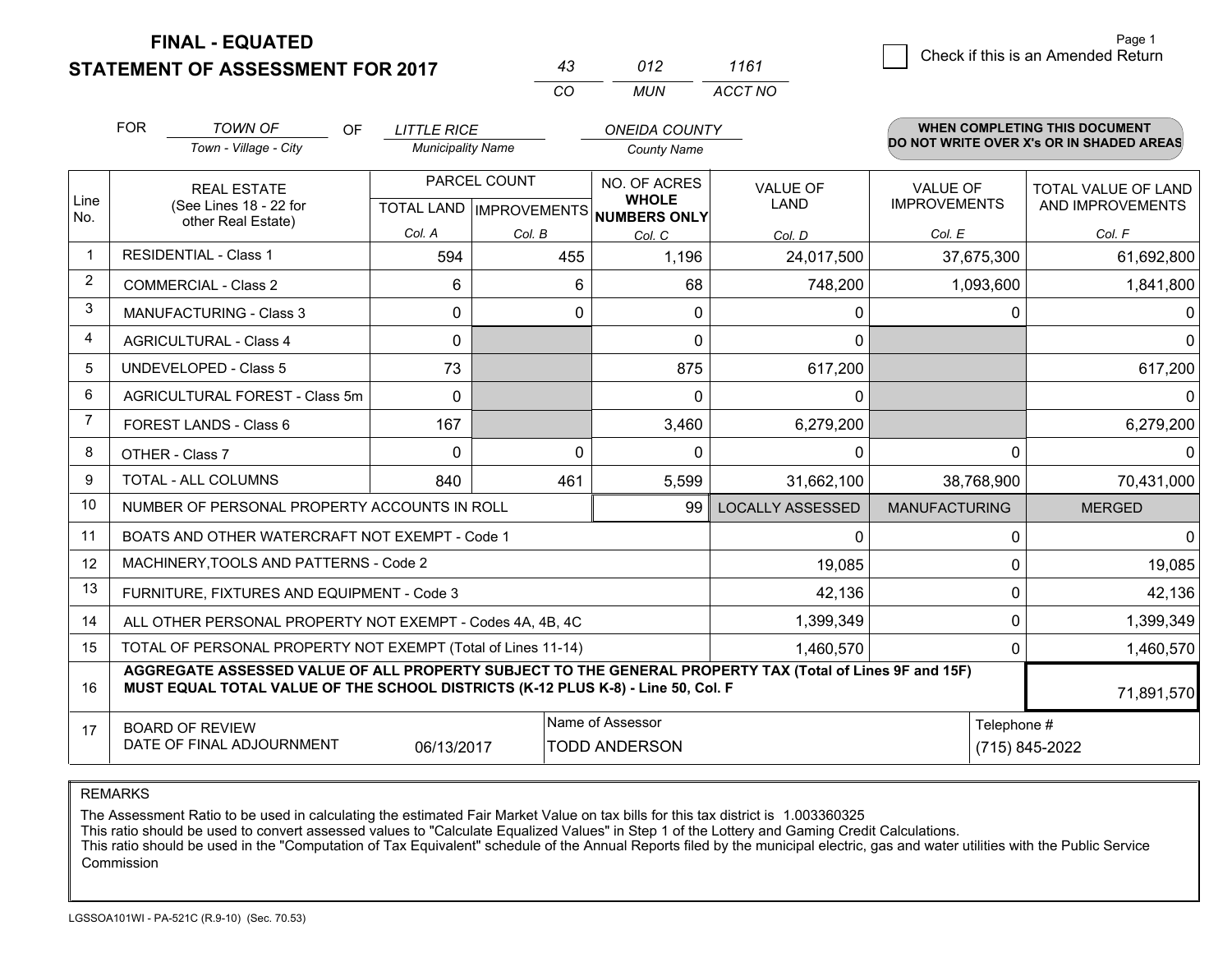**STATEMENT OF ASSESSMENT FOR 2017** 

|          | 012   | 1161    |
|----------|-------|---------|
| $\cdots$ | MI IN | ACCT NO |

|                | <b>FOR</b>                                                                                                                                                                                   | <b>TOWN OF</b><br>OF<br>Town - Village - City                | <b>LITTLE RICE</b><br><b>Municipality Name</b> |                              | <b>ONEIDA COUNTY</b><br><b>County Name</b> |                         |                      | <b>WHEN COMPLETING THIS DOCUMENT</b><br>DO NOT WRITE OVER X's OR IN SHADED AREAS |
|----------------|----------------------------------------------------------------------------------------------------------------------------------------------------------------------------------------------|--------------------------------------------------------------|------------------------------------------------|------------------------------|--------------------------------------------|-------------------------|----------------------|----------------------------------------------------------------------------------|
|                |                                                                                                                                                                                              |                                                              |                                                |                              |                                            |                         |                      |                                                                                  |
|                |                                                                                                                                                                                              | <b>REAL ESTATE</b>                                           |                                                | PARCEL COUNT<br>NO. OF ACRES |                                            | <b>VALUE OF</b>         | <b>VALUE OF</b>      | TOTAL VALUE OF LAND                                                              |
| Line<br>No.    |                                                                                                                                                                                              | (See Lines 18 - 22 for<br>other Real Estate)                 |                                                | TOTAL LAND   IMPROVEMENTS    | <b>WHOLE</b><br><b>NUMBERS ONLY</b>        | LAND                    | <b>IMPROVEMENTS</b>  | AND IMPROVEMENTS                                                                 |
|                |                                                                                                                                                                                              |                                                              | Col. A                                         | Col. B                       | Col. C                                     | Col. D                  | Col. E               | Col. F                                                                           |
| $\mathbf 1$    |                                                                                                                                                                                              | <b>RESIDENTIAL - Class 1</b>                                 | 594                                            | 455                          | 1,196                                      | 24,017,500              | 37,675,300           | 61,692,800                                                                       |
| $\overline{2}$ |                                                                                                                                                                                              | <b>COMMERCIAL - Class 2</b>                                  | 6                                              | 6                            | 68                                         | 748,200                 | 1,093,600            | 1,841,800                                                                        |
| 3              |                                                                                                                                                                                              | <b>MANUFACTURING - Class 3</b>                               | 0                                              | 0                            | 0                                          | 0                       | 0                    | 0                                                                                |
| 4              |                                                                                                                                                                                              | <b>AGRICULTURAL - Class 4</b>                                | 0                                              |                              | $\mathbf{0}$                               | 0                       |                      | $\Omega$                                                                         |
| 5              | <b>UNDEVELOPED - Class 5</b>                                                                                                                                                                 |                                                              | 73                                             |                              | 875                                        | 617,200                 |                      | 617,200                                                                          |
| 6              | AGRICULTURAL FOREST - Class 5m                                                                                                                                                               |                                                              | $\Omega$                                       |                              | $\Omega$                                   | $\Omega$                |                      | $\Omega$                                                                         |
| 7              | FOREST LANDS - Class 6                                                                                                                                                                       |                                                              | 167                                            |                              | 3,460                                      | 6,279,200               |                      | 6,279,200                                                                        |
| 8              |                                                                                                                                                                                              | OTHER - Class 7                                              | $\Omega$                                       | $\Omega$                     | $\mathbf{0}$                               | 0                       | 0                    | $\Omega$                                                                         |
| 9              |                                                                                                                                                                                              | TOTAL - ALL COLUMNS                                          | 840                                            | 461                          | 5,599                                      | 31,662,100              | 38,768,900           | 70,431,000                                                                       |
| 10             |                                                                                                                                                                                              | NUMBER OF PERSONAL PROPERTY ACCOUNTS IN ROLL                 |                                                |                              | 99                                         | <b>LOCALLY ASSESSED</b> | <b>MANUFACTURING</b> | <b>MERGED</b>                                                                    |
| 11             |                                                                                                                                                                                              | BOATS AND OTHER WATERCRAFT NOT EXEMPT - Code 1               |                                                |                              |                                            | 0                       | 0                    | $\Omega$                                                                         |
| 12             |                                                                                                                                                                                              | MACHINERY, TOOLS AND PATTERNS - Code 2                       |                                                |                              |                                            | 19,085                  | 0                    | 19,085                                                                           |
| 13             |                                                                                                                                                                                              | FURNITURE, FIXTURES AND EQUIPMENT - Code 3                   |                                                |                              |                                            | 42,136                  | 0                    | 42,136                                                                           |
| 14             |                                                                                                                                                                                              | ALL OTHER PERSONAL PROPERTY NOT EXEMPT - Codes 4A, 4B, 4C    |                                                |                              |                                            | 1,399,349               | 0                    | 1,399,349                                                                        |
| 15             |                                                                                                                                                                                              | TOTAL OF PERSONAL PROPERTY NOT EXEMPT (Total of Lines 11-14) |                                                |                              |                                            | 1,460,570               | 0                    | 1,460,570                                                                        |
| 16             | AGGREGATE ASSESSED VALUE OF ALL PROPERTY SUBJECT TO THE GENERAL PROPERTY TAX (Total of Lines 9F and 15F)<br>MUST EQUAL TOTAL VALUE OF THE SCHOOL DISTRICTS (K-12 PLUS K-8) - Line 50, Col. F |                                                              |                                                |                              |                                            |                         |                      |                                                                                  |
| 17             | Name of Assessor<br><b>BOARD OF REVIEW</b>                                                                                                                                                   |                                                              |                                                |                              |                                            | Telephone #             |                      |                                                                                  |
|                |                                                                                                                                                                                              | DATE OF FINAL ADJOURNMENT                                    | 06/13/2017                                     |                              | <b>TODD ANDERSON</b>                       |                         |                      | (715) 845-2022                                                                   |

REMARKS

The Assessment Ratio to be used in calculating the estimated Fair Market Value on tax bills for this tax district is 1.003360325<br>This ratio should be used to convert assessed values to "Calculate Equalized Values" in Step Commission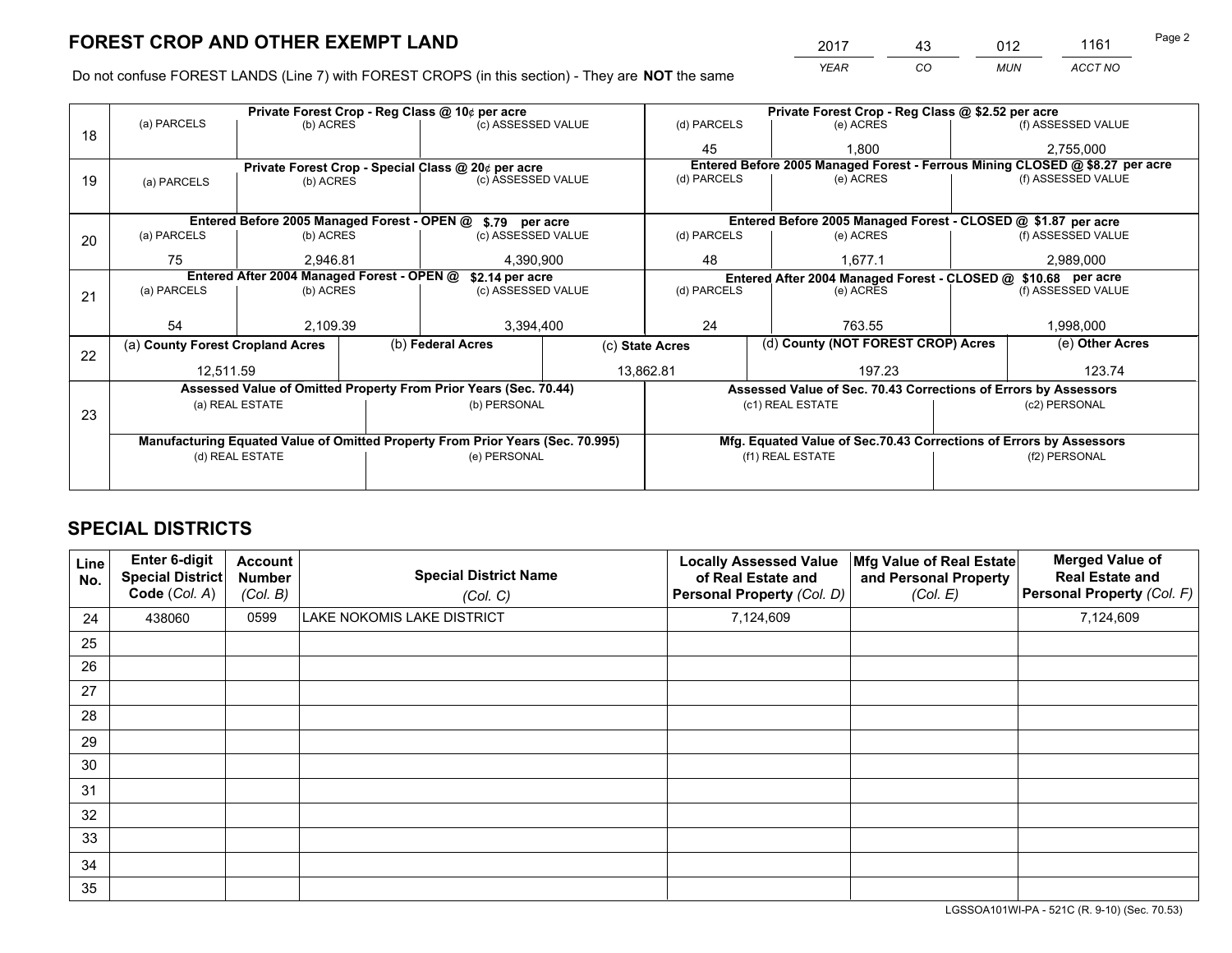*YEAR CO MUN ACCT NO* <sup>2017</sup> <sup>43</sup> <sup>012</sup> <sup>1161</sup>

Do not confuse FOREST LANDS (Line 7) with FOREST CROPS (in this section) - They are **NOT** the same

|    |                                                                                |                 |  | Private Forest Crop - Reg Class @ 10¢ per acre                   |                 | Private Forest Crop - Reg Class @ \$2.52 per acre |               |                                                                    |                    |                                                                              |
|----|--------------------------------------------------------------------------------|-----------------|--|------------------------------------------------------------------|-----------------|---------------------------------------------------|---------------|--------------------------------------------------------------------|--------------------|------------------------------------------------------------------------------|
| 18 | (a) PARCELS                                                                    | (b) ACRES       |  | (c) ASSESSED VALUE                                               |                 | (d) PARCELS                                       |               | (e) ACRES                                                          |                    | (f) ASSESSED VALUE                                                           |
|    |                                                                                |                 |  |                                                                  |                 | 45                                                |               | 1.800                                                              |                    | 2,755,000                                                                    |
|    |                                                                                |                 |  | Private Forest Crop - Special Class @ 20¢ per acre               |                 |                                                   |               |                                                                    |                    | Entered Before 2005 Managed Forest - Ferrous Mining CLOSED @ \$8.27 per acre |
| 19 | (a) PARCELS                                                                    | (b) ACRES       |  | (c) ASSESSED VALUE                                               |                 | (d) PARCELS                                       |               | (e) ACRES                                                          |                    | (f) ASSESSED VALUE                                                           |
|    |                                                                                |                 |  |                                                                  |                 |                                                   |               |                                                                    |                    |                                                                              |
|    |                                                                                |                 |  | Entered Before 2005 Managed Forest - OPEN @ \$.79 per acre       |                 |                                                   |               | Entered Before 2005 Managed Forest - CLOSED @ \$1.87 per acre      |                    |                                                                              |
| 20 | (a) PARCELS                                                                    | (b) ACRES       |  | (c) ASSESSED VALUE                                               |                 | (d) PARCELS                                       |               | (e) ACRES                                                          |                    | (f) ASSESSED VALUE                                                           |
|    | 75                                                                             | 2.946.81        |  |                                                                  | 4,390,900       |                                                   | 48<br>1.677.1 |                                                                    | 2,989,000          |                                                                              |
|    | Entered After 2004 Managed Forest - OPEN @<br>\$2.14 per acre                  |                 |  |                                                                  |                 |                                                   |               | Entered After 2004 Managed Forest - CLOSED @ \$10.68 per acre      |                    |                                                                              |
| 21 | (a) PARCELS                                                                    | (b) ACRES       |  | (c) ASSESSED VALUE                                               |                 | (d) PARCELS                                       |               | (e) ACRES                                                          | (f) ASSESSED VALUE |                                                                              |
|    |                                                                                |                 |  |                                                                  |                 |                                                   |               |                                                                    |                    |                                                                              |
|    | 54                                                                             | 2,109.39        |  | 3,394,400                                                        |                 | 24                                                |               | 763.55                                                             |                    | 1,998,000                                                                    |
| 22 | (a) County Forest Cropland Acres                                               |                 |  | (b) Federal Acres                                                | (c) State Acres |                                                   |               | (d) County (NOT FOREST CROP) Acres                                 |                    | (e) Other Acres                                                              |
|    | 12,511.59                                                                      |                 |  | 13,862.81                                                        |                 |                                                   |               | 197.23                                                             |                    | 123.74                                                                       |
|    |                                                                                |                 |  | Assessed Value of Omitted Property From Prior Years (Sec. 70.44) |                 |                                                   |               | Assessed Value of Sec. 70.43 Corrections of Errors by Assessors    |                    |                                                                              |
| 23 |                                                                                | (a) REAL ESTATE |  | (b) PERSONAL                                                     |                 |                                                   |               | (c1) REAL ESTATE                                                   |                    | (c2) PERSONAL                                                                |
|    |                                                                                |                 |  |                                                                  |                 |                                                   |               |                                                                    |                    |                                                                              |
|    | Manufacturing Equated Value of Omitted Property From Prior Years (Sec. 70.995) |                 |  |                                                                  |                 |                                                   |               | Mfg. Equated Value of Sec.70.43 Corrections of Errors by Assessors |                    |                                                                              |
|    |                                                                                | (d) REAL ESTATE |  | (e) PERSONAL                                                     |                 | (f1) REAL ESTATE                                  |               |                                                                    | (f2) PERSONAL      |                                                                              |
|    |                                                                                |                 |  |                                                                  |                 |                                                   |               |                                                                    |                    |                                                                              |

## **SPECIAL DISTRICTS**

| Line<br>No. | Enter 6-digit<br><b>Special District</b><br>Code (Col. A) | <b>Account</b><br><b>Number</b><br>(Col. B) | <b>Special District Name</b><br>(Col. C) | <b>Locally Assessed Value</b><br>of Real Estate and<br>Personal Property (Col. D) | Mfg Value of Real Estate<br>and Personal Property<br>(Col. E) | <b>Merged Value of</b><br><b>Real Estate and</b><br>Personal Property (Col. F) |
|-------------|-----------------------------------------------------------|---------------------------------------------|------------------------------------------|-----------------------------------------------------------------------------------|---------------------------------------------------------------|--------------------------------------------------------------------------------|
| 24          | 438060                                                    | 0599                                        | LAKE NOKOMIS LAKE DISTRICT               | 7,124,609                                                                         |                                                               | 7,124,609                                                                      |
| 25          |                                                           |                                             |                                          |                                                                                   |                                                               |                                                                                |
| 26          |                                                           |                                             |                                          |                                                                                   |                                                               |                                                                                |
| 27          |                                                           |                                             |                                          |                                                                                   |                                                               |                                                                                |
| 28          |                                                           |                                             |                                          |                                                                                   |                                                               |                                                                                |
| 29          |                                                           |                                             |                                          |                                                                                   |                                                               |                                                                                |
| 30          |                                                           |                                             |                                          |                                                                                   |                                                               |                                                                                |
| 31          |                                                           |                                             |                                          |                                                                                   |                                                               |                                                                                |
| 32          |                                                           |                                             |                                          |                                                                                   |                                                               |                                                                                |
| 33          |                                                           |                                             |                                          |                                                                                   |                                                               |                                                                                |
| 34          |                                                           |                                             |                                          |                                                                                   |                                                               |                                                                                |
| 35          |                                                           |                                             |                                          |                                                                                   |                                                               |                                                                                |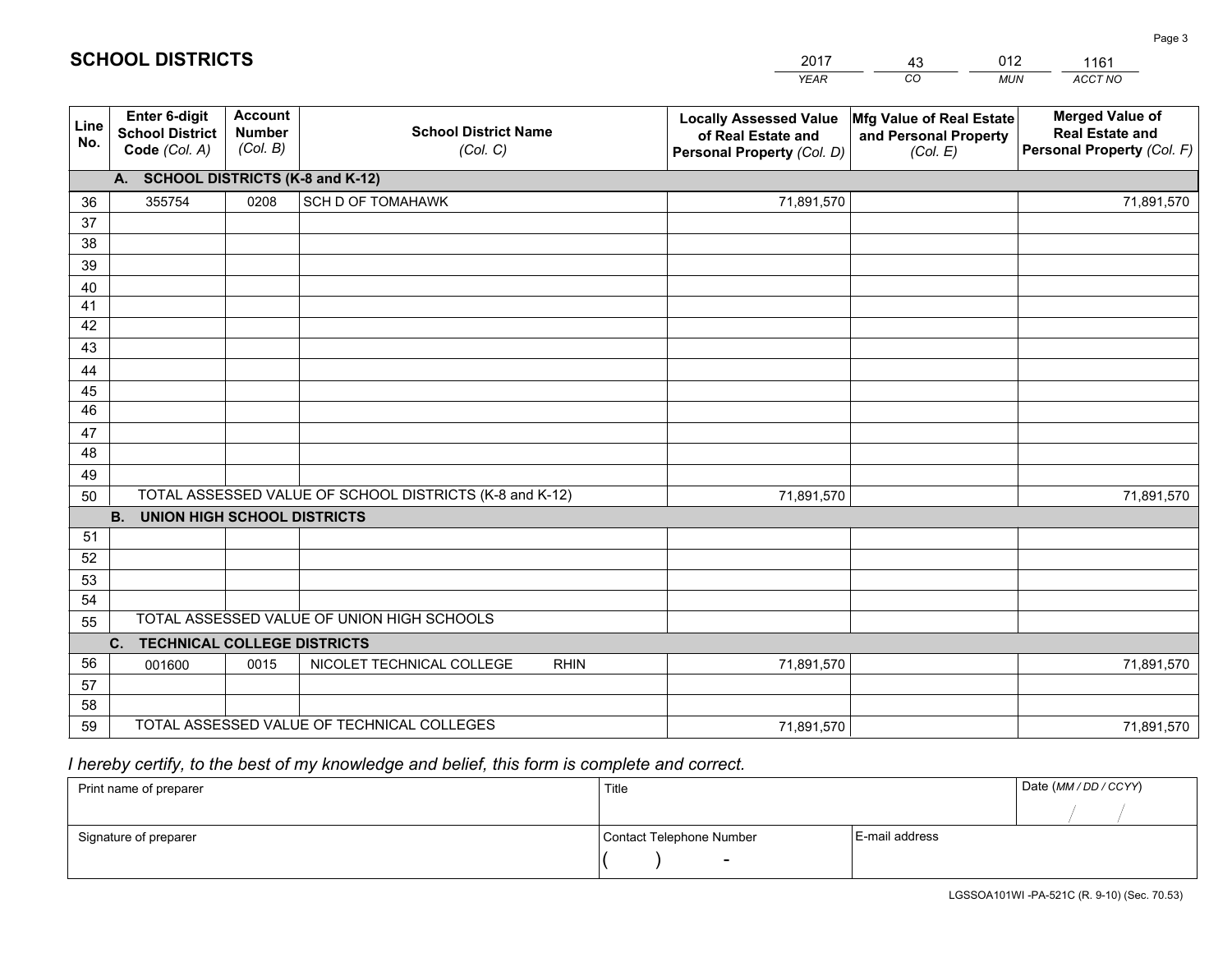|             |                                                          |                                             |                                                         | <b>YEAR</b>                                                                       | CO<br><b>MUN</b>                                              | ACCT NO                                                                        |
|-------------|----------------------------------------------------------|---------------------------------------------|---------------------------------------------------------|-----------------------------------------------------------------------------------|---------------------------------------------------------------|--------------------------------------------------------------------------------|
| Line<br>No. | Enter 6-digit<br><b>School District</b><br>Code (Col. A) | <b>Account</b><br><b>Number</b><br>(Col. B) | <b>School District Name</b><br>(Col. C)                 | <b>Locally Assessed Value</b><br>of Real Estate and<br>Personal Property (Col. D) | Mfg Value of Real Estate<br>and Personal Property<br>(Col. E) | <b>Merged Value of</b><br><b>Real Estate and</b><br>Personal Property (Col. F) |
|             | A. SCHOOL DISTRICTS (K-8 and K-12)                       |                                             |                                                         |                                                                                   |                                                               |                                                                                |
| 36          | 355754                                                   | 0208                                        | SCH D OF TOMAHAWK                                       | 71,891,570                                                                        |                                                               | 71,891,570                                                                     |
| 37          |                                                          |                                             |                                                         |                                                                                   |                                                               |                                                                                |
| 38          |                                                          |                                             |                                                         |                                                                                   |                                                               |                                                                                |
| 39          |                                                          |                                             |                                                         |                                                                                   |                                                               |                                                                                |
| 40          |                                                          |                                             |                                                         |                                                                                   |                                                               |                                                                                |
| 41          |                                                          |                                             |                                                         |                                                                                   |                                                               |                                                                                |
| 42          |                                                          |                                             |                                                         |                                                                                   |                                                               |                                                                                |
| 43          |                                                          |                                             |                                                         |                                                                                   |                                                               |                                                                                |
| 44          |                                                          |                                             |                                                         |                                                                                   |                                                               |                                                                                |
| 45<br>46    |                                                          |                                             |                                                         |                                                                                   |                                                               |                                                                                |
|             |                                                          |                                             |                                                         |                                                                                   |                                                               |                                                                                |
| 47<br>48    |                                                          |                                             |                                                         |                                                                                   |                                                               |                                                                                |
| 49          |                                                          |                                             |                                                         |                                                                                   |                                                               |                                                                                |
| 50          |                                                          |                                             | TOTAL ASSESSED VALUE OF SCHOOL DISTRICTS (K-8 and K-12) | 71,891,570                                                                        |                                                               | 71,891,570                                                                     |
|             | <b>B.</b><br><b>UNION HIGH SCHOOL DISTRICTS</b>          |                                             |                                                         |                                                                                   |                                                               |                                                                                |
| 51          |                                                          |                                             |                                                         |                                                                                   |                                                               |                                                                                |
| 52          |                                                          |                                             |                                                         |                                                                                   |                                                               |                                                                                |
| 53          |                                                          |                                             |                                                         |                                                                                   |                                                               |                                                                                |
| 54          |                                                          |                                             |                                                         |                                                                                   |                                                               |                                                                                |
| 55          |                                                          |                                             | TOTAL ASSESSED VALUE OF UNION HIGH SCHOOLS              |                                                                                   |                                                               |                                                                                |
|             | C.<br><b>TECHNICAL COLLEGE DISTRICTS</b>                 |                                             |                                                         |                                                                                   |                                                               |                                                                                |
| 56          | 001600                                                   | 0015                                        | NICOLET TECHNICAL COLLEGE<br><b>RHIN</b>                | 71,891,570                                                                        |                                                               | 71,891,570                                                                     |
| 57          |                                                          |                                             |                                                         |                                                                                   |                                                               |                                                                                |
| 58          |                                                          |                                             |                                                         |                                                                                   |                                                               |                                                                                |
| 59          |                                                          |                                             | TOTAL ASSESSED VALUE OF TECHNICAL COLLEGES              | 71,891,570                                                                        |                                                               | 71,891,570                                                                     |

43

012

 *I hereby certify, to the best of my knowledge and belief, this form is complete and correct.*

**SCHOOL DISTRICTS**

| Print name of preparer | Title                    |                | Date (MM / DD / CCYY) |
|------------------------|--------------------------|----------------|-----------------------|
|                        |                          |                |                       |
| Signature of preparer  | Contact Telephone Number | E-mail address |                       |
|                        | $\overline{\phantom{0}}$ |                |                       |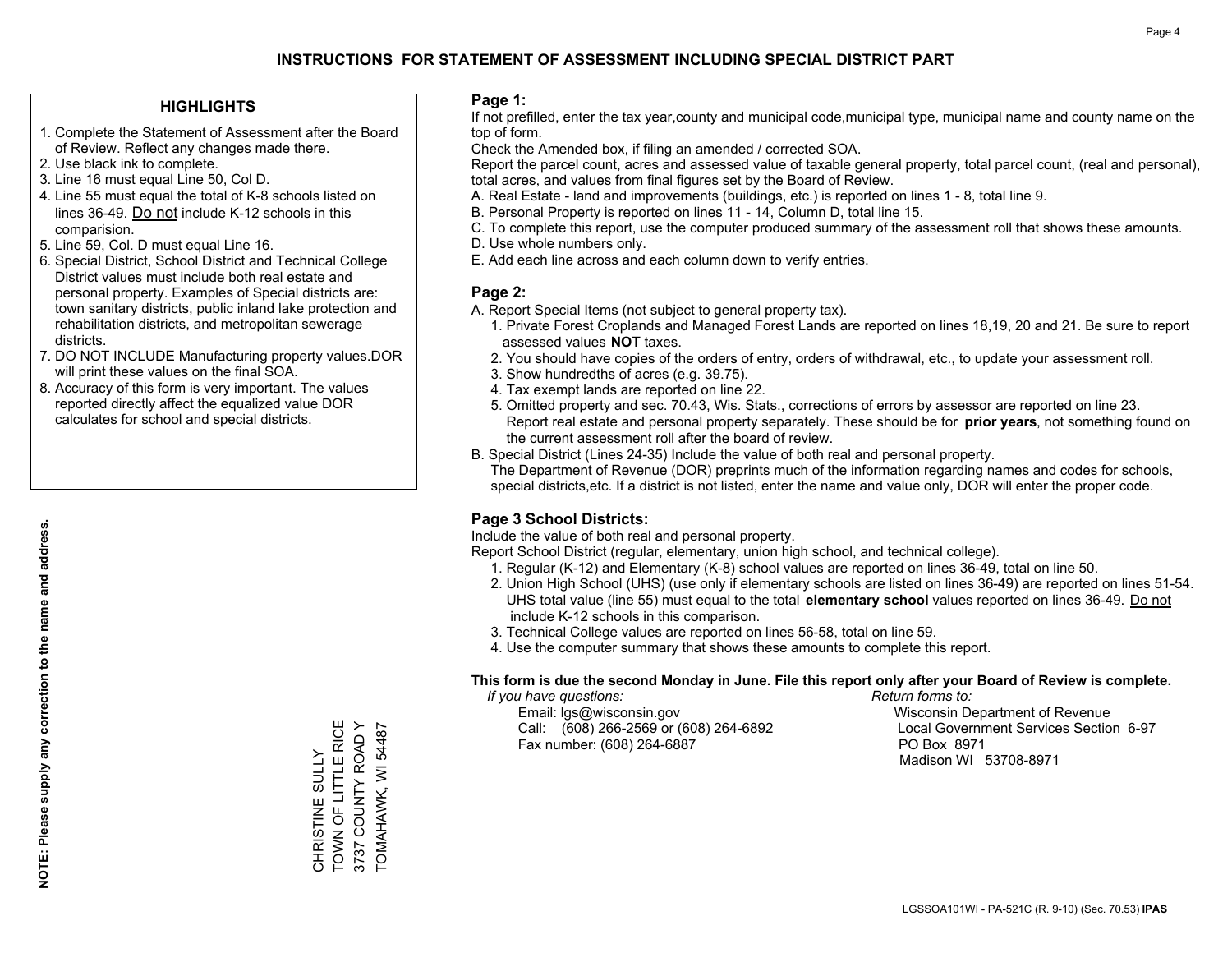#### **HIGHLIGHTS**

- 1. Complete the Statement of Assessment after the Board of Review. Reflect any changes made there.
- 2. Use black ink to complete.
- 3. Line 16 must equal Line 50, Col D.
- 4. Line 55 must equal the total of K-8 schools listed on lines 36-49. Do not include K-12 schools in this comparision.
- 5. Line 59, Col. D must equal Line 16.
- 6. Special District, School District and Technical College District values must include both real estate and personal property. Examples of Special districts are: town sanitary districts, public inland lake protection and rehabilitation districts, and metropolitan sewerage districts.
- 7. DO NOT INCLUDE Manufacturing property values.DOR will print these values on the final SOA.

CHRISTINE SULLY TOWN OF LITTLE RICE 3737 COUNTY ROAD Y TOMAHAWK, WI 54487

CHRISTINE SULLY<br>TOWN OF LITTLE RICE 3737 COUNTY ROAD Y TOMAHAWK, WI 54487

 8. Accuracy of this form is very important. The values reported directly affect the equalized value DOR calculates for school and special districts.

#### **Page 1:**

 If not prefilled, enter the tax year,county and municipal code,municipal type, municipal name and county name on the top of form.

Check the Amended box, if filing an amended / corrected SOA.

 Report the parcel count, acres and assessed value of taxable general property, total parcel count, (real and personal), total acres, and values from final figures set by the Board of Review.

- A. Real Estate land and improvements (buildings, etc.) is reported on lines 1 8, total line 9.
- B. Personal Property is reported on lines 11 14, Column D, total line 15.
- C. To complete this report, use the computer produced summary of the assessment roll that shows these amounts.
- D. Use whole numbers only.
- E. Add each line across and each column down to verify entries.

#### **Page 2:**

- A. Report Special Items (not subject to general property tax).
- 1. Private Forest Croplands and Managed Forest Lands are reported on lines 18,19, 20 and 21. Be sure to report assessed values **NOT** taxes.
- 2. You should have copies of the orders of entry, orders of withdrawal, etc., to update your assessment roll.
	- 3. Show hundredths of acres (e.g. 39.75).
- 4. Tax exempt lands are reported on line 22.
- 5. Omitted property and sec. 70.43, Wis. Stats., corrections of errors by assessor are reported on line 23. Report real estate and personal property separately. These should be for **prior years**, not something found on the current assessment roll after the board of review.
- B. Special District (Lines 24-35) Include the value of both real and personal property.

 The Department of Revenue (DOR) preprints much of the information regarding names and codes for schools, special districts,etc. If a district is not listed, enter the name and value only, DOR will enter the proper code.

### **Page 3 School Districts:**

Include the value of both real and personal property.

Report School District (regular, elementary, union high school, and technical college).

- 1. Regular (K-12) and Elementary (K-8) school values are reported on lines 36-49, total on line 50.
- 2. Union High School (UHS) (use only if elementary schools are listed on lines 36-49) are reported on lines 51-54. UHS total value (line 55) must equal to the total **elementary school** values reported on lines 36-49. Do notinclude K-12 schools in this comparison.
- 3. Technical College values are reported on lines 56-58, total on line 59.
- 4. Use the computer summary that shows these amounts to complete this report.

#### **This form is due the second Monday in June. File this report only after your Board of Review is complete.**

 *If you have questions: Return forms to:*

 Email: lgs@wisconsin.gov Wisconsin Department of RevenueCall:  $(608)$  266-2569 or  $(608)$  264-6892 Fax number: (608) 264-6887 PO Box 8971

Local Government Services Section 6-97 Madison WI 53708-8971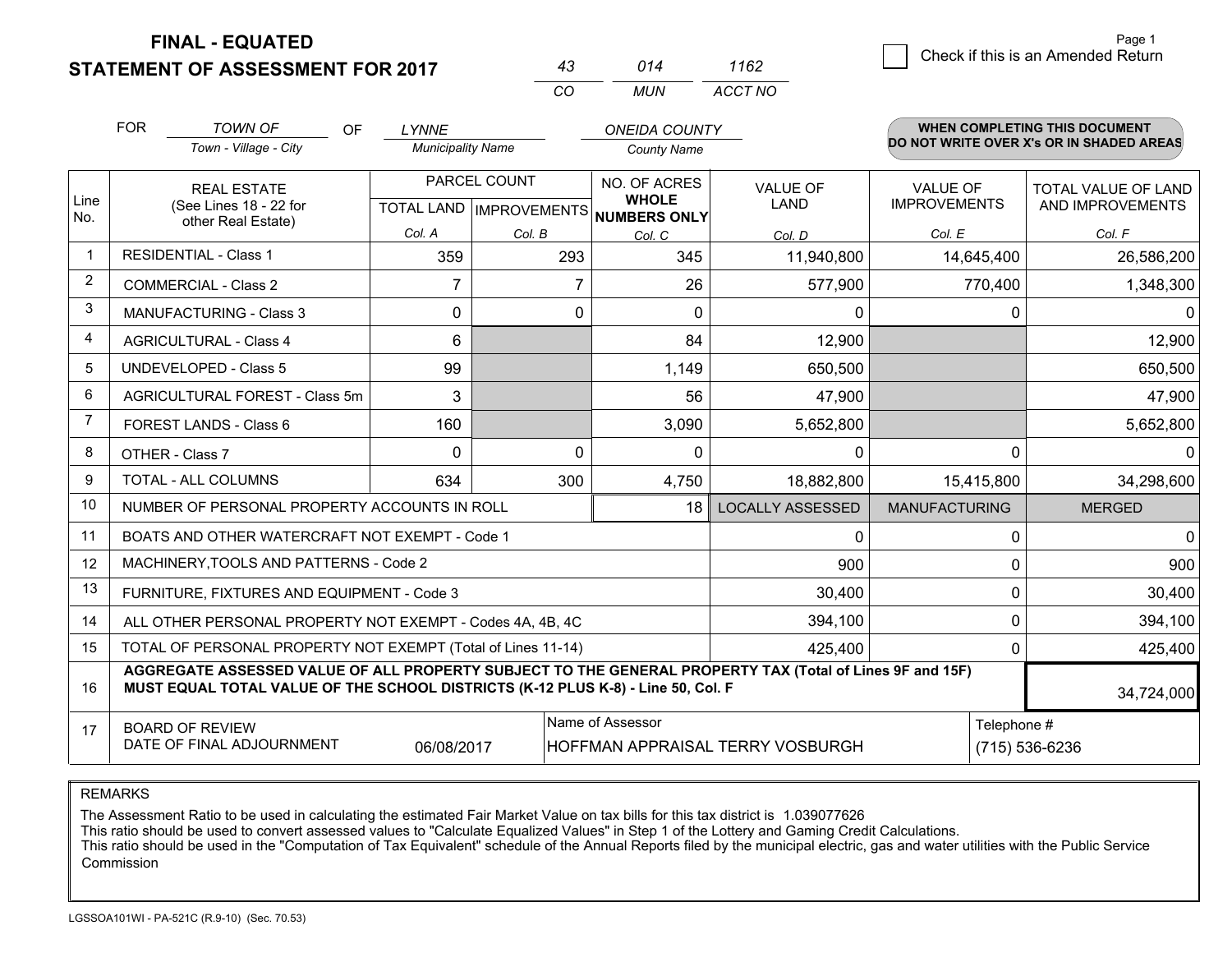**STATEMENT OF ASSESSMENT FOR 2017** 

| 43  | 014 | 1162    |
|-----|-----|---------|
| CO. | MUN | ACCT NO |

|                |                                                                                                                           | <b>TOWN OF</b><br><b>OF</b>                                                                                                                                                                  | <b>LYNNE</b>             |              | <b>ONEIDA COUNTY</b>                               |                         |                                        | <b>WHEN COMPLETING THIS DOCUMENT</b>     |
|----------------|---------------------------------------------------------------------------------------------------------------------------|----------------------------------------------------------------------------------------------------------------------------------------------------------------------------------------------|--------------------------|--------------|----------------------------------------------------|-------------------------|----------------------------------------|------------------------------------------|
|                |                                                                                                                           | Town - Village - City                                                                                                                                                                        | <b>Municipality Name</b> |              | <b>County Name</b>                                 |                         |                                        | DO NOT WRITE OVER X's OR IN SHADED AREAS |
| Line           |                                                                                                                           | <b>REAL ESTATE</b><br>(See Lines 18 - 22 for                                                                                                                                                 |                          | PARCEL COUNT | NO. OF ACRES<br><b>WHOLE</b>                       | VALUE OF<br><b>LAND</b> | <b>VALUE OF</b><br><b>IMPROVEMENTS</b> | TOTAL VALUE OF LAND<br>AND IMPROVEMENTS  |
| No.            |                                                                                                                           | other Real Estate)                                                                                                                                                                           | Col. A                   | Col. B       | TOTAL LAND   IMPROVEMENTS   NUMBERS ONLY<br>Col. C | Col. D                  | Col. E                                 | Col. F                                   |
|                |                                                                                                                           | <b>RESIDENTIAL - Class 1</b>                                                                                                                                                                 | 359                      | 293          | 345                                                | 11,940,800              | 14,645,400                             | 26,586,200                               |
| $\overline{2}$ |                                                                                                                           | <b>COMMERCIAL - Class 2</b>                                                                                                                                                                  | 7                        | 7            | 26                                                 | 577,900                 | 770,400                                | 1,348,300                                |
| 3              |                                                                                                                           | <b>MANUFACTURING - Class 3</b>                                                                                                                                                               | $\Omega$                 | 0            | $\Omega$                                           | 0                       | 0                                      |                                          |
| 4              |                                                                                                                           | <b>AGRICULTURAL - Class 4</b>                                                                                                                                                                | 6                        |              | 84                                                 | 12,900                  |                                        | 12,900                                   |
| 5              |                                                                                                                           | <b>UNDEVELOPED - Class 5</b>                                                                                                                                                                 | 99                       |              | 1,149                                              | 650,500                 |                                        | 650,500                                  |
| 6              |                                                                                                                           | AGRICULTURAL FOREST - Class 5m                                                                                                                                                               | 3                        |              | 56                                                 | 47,900                  |                                        | 47,900                                   |
| 7              |                                                                                                                           | FOREST LANDS - Class 6                                                                                                                                                                       | 160                      |              | 3,090                                              | 5,652,800               |                                        | 5,652,800                                |
| 8              |                                                                                                                           | OTHER - Class 7                                                                                                                                                                              | $\Omega$                 | $\Omega$     | $\Omega$                                           | $\Omega$                | $\Omega$                               |                                          |
| 9              |                                                                                                                           | TOTAL - ALL COLUMNS                                                                                                                                                                          | 634                      | 300          | 4,750                                              | 18,882,800              | 15,415,800                             | 34,298,600                               |
| 10             |                                                                                                                           | NUMBER OF PERSONAL PROPERTY ACCOUNTS IN ROLL                                                                                                                                                 |                          |              | 18                                                 | <b>LOCALLY ASSESSED</b> | <b>MANUFACTURING</b>                   | <b>MERGED</b>                            |
| 11             |                                                                                                                           | BOATS AND OTHER WATERCRAFT NOT EXEMPT - Code 1                                                                                                                                               |                          |              |                                                    | 0                       | 0                                      |                                          |
| 12             |                                                                                                                           | MACHINERY, TOOLS AND PATTERNS - Code 2                                                                                                                                                       |                          |              |                                                    | 900                     | 0                                      | 900                                      |
| 13             |                                                                                                                           | FURNITURE, FIXTURES AND EQUIPMENT - Code 3                                                                                                                                                   |                          |              |                                                    | 30,400                  | 0                                      | 30,400                                   |
| 14             |                                                                                                                           | ALL OTHER PERSONAL PROPERTY NOT EXEMPT - Codes 4A, 4B, 4C                                                                                                                                    |                          |              |                                                    | 394,100                 | 0                                      | 394,100                                  |
| 15             |                                                                                                                           | TOTAL OF PERSONAL PROPERTY NOT EXEMPT (Total of Lines 11-14)                                                                                                                                 |                          |              |                                                    | 425,400                 | 0                                      | 425,400                                  |
| 16             |                                                                                                                           | AGGREGATE ASSESSED VALUE OF ALL PROPERTY SUBJECT TO THE GENERAL PROPERTY TAX (Total of Lines 9F and 15F)<br>MUST EQUAL TOTAL VALUE OF THE SCHOOL DISTRICTS (K-12 PLUS K-8) - Line 50, Col. F |                          |              |                                                    |                         |                                        | 34,724,000                               |
| 17             | Name of Assessor<br><b>BOARD OF REVIEW</b><br>DATE OF FINAL ADJOURNMENT<br>06/08/2017<br>HOFFMAN APPRAISAL TERRY VOSBURGH |                                                                                                                                                                                              |                          |              | Telephone #                                        | (715) 536-6236          |                                        |                                          |

REMARKS

The Assessment Ratio to be used in calculating the estimated Fair Market Value on tax bills for this tax district is 1.039077626<br>This ratio should be used to convert assessed values to "Calculate Equalized Values" in Step Commission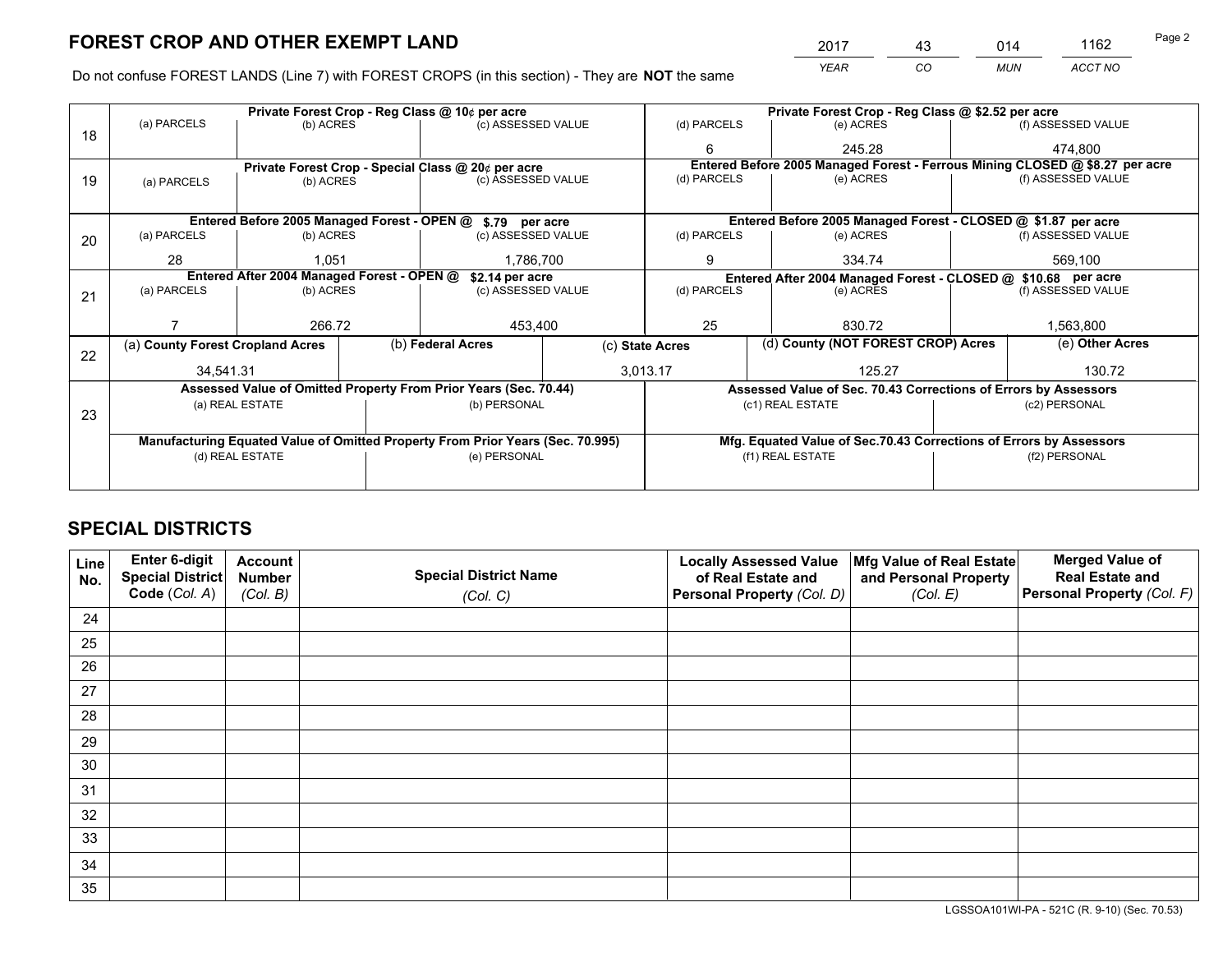*YEAR CO MUN ACCT NO* <sup>2017</sup> <sup>43</sup> <sup>014</sup> <sup>1162</sup>

Do not confuse FOREST LANDS (Line 7) with FOREST CROPS (in this section) - They are **NOT** the same

|    |                                                                                |                 | Private Forest Crop - Reg Class @ 10¢ per acre |                                                                  | Private Forest Crop - Reg Class @ \$2.52 per acre                  |                          |                                                                              |                                                                 |                    |                    |
|----|--------------------------------------------------------------------------------|-----------------|------------------------------------------------|------------------------------------------------------------------|--------------------------------------------------------------------|--------------------------|------------------------------------------------------------------------------|-----------------------------------------------------------------|--------------------|--------------------|
| 18 | (a) PARCELS                                                                    | (b) ACRES       |                                                | (c) ASSESSED VALUE                                               |                                                                    | (d) PARCELS              |                                                                              | (e) ACRES                                                       |                    | (f) ASSESSED VALUE |
|    |                                                                                |                 |                                                |                                                                  |                                                                    | 6                        |                                                                              | 245.28                                                          |                    | 474.800            |
|    |                                                                                |                 |                                                | Private Forest Crop - Special Class @ 20¢ per acre               |                                                                    |                          | Entered Before 2005 Managed Forest - Ferrous Mining CLOSED @ \$8.27 per acre |                                                                 |                    |                    |
| 19 | (a) PARCELS                                                                    | (b) ACRES       |                                                | (c) ASSESSED VALUE                                               |                                                                    | (d) PARCELS              |                                                                              | (e) ACRES                                                       |                    | (f) ASSESSED VALUE |
|    |                                                                                |                 |                                                |                                                                  |                                                                    |                          |                                                                              |                                                                 |                    |                    |
|    |                                                                                |                 |                                                | Entered Before 2005 Managed Forest - OPEN @ \$.79 per acre       |                                                                    |                          |                                                                              | Entered Before 2005 Managed Forest - CLOSED @ \$1.87 per acre   |                    |                    |
| 20 | (a) PARCELS                                                                    | (b) ACRES       |                                                | (c) ASSESSED VALUE                                               |                                                                    | (d) PARCELS              |                                                                              | (e) ACRES                                                       |                    | (f) ASSESSED VALUE |
|    | 28                                                                             | 1.051           |                                                | 1.786.700                                                        |                                                                    | 9                        |                                                                              | 334.74                                                          | 569,100            |                    |
|    | Entered After 2004 Managed Forest - OPEN @<br>\$2.14 per acre                  |                 |                                                |                                                                  | Entered After 2004 Managed Forest - CLOSED @ \$10.68 per acre      |                          |                                                                              |                                                                 |                    |                    |
| 21 | (a) PARCELS                                                                    | (b) ACRES       |                                                | (c) ASSESSED VALUE                                               |                                                                    | (d) PARCELS<br>(e) ACRES |                                                                              |                                                                 | (f) ASSESSED VALUE |                    |
|    |                                                                                |                 |                                                |                                                                  |                                                                    |                          |                                                                              |                                                                 |                    |                    |
|    |                                                                                | 266.72          |                                                |                                                                  | 25<br>453,400                                                      |                          |                                                                              | 830.72                                                          |                    | 1,563,800          |
| 22 | (a) County Forest Cropland Acres                                               |                 |                                                | (b) Federal Acres                                                | (c) State Acres                                                    |                          |                                                                              | (d) County (NOT FOREST CROP) Acres                              |                    | (e) Other Acres    |
|    | 34,541.31                                                                      |                 |                                                | 3,013.17                                                         |                                                                    |                          | 125.27                                                                       |                                                                 |                    | 130.72             |
|    |                                                                                |                 |                                                | Assessed Value of Omitted Property From Prior Years (Sec. 70.44) |                                                                    |                          |                                                                              | Assessed Value of Sec. 70.43 Corrections of Errors by Assessors |                    |                    |
| 23 |                                                                                | (a) REAL ESTATE |                                                | (b) PERSONAL                                                     |                                                                    |                          |                                                                              | (c1) REAL ESTATE                                                |                    | (c2) PERSONAL      |
|    |                                                                                |                 |                                                |                                                                  |                                                                    |                          |                                                                              |                                                                 |                    |                    |
|    | Manufacturing Equated Value of Omitted Property From Prior Years (Sec. 70.995) |                 |                                                |                                                                  | Mfg. Equated Value of Sec.70.43 Corrections of Errors by Assessors |                          |                                                                              |                                                                 |                    |                    |
|    | (d) REAL ESTATE                                                                |                 |                                                | (e) PERSONAL                                                     |                                                                    | (f1) REAL ESTATE         |                                                                              |                                                                 | (f2) PERSONAL      |                    |
|    |                                                                                |                 |                                                |                                                                  |                                                                    |                          |                                                                              |                                                                 |                    |                    |

## **SPECIAL DISTRICTS**

| Line<br>No. | Enter 6-digit<br><b>Special District</b> | <b>Account</b><br><b>Number</b> | <b>Special District Name</b> | <b>Locally Assessed Value</b><br>of Real Estate and | Mfg Value of Real Estate<br>and Personal Property | <b>Merged Value of</b><br><b>Real Estate and</b> |
|-------------|------------------------------------------|---------------------------------|------------------------------|-----------------------------------------------------|---------------------------------------------------|--------------------------------------------------|
|             | Code (Col. A)                            | (Col. B)                        | (Col. C)                     | Personal Property (Col. D)                          | (Col. E)                                          | Personal Property (Col. F)                       |
| 24          |                                          |                                 |                              |                                                     |                                                   |                                                  |
| 25          |                                          |                                 |                              |                                                     |                                                   |                                                  |
| 26          |                                          |                                 |                              |                                                     |                                                   |                                                  |
| 27          |                                          |                                 |                              |                                                     |                                                   |                                                  |
| 28          |                                          |                                 |                              |                                                     |                                                   |                                                  |
| 29          |                                          |                                 |                              |                                                     |                                                   |                                                  |
| 30          |                                          |                                 |                              |                                                     |                                                   |                                                  |
| 31          |                                          |                                 |                              |                                                     |                                                   |                                                  |
| 32          |                                          |                                 |                              |                                                     |                                                   |                                                  |
| 33          |                                          |                                 |                              |                                                     |                                                   |                                                  |
| 34          |                                          |                                 |                              |                                                     |                                                   |                                                  |
| 35          |                                          |                                 |                              |                                                     |                                                   |                                                  |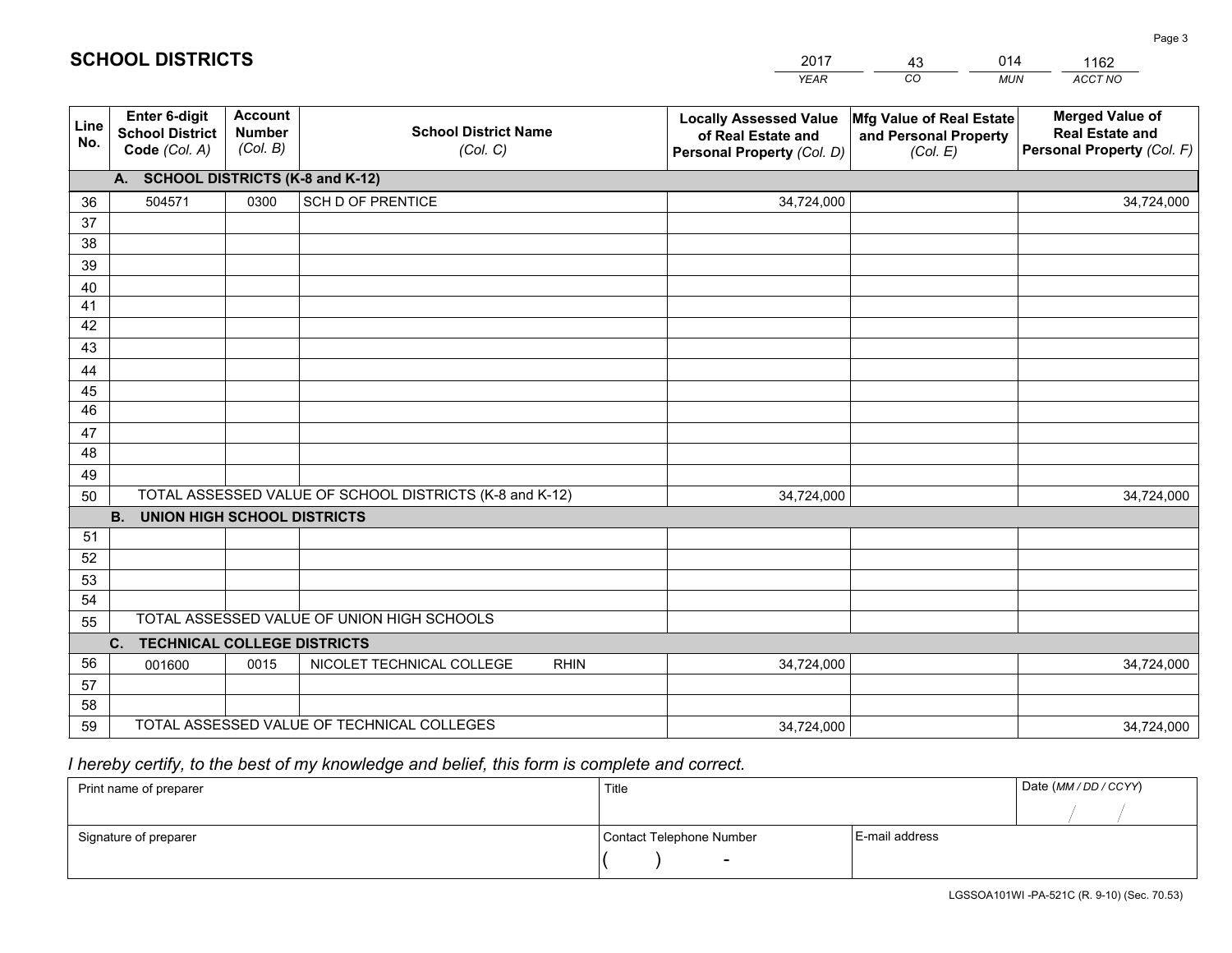|             |                                                          |                                             |                                                         | YEAR                                                                              | CO.<br><b>MUN</b>                                             | ACCT NO                                                                        |
|-------------|----------------------------------------------------------|---------------------------------------------|---------------------------------------------------------|-----------------------------------------------------------------------------------|---------------------------------------------------------------|--------------------------------------------------------------------------------|
| Line<br>No. | Enter 6-digit<br><b>School District</b><br>Code (Col. A) | <b>Account</b><br><b>Number</b><br>(Col. B) | <b>School District Name</b><br>(Col. C)                 | <b>Locally Assessed Value</b><br>of Real Estate and<br>Personal Property (Col. D) | Mfg Value of Real Estate<br>and Personal Property<br>(Col. E) | <b>Merged Value of</b><br><b>Real Estate and</b><br>Personal Property (Col. F) |
|             | A. SCHOOL DISTRICTS (K-8 and K-12)                       |                                             |                                                         |                                                                                   |                                                               |                                                                                |
| 36          | 504571                                                   | 0300                                        | <b>SCH D OF PRENTICE</b>                                | 34,724,000                                                                        |                                                               | 34,724,000                                                                     |
| 37          |                                                          |                                             |                                                         |                                                                                   |                                                               |                                                                                |
| 38          |                                                          |                                             |                                                         |                                                                                   |                                                               |                                                                                |
| 39          |                                                          |                                             |                                                         |                                                                                   |                                                               |                                                                                |
| 40          |                                                          |                                             |                                                         |                                                                                   |                                                               |                                                                                |
| 41          |                                                          |                                             |                                                         |                                                                                   |                                                               |                                                                                |
| 42          |                                                          |                                             |                                                         |                                                                                   |                                                               |                                                                                |
| 43          |                                                          |                                             |                                                         |                                                                                   |                                                               |                                                                                |
| 44          |                                                          |                                             |                                                         |                                                                                   |                                                               |                                                                                |
| 45<br>46    |                                                          |                                             |                                                         |                                                                                   |                                                               |                                                                                |
| 47          |                                                          |                                             |                                                         |                                                                                   |                                                               |                                                                                |
| 48          |                                                          |                                             |                                                         |                                                                                   |                                                               |                                                                                |
| 49          |                                                          |                                             |                                                         |                                                                                   |                                                               |                                                                                |
| 50          |                                                          |                                             | TOTAL ASSESSED VALUE OF SCHOOL DISTRICTS (K-8 and K-12) | 34,724,000                                                                        |                                                               | 34,724,000                                                                     |
|             | <b>UNION HIGH SCHOOL DISTRICTS</b><br><b>B.</b>          |                                             |                                                         |                                                                                   |                                                               |                                                                                |
| 51          |                                                          |                                             |                                                         |                                                                                   |                                                               |                                                                                |
| 52          |                                                          |                                             |                                                         |                                                                                   |                                                               |                                                                                |
| 53          |                                                          |                                             |                                                         |                                                                                   |                                                               |                                                                                |
| 54          |                                                          |                                             |                                                         |                                                                                   |                                                               |                                                                                |
| 55          |                                                          |                                             | TOTAL ASSESSED VALUE OF UNION HIGH SCHOOLS              |                                                                                   |                                                               |                                                                                |
|             | C.<br><b>TECHNICAL COLLEGE DISTRICTS</b>                 |                                             |                                                         |                                                                                   |                                                               |                                                                                |
| 56          | 001600                                                   | 0015                                        | NICOLET TECHNICAL COLLEGE<br><b>RHIN</b>                | 34,724,000                                                                        |                                                               | 34,724,000                                                                     |
| 57          |                                                          |                                             |                                                         |                                                                                   |                                                               |                                                                                |
| 58          |                                                          |                                             |                                                         |                                                                                   |                                                               |                                                                                |
| 59          |                                                          |                                             | TOTAL ASSESSED VALUE OF TECHNICAL COLLEGES              | 34,724,000                                                                        |                                                               | 34,724,000                                                                     |

43

014

 *I hereby certify, to the best of my knowledge and belief, this form is complete and correct.*

**SCHOOL DISTRICTS**

| Print name of preparer | Title                    |                | Date (MM/DD/CCYY) |
|------------------------|--------------------------|----------------|-------------------|
|                        |                          |                |                   |
| Signature of preparer  | Contact Telephone Number | E-mail address |                   |
|                        | $\overline{\phantom{0}}$ |                |                   |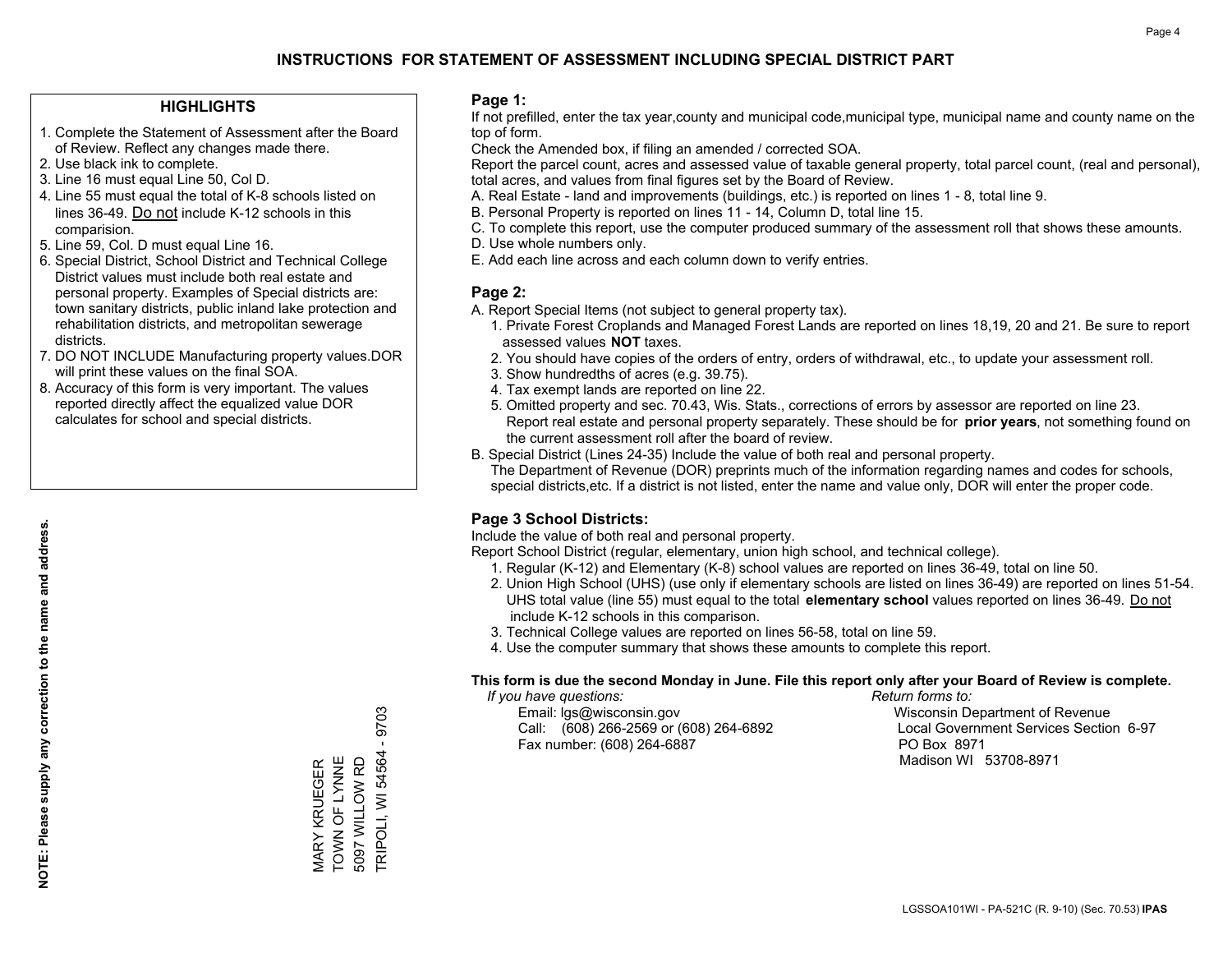#### **HIGHLIGHTS**

- 1. Complete the Statement of Assessment after the Board of Review. Reflect any changes made there.
- 2. Use black ink to complete.
- 3. Line 16 must equal Line 50, Col D.
- 4. Line 55 must equal the total of K-8 schools listed on lines 36-49. Do not include K-12 schools in this comparision.
- 5. Line 59, Col. D must equal Line 16.
- 6. Special District, School District and Technical College District values must include both real estate and personal property. Examples of Special districts are: town sanitary districts, public inland lake protection and rehabilitation districts, and metropolitan sewerage districts.
- 7. DO NOT INCLUDE Manufacturing property values.DOR will print these values on the final SOA.
- 8. Accuracy of this form is very important. The values reported directly affect the equalized value DOR calculates for school and special districts.

#### **Page 1:**

 If not prefilled, enter the tax year,county and municipal code,municipal type, municipal name and county name on the top of form.

Check the Amended box, if filing an amended / corrected SOA.

 Report the parcel count, acres and assessed value of taxable general property, total parcel count, (real and personal), total acres, and values from final figures set by the Board of Review.

- A. Real Estate land and improvements (buildings, etc.) is reported on lines 1 8, total line 9.
- B. Personal Property is reported on lines 11 14, Column D, total line 15.
- C. To complete this report, use the computer produced summary of the assessment roll that shows these amounts.
- D. Use whole numbers only.
- E. Add each line across and each column down to verify entries.

#### **Page 2:**

- A. Report Special Items (not subject to general property tax).
- 1. Private Forest Croplands and Managed Forest Lands are reported on lines 18,19, 20 and 21. Be sure to report assessed values **NOT** taxes.
- 2. You should have copies of the orders of entry, orders of withdrawal, etc., to update your assessment roll.
	- 3. Show hundredths of acres (e.g. 39.75).
- 4. Tax exempt lands are reported on line 22.
- 5. Omitted property and sec. 70.43, Wis. Stats., corrections of errors by assessor are reported on line 23. Report real estate and personal property separately. These should be for **prior years**, not something found on the current assessment roll after the board of review.
- B. Special District (Lines 24-35) Include the value of both real and personal property.

 The Department of Revenue (DOR) preprints much of the information regarding names and codes for schools, special districts,etc. If a district is not listed, enter the name and value only, DOR will enter the proper code.

### **Page 3 School Districts:**

Include the value of both real and personal property.

Report School District (regular, elementary, union high school, and technical college).

- 1. Regular (K-12) and Elementary (K-8) school values are reported on lines 36-49, total on line 50.
- 2. Union High School (UHS) (use only if elementary schools are listed on lines 36-49) are reported on lines 51-54. UHS total value (line 55) must equal to the total **elementary school** values reported on lines 36-49. Do notinclude K-12 schools in this comparison.
- 3. Technical College values are reported on lines 56-58, total on line 59.
- 4. Use the computer summary that shows these amounts to complete this report.

#### **This form is due the second Monday in June. File this report only after your Board of Review is complete.**

 *If you have questions: Return forms to:*

 Email: lgs@wisconsin.gov Wisconsin Department of RevenueCall:  $(608)$  266-2569 or  $(608)$  264-6892 Fax number: (608) 264-6887 PO Box 8971

Local Government Services Section 6-97 Madison WI 53708-8971

MARY KRUEGER<br>TOWN OF LYNNE TOWN OF LYNNE 5097 WILLOW RD 5097 WILLOW RD MARY KRUEGER

TRIPOLI, WI 54564 - 9703

**TRIPOLI, WI 54564** 

9703  $\mathbf{I}$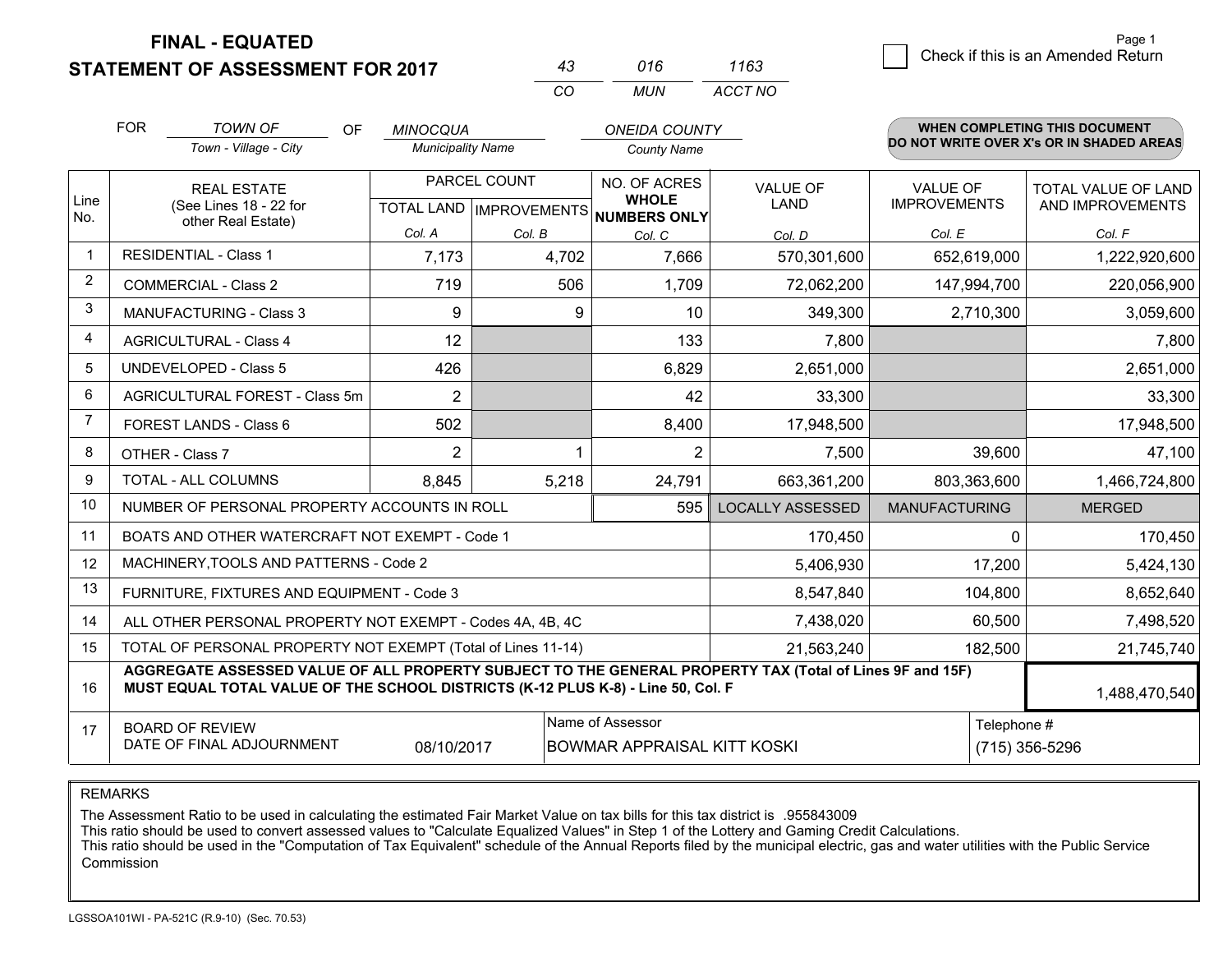**STATEMENT OF ASSESSMENT FOR 2017** 

|            | 016 | 1163    |
|------------|-----|---------|
| $\sqrt{2}$ | MUN | ACCT NO |

|                | <b>FOR</b><br><b>TOWN OF</b><br>OF<br><b>MINOCQUA</b>                                                                                                                                        |                                                              |                          |                           | <b>ONEIDA COUNTY</b>               |                         |                      | <b>WHEN COMPLETING THIS DOCUMENT</b>     |
|----------------|----------------------------------------------------------------------------------------------------------------------------------------------------------------------------------------------|--------------------------------------------------------------|--------------------------|---------------------------|------------------------------------|-------------------------|----------------------|------------------------------------------|
|                |                                                                                                                                                                                              | Town - Village - City                                        | <b>Municipality Name</b> |                           | <b>County Name</b>                 |                         |                      | DO NOT WRITE OVER X's OR IN SHADED AREAS |
|                |                                                                                                                                                                                              | <b>REAL ESTATE</b>                                           |                          | PARCEL COUNT              | NO. OF ACRES                       | <b>VALUE OF</b>         | <b>VALUE OF</b>      | TOTAL VALUE OF LAND                      |
| Line<br>No.    |                                                                                                                                                                                              | (See Lines 18 - 22 for<br>other Real Estate)                 |                          | TOTAL LAND   IMPROVEMENTS | <b>WHOLE</b><br>NUMBERS ONLY       | <b>LAND</b>             | <b>IMPROVEMENTS</b>  | AND IMPROVEMENTS                         |
|                |                                                                                                                                                                                              |                                                              | Col. A                   | Col. B                    | Col. C                             | Col. D                  | Col. E               | Col. F                                   |
| $\mathbf{1}$   |                                                                                                                                                                                              | <b>RESIDENTIAL - Class 1</b>                                 | 7,173                    | 4,702                     | 7,666                              | 570,301,600             | 652,619,000          | 1,222,920,600                            |
| $\overline{2}$ |                                                                                                                                                                                              | <b>COMMERCIAL - Class 2</b>                                  | 719                      | 506                       | 1,709                              | 72,062,200              | 147,994,700          | 220,056,900                              |
| 3              |                                                                                                                                                                                              | <b>MANUFACTURING - Class 3</b>                               | 9                        | 9                         | 10                                 | 349,300                 | 2,710,300            | 3,059,600                                |
| 4              |                                                                                                                                                                                              | <b>AGRICULTURAL - Class 4</b>                                | 12                       |                           | 133                                | 7,800                   |                      | 7,800                                    |
| 5              |                                                                                                                                                                                              | <b>UNDEVELOPED - Class 5</b>                                 | 426                      |                           | 6,829                              | 2,651,000               |                      | 2,651,000                                |
| 6              | AGRICULTURAL FOREST - Class 5m                                                                                                                                                               |                                                              | $\overline{2}$           |                           | 42                                 | 33,300                  |                      | 33,300                                   |
| 7              | FOREST LANDS - Class 6                                                                                                                                                                       |                                                              | 502                      |                           | 8,400                              | 17,948,500              |                      | 17,948,500                               |
| 8              |                                                                                                                                                                                              | OTHER - Class 7                                              | $\overline{2}$           |                           | $\overline{2}$                     | 7,500                   | 39,600               | 47,100                                   |
| 9              |                                                                                                                                                                                              | TOTAL - ALL COLUMNS                                          | 8,845                    | 5,218                     | 24,791                             | 663,361,200             | 803,363,600          | 1,466,724,800                            |
| 10             |                                                                                                                                                                                              | NUMBER OF PERSONAL PROPERTY ACCOUNTS IN ROLL                 |                          |                           | 595                                | <b>LOCALLY ASSESSED</b> | <b>MANUFACTURING</b> | <b>MERGED</b>                            |
| 11             |                                                                                                                                                                                              | BOATS AND OTHER WATERCRAFT NOT EXEMPT - Code 1               |                          |                           |                                    | 170,450                 | $\Omega$             | 170,450                                  |
| 12             |                                                                                                                                                                                              | MACHINERY, TOOLS AND PATTERNS - Code 2                       |                          |                           |                                    | 5,406,930               | 17,200               | 5,424,130                                |
| 13             |                                                                                                                                                                                              | FURNITURE, FIXTURES AND EQUIPMENT - Code 3                   |                          |                           |                                    | 8,547,840               | 104,800              | 8,652,640                                |
| 14             |                                                                                                                                                                                              | ALL OTHER PERSONAL PROPERTY NOT EXEMPT - Codes 4A, 4B, 4C    |                          |                           |                                    | 7,438,020               | 60,500               | 7,498,520                                |
| 15             |                                                                                                                                                                                              | TOTAL OF PERSONAL PROPERTY NOT EXEMPT (Total of Lines 11-14) |                          |                           |                                    | 21,563,240              | 182,500              | 21,745,740                               |
| 16             | AGGREGATE ASSESSED VALUE OF ALL PROPERTY SUBJECT TO THE GENERAL PROPERTY TAX (Total of Lines 9F and 15F)<br>MUST EQUAL TOTAL VALUE OF THE SCHOOL DISTRICTS (K-12 PLUS K-8) - Line 50, Col. F |                                                              |                          |                           |                                    |                         |                      | 1,488,470,540                            |
| 17             |                                                                                                                                                                                              | <b>BOARD OF REVIEW</b>                                       |                          |                           | Name of Assessor                   |                         | Telephone #          |                                          |
|                |                                                                                                                                                                                              | DATE OF FINAL ADJOURNMENT                                    | 08/10/2017               |                           | <b>BOWMAR APPRAISAL KITT KOSKI</b> |                         |                      | (715) 356-5296                           |

REMARKS

The Assessment Ratio to be used in calculating the estimated Fair Market Value on tax bills for this tax district is .955843009<br>This ratio should be used to convert assessed values to "Calculate Equalized Values" in Step 1 Commission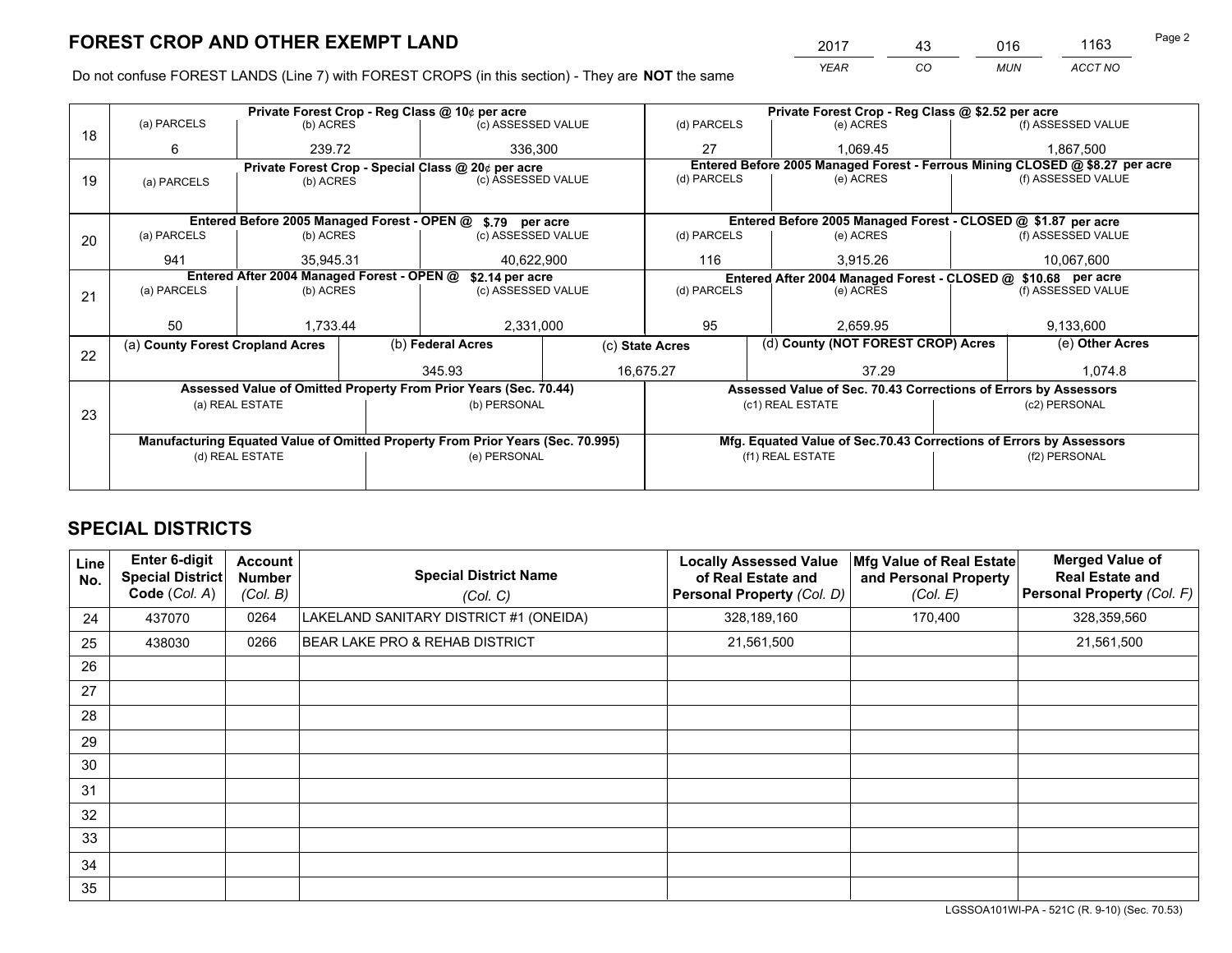*YEAR CO MUN ACCT NO* <sup>2017</sup> <sup>43</sup> <sup>016</sup> <sup>1163</sup>

Do not confuse FOREST LANDS (Line 7) with FOREST CROPS (in this section) - They are **NOT** the same

|    |                                                                                |                                             |  | Private Forest Crop - Reg Class @ 10¢ per acre                   |             |                                                               | Private Forest Crop - Reg Class @ \$2.52 per acre                            |  |                    |  |
|----|--------------------------------------------------------------------------------|---------------------------------------------|--|------------------------------------------------------------------|-------------|---------------------------------------------------------------|------------------------------------------------------------------------------|--|--------------------|--|
| 18 | (a) PARCELS                                                                    | (b) ACRES                                   |  | (c) ASSESSED VALUE                                               |             | (d) PARCELS                                                   | (e) ACRES                                                                    |  | (f) ASSESSED VALUE |  |
|    | 6                                                                              | 239.72                                      |  | 336.300                                                          |             | 27                                                            | 1.069.45                                                                     |  | 1.867.500          |  |
|    |                                                                                |                                             |  | Private Forest Crop - Special Class @ 20¢ per acre               |             |                                                               | Entered Before 2005 Managed Forest - Ferrous Mining CLOSED @ \$8.27 per acre |  |                    |  |
| 19 | (a) PARCELS                                                                    | (b) ACRES                                   |  | (c) ASSESSED VALUE                                               |             | (d) PARCELS                                                   | (e) ACRES                                                                    |  | (f) ASSESSED VALUE |  |
|    |                                                                                |                                             |  |                                                                  |             |                                                               |                                                                              |  |                    |  |
|    |                                                                                | Entered Before 2005 Managed Forest - OPEN @ |  | \$.79 per acre                                                   |             |                                                               | Entered Before 2005 Managed Forest - CLOSED @ \$1.87 per acre                |  |                    |  |
| 20 | (a) PARCELS                                                                    | (b) ACRES                                   |  | (c) ASSESSED VALUE                                               |             | (d) PARCELS                                                   | (e) ACRES                                                                    |  | (f) ASSESSED VALUE |  |
|    | 941                                                                            | 35,945.31                                   |  | 40,622,900                                                       |             | 116                                                           | 3,915.26                                                                     |  | 10,067,600         |  |
|    | Entered After 2004 Managed Forest - OPEN @<br>\$2.14 per acre                  |                                             |  |                                                                  |             | Entered After 2004 Managed Forest - CLOSED @ \$10.68 per acre |                                                                              |  |                    |  |
| 21 | (a) PARCELS                                                                    | (b) ACRES                                   |  | (c) ASSESSED VALUE                                               | (d) PARCELS |                                                               | (e) ACRES                                                                    |  | (f) ASSESSED VALUE |  |
|    |                                                                                |                                             |  |                                                                  |             |                                                               |                                                                              |  |                    |  |
|    | 50                                                                             | 1,733.44                                    |  | 2,331,000                                                        |             | 95<br>2,659.95                                                |                                                                              |  | 9,133,600          |  |
|    | (a) County Forest Cropland Acres                                               |                                             |  | (b) Federal Acres                                                |             | (d) County (NOT FOREST CROP) Acres<br>(c) State Acres         |                                                                              |  | (e) Other Acres    |  |
| 22 |                                                                                |                                             |  | 345.93                                                           |             | 16,675.27<br>37.29                                            |                                                                              |  | 1,074.8            |  |
|    |                                                                                |                                             |  | Assessed Value of Omitted Property From Prior Years (Sec. 70.44) |             |                                                               | Assessed Value of Sec. 70.43 Corrections of Errors by Assessors              |  |                    |  |
|    |                                                                                | (a) REAL ESTATE                             |  | (b) PERSONAL                                                     |             |                                                               | (c1) REAL ESTATE                                                             |  | (c2) PERSONAL      |  |
| 23 |                                                                                |                                             |  |                                                                  |             |                                                               |                                                                              |  |                    |  |
|    | Manufacturing Equated Value of Omitted Property From Prior Years (Sec. 70.995) |                                             |  |                                                                  |             |                                                               | Mfg. Equated Value of Sec.70.43 Corrections of Errors by Assessors           |  |                    |  |
|    |                                                                                | (d) REAL ESTATE                             |  | (e) PERSONAL                                                     |             | (f1) REAL ESTATE                                              |                                                                              |  | (f2) PERSONAL      |  |
|    |                                                                                |                                             |  |                                                                  |             |                                                               |                                                                              |  |                    |  |

## **SPECIAL DISTRICTS**

| <b>Line</b><br>No. | <b>Enter 6-digit</b><br><b>Special District</b><br>Code (Col. A) | <b>Account</b><br><b>Number</b><br>(Col. B) | <b>Special District Name</b><br>(Col. C) | <b>Locally Assessed Value</b><br>of Real Estate and<br>Personal Property (Col. D) | Mfg Value of Real Estate<br>and Personal Property<br>(Col. E) | <b>Merged Value of</b><br><b>Real Estate and</b><br>Personal Property (Col. F) |
|--------------------|------------------------------------------------------------------|---------------------------------------------|------------------------------------------|-----------------------------------------------------------------------------------|---------------------------------------------------------------|--------------------------------------------------------------------------------|
| 24                 | 437070                                                           | 0264                                        | LAKELAND SANITARY DISTRICT #1 (ONEIDA)   | 328,189,160                                                                       | 170,400                                                       | 328,359,560                                                                    |
| 25                 | 438030                                                           | 0266                                        | BEAR LAKE PRO & REHAB DISTRICT           | 21,561,500                                                                        |                                                               | 21,561,500                                                                     |
| 26                 |                                                                  |                                             |                                          |                                                                                   |                                                               |                                                                                |
| 27                 |                                                                  |                                             |                                          |                                                                                   |                                                               |                                                                                |
| 28                 |                                                                  |                                             |                                          |                                                                                   |                                                               |                                                                                |
| 29                 |                                                                  |                                             |                                          |                                                                                   |                                                               |                                                                                |
| 30                 |                                                                  |                                             |                                          |                                                                                   |                                                               |                                                                                |
| 31                 |                                                                  |                                             |                                          |                                                                                   |                                                               |                                                                                |
| 32                 |                                                                  |                                             |                                          |                                                                                   |                                                               |                                                                                |
| 33                 |                                                                  |                                             |                                          |                                                                                   |                                                               |                                                                                |
| 34                 |                                                                  |                                             |                                          |                                                                                   |                                                               |                                                                                |
| 35                 |                                                                  |                                             |                                          |                                                                                   |                                                               |                                                                                |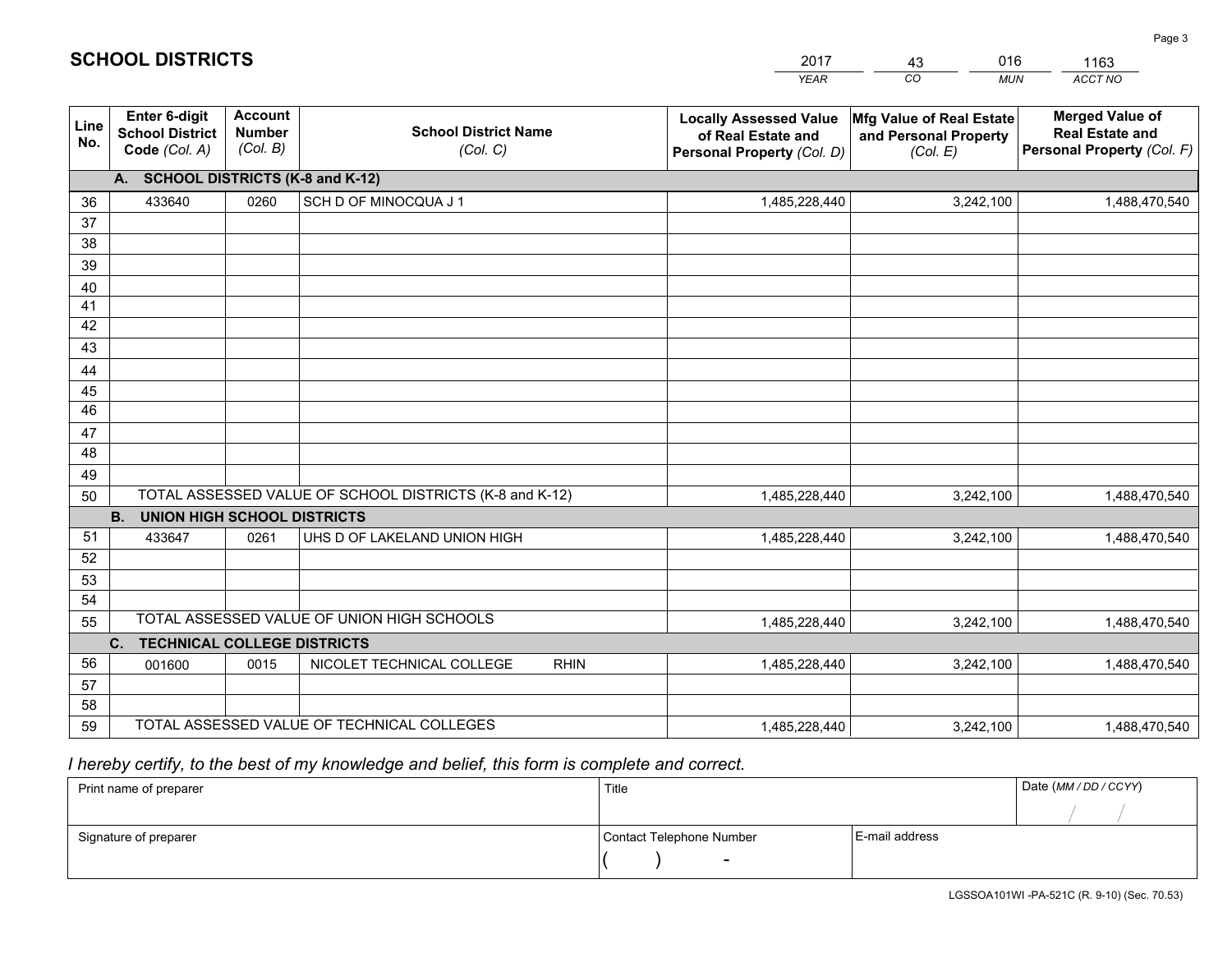|                 |                                                                 |                                             |                                                         | YEAR                                                                              | CO.<br><b>MUN</b>                                             | ACCT NO                                                                        |
|-----------------|-----------------------------------------------------------------|---------------------------------------------|---------------------------------------------------------|-----------------------------------------------------------------------------------|---------------------------------------------------------------|--------------------------------------------------------------------------------|
| Line<br>No.     | <b>Enter 6-digit</b><br><b>School District</b><br>Code (Col. A) | <b>Account</b><br><b>Number</b><br>(Col. B) | <b>School District Name</b><br>(Col. C)                 | <b>Locally Assessed Value</b><br>of Real Estate and<br>Personal Property (Col. D) | Mfg Value of Real Estate<br>and Personal Property<br>(Col. E) | <b>Merged Value of</b><br><b>Real Estate and</b><br>Personal Property (Col. F) |
|                 | A. SCHOOL DISTRICTS (K-8 and K-12)                              |                                             |                                                         |                                                                                   |                                                               |                                                                                |
| 36              | 433640                                                          | 0260                                        | SCH D OF MINOCQUA J 1                                   | 1,485,228,440                                                                     | 3,242,100                                                     | 1,488,470,540                                                                  |
| 37              |                                                                 |                                             |                                                         |                                                                                   |                                                               |                                                                                |
| 38              |                                                                 |                                             |                                                         |                                                                                   |                                                               |                                                                                |
| 39              |                                                                 |                                             |                                                         |                                                                                   |                                                               |                                                                                |
| 40              |                                                                 |                                             |                                                         |                                                                                   |                                                               |                                                                                |
| 41<br>42        |                                                                 |                                             |                                                         |                                                                                   |                                                               |                                                                                |
| 43              |                                                                 |                                             |                                                         |                                                                                   |                                                               |                                                                                |
| 44              |                                                                 |                                             |                                                         |                                                                                   |                                                               |                                                                                |
| 45              |                                                                 |                                             |                                                         |                                                                                   |                                                               |                                                                                |
| $\overline{46}$ |                                                                 |                                             |                                                         |                                                                                   |                                                               |                                                                                |
| 47              |                                                                 |                                             |                                                         |                                                                                   |                                                               |                                                                                |
| 48              |                                                                 |                                             |                                                         |                                                                                   |                                                               |                                                                                |
| 49              |                                                                 |                                             |                                                         |                                                                                   |                                                               |                                                                                |
| 50              |                                                                 |                                             | TOTAL ASSESSED VALUE OF SCHOOL DISTRICTS (K-8 and K-12) | 1,485,228,440                                                                     | 3,242,100                                                     | 1,488,470,540                                                                  |
|                 | <b>B.</b><br><b>UNION HIGH SCHOOL DISTRICTS</b>                 |                                             |                                                         |                                                                                   |                                                               |                                                                                |
| 51              | 433647                                                          | 0261                                        | UHS D OF LAKELAND UNION HIGH                            | 1,485,228,440                                                                     | 3,242,100                                                     | 1,488,470,540                                                                  |
| 52              |                                                                 |                                             |                                                         |                                                                                   |                                                               |                                                                                |
| 53<br>54        |                                                                 |                                             |                                                         |                                                                                   |                                                               |                                                                                |
| 55              |                                                                 |                                             | TOTAL ASSESSED VALUE OF UNION HIGH SCHOOLS              | 1,485,228,440                                                                     | 3,242,100                                                     | 1,488,470,540                                                                  |
|                 | C.<br><b>TECHNICAL COLLEGE DISTRICTS</b>                        |                                             |                                                         |                                                                                   |                                                               |                                                                                |
| 56              | 001600                                                          | 0015                                        | NICOLET TECHNICAL COLLEGE<br><b>RHIN</b>                | 1,485,228,440                                                                     | 3,242,100                                                     | 1,488,470,540                                                                  |
| 57              |                                                                 |                                             |                                                         |                                                                                   |                                                               |                                                                                |
| 58              |                                                                 |                                             |                                                         |                                                                                   |                                                               |                                                                                |
| 59              |                                                                 |                                             | TOTAL ASSESSED VALUE OF TECHNICAL COLLEGES              | 1,485,228,440                                                                     | 3,242,100                                                     | 1,488,470,540                                                                  |

43

016

 *I hereby certify, to the best of my knowledge and belief, this form is complete and correct.*

**SCHOOL DISTRICTS**

| Print name of preparer | Title                    |                | Date (MM / DD / CCYY) |
|------------------------|--------------------------|----------------|-----------------------|
|                        |                          |                |                       |
| Signature of preparer  | Contact Telephone Number | E-mail address |                       |
|                        | $\sim$                   |                |                       |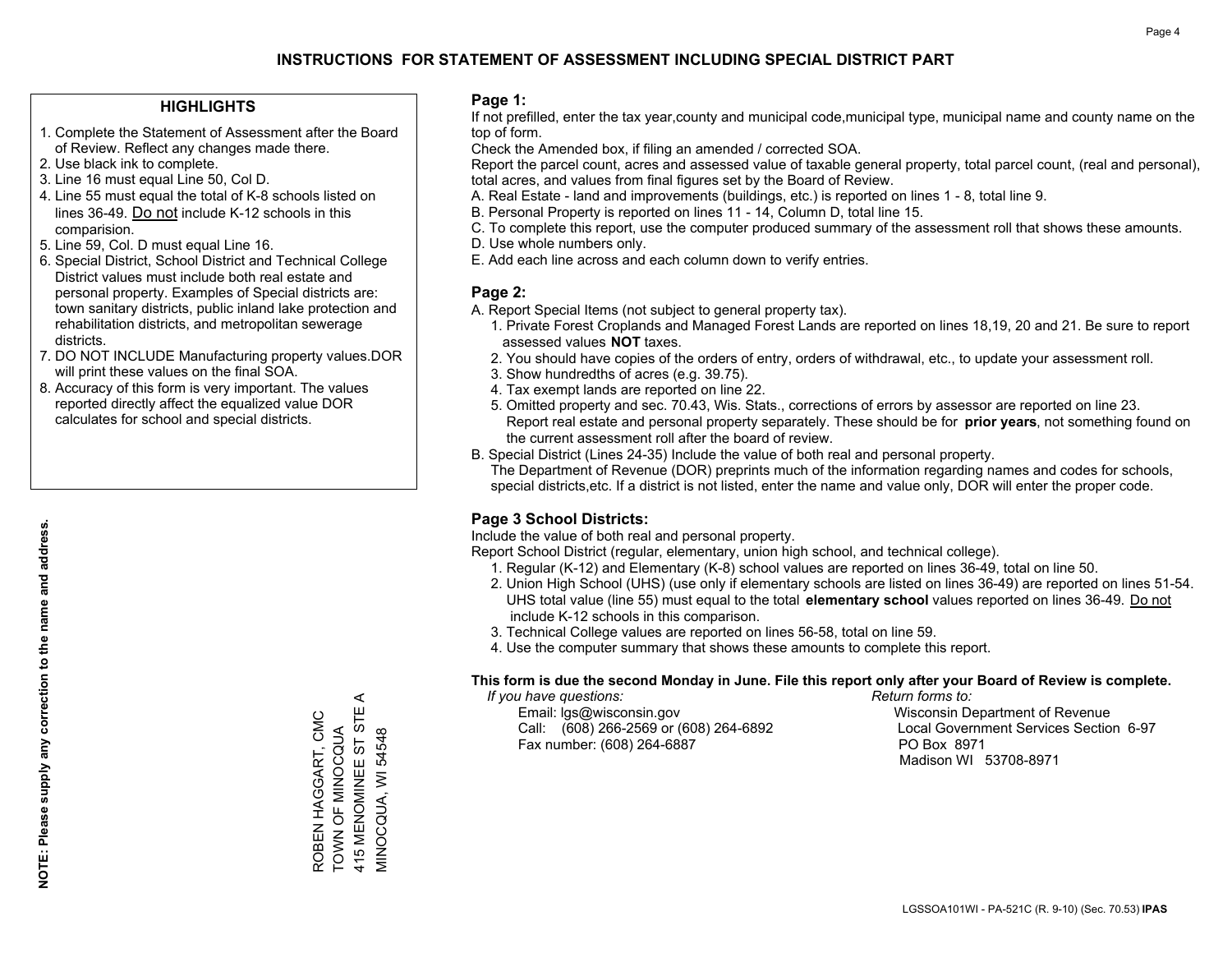#### **HIGHLIGHTS**

- 1. Complete the Statement of Assessment after the Board of Review. Reflect any changes made there.
- 2. Use black ink to complete.
- 3. Line 16 must equal Line 50, Col D.
- 4. Line 55 must equal the total of K-8 schools listed on lines 36-49. Do not include K-12 schools in this comparision.
- 5. Line 59, Col. D must equal Line 16.
- 6. Special District, School District and Technical College District values must include both real estate and personal property. Examples of Special districts are: town sanitary districts, public inland lake protection and rehabilitation districts, and metropolitan sewerage districts.
- 7. DO NOT INCLUDE Manufacturing property values.DOR will print these values on the final SOA.
- 8. Accuracy of this form is very important. The values reported directly affect the equalized value DOR calculates for school and special districts.

#### **Page 1:**

 If not prefilled, enter the tax year,county and municipal code,municipal type, municipal name and county name on the top of form.

Check the Amended box, if filing an amended / corrected SOA.

 Report the parcel count, acres and assessed value of taxable general property, total parcel count, (real and personal), total acres, and values from final figures set by the Board of Review.

- A. Real Estate land and improvements (buildings, etc.) is reported on lines 1 8, total line 9.
- B. Personal Property is reported on lines 11 14, Column D, total line 15.
- C. To complete this report, use the computer produced summary of the assessment roll that shows these amounts.
- D. Use whole numbers only.
- E. Add each line across and each column down to verify entries.

#### **Page 2:**

- A. Report Special Items (not subject to general property tax).
- 1. Private Forest Croplands and Managed Forest Lands are reported on lines 18,19, 20 and 21. Be sure to report assessed values **NOT** taxes.
- 2. You should have copies of the orders of entry, orders of withdrawal, etc., to update your assessment roll.
	- 3. Show hundredths of acres (e.g. 39.75).
- 4. Tax exempt lands are reported on line 22.
- 5. Omitted property and sec. 70.43, Wis. Stats., corrections of errors by assessor are reported on line 23. Report real estate and personal property separately. These should be for **prior years**, not something found on the current assessment roll after the board of review.
- B. Special District (Lines 24-35) Include the value of both real and personal property.

 The Department of Revenue (DOR) preprints much of the information regarding names and codes for schools, special districts,etc. If a district is not listed, enter the name and value only, DOR will enter the proper code.

### **Page 3 School Districts:**

Include the value of both real and personal property.

Report School District (regular, elementary, union high school, and technical college).

- 1. Regular (K-12) and Elementary (K-8) school values are reported on lines 36-49, total on line 50.
- 2. Union High School (UHS) (use only if elementary schools are listed on lines 36-49) are reported on lines 51-54. UHS total value (line 55) must equal to the total **elementary school** values reported on lines 36-49. Do notinclude K-12 schools in this comparison.
- 3. Technical College values are reported on lines 56-58, total on line 59.
- 4. Use the computer summary that shows these amounts to complete this report.

#### **This form is due the second Monday in June. File this report only after your Board of Review is complete.**

 *If you have questions: Return forms to:*

 Email: lgs@wisconsin.gov Wisconsin Department of RevenueCall:  $(608)$  266-2569 or  $(608)$  264-6892 Fax number: (608) 264-6887 PO Box 8971

Local Government Services Section 6-97 Madison WI 53708-8971

 $\prec$ 415 MENOMINEE ST STE A 415 MENOMINEE ST STE ROBEN HAGGART, CMC ROBEN HAGGART, CMC TOWN OF MINOCQUA **FOWN OF MINOCQUA** VIINOCQUA, WI 54548

MINOCQUA, WI 54548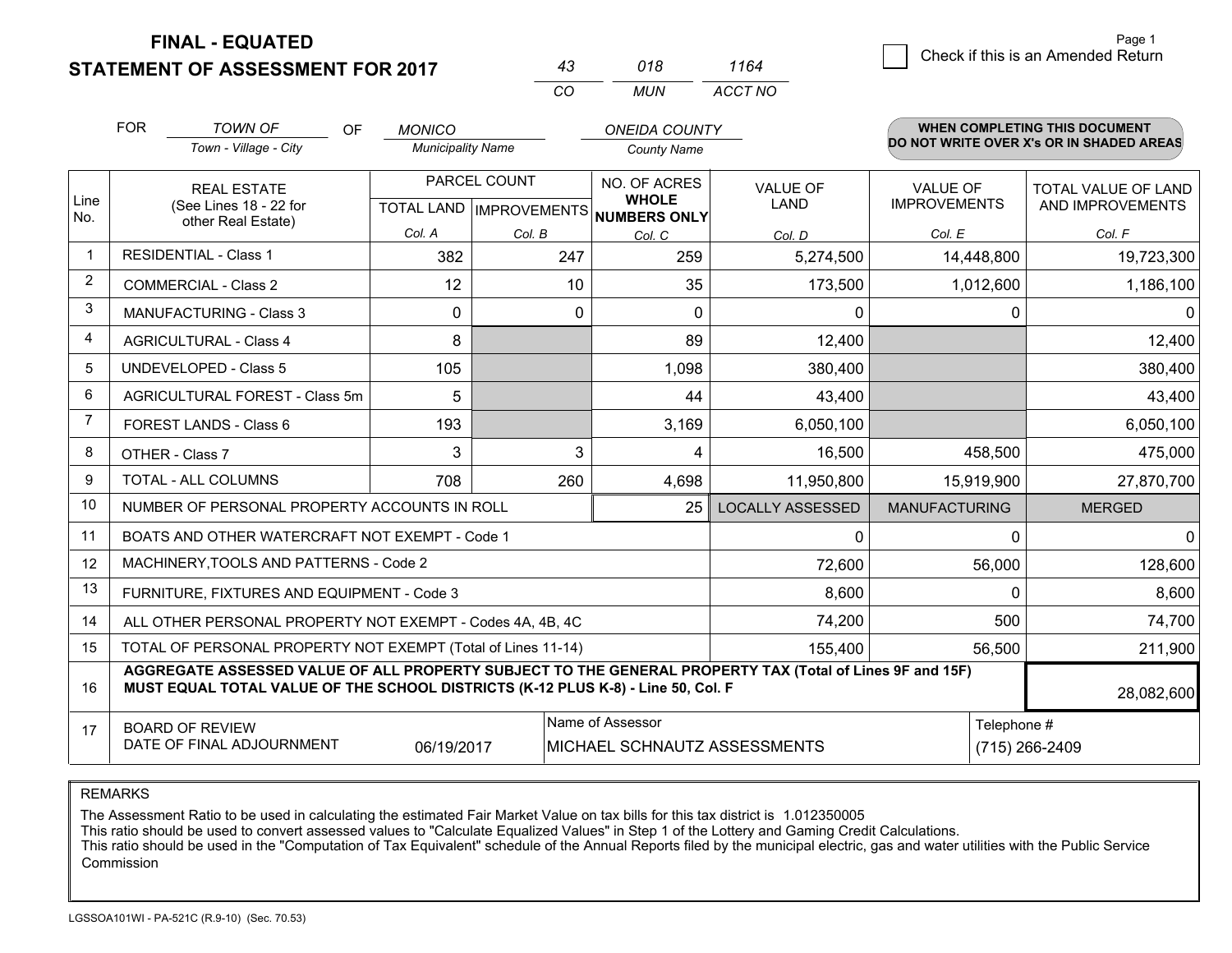#### **STATEMENT OF ASSESSMENT FOR 2017**

| 43. | 018 | 1164    |
|-----|-----|---------|
| cо  | MUN | ACCT NO |

|                | <b>FOR</b>                                                                                                                                                                                   | <b>TOWN OF</b><br>OF                              | <b>MONICO</b> |                           | <b>ONEIDA COUNTY</b>                |                         |                                          | <b>WHEN COMPLETING THIS DOCUMENT</b> |  |
|----------------|----------------------------------------------------------------------------------------------------------------------------------------------------------------------------------------------|---------------------------------------------------|---------------|---------------------------|-------------------------------------|-------------------------|------------------------------------------|--------------------------------------|--|
|                |                                                                                                                                                                                              | Town - Village - City<br><b>Municipality Name</b> |               |                           | <b>County Name</b>                  |                         | DO NOT WRITE OVER X's OR IN SHADED AREAS |                                      |  |
|                | <b>REAL ESTATE</b><br>(See Lines 18 - 22 for<br>other Real Estate)                                                                                                                           |                                                   | PARCEL COUNT  |                           | NO. OF ACRES                        | <b>VALUE OF</b>         | <b>VALUE OF</b>                          | TOTAL VALUE OF LAND                  |  |
| Line<br>No.    |                                                                                                                                                                                              |                                                   |               | TOTAL LAND   IMPROVEMENTS | <b>WHOLE</b><br><b>NUMBERS ONLY</b> | LAND                    | <b>IMPROVEMENTS</b>                      | AND IMPROVEMENTS                     |  |
|                |                                                                                                                                                                                              |                                                   | Col. A        | Col. B                    | Col. C                              | Col. D                  | Col. E                                   | Col. F                               |  |
| $\mathbf{1}$   |                                                                                                                                                                                              | <b>RESIDENTIAL - Class 1</b>                      | 382           | 247                       | 259                                 | 5,274,500               | 14,448,800                               | 19,723,300                           |  |
| $\overline{2}$ |                                                                                                                                                                                              | <b>COMMERCIAL - Class 2</b>                       | 12            | 10                        | 35                                  | 173,500                 | 1,012,600                                | 1,186,100                            |  |
| 3              |                                                                                                                                                                                              | <b>MANUFACTURING - Class 3</b>                    | $\Omega$      | $\Omega$                  | $\Omega$                            | $\Omega$                | $\Omega$                                 | ΩI                                   |  |
| 4              |                                                                                                                                                                                              | <b>AGRICULTURAL - Class 4</b>                     | 8             |                           | 89                                  | 12,400                  |                                          | 12,400                               |  |
| 5              |                                                                                                                                                                                              | <b>UNDEVELOPED - Class 5</b>                      | 105           |                           | 1,098                               | 380,400                 |                                          | 380,400                              |  |
| 6              |                                                                                                                                                                                              | AGRICULTURAL FOREST - Class 5m                    | 5             |                           | 44                                  | 43,400                  |                                          | 43,400                               |  |
| $\overline{7}$ | <b>FOREST LANDS - Class 6</b>                                                                                                                                                                |                                                   | 193           |                           | 3,169                               | 6,050,100               |                                          | 6,050,100                            |  |
| 8              | OTHER - Class 7                                                                                                                                                                              |                                                   | 3             | 3                         | 4                                   | 16,500                  | 458,500                                  | 475,000                              |  |
| 9              | TOTAL - ALL COLUMNS                                                                                                                                                                          |                                                   | 708           | 260                       | 4,698                               | 11,950,800              | 15,919,900                               | 27,870,700                           |  |
| 10             |                                                                                                                                                                                              | NUMBER OF PERSONAL PROPERTY ACCOUNTS IN ROLL      |               |                           | 25                                  | <b>LOCALLY ASSESSED</b> | <b>MANUFACTURING</b>                     | <b>MERGED</b>                        |  |
| 11             |                                                                                                                                                                                              | BOATS AND OTHER WATERCRAFT NOT EXEMPT - Code 1    |               | $\Omega$                  | $\Omega$                            | $\Omega$                |                                          |                                      |  |
| 12             |                                                                                                                                                                                              | MACHINERY, TOOLS AND PATTERNS - Code 2            |               |                           |                                     | 72,600                  | 56,000                                   | 128,600                              |  |
| 13             | FURNITURE, FIXTURES AND EQUIPMENT - Code 3                                                                                                                                                   |                                                   |               |                           |                                     |                         | $\Omega$                                 | 8,600                                |  |
| 14             | 74,200<br>500<br>ALL OTHER PERSONAL PROPERTY NOT EXEMPT - Codes 4A, 4B, 4C                                                                                                                   |                                                   |               |                           |                                     |                         |                                          | 74,700                               |  |
| 15             | TOTAL OF PERSONAL PROPERTY NOT EXEMPT (Total of Lines 11-14)<br>155,400                                                                                                                      |                                                   |               |                           |                                     |                         | 56,500                                   | 211,900                              |  |
| 16             | AGGREGATE ASSESSED VALUE OF ALL PROPERTY SUBJECT TO THE GENERAL PROPERTY TAX (Total of Lines 9F and 15F)<br>MUST EQUAL TOTAL VALUE OF THE SCHOOL DISTRICTS (K-12 PLUS K-8) - Line 50, Col. F |                                                   |               |                           |                                     |                         |                                          | 28,082,600                           |  |
| 17             | Name of Assessor<br><b>BOARD OF REVIEW</b><br>DATE OF FINAL ADJOURNMENT<br>06/19/2017<br>MICHAEL SCHNAUTZ ASSESSMENTS                                                                        |                                                   |               |                           |                                     | Telephone #             |                                          |                                      |  |
|                |                                                                                                                                                                                              |                                                   |               |                           |                                     | (715) 266-2409          |                                          |                                      |  |

REMARKS

The Assessment Ratio to be used in calculating the estimated Fair Market Value on tax bills for this tax district is 1.012350005

This ratio should be used to convert assessed values to "Calculate Equalized Values" in Step 1 of the Lottery and Gaming Credit Calculations.<br>This ratio should be used in the "Computation of Tax Equivalent" schedule of the Commission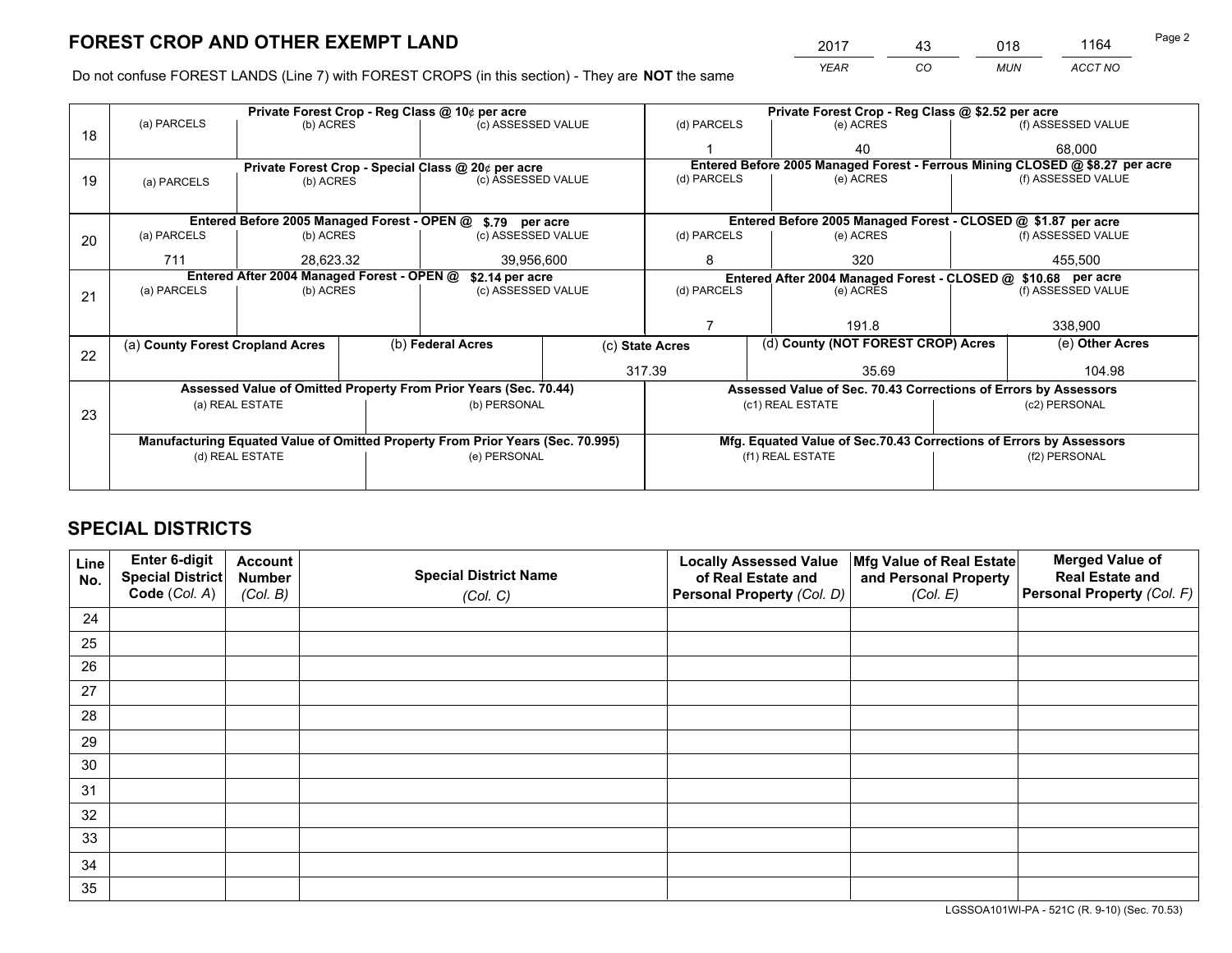*YEAR CO MUN ACCT NO* <sup>2017</sup> <sup>43</sup> <sup>018</sup> <sup>1164</sup>

Do not confuse FOREST LANDS (Line 7) with FOREST CROPS (in this section) - They are **NOT** the same

|    | Private Forest Crop - Reg Class @ 10¢ per acre                   |                                 |  |                                                                                |                                                                              | Private Forest Crop - Reg Class @ \$2.52 per acre               |  |                                                                    |                    |                    |
|----|------------------------------------------------------------------|---------------------------------|--|--------------------------------------------------------------------------------|------------------------------------------------------------------------------|-----------------------------------------------------------------|--|--------------------------------------------------------------------|--------------------|--------------------|
| 18 | (a) PARCELS<br>(b) ACRES                                         |                                 |  | (c) ASSESSED VALUE                                                             |                                                                              | (d) PARCELS                                                     |  | (e) ACRES                                                          |                    | (f) ASSESSED VALUE |
|    |                                                                  |                                 |  |                                                                                |                                                                              |                                                                 |  | 40                                                                 |                    | 68.000             |
|    | Private Forest Crop - Special Class @ 20¢ per acre               |                                 |  |                                                                                | Entered Before 2005 Managed Forest - Ferrous Mining CLOSED @ \$8.27 per acre |                                                                 |  |                                                                    |                    |                    |
| 19 | (a) PARCELS                                                      | (c) ASSESSED VALUE<br>(b) ACRES |  | (d) PARCELS                                                                    |                                                                              | (e) ACRES                                                       |  | (f) ASSESSED VALUE                                                 |                    |                    |
|    |                                                                  |                                 |  |                                                                                |                                                                              |                                                                 |  |                                                                    |                    |                    |
|    |                                                                  |                                 |  | Entered Before 2005 Managed Forest - OPEN @ \$.79 per acre                     |                                                                              |                                                                 |  | Entered Before 2005 Managed Forest - CLOSED @ \$1.87 per acre      |                    |                    |
| 20 | (a) PARCELS                                                      | (b) ACRES                       |  | (c) ASSESSED VALUE                                                             |                                                                              | (d) PARCELS                                                     |  | (e) ACRES                                                          |                    | (f) ASSESSED VALUE |
|    | 711                                                              | 28.623.32                       |  | 39,956,600                                                                     |                                                                              | 8<br>320                                                        |  |                                                                    | 455.500            |                    |
|    | Entered After 2004 Managed Forest - OPEN @<br>\$2.14 per acre    |                                 |  |                                                                                |                                                                              | Entered After 2004 Managed Forest - CLOSED @ \$10.68 per acre   |  |                                                                    |                    |                    |
| 21 | (a) PARCELS                                                      | (b) ACRES                       |  | (c) ASSESSED VALUE                                                             |                                                                              | (d) PARCELS<br>(e) ACRES                                        |  |                                                                    | (f) ASSESSED VALUE |                    |
|    |                                                                  |                                 |  |                                                                                |                                                                              |                                                                 |  |                                                                    |                    |                    |
|    |                                                                  |                                 |  |                                                                                |                                                                              |                                                                 |  | 191.8                                                              |                    | 338,900            |
| 22 | (a) County Forest Cropland Acres                                 |                                 |  | (b) Federal Acres                                                              | (c) State Acres                                                              |                                                                 |  | (d) County (NOT FOREST CROP) Acres                                 |                    | (e) Other Acres    |
|    |                                                                  |                                 |  |                                                                                | 317.39                                                                       |                                                                 |  | 35.69                                                              |                    | 104.98             |
|    | Assessed Value of Omitted Property From Prior Years (Sec. 70.44) |                                 |  |                                                                                |                                                                              | Assessed Value of Sec. 70.43 Corrections of Errors by Assessors |  |                                                                    |                    |                    |
| 23 | (a) REAL ESTATE                                                  |                                 |  | (b) PERSONAL                                                                   |                                                                              | (c1) REAL ESTATE                                                |  |                                                                    | (c2) PERSONAL      |                    |
|    |                                                                  |                                 |  |                                                                                |                                                                              |                                                                 |  |                                                                    |                    |                    |
|    |                                                                  |                                 |  | Manufacturing Equated Value of Omitted Property From Prior Years (Sec. 70.995) |                                                                              |                                                                 |  | Mfg. Equated Value of Sec.70.43 Corrections of Errors by Assessors |                    |                    |
|    |                                                                  | (d) REAL ESTATE                 |  | (e) PERSONAL                                                                   |                                                                              | (f1) REAL ESTATE                                                |  |                                                                    | (f2) PERSONAL      |                    |
|    |                                                                  |                                 |  |                                                                                |                                                                              |                                                                 |  |                                                                    |                    |                    |

## **SPECIAL DISTRICTS**

| Line<br>No. | Enter 6-digit<br><b>Special District</b> | <b>Account</b><br><b>Number</b> | <b>Special District Name</b> | <b>Locally Assessed Value</b><br>of Real Estate and | Mfg Value of Real Estate<br>and Personal Property | <b>Merged Value of</b><br><b>Real Estate and</b> |
|-------------|------------------------------------------|---------------------------------|------------------------------|-----------------------------------------------------|---------------------------------------------------|--------------------------------------------------|
|             | Code (Col. A)                            | (Col. B)                        | (Col. C)                     | Personal Property (Col. D)                          | (Col. E)                                          | Personal Property (Col. F)                       |
| 24          |                                          |                                 |                              |                                                     |                                                   |                                                  |
| 25          |                                          |                                 |                              |                                                     |                                                   |                                                  |
| 26          |                                          |                                 |                              |                                                     |                                                   |                                                  |
| 27          |                                          |                                 |                              |                                                     |                                                   |                                                  |
| 28          |                                          |                                 |                              |                                                     |                                                   |                                                  |
| 29          |                                          |                                 |                              |                                                     |                                                   |                                                  |
| 30          |                                          |                                 |                              |                                                     |                                                   |                                                  |
| 31          |                                          |                                 |                              |                                                     |                                                   |                                                  |
| 32          |                                          |                                 |                              |                                                     |                                                   |                                                  |
| 33          |                                          |                                 |                              |                                                     |                                                   |                                                  |
| 34          |                                          |                                 |                              |                                                     |                                                   |                                                  |
| 35          |                                          |                                 |                              |                                                     |                                                   |                                                  |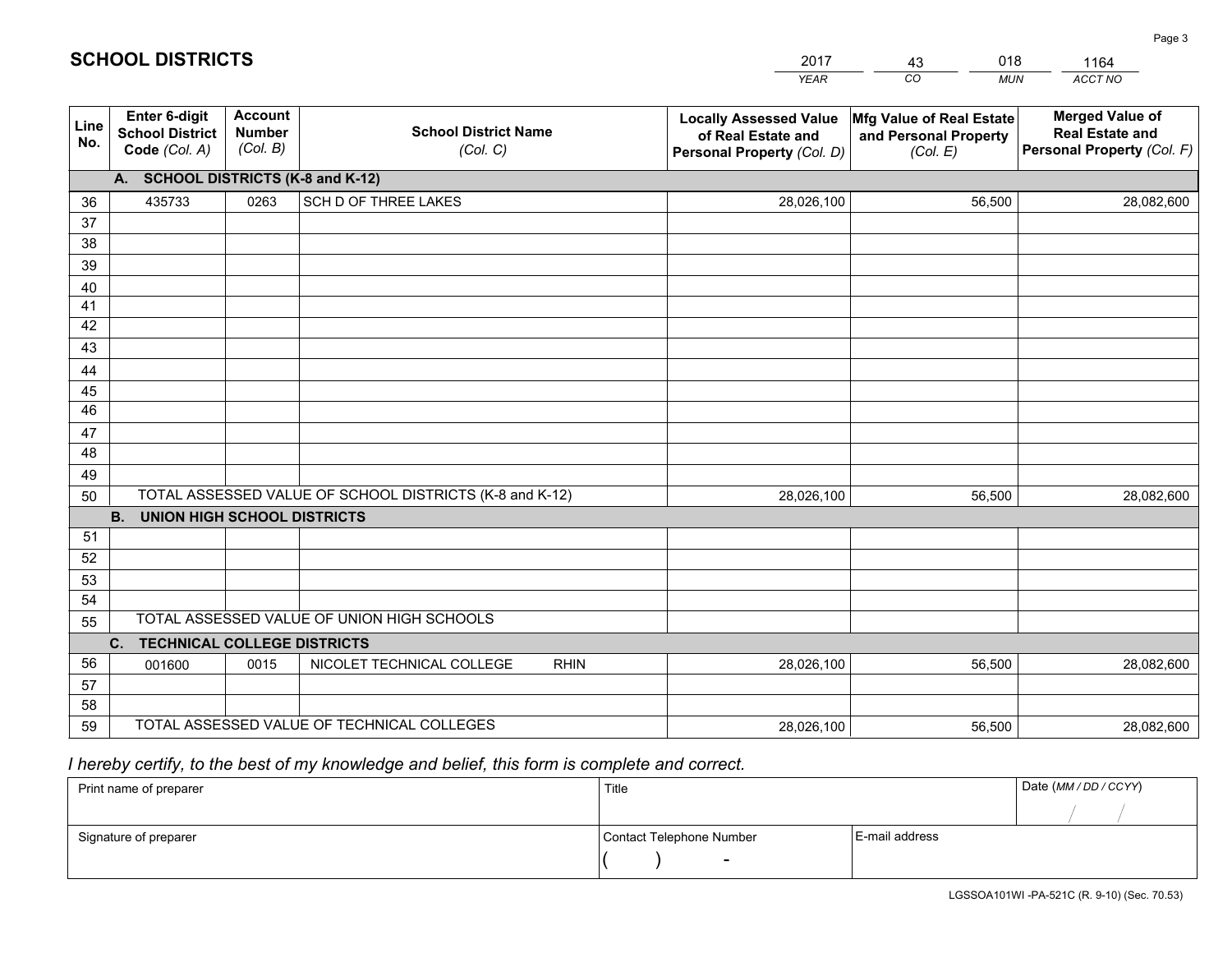|             |                                                                 |                                             |                                                         | <b>YEAR</b>                                                                       | CO<br><b>MUN</b>                                              | ACCT NO                                                                        |  |  |
|-------------|-----------------------------------------------------------------|---------------------------------------------|---------------------------------------------------------|-----------------------------------------------------------------------------------|---------------------------------------------------------------|--------------------------------------------------------------------------------|--|--|
| Line<br>No. | <b>Enter 6-digit</b><br><b>School District</b><br>Code (Col. A) | <b>Account</b><br><b>Number</b><br>(Col. B) | <b>School District Name</b><br>(Col. C)                 | <b>Locally Assessed Value</b><br>of Real Estate and<br>Personal Property (Col. D) | Mfg Value of Real Estate<br>and Personal Property<br>(Col. E) | <b>Merged Value of</b><br><b>Real Estate and</b><br>Personal Property (Col. F) |  |  |
|             | A. SCHOOL DISTRICTS (K-8 and K-12)                              |                                             |                                                         |                                                                                   |                                                               |                                                                                |  |  |
| 36          | 435733                                                          | 0263                                        | SCH D OF THREE LAKES                                    | 28,026,100                                                                        | 56,500                                                        | 28,082,600                                                                     |  |  |
| 37          |                                                                 |                                             |                                                         |                                                                                   |                                                               |                                                                                |  |  |
| 38          |                                                                 |                                             |                                                         |                                                                                   |                                                               |                                                                                |  |  |
| 39          |                                                                 |                                             |                                                         |                                                                                   |                                                               |                                                                                |  |  |
| 40          |                                                                 |                                             |                                                         |                                                                                   |                                                               |                                                                                |  |  |
| 41<br>42    |                                                                 |                                             |                                                         |                                                                                   |                                                               |                                                                                |  |  |
| 43          |                                                                 |                                             |                                                         |                                                                                   |                                                               |                                                                                |  |  |
| 44          |                                                                 |                                             |                                                         |                                                                                   |                                                               |                                                                                |  |  |
| 45          |                                                                 |                                             |                                                         |                                                                                   |                                                               |                                                                                |  |  |
| 46          |                                                                 |                                             |                                                         |                                                                                   |                                                               |                                                                                |  |  |
| 47          |                                                                 |                                             |                                                         |                                                                                   |                                                               |                                                                                |  |  |
| 48          |                                                                 |                                             |                                                         |                                                                                   |                                                               |                                                                                |  |  |
| 49          |                                                                 |                                             |                                                         |                                                                                   |                                                               |                                                                                |  |  |
| 50          |                                                                 |                                             | TOTAL ASSESSED VALUE OF SCHOOL DISTRICTS (K-8 and K-12) | 28,026,100                                                                        | 56,500                                                        | 28,082,600                                                                     |  |  |
|             | <b>B. UNION HIGH SCHOOL DISTRICTS</b>                           |                                             |                                                         |                                                                                   |                                                               |                                                                                |  |  |
| 51          |                                                                 |                                             |                                                         |                                                                                   |                                                               |                                                                                |  |  |
| 52          |                                                                 |                                             |                                                         |                                                                                   |                                                               |                                                                                |  |  |
| 53<br>54    |                                                                 |                                             |                                                         |                                                                                   |                                                               |                                                                                |  |  |
| 55          |                                                                 |                                             | TOTAL ASSESSED VALUE OF UNION HIGH SCHOOLS              |                                                                                   |                                                               |                                                                                |  |  |
|             | C.<br><b>TECHNICAL COLLEGE DISTRICTS</b>                        |                                             |                                                         |                                                                                   |                                                               |                                                                                |  |  |
| 56          | 001600                                                          | 0015                                        | NICOLET TECHNICAL COLLEGE<br><b>RHIN</b>                | 28,026,100                                                                        | 56,500                                                        | 28,082,600                                                                     |  |  |
| 57          |                                                                 |                                             |                                                         |                                                                                   |                                                               |                                                                                |  |  |
| 58          |                                                                 |                                             |                                                         |                                                                                   |                                                               |                                                                                |  |  |
| 59          |                                                                 |                                             | TOTAL ASSESSED VALUE OF TECHNICAL COLLEGES              | 28,026,100                                                                        | 56,500                                                        | 28,082,600                                                                     |  |  |

43

018

 *I hereby certify, to the best of my knowledge and belief, this form is complete and correct.*

**SCHOOL DISTRICTS**

| Print name of preparer | Title                    | Date (MM / DD / CCYY) |  |
|------------------------|--------------------------|-----------------------|--|
|                        |                          |                       |  |
| Signature of preparer  | Contact Telephone Number | E-mail address        |  |
|                        | $\overline{\phantom{a}}$ |                       |  |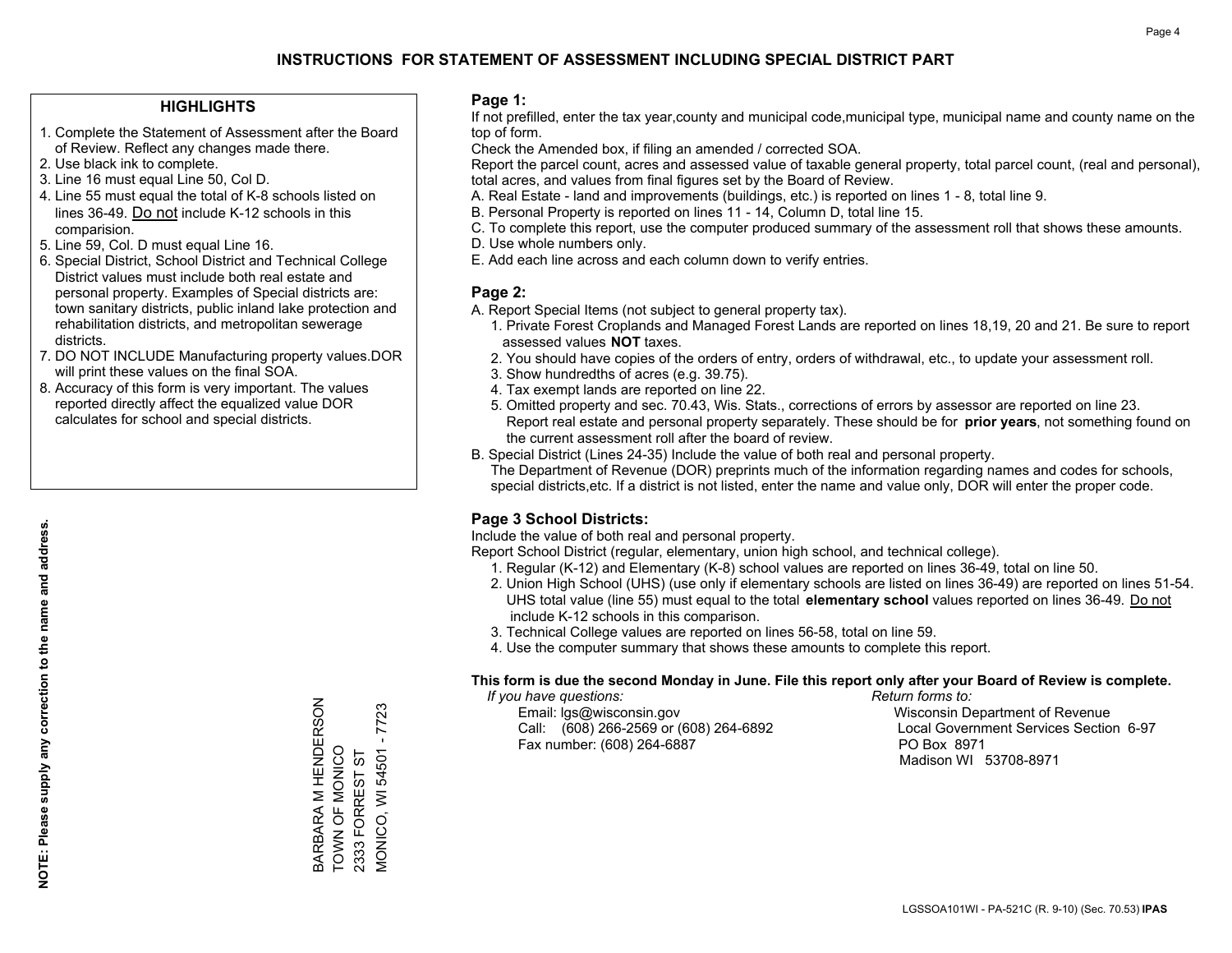#### **HIGHLIGHTS**

- 1. Complete the Statement of Assessment after the Board of Review. Reflect any changes made there.
- 2. Use black ink to complete.
- 3. Line 16 must equal Line 50, Col D.
- 4. Line 55 must equal the total of K-8 schools listed on lines 36-49. Do not include K-12 schools in this comparision.
- 5. Line 59, Col. D must equal Line 16.
- 6. Special District, School District and Technical College District values must include both real estate and personal property. Examples of Special districts are: town sanitary districts, public inland lake protection and rehabilitation districts, and metropolitan sewerage districts.
- 7. DO NOT INCLUDE Manufacturing property values.DOR will print these values on the final SOA.

BARBARA M HENDERSON TOWN OF MONICO 2333 FORREST ST

BARBARA M HENDERSON<br>TOWN OF MONICO

MONICO, WI 54501 - 7723

VIONICO, WI 54501 2333 FORREST ST

 $-7723$ 

 8. Accuracy of this form is very important. The values reported directly affect the equalized value DOR calculates for school and special districts.

#### **Page 1:**

 If not prefilled, enter the tax year,county and municipal code,municipal type, municipal name and county name on the top of form.

Check the Amended box, if filing an amended / corrected SOA.

 Report the parcel count, acres and assessed value of taxable general property, total parcel count, (real and personal), total acres, and values from final figures set by the Board of Review.

- A. Real Estate land and improvements (buildings, etc.) is reported on lines 1 8, total line 9.
- B. Personal Property is reported on lines 11 14, Column D, total line 15.
- C. To complete this report, use the computer produced summary of the assessment roll that shows these amounts.
- D. Use whole numbers only.
- E. Add each line across and each column down to verify entries.

#### **Page 2:**

- A. Report Special Items (not subject to general property tax).
- 1. Private Forest Croplands and Managed Forest Lands are reported on lines 18,19, 20 and 21. Be sure to report assessed values **NOT** taxes.
- 2. You should have copies of the orders of entry, orders of withdrawal, etc., to update your assessment roll.
	- 3. Show hundredths of acres (e.g. 39.75).
- 4. Tax exempt lands are reported on line 22.
- 5. Omitted property and sec. 70.43, Wis. Stats., corrections of errors by assessor are reported on line 23. Report real estate and personal property separately. These should be for **prior years**, not something found on the current assessment roll after the board of review.
- B. Special District (Lines 24-35) Include the value of both real and personal property.

 The Department of Revenue (DOR) preprints much of the information regarding names and codes for schools, special districts,etc. If a district is not listed, enter the name and value only, DOR will enter the proper code.

### **Page 3 School Districts:**

Include the value of both real and personal property.

Report School District (regular, elementary, union high school, and technical college).

- 1. Regular (K-12) and Elementary (K-8) school values are reported on lines 36-49, total on line 50.
- 2. Union High School (UHS) (use only if elementary schools are listed on lines 36-49) are reported on lines 51-54. UHS total value (line 55) must equal to the total **elementary school** values reported on lines 36-49. Do notinclude K-12 schools in this comparison.
- 3. Technical College values are reported on lines 56-58, total on line 59.
- 4. Use the computer summary that shows these amounts to complete this report.

#### **This form is due the second Monday in June. File this report only after your Board of Review is complete.**

 *If you have questions: Return forms to:*

 Email: lgs@wisconsin.gov Wisconsin Department of RevenueCall:  $(608)$  266-2569 or  $(608)$  264-6892 Fax number: (608) 264-6887 PO Box 8971

Local Government Services Section 6-97 Madison WI 53708-8971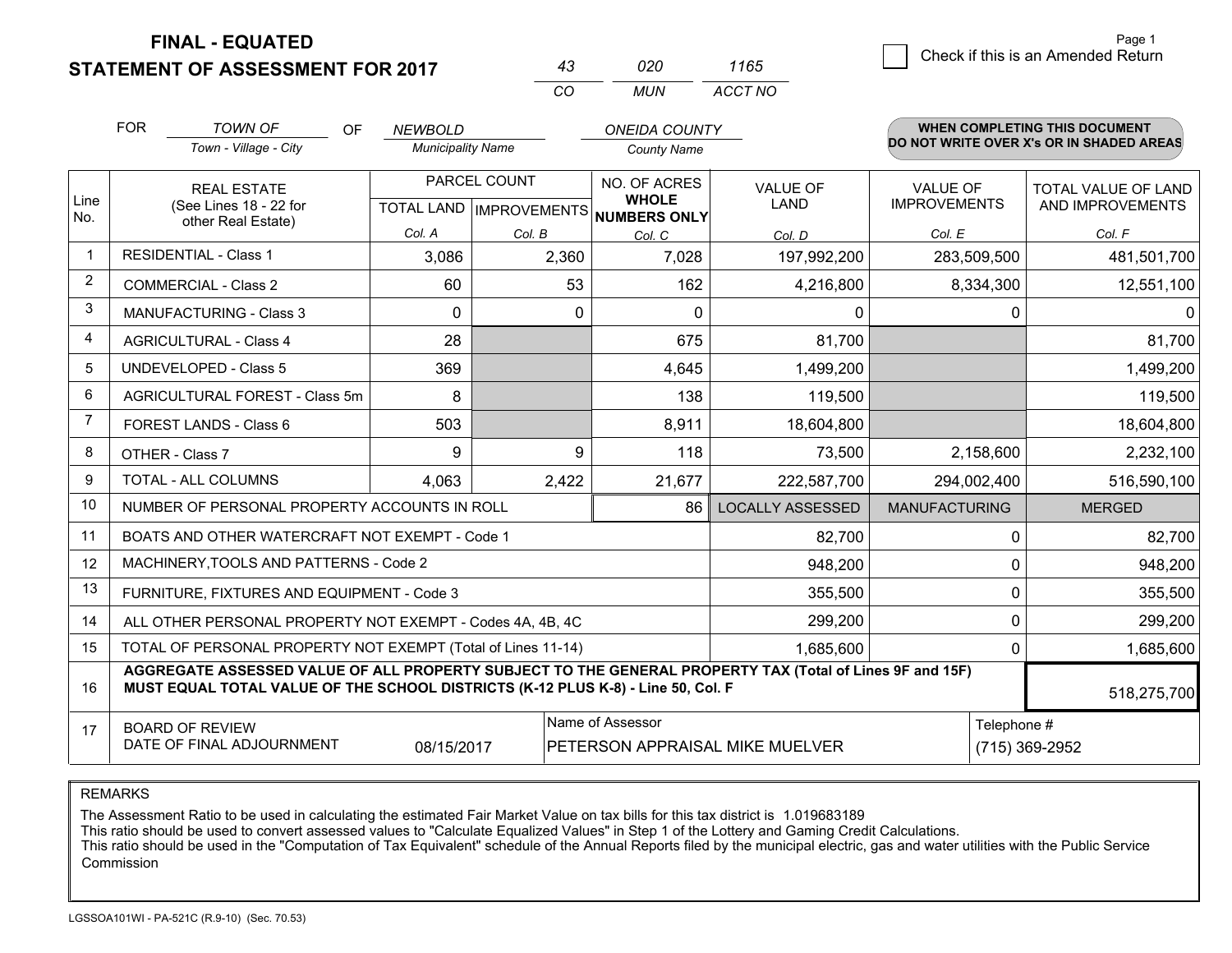## **STATEMENT OF ASSESSMENT FOR 2017**

| 43 | 020 | 1165    |
|----|-----|---------|
| cо | MUN | ACCT NO |

|             | <b>FOR</b><br><b>TOWN OF</b><br><b>OF</b><br>Town - Village - City                                                                                                                                          |                                                              | <b>NEWBOLD</b>           |                           | <b>ONEIDA COUNTY</b>                |                         |                      | <b>WHEN COMPLETING THIS DOCUMENT</b><br>DO NOT WRITE OVER X's OR IN SHADED AREAS |  |
|-------------|-------------------------------------------------------------------------------------------------------------------------------------------------------------------------------------------------------------|--------------------------------------------------------------|--------------------------|---------------------------|-------------------------------------|-------------------------|----------------------|----------------------------------------------------------------------------------|--|
|             |                                                                                                                                                                                                             |                                                              | <b>Municipality Name</b> |                           | <b>County Name</b>                  |                         |                      |                                                                                  |  |
|             | <b>REAL ESTATE</b>                                                                                                                                                                                          |                                                              | PARCEL COUNT             |                           | <b>NO. OF ACRES</b>                 | <b>VALUE OF</b>         | <b>VALUE OF</b>      | <b>TOTAL VALUE OF LAND</b>                                                       |  |
| Line<br>No. |                                                                                                                                                                                                             | (See Lines 18 - 22 for<br>other Real Estate)                 |                          | TOTAL LAND   IMPROVEMENTS | <b>WHOLE</b><br><b>NUMBERS ONLY</b> | <b>LAND</b>             | <b>IMPROVEMENTS</b>  | AND IMPROVEMENTS                                                                 |  |
|             |                                                                                                                                                                                                             |                                                              | Col. A                   | Col. B                    | Col. C                              | Col. D                  | Col. E               | Col. F                                                                           |  |
|             | <b>RESIDENTIAL - Class 1</b>                                                                                                                                                                                |                                                              | 3,086                    | 2,360                     | 7,028                               | 197,992,200             | 283,509,500          | 481,501,700                                                                      |  |
| 2           | <b>COMMERCIAL - Class 2</b>                                                                                                                                                                                 |                                                              | 60                       | 53                        | 162                                 | 4,216,800               | 8,334,300            | 12,551,100                                                                       |  |
| 3           |                                                                                                                                                                                                             | <b>MANUFACTURING - Class 3</b>                               | 0                        | 0                         | $\Omega$                            | 0                       | 0                    | $\Omega$                                                                         |  |
| 4           |                                                                                                                                                                                                             | <b>AGRICULTURAL - Class 4</b>                                | 28                       |                           | 675                                 | 81,700                  |                      | 81,700                                                                           |  |
| 5           | <b>UNDEVELOPED - Class 5</b>                                                                                                                                                                                |                                                              | 369                      |                           | 4,645                               | 1,499,200               |                      | 1,499,200                                                                        |  |
| 6           |                                                                                                                                                                                                             | AGRICULTURAL FOREST - Class 5m                               | 8                        |                           | 138                                 | 119,500                 |                      | 119,500                                                                          |  |
| 7           | FOREST LANDS - Class 6                                                                                                                                                                                      |                                                              | 503                      |                           | 8,911                               | 18,604,800              |                      | 18,604,800                                                                       |  |
| 8           | OTHER - Class 7                                                                                                                                                                                             |                                                              | 9                        | 9                         | 118                                 | 73,500                  | 2,158,600            | 2,232,100                                                                        |  |
| 9           | TOTAL - ALL COLUMNS                                                                                                                                                                                         |                                                              | 4,063                    | 2,422                     | 21,677                              | 222,587,700             | 294,002,400          | 516,590,100                                                                      |  |
| 10          |                                                                                                                                                                                                             | NUMBER OF PERSONAL PROPERTY ACCOUNTS IN ROLL                 |                          |                           | 86                                  | <b>LOCALLY ASSESSED</b> | <b>MANUFACTURING</b> | <b>MERGED</b>                                                                    |  |
| 11          |                                                                                                                                                                                                             | BOATS AND OTHER WATERCRAFT NOT EXEMPT - Code 1               |                          |                           |                                     | 82,700                  | $\mathbf 0$          | 82,700                                                                           |  |
| 12          |                                                                                                                                                                                                             | MACHINERY, TOOLS AND PATTERNS - Code 2                       |                          |                           |                                     | 948,200                 | $\Omega$             | 948,200                                                                          |  |
| 13          |                                                                                                                                                                                                             | FURNITURE, FIXTURES AND EQUIPMENT - Code 3                   |                          |                           |                                     | 355,500                 | $\Omega$             | 355,500                                                                          |  |
| 14          |                                                                                                                                                                                                             | ALL OTHER PERSONAL PROPERTY NOT EXEMPT - Codes 4A, 4B, 4C    |                          |                           |                                     | 299,200                 |                      | 0<br>299,200                                                                     |  |
| 15          |                                                                                                                                                                                                             | TOTAL OF PERSONAL PROPERTY NOT EXEMPT (Total of Lines 11-14) |                          |                           |                                     | 1,685,600               |                      | 0<br>1,685,600                                                                   |  |
| 16          | AGGREGATE ASSESSED VALUE OF ALL PROPERTY SUBJECT TO THE GENERAL PROPERTY TAX (Total of Lines 9F and 15F)<br>MUST EQUAL TOTAL VALUE OF THE SCHOOL DISTRICTS (K-12 PLUS K-8) - Line 50, Col. F<br>518,275,700 |                                                              |                          |                           |                                     |                         |                      |                                                                                  |  |
| 17          | Name of Assessor<br><b>BOARD OF REVIEW</b><br>DATE OF FINAL ADJOURNMENT<br>08/15/2017<br>PETERSON APPRAISAL MIKE MUELVER                                                                                    |                                                              |                          |                           |                                     |                         |                      | Telephone #<br>(715) 369-2952                                                    |  |

REMARKS

The Assessment Ratio to be used in calculating the estimated Fair Market Value on tax bills for this tax district is 1.019683189<br>This ratio should be used to convert assessed values to "Calculate Equalized Values" in Step Commission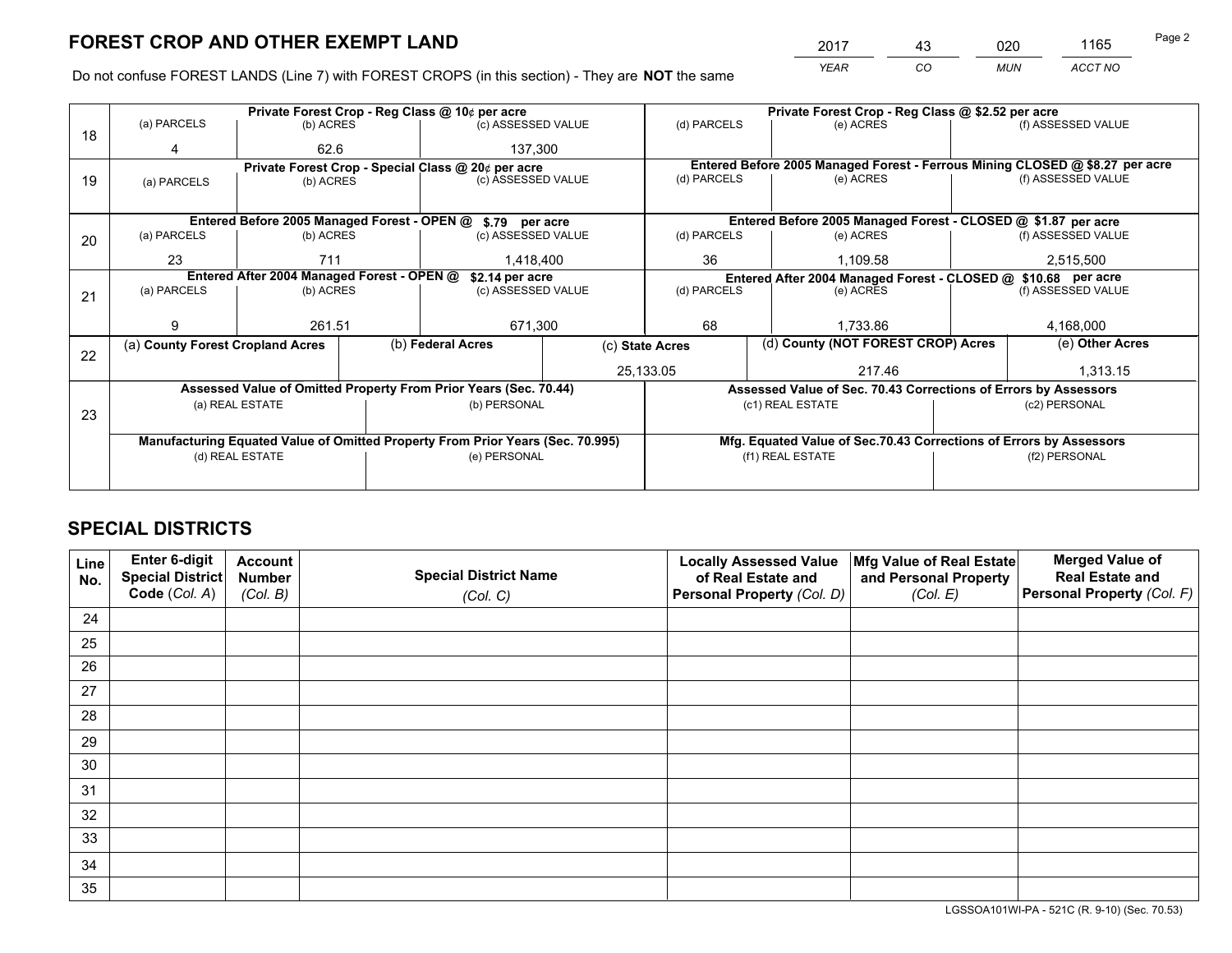*YEAR CO MUN ACCT NO* <sup>2017</sup> <sup>43</sup> <sup>020</sup> <sup>1165</sup> Page 2

Do not confuse FOREST LANDS (Line 7) with FOREST CROPS (in this section) - They are **NOT** the same

|    |                                                               |                 |  | Private Forest Crop - Reg Class @ 10¢ per acre                                 |                 | Private Forest Crop - Reg Class @ \$2.52 per acre |                                                                    |  |                                                                              |  |
|----|---------------------------------------------------------------|-----------------|--|--------------------------------------------------------------------------------|-----------------|---------------------------------------------------|--------------------------------------------------------------------|--|------------------------------------------------------------------------------|--|
| 18 | (a) PARCELS                                                   | (b) ACRES       |  | (c) ASSESSED VALUE                                                             |                 | (d) PARCELS                                       | (e) ACRES                                                          |  | (f) ASSESSED VALUE                                                           |  |
|    | 4                                                             | 62.6            |  | 137,300                                                                        |                 |                                                   |                                                                    |  |                                                                              |  |
|    |                                                               |                 |  | Private Forest Crop - Special Class @ 20¢ per acre                             |                 |                                                   |                                                                    |  | Entered Before 2005 Managed Forest - Ferrous Mining CLOSED @ \$8.27 per acre |  |
| 19 | (a) PARCELS                                                   | (b) ACRES       |  | (c) ASSESSED VALUE                                                             |                 | (d) PARCELS                                       | (e) ACRES                                                          |  | (f) ASSESSED VALUE                                                           |  |
|    |                                                               |                 |  |                                                                                |                 |                                                   |                                                                    |  |                                                                              |  |
|    |                                                               |                 |  | Entered Before 2005 Managed Forest - OPEN @ \$.79 per acre                     |                 |                                                   | Entered Before 2005 Managed Forest - CLOSED @ \$1.87 per acre      |  |                                                                              |  |
| 20 | (a) PARCELS                                                   | (b) ACRES       |  | (c) ASSESSED VALUE                                                             |                 | (d) PARCELS                                       | (e) ACRES                                                          |  | (f) ASSESSED VALUE                                                           |  |
|    | 23                                                            | 711             |  | 1,418,400                                                                      |                 | 36                                                | 1.109.58                                                           |  | 2,515,500                                                                    |  |
|    | Entered After 2004 Managed Forest - OPEN @<br>\$2.14 per acre |                 |  |                                                                                |                 |                                                   | Entered After 2004 Managed Forest - CLOSED @ \$10.68 per acre      |  |                                                                              |  |
| 21 | (a) PARCELS                                                   | (b) ACRES       |  | (c) ASSESSED VALUE                                                             | (d) PARCELS     |                                                   | (e) ACRES                                                          |  | (f) ASSESSED VALUE                                                           |  |
|    |                                                               |                 |  |                                                                                |                 |                                                   |                                                                    |  |                                                                              |  |
|    | 9                                                             | 261.51          |  | 671,300                                                                        |                 | 68                                                | 1.733.86                                                           |  | 4,168,000                                                                    |  |
| 22 | (a) County Forest Cropland Acres                              |                 |  | (b) Federal Acres                                                              | (c) State Acres |                                                   | (d) County (NOT FOREST CROP) Acres                                 |  | (e) Other Acres                                                              |  |
|    |                                                               |                 |  |                                                                                |                 | 25,133.05                                         | 217.46                                                             |  | 1,313.15                                                                     |  |
|    |                                                               |                 |  | Assessed Value of Omitted Property From Prior Years (Sec. 70.44)               |                 |                                                   | Assessed Value of Sec. 70.43 Corrections of Errors by Assessors    |  |                                                                              |  |
|    |                                                               | (a) REAL ESTATE |  | (b) PERSONAL                                                                   |                 |                                                   | (c1) REAL ESTATE                                                   |  | (c2) PERSONAL                                                                |  |
| 23 |                                                               |                 |  |                                                                                |                 |                                                   |                                                                    |  |                                                                              |  |
|    |                                                               |                 |  | Manufacturing Equated Value of Omitted Property From Prior Years (Sec. 70.995) |                 |                                                   | Mfg. Equated Value of Sec.70.43 Corrections of Errors by Assessors |  |                                                                              |  |
|    |                                                               | (d) REAL ESTATE |  | (e) PERSONAL                                                                   |                 | (f1) REAL ESTATE                                  |                                                                    |  | (f2) PERSONAL                                                                |  |
|    |                                                               |                 |  |                                                                                |                 |                                                   |                                                                    |  |                                                                              |  |

## **SPECIAL DISTRICTS**

| Line<br>No. | Enter 6-digit<br>Special District | <b>Account</b><br><b>Number</b> | <b>Special District Name</b> | <b>Locally Assessed Value</b><br>of Real Estate and | Mfg Value of Real Estate<br>and Personal Property | <b>Merged Value of</b><br><b>Real Estate and</b> |
|-------------|-----------------------------------|---------------------------------|------------------------------|-----------------------------------------------------|---------------------------------------------------|--------------------------------------------------|
|             | Code (Col. A)                     | (Col. B)                        | (Col. C)                     | Personal Property (Col. D)                          | (Col. E)                                          | Personal Property (Col. F)                       |
| 24          |                                   |                                 |                              |                                                     |                                                   |                                                  |
| 25          |                                   |                                 |                              |                                                     |                                                   |                                                  |
| 26          |                                   |                                 |                              |                                                     |                                                   |                                                  |
| 27          |                                   |                                 |                              |                                                     |                                                   |                                                  |
| 28          |                                   |                                 |                              |                                                     |                                                   |                                                  |
| 29          |                                   |                                 |                              |                                                     |                                                   |                                                  |
| 30          |                                   |                                 |                              |                                                     |                                                   |                                                  |
| 31          |                                   |                                 |                              |                                                     |                                                   |                                                  |
| 32          |                                   |                                 |                              |                                                     |                                                   |                                                  |
| 33          |                                   |                                 |                              |                                                     |                                                   |                                                  |
| 34          |                                   |                                 |                              |                                                     |                                                   |                                                  |
| 35          |                                   |                                 |                              |                                                     |                                                   |                                                  |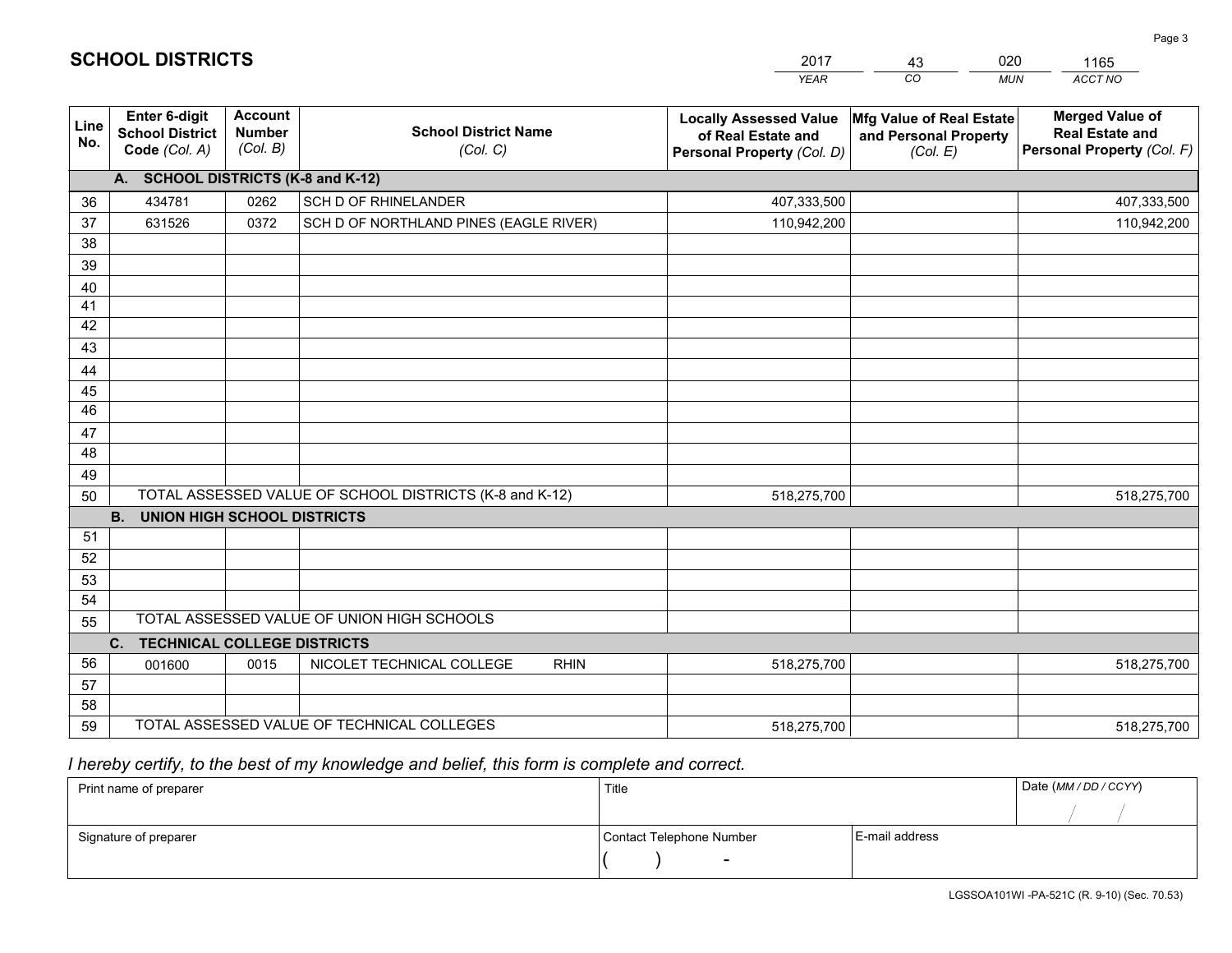|             |                                                          |                                             |                                                         | <b>YEAR</b>                                                                       | CO<br><b>MUN</b>                                              | ACCT NO                                                                        |  |  |  |  |  |
|-------------|----------------------------------------------------------|---------------------------------------------|---------------------------------------------------------|-----------------------------------------------------------------------------------|---------------------------------------------------------------|--------------------------------------------------------------------------------|--|--|--|--|--|
| Line<br>No. | Enter 6-digit<br><b>School District</b><br>Code (Col. A) | <b>Account</b><br><b>Number</b><br>(Col. B) | <b>School District Name</b><br>(Col. C)                 | <b>Locally Assessed Value</b><br>of Real Estate and<br>Personal Property (Col. D) | Mfg Value of Real Estate<br>and Personal Property<br>(Col. E) | <b>Merged Value of</b><br><b>Real Estate and</b><br>Personal Property (Col. F) |  |  |  |  |  |
|             | A. SCHOOL DISTRICTS (K-8 and K-12)                       |                                             |                                                         |                                                                                   |                                                               |                                                                                |  |  |  |  |  |
| 36          | 434781                                                   | 0262                                        | <b>SCH D OF RHINELANDER</b>                             | 407,333,500                                                                       |                                                               | 407,333,500                                                                    |  |  |  |  |  |
| 37          | 631526                                                   | 0372                                        | SCH D OF NORTHLAND PINES (EAGLE RIVER)                  | 110,942,200                                                                       |                                                               | 110,942,200                                                                    |  |  |  |  |  |
| 38          |                                                          |                                             |                                                         |                                                                                   |                                                               |                                                                                |  |  |  |  |  |
| 39          |                                                          |                                             |                                                         |                                                                                   |                                                               |                                                                                |  |  |  |  |  |
| 40          |                                                          |                                             |                                                         |                                                                                   |                                                               |                                                                                |  |  |  |  |  |
| 41          |                                                          |                                             |                                                         |                                                                                   |                                                               |                                                                                |  |  |  |  |  |
| 42          |                                                          |                                             |                                                         |                                                                                   |                                                               |                                                                                |  |  |  |  |  |
| 43          |                                                          |                                             |                                                         |                                                                                   |                                                               |                                                                                |  |  |  |  |  |
| 44<br>45    |                                                          |                                             |                                                         |                                                                                   |                                                               |                                                                                |  |  |  |  |  |
| 46          |                                                          |                                             |                                                         |                                                                                   |                                                               |                                                                                |  |  |  |  |  |
| 47          |                                                          |                                             |                                                         |                                                                                   |                                                               |                                                                                |  |  |  |  |  |
| 48          |                                                          |                                             |                                                         |                                                                                   |                                                               |                                                                                |  |  |  |  |  |
| 49          |                                                          |                                             |                                                         |                                                                                   |                                                               |                                                                                |  |  |  |  |  |
| 50          |                                                          |                                             | TOTAL ASSESSED VALUE OF SCHOOL DISTRICTS (K-8 and K-12) | 518,275,700                                                                       |                                                               | 518,275,700                                                                    |  |  |  |  |  |
|             | <b>B.</b><br><b>UNION HIGH SCHOOL DISTRICTS</b>          |                                             |                                                         |                                                                                   |                                                               |                                                                                |  |  |  |  |  |
| 51          |                                                          |                                             |                                                         |                                                                                   |                                                               |                                                                                |  |  |  |  |  |
| 52          |                                                          |                                             |                                                         |                                                                                   |                                                               |                                                                                |  |  |  |  |  |
| 53          |                                                          |                                             |                                                         |                                                                                   |                                                               |                                                                                |  |  |  |  |  |
| 54          |                                                          |                                             |                                                         |                                                                                   |                                                               |                                                                                |  |  |  |  |  |
| 55          |                                                          |                                             | TOTAL ASSESSED VALUE OF UNION HIGH SCHOOLS              |                                                                                   |                                                               |                                                                                |  |  |  |  |  |
|             | C.<br><b>TECHNICAL COLLEGE DISTRICTS</b>                 |                                             |                                                         |                                                                                   |                                                               |                                                                                |  |  |  |  |  |
| 56          | 001600                                                   | 0015                                        | NICOLET TECHNICAL COLLEGE<br><b>RHIN</b>                | 518,275,700                                                                       |                                                               | 518,275,700                                                                    |  |  |  |  |  |
| 57          |                                                          |                                             |                                                         |                                                                                   |                                                               |                                                                                |  |  |  |  |  |
| 58          |                                                          |                                             |                                                         |                                                                                   |                                                               |                                                                                |  |  |  |  |  |
| 59          |                                                          |                                             | TOTAL ASSESSED VALUE OF TECHNICAL COLLEGES              | 518,275,700                                                                       |                                                               | 518,275,700                                                                    |  |  |  |  |  |

 *I hereby certify, to the best of my knowledge and belief, this form is complete and correct.*

| Print name of preparer | Title                    |                | Date (MM/DD/CCYY) |
|------------------------|--------------------------|----------------|-------------------|
|                        |                          |                |                   |
| Signature of preparer  | Contact Telephone Number | E-mail address |                   |
|                        | $\overline{\phantom{0}}$ |                |                   |

| <b>SCHOOL DISTRICTS</b> |  |  |  |  |  |  |  |
|-------------------------|--|--|--|--|--|--|--|
|-------------------------|--|--|--|--|--|--|--|

201743020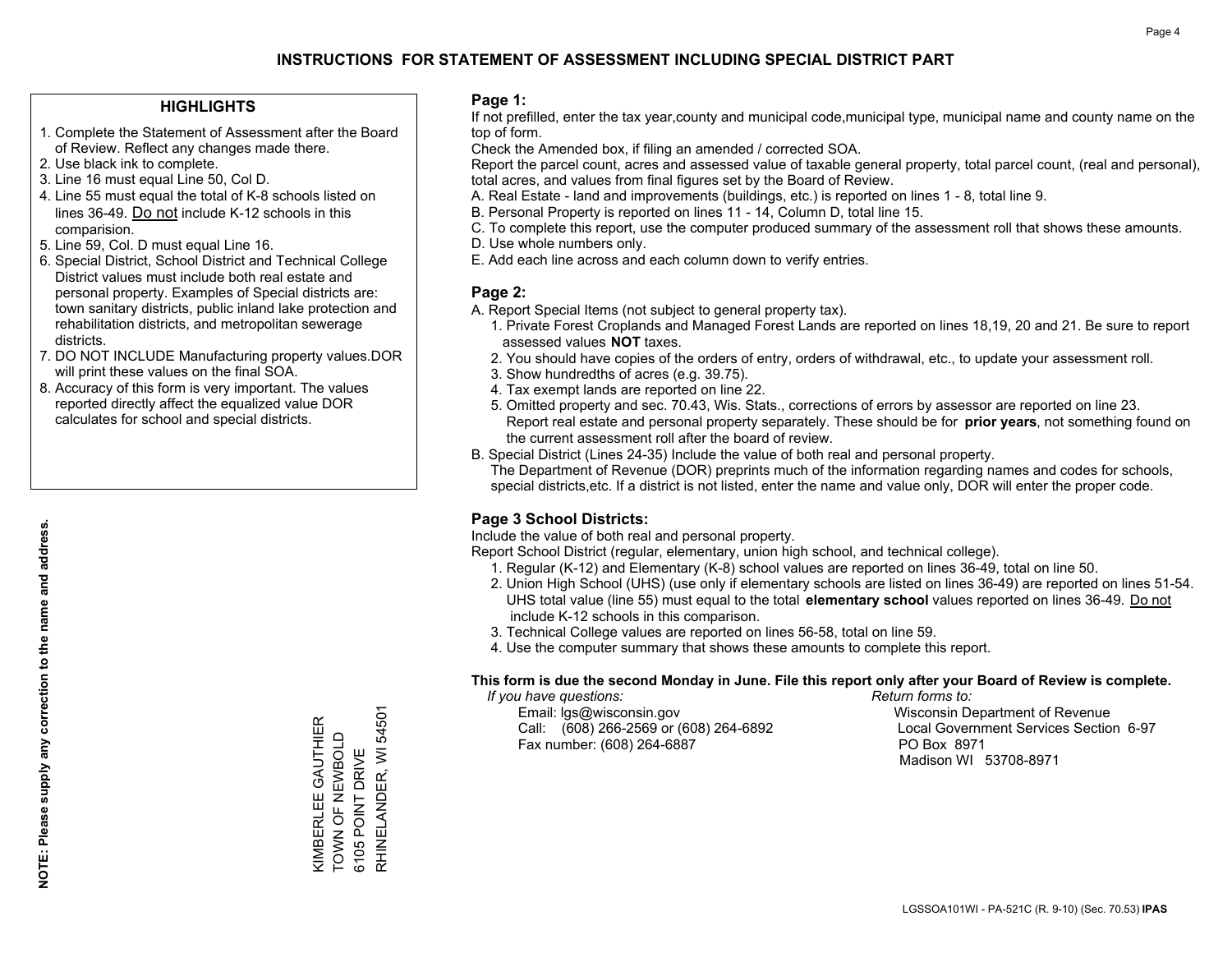### **HIGHLIGHTS**

- 1. Complete the Statement of Assessment after the Board of Review. Reflect any changes made there.
- 2. Use black ink to complete.
- 3. Line 16 must equal Line 50, Col D.
- 4. Line 55 must equal the total of K-8 schools listed on lines 36-49. Do not include K-12 schools in this comparision.
- 5. Line 59, Col. D must equal Line 16.
- 6. Special District, School District and Technical College District values must include both real estate and personal property. Examples of Special districts are: town sanitary districts, public inland lake protection and rehabilitation districts, and metropolitan sewerage districts.
- 7. DO NOT INCLUDE Manufacturing property values.DOR will print these values on the final SOA.
- 8. Accuracy of this form is very important. The values reported directly affect the equalized value DOR calculates for school and special districts.

#### **Page 1:**

 If not prefilled, enter the tax year,county and municipal code,municipal type, municipal name and county name on the top of form.

Check the Amended box, if filing an amended / corrected SOA.

 Report the parcel count, acres and assessed value of taxable general property, total parcel count, (real and personal), total acres, and values from final figures set by the Board of Review.

- A. Real Estate land and improvements (buildings, etc.) is reported on lines 1 8, total line 9.
- B. Personal Property is reported on lines 11 14, Column D, total line 15.
- C. To complete this report, use the computer produced summary of the assessment roll that shows these amounts.
- D. Use whole numbers only.
- E. Add each line across and each column down to verify entries.

### **Page 2:**

- A. Report Special Items (not subject to general property tax).
- 1. Private Forest Croplands and Managed Forest Lands are reported on lines 18,19, 20 and 21. Be sure to report assessed values **NOT** taxes.
- 2. You should have copies of the orders of entry, orders of withdrawal, etc., to update your assessment roll.
	- 3. Show hundredths of acres (e.g. 39.75).
- 4. Tax exempt lands are reported on line 22.
- 5. Omitted property and sec. 70.43, Wis. Stats., corrections of errors by assessor are reported on line 23. Report real estate and personal property separately. These should be for **prior years**, not something found on the current assessment roll after the board of review.
- B. Special District (Lines 24-35) Include the value of both real and personal property.

 The Department of Revenue (DOR) preprints much of the information regarding names and codes for schools, special districts,etc. If a district is not listed, enter the name and value only, DOR will enter the proper code.

## **Page 3 School Districts:**

Include the value of both real and personal property.

Report School District (regular, elementary, union high school, and technical college).

- 1. Regular (K-12) and Elementary (K-8) school values are reported on lines 36-49, total on line 50.
- 2. Union High School (UHS) (use only if elementary schools are listed on lines 36-49) are reported on lines 51-54. UHS total value (line 55) must equal to the total **elementary school** values reported on lines 36-49. Do notinclude K-12 schools in this comparison.
- 3. Technical College values are reported on lines 56-58, total on line 59.
- 4. Use the computer summary that shows these amounts to complete this report.

#### **This form is due the second Monday in June. File this report only after your Board of Review is complete.**

 *If you have questions: Return forms to:*

 Email: lgs@wisconsin.gov Wisconsin Department of RevenueCall:  $(608)$  266-2569 or  $(608)$  264-6892 Fax number: (608) 264-6887 PO Box 8971

Local Government Services Section 6-97 Madison WI 53708-8971

54501 KIMBERLEE GAUTHIER<br>TOWN OF NEWBOLD KIMBERLEE GAUTHIER TOWN OF NEWBOLD RHINELANDER, WI 6105 POINT DRIVE 6105 POINT DRIVE

RHINELANDER, WI 54501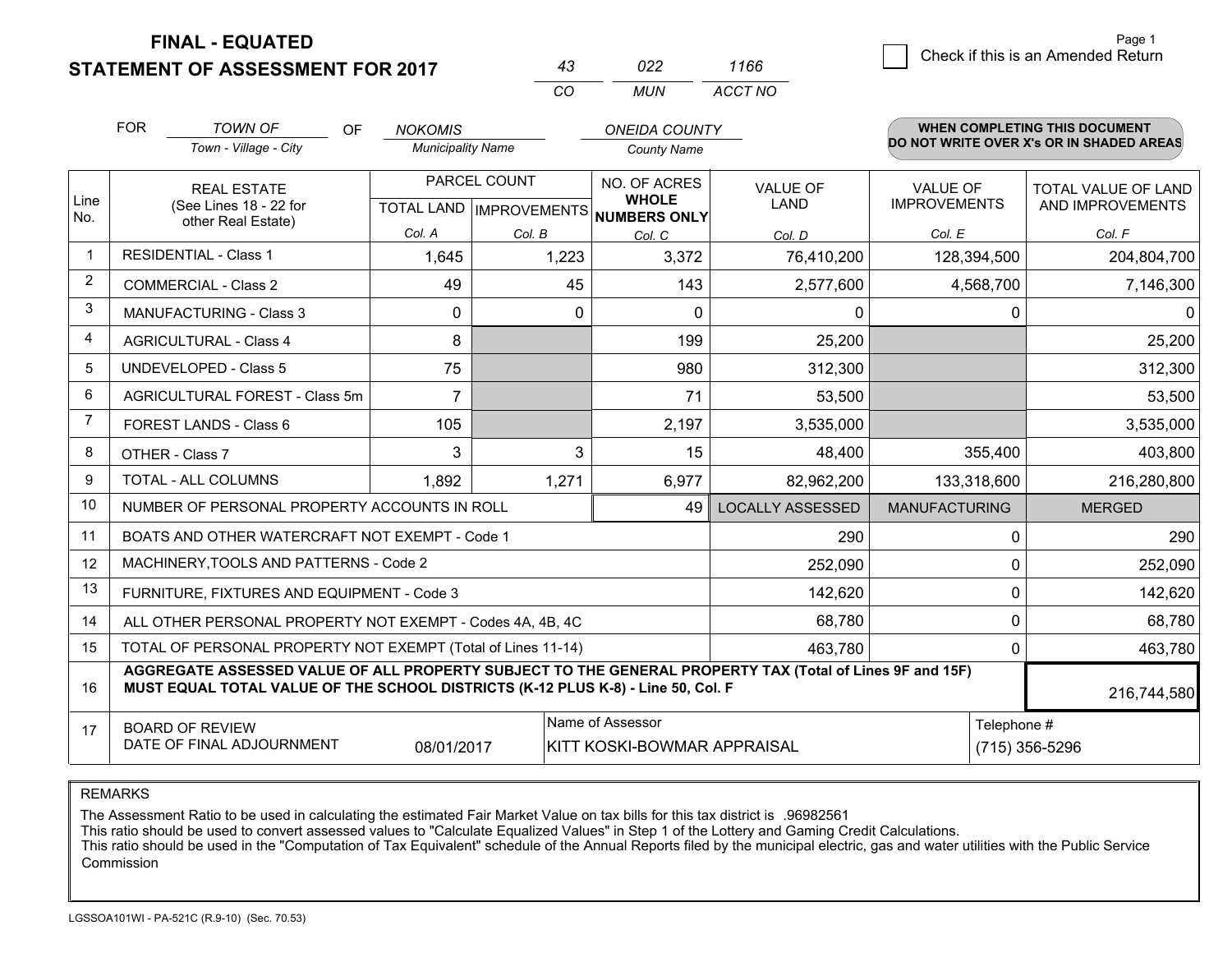## **STATEMENT OF ASSESSMENT FOR 2017**

|          | 022. | 1166    |
|----------|------|---------|
| $\cdots$ | MUN  | ACCT NO |

|                | <b>FOR</b><br><b>TOWN OF</b><br><b>OF</b><br>Town - Village - City                                                                                                                                          |                                                              | <b>NOKOMIS</b><br><b>Municipality Name</b>           |         | <b>ONEIDA COUNTY</b><br><b>County Name</b> |                                | <b>WHEN COMPLETING THIS DOCUMENT</b><br>DO NOT WRITE OVER X's OR IN SHADED AREAS |                                                |  |
|----------------|-------------------------------------------------------------------------------------------------------------------------------------------------------------------------------------------------------------|--------------------------------------------------------------|------------------------------------------------------|---------|--------------------------------------------|--------------------------------|----------------------------------------------------------------------------------|------------------------------------------------|--|
| Line<br>No.    | <b>REAL ESTATE</b><br>(See Lines 18 - 22 for                                                                                                                                                                |                                                              | PARCEL COUNT<br>TOTAL LAND IMPROVEMENTS NUMBERS ONLY |         | NO. OF ACRES<br><b>WHOLE</b>               | <b>VALUE OF</b><br><b>LAND</b> | <b>VALUE OF</b><br><b>IMPROVEMENTS</b>                                           | <b>TOTAL VALUE OF LAND</b><br>AND IMPROVEMENTS |  |
|                |                                                                                                                                                                                                             | other Real Estate)                                           | Col. A                                               | Col. B  | Col. C                                     | Col. D                         | Col. E                                                                           | Col. F                                         |  |
| $\mathbf 1$    |                                                                                                                                                                                                             | <b>RESIDENTIAL - Class 1</b>                                 | 1,645                                                | 1,223   | 3,372                                      | 76,410,200                     | 128,394,500                                                                      | 204,804,700                                    |  |
| 2              |                                                                                                                                                                                                             | <b>COMMERCIAL - Class 2</b>                                  | 49                                                   | 45      | 143                                        | 2,577,600                      | 4,568,700                                                                        | 7,146,300                                      |  |
| 3              |                                                                                                                                                                                                             | <b>MANUFACTURING - Class 3</b>                               | $\Omega$                                             | 0       | $\Omega$                                   | $\mathbf 0$                    | $\Omega$                                                                         | 0                                              |  |
| 4              |                                                                                                                                                                                                             | <b>AGRICULTURAL - Class 4</b>                                | 8                                                    |         | 199                                        | 25,200                         |                                                                                  | 25,200                                         |  |
| 5              |                                                                                                                                                                                                             | <b>UNDEVELOPED - Class 5</b>                                 | 75                                                   |         | 980                                        | 312,300                        |                                                                                  | 312,300                                        |  |
| 6              |                                                                                                                                                                                                             | AGRICULTURAL FOREST - Class 5m                               | $\overline{7}$                                       |         | 71                                         | 53,500                         |                                                                                  | 53,500                                         |  |
| $\overline{7}$ |                                                                                                                                                                                                             | FOREST LANDS - Class 6                                       | 105                                                  |         | 2,197                                      | 3,535,000                      |                                                                                  | 3,535,000                                      |  |
| 8              |                                                                                                                                                                                                             | OTHER - Class 7                                              | 3                                                    | 3       | 15                                         | 48,400                         | 355,400                                                                          | 403,800                                        |  |
| 9              |                                                                                                                                                                                                             | TOTAL - ALL COLUMNS                                          | 1,892                                                | 1,271   | 6,977                                      | 82,962,200                     | 133,318,600                                                                      | 216,280,800                                    |  |
| 10             |                                                                                                                                                                                                             | NUMBER OF PERSONAL PROPERTY ACCOUNTS IN ROLL                 |                                                      |         | 49                                         | <b>LOCALLY ASSESSED</b>        | <b>MANUFACTURING</b>                                                             | <b>MERGED</b>                                  |  |
| 11             |                                                                                                                                                                                                             | BOATS AND OTHER WATERCRAFT NOT EXEMPT - Code 1               |                                                      |         |                                            | 290                            | 0                                                                                | 290                                            |  |
| 12             |                                                                                                                                                                                                             | MACHINERY, TOOLS AND PATTERNS - Code 2                       |                                                      |         |                                            | 252,090                        | 0                                                                                | 252,090                                        |  |
| 13             |                                                                                                                                                                                                             | FURNITURE, FIXTURES AND EQUIPMENT - Code 3                   |                                                      |         |                                            | 142,620                        | 0                                                                                | 142,620                                        |  |
| 14             |                                                                                                                                                                                                             | ALL OTHER PERSONAL PROPERTY NOT EXEMPT - Codes 4A, 4B, 4C    |                                                      |         |                                            | 68,780                         | 0                                                                                | 68,780                                         |  |
| 15             |                                                                                                                                                                                                             | TOTAL OF PERSONAL PROPERTY NOT EXEMPT (Total of Lines 11-14) |                                                      | 463,780 | 0                                          | 463,780                        |                                                                                  |                                                |  |
| 16             | AGGREGATE ASSESSED VALUE OF ALL PROPERTY SUBJECT TO THE GENERAL PROPERTY TAX (Total of Lines 9F and 15F)<br>MUST EQUAL TOTAL VALUE OF THE SCHOOL DISTRICTS (K-12 PLUS K-8) - Line 50, Col. F<br>216,744,580 |                                                              |                                                      |         |                                            |                                |                                                                                  |                                                |  |
| 17             | Name of Assessor<br>Telephone #<br><b>BOARD OF REVIEW</b><br>DATE OF FINAL ADJOURNMENT<br>08/01/2017<br>KITT KOSKI-BOWMAR APPRAISAL                                                                         |                                                              |                                                      |         |                                            |                                |                                                                                  | (715) 356-5296                                 |  |

REMARKS

The Assessment Ratio to be used in calculating the estimated Fair Market Value on tax bills for this tax district is .96982561<br>This ratio should be used to convert assessed values to "Calculate Equalized Values" in Step 1 Commission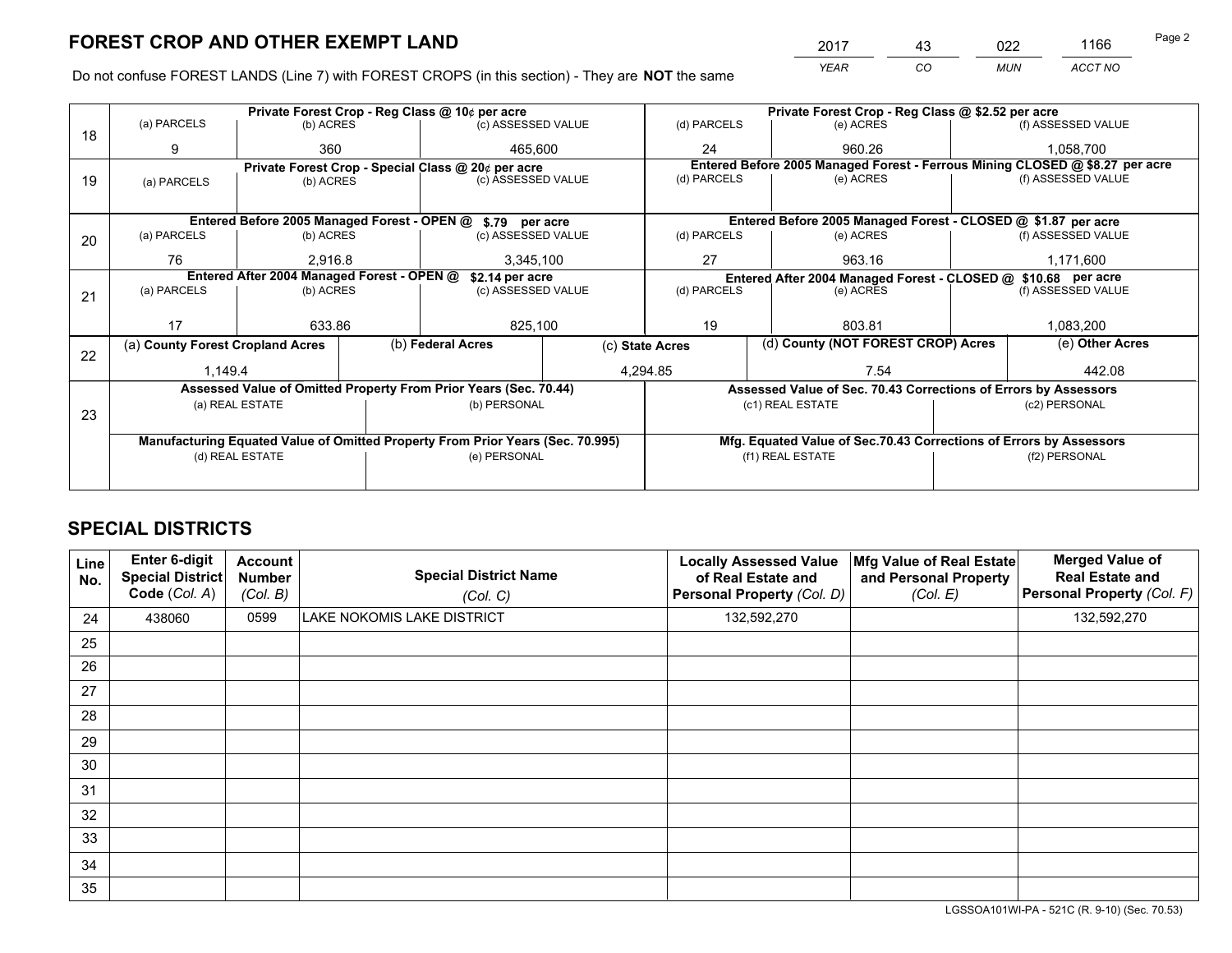*YEAR CO MUN ACCT NO* <sup>2017</sup> <sup>43</sup> <sup>022</sup> <sup>1166</sup> Page 2

Do not confuse FOREST LANDS (Line 7) with FOREST CROPS (in this section) - They are **NOT** the same

|    |                                                               |                 |  | Private Forest Crop - Reg Class @ 10¢ per acre                                 |                 |                  | Private Forest Crop - Reg Class @ \$2.52 per acre                  |  |                                                                              |  |
|----|---------------------------------------------------------------|-----------------|--|--------------------------------------------------------------------------------|-----------------|------------------|--------------------------------------------------------------------|--|------------------------------------------------------------------------------|--|
| 18 | (a) PARCELS                                                   | (b) ACRES       |  | (c) ASSESSED VALUE                                                             |                 | (d) PARCELS      | (e) ACRES                                                          |  | (f) ASSESSED VALUE                                                           |  |
|    | 9                                                             | 360             |  | 465.600                                                                        |                 | 24               | 960.26                                                             |  | 1,058,700                                                                    |  |
|    |                                                               |                 |  | Private Forest Crop - Special Class @ 20¢ per acre                             |                 |                  |                                                                    |  | Entered Before 2005 Managed Forest - Ferrous Mining CLOSED @ \$8.27 per acre |  |
| 19 | (a) PARCELS                                                   | (b) ACRES       |  | (c) ASSESSED VALUE                                                             |                 | (d) PARCELS      | (e) ACRES                                                          |  | (f) ASSESSED VALUE                                                           |  |
|    |                                                               |                 |  |                                                                                |                 |                  |                                                                    |  |                                                                              |  |
|    |                                                               |                 |  | Entered Before 2005 Managed Forest - OPEN @ \$.79 per acre                     |                 |                  | Entered Before 2005 Managed Forest - CLOSED @ \$1.87 per acre      |  |                                                                              |  |
| 20 | (a) PARCELS                                                   | (b) ACRES       |  | (c) ASSESSED VALUE                                                             |                 | (d) PARCELS      | (e) ACRES                                                          |  | (f) ASSESSED VALUE                                                           |  |
|    | 76                                                            | 2.916.8         |  | 3,345,100                                                                      | 27              |                  | 963.16                                                             |  | 1,171,600                                                                    |  |
|    | Entered After 2004 Managed Forest - OPEN @<br>\$2.14 per acre |                 |  |                                                                                |                 |                  | Entered After 2004 Managed Forest - CLOSED @ \$10.68 per acre      |  |                                                                              |  |
| 21 | (a) PARCELS                                                   | (b) ACRES       |  | (c) ASSESSED VALUE                                                             | (d) PARCELS     |                  | (e) ACRES                                                          |  | (f) ASSESSED VALUE                                                           |  |
|    |                                                               |                 |  |                                                                                |                 |                  |                                                                    |  |                                                                              |  |
|    | 17                                                            | 633.86          |  | 825,100                                                                        |                 | 19               | 803.81                                                             |  | 1,083,200                                                                    |  |
| 22 | (a) County Forest Cropland Acres                              |                 |  | (b) Federal Acres                                                              | (c) State Acres |                  | (d) County (NOT FOREST CROP) Acres                                 |  | (e) Other Acres                                                              |  |
|    | 1,149.4                                                       |                 |  |                                                                                |                 | 4,294.85         | 7.54                                                               |  | 442.08                                                                       |  |
|    |                                                               |                 |  | Assessed Value of Omitted Property From Prior Years (Sec. 70.44)               |                 |                  | Assessed Value of Sec. 70.43 Corrections of Errors by Assessors    |  |                                                                              |  |
|    |                                                               | (a) REAL ESTATE |  | (b) PERSONAL                                                                   |                 |                  | (c1) REAL ESTATE                                                   |  | (c2) PERSONAL                                                                |  |
| 23 |                                                               |                 |  |                                                                                |                 |                  |                                                                    |  |                                                                              |  |
|    |                                                               |                 |  | Manufacturing Equated Value of Omitted Property From Prior Years (Sec. 70.995) |                 |                  | Mfg. Equated Value of Sec.70.43 Corrections of Errors by Assessors |  |                                                                              |  |
|    |                                                               | (d) REAL ESTATE |  | (e) PERSONAL                                                                   |                 | (f1) REAL ESTATE |                                                                    |  | (f2) PERSONAL                                                                |  |
|    |                                                               |                 |  |                                                                                |                 |                  |                                                                    |  |                                                                              |  |

## **SPECIAL DISTRICTS**

| Line<br>No. | Enter 6-digit<br>Special District<br>Code (Col. A) | <b>Account</b><br><b>Number</b><br>(Col. B) | <b>Special District Name</b><br>(Col. C) | <b>Locally Assessed Value</b><br>of Real Estate and<br>Personal Property (Col. D) | Mfg Value of Real Estate<br>and Personal Property<br>(Col. E) | <b>Merged Value of</b><br><b>Real Estate and</b><br>Personal Property (Col. F) |
|-------------|----------------------------------------------------|---------------------------------------------|------------------------------------------|-----------------------------------------------------------------------------------|---------------------------------------------------------------|--------------------------------------------------------------------------------|
| 24          | 438060                                             | 0599                                        | LAKE NOKOMIS LAKE DISTRICT               | 132,592,270                                                                       |                                                               | 132,592,270                                                                    |
| 25          |                                                    |                                             |                                          |                                                                                   |                                                               |                                                                                |
| 26          |                                                    |                                             |                                          |                                                                                   |                                                               |                                                                                |
| 27          |                                                    |                                             |                                          |                                                                                   |                                                               |                                                                                |
| 28          |                                                    |                                             |                                          |                                                                                   |                                                               |                                                                                |
| 29          |                                                    |                                             |                                          |                                                                                   |                                                               |                                                                                |
| 30          |                                                    |                                             |                                          |                                                                                   |                                                               |                                                                                |
| 31          |                                                    |                                             |                                          |                                                                                   |                                                               |                                                                                |
| 32          |                                                    |                                             |                                          |                                                                                   |                                                               |                                                                                |
| 33          |                                                    |                                             |                                          |                                                                                   |                                                               |                                                                                |
| 34          |                                                    |                                             |                                          |                                                                                   |                                                               |                                                                                |
| 35          |                                                    |                                             |                                          |                                                                                   |                                                               |                                                                                |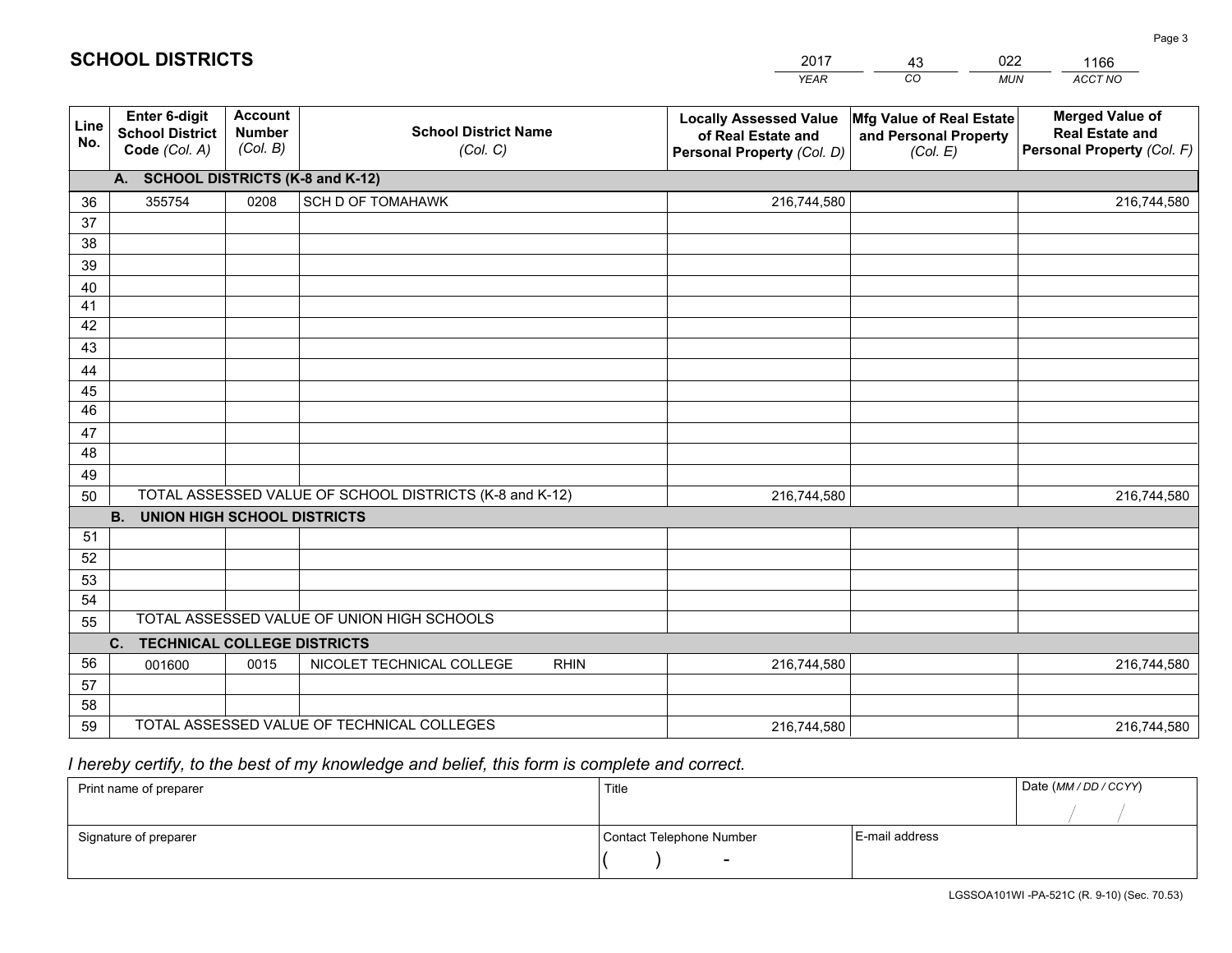|             |                                                          |                                             |                                                         | <b>YEAR</b>                                                                       | CO<br><b>MUN</b>                                              | ACCT NO                                                                        |
|-------------|----------------------------------------------------------|---------------------------------------------|---------------------------------------------------------|-----------------------------------------------------------------------------------|---------------------------------------------------------------|--------------------------------------------------------------------------------|
| Line<br>No. | Enter 6-digit<br><b>School District</b><br>Code (Col. A) | <b>Account</b><br><b>Number</b><br>(Col. B) | <b>School District Name</b><br>(Col. C)                 | <b>Locally Assessed Value</b><br>of Real Estate and<br>Personal Property (Col. D) | Mfg Value of Real Estate<br>and Personal Property<br>(Col. E) | <b>Merged Value of</b><br><b>Real Estate and</b><br>Personal Property (Col. F) |
|             | A. SCHOOL DISTRICTS (K-8 and K-12)                       |                                             |                                                         |                                                                                   |                                                               |                                                                                |
| 36          | 355754                                                   | 0208                                        | SCH D OF TOMAHAWK                                       | 216,744,580                                                                       |                                                               | 216,744,580                                                                    |
| 37          |                                                          |                                             |                                                         |                                                                                   |                                                               |                                                                                |
| 38          |                                                          |                                             |                                                         |                                                                                   |                                                               |                                                                                |
| 39          |                                                          |                                             |                                                         |                                                                                   |                                                               |                                                                                |
| 40          |                                                          |                                             |                                                         |                                                                                   |                                                               |                                                                                |
| 41          |                                                          |                                             |                                                         |                                                                                   |                                                               |                                                                                |
| 42          |                                                          |                                             |                                                         |                                                                                   |                                                               |                                                                                |
| 43          |                                                          |                                             |                                                         |                                                                                   |                                                               |                                                                                |
| 44<br>45    |                                                          |                                             |                                                         |                                                                                   |                                                               |                                                                                |
| 46          |                                                          |                                             |                                                         |                                                                                   |                                                               |                                                                                |
| 47          |                                                          |                                             |                                                         |                                                                                   |                                                               |                                                                                |
| 48          |                                                          |                                             |                                                         |                                                                                   |                                                               |                                                                                |
| 49          |                                                          |                                             |                                                         |                                                                                   |                                                               |                                                                                |
| 50          |                                                          |                                             | TOTAL ASSESSED VALUE OF SCHOOL DISTRICTS (K-8 and K-12) | 216,744,580                                                                       |                                                               | 216,744,580                                                                    |
|             | <b>B.</b><br><b>UNION HIGH SCHOOL DISTRICTS</b>          |                                             |                                                         |                                                                                   |                                                               |                                                                                |
| 51          |                                                          |                                             |                                                         |                                                                                   |                                                               |                                                                                |
| 52          |                                                          |                                             |                                                         |                                                                                   |                                                               |                                                                                |
| 53          |                                                          |                                             |                                                         |                                                                                   |                                                               |                                                                                |
| 54          |                                                          |                                             |                                                         |                                                                                   |                                                               |                                                                                |
| 55          |                                                          |                                             | TOTAL ASSESSED VALUE OF UNION HIGH SCHOOLS              |                                                                                   |                                                               |                                                                                |
|             | C.<br><b>TECHNICAL COLLEGE DISTRICTS</b>                 |                                             |                                                         |                                                                                   |                                                               |                                                                                |
| 56          | 001600                                                   | 0015                                        | NICOLET TECHNICAL COLLEGE<br><b>RHIN</b>                | 216,744,580                                                                       |                                                               | 216,744,580                                                                    |
| 57          |                                                          |                                             |                                                         |                                                                                   |                                                               |                                                                                |
| 58          |                                                          |                                             | TOTAL ASSESSED VALUE OF TECHNICAL COLLEGES              |                                                                                   |                                                               |                                                                                |
| 59          |                                                          |                                             |                                                         | 216,744,580                                                                       |                                                               | 216,744,580                                                                    |

43

022

 *I hereby certify, to the best of my knowledge and belief, this form is complete and correct.*

**SCHOOL DISTRICTS**

| Print name of preparer | Title                    |                | Date (MM/DD/CCYY) |
|------------------------|--------------------------|----------------|-------------------|
|                        |                          |                |                   |
| Signature of preparer  | Contact Telephone Number | E-mail address |                   |
|                        | $\sim$                   |                |                   |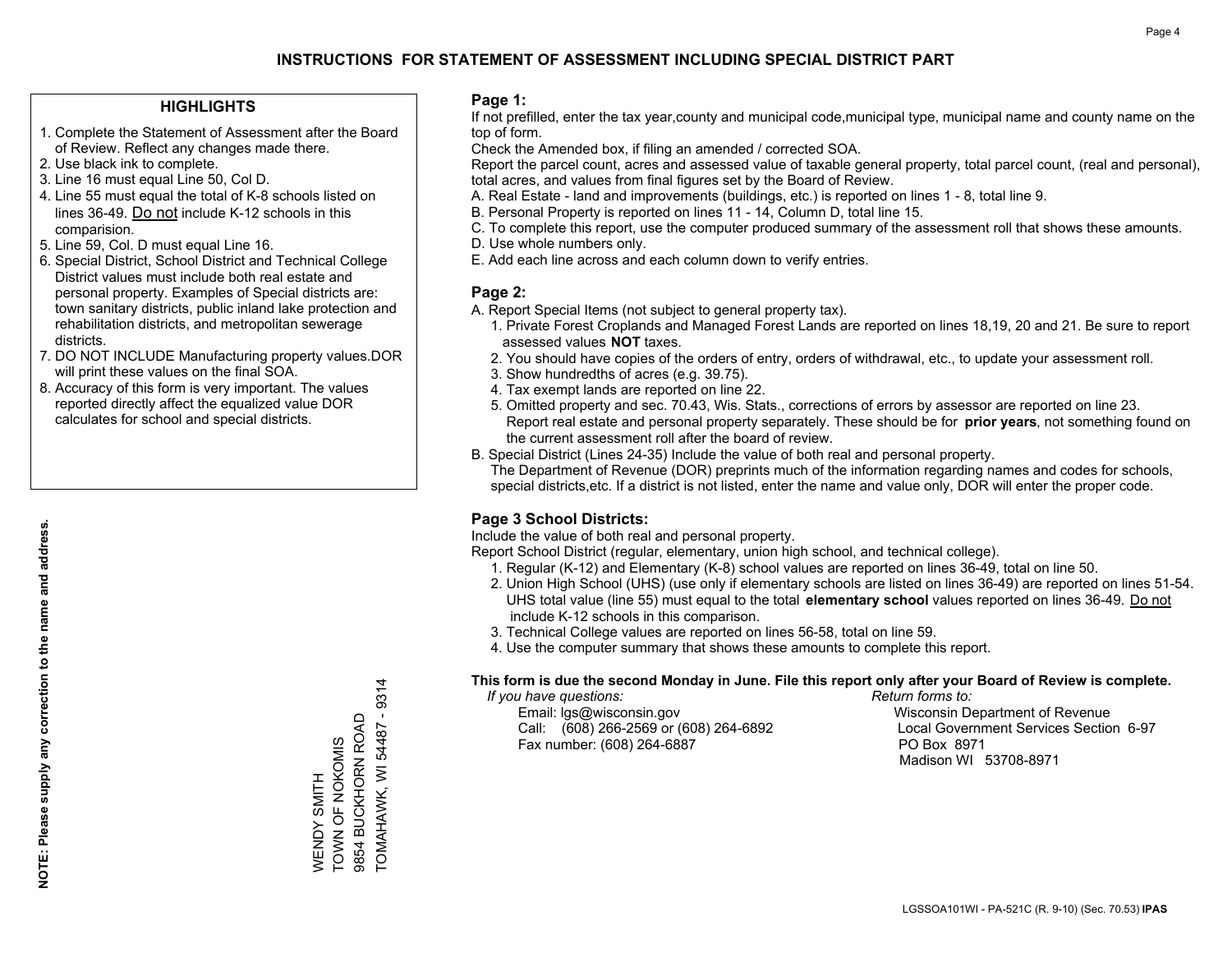### **HIGHLIGHTS**

- 1. Complete the Statement of Assessment after the Board of Review. Reflect any changes made there.
- 2. Use black ink to complete.
- 3. Line 16 must equal Line 50, Col D.
- 4. Line 55 must equal the total of K-8 schools listed on lines 36-49. Do not include K-12 schools in this comparision.
- 5. Line 59, Col. D must equal Line 16.
- 6. Special District, School District and Technical College District values must include both real estate and personal property. Examples of Special districts are: town sanitary districts, public inland lake protection and rehabilitation districts, and metropolitan sewerage districts.
- 7. DO NOT INCLUDE Manufacturing property values.DOR will print these values on the final SOA.
- 8. Accuracy of this form is very important. The values reported directly affect the equalized value DOR calculates for school and special districts.

#### **Page 1:**

 If not prefilled, enter the tax year,county and municipal code,municipal type, municipal name and county name on the top of form.

Check the Amended box, if filing an amended / corrected SOA.

 Report the parcel count, acres and assessed value of taxable general property, total parcel count, (real and personal), total acres, and values from final figures set by the Board of Review.

- A. Real Estate land and improvements (buildings, etc.) is reported on lines 1 8, total line 9.
- B. Personal Property is reported on lines 11 14, Column D, total line 15.
- C. To complete this report, use the computer produced summary of the assessment roll that shows these amounts.
- D. Use whole numbers only.
- E. Add each line across and each column down to verify entries.

## **Page 2:**

- A. Report Special Items (not subject to general property tax).
- 1. Private Forest Croplands and Managed Forest Lands are reported on lines 18,19, 20 and 21. Be sure to report assessed values **NOT** taxes.
- 2. You should have copies of the orders of entry, orders of withdrawal, etc., to update your assessment roll.
	- 3. Show hundredths of acres (e.g. 39.75).
- 4. Tax exempt lands are reported on line 22.
- 5. Omitted property and sec. 70.43, Wis. Stats., corrections of errors by assessor are reported on line 23. Report real estate and personal property separately. These should be for **prior years**, not something found on the current assessment roll after the board of review.
- B. Special District (Lines 24-35) Include the value of both real and personal property.

 The Department of Revenue (DOR) preprints much of the information regarding names and codes for schools, special districts,etc. If a district is not listed, enter the name and value only, DOR will enter the proper code.

## **Page 3 School Districts:**

Include the value of both real and personal property.

Report School District (regular, elementary, union high school, and technical college).

- 1. Regular (K-12) and Elementary (K-8) school values are reported on lines 36-49, total on line 50.
- 2. Union High School (UHS) (use only if elementary schools are listed on lines 36-49) are reported on lines 51-54. UHS total value (line 55) must equal to the total **elementary school** values reported on lines 36-49. Do notinclude K-12 schools in this comparison.
- 3. Technical College values are reported on lines 56-58, total on line 59.
- 4. Use the computer summary that shows these amounts to complete this report.

#### **This form is due the second Monday in June. File this report only after your Board of Review is complete.**

 *If you have questions: Return forms to:*

 Email: lgs@wisconsin.gov Wisconsin Department of RevenueCall:  $(608)$  266-2569 or  $(608)$  264-6892 Fax number: (608) 264-6887 PO Box 8971

Local Government Services Section 6-97 Madison WI 53708-8971

 $-9314$ TOMAHAWK, WI 54487 - 9314 9854 BUCKHORN ROAD 9854 BUCKHORN ROAD TOMAHAWK, WI 54487 WENDY SMITH<br>TOWN OF NOKOMIS TOWN OF NOKOMIS WENDY SMITH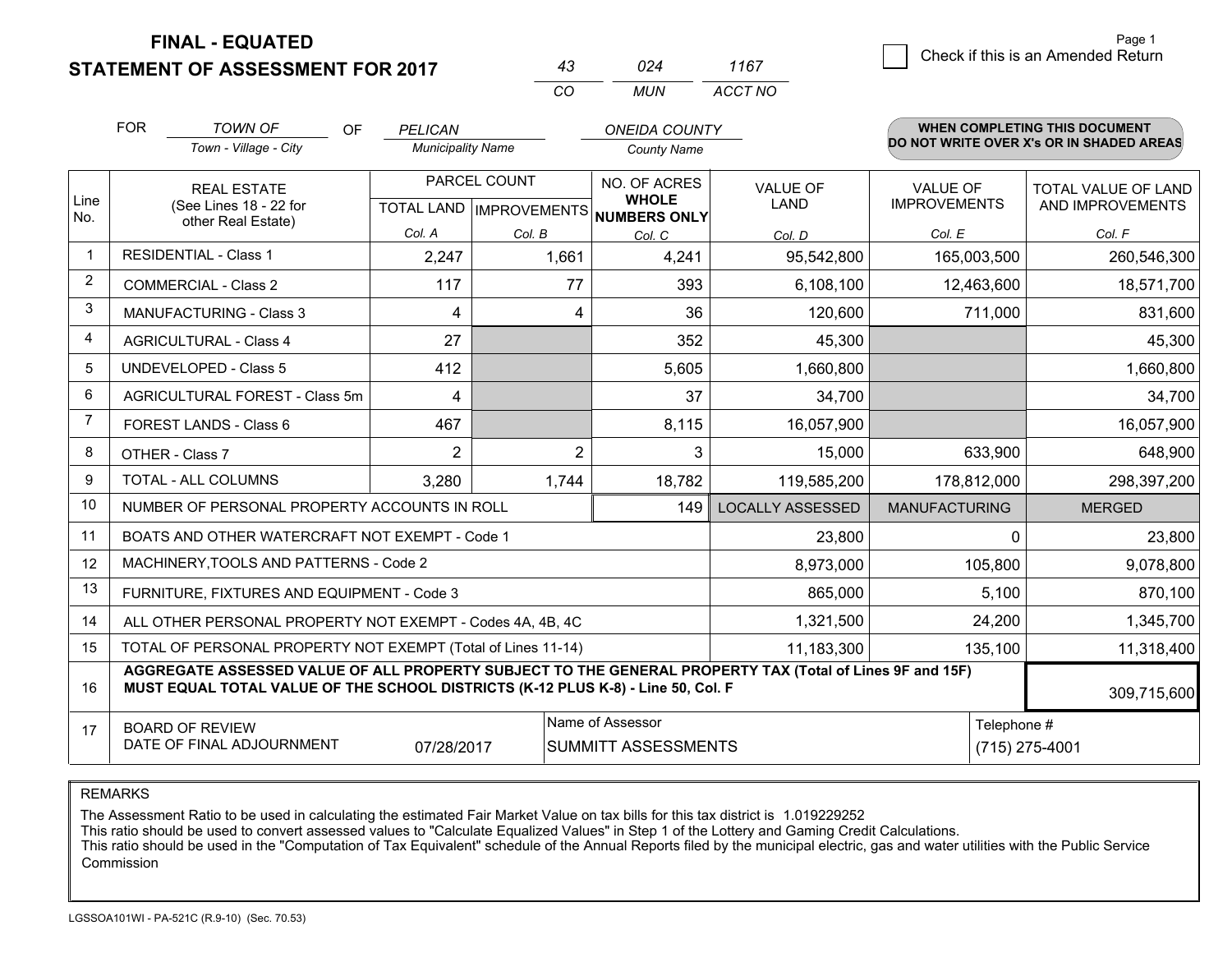## **STATEMENT OF ASSESSMENT FOR 2017**

|          | N24  | 1167    |
|----------|------|---------|
| $\cdots$ | MUN. | ACCT NO |

|                | <b>FOR</b><br><b>TOWN OF</b><br>Town - Village - City                                                                                                                                        | <b>OF</b> | PELICAN<br><b>Municipality Name</b> |                                                                     | <b>ONEIDA COUNTY</b><br><b>County Name</b> |                         |                                        | <b>WHEN COMPLETING THIS DOCUMENT</b><br>DO NOT WRITE OVER X's OR IN SHADED AREAS |
|----------------|----------------------------------------------------------------------------------------------------------------------------------------------------------------------------------------------|-----------|-------------------------------------|---------------------------------------------------------------------|--------------------------------------------|-------------------------|----------------------------------------|----------------------------------------------------------------------------------|
| Line<br>No.    | <b>REAL ESTATE</b><br>(See Lines 18 - 22 for<br>other Real Estate)                                                                                                                           |           |                                     | PARCEL COUNT<br>NO. OF ACRES<br>TOTAL LAND MPROVEMENTS NUMBERS ONLY |                                            | <b>VALUE OF</b><br>LAND | <b>VALUE OF</b><br><b>IMPROVEMENTS</b> | <b>TOTAL VALUE OF LAND</b><br>AND IMPROVEMENTS                                   |
|                |                                                                                                                                                                                              |           | Col. A                              | Col. B                                                              | Col. C                                     | Col. D                  | Col. E                                 | Col. F                                                                           |
| $\mathbf{1}$   | <b>RESIDENTIAL - Class 1</b>                                                                                                                                                                 |           | 2,247                               | 1,661                                                               | 4,241                                      | 95,542,800              | 165,003,500                            | 260,546,300                                                                      |
| $\overline{2}$ | <b>COMMERCIAL - Class 2</b>                                                                                                                                                                  |           | 117                                 | 77                                                                  | 393                                        | 6,108,100               | 12,463,600                             | 18,571,700                                                                       |
| 3              | <b>MANUFACTURING - Class 3</b>                                                                                                                                                               |           | 4                                   | 4                                                                   | 36                                         | 120,600                 | 711,000                                | 831,600                                                                          |
| $\overline{4}$ | <b>AGRICULTURAL - Class 4</b>                                                                                                                                                                |           | 27                                  |                                                                     | 352                                        | 45,300                  |                                        | 45,300                                                                           |
| 5              | UNDEVELOPED - Class 5                                                                                                                                                                        |           | 412                                 |                                                                     | 5,605                                      | 1,660,800               |                                        | 1,660,800                                                                        |
| 6              | AGRICULTURAL FOREST - Class 5m                                                                                                                                                               |           | 4                                   |                                                                     | 37                                         | 34,700                  |                                        | 34,700                                                                           |
| $\overline{7}$ | FOREST LANDS - Class 6                                                                                                                                                                       |           | 467                                 |                                                                     | 8,115                                      | 16,057,900              |                                        | 16,057,900                                                                       |
| 8              | OTHER - Class 7                                                                                                                                                                              |           | $\overline{2}$                      | $\overline{2}$                                                      | 3                                          | 15,000                  | 633,900                                | 648,900                                                                          |
| 9              | TOTAL - ALL COLUMNS                                                                                                                                                                          |           | 3,280                               | 1,744                                                               | 18,782                                     | 119,585,200             | 178,812,000                            | 298,397,200                                                                      |
| 10             | NUMBER OF PERSONAL PROPERTY ACCOUNTS IN ROLL                                                                                                                                                 |           |                                     |                                                                     | 149                                        | <b>LOCALLY ASSESSED</b> | <b>MANUFACTURING</b>                   | <b>MERGED</b>                                                                    |
| 11             | BOATS AND OTHER WATERCRAFT NOT EXEMPT - Code 1                                                                                                                                               |           |                                     |                                                                     |                                            | 23,800                  | $\Omega$                               | 23,800                                                                           |
| 12             | MACHINERY, TOOLS AND PATTERNS - Code 2                                                                                                                                                       |           |                                     |                                                                     |                                            | 8,973,000               | 105,800                                | 9,078,800                                                                        |
| 13             | FURNITURE, FIXTURES AND EQUIPMENT - Code 3                                                                                                                                                   |           |                                     |                                                                     |                                            | 865,000                 | 5,100                                  | 870,100                                                                          |
| 14             | ALL OTHER PERSONAL PROPERTY NOT EXEMPT - Codes 4A, 4B, 4C                                                                                                                                    |           | 1,321,500                           | 24,200                                                              | 1,345,700                                  |                         |                                        |                                                                                  |
| 15             | TOTAL OF PERSONAL PROPERTY NOT EXEMPT (Total of Lines 11-14)<br>11,183,300                                                                                                                   |           |                                     |                                                                     |                                            |                         | 135,100                                | 11,318,400                                                                       |
| 16             | AGGREGATE ASSESSED VALUE OF ALL PROPERTY SUBJECT TO THE GENERAL PROPERTY TAX (Total of Lines 9F and 15F)<br>MUST EQUAL TOTAL VALUE OF THE SCHOOL DISTRICTS (K-12 PLUS K-8) - Line 50, Col. F |           |                                     |                                                                     |                                            |                         | 309,715,600                            |                                                                                  |
| 17             | Name of Assessor<br>Telephone #<br><b>BOARD OF REVIEW</b><br>DATE OF FINAL ADJOURNMENT<br>SUMMITT ASSESSMENTS<br>(715) 275-4001<br>07/28/2017                                                |           |                                     |                                                                     |                                            |                         |                                        |                                                                                  |

REMARKS

The Assessment Ratio to be used in calculating the estimated Fair Market Value on tax bills for this tax district is 1.019229252<br>This ratio should be used to convert assessed values to "Calculate Equalized Values" in Step Commission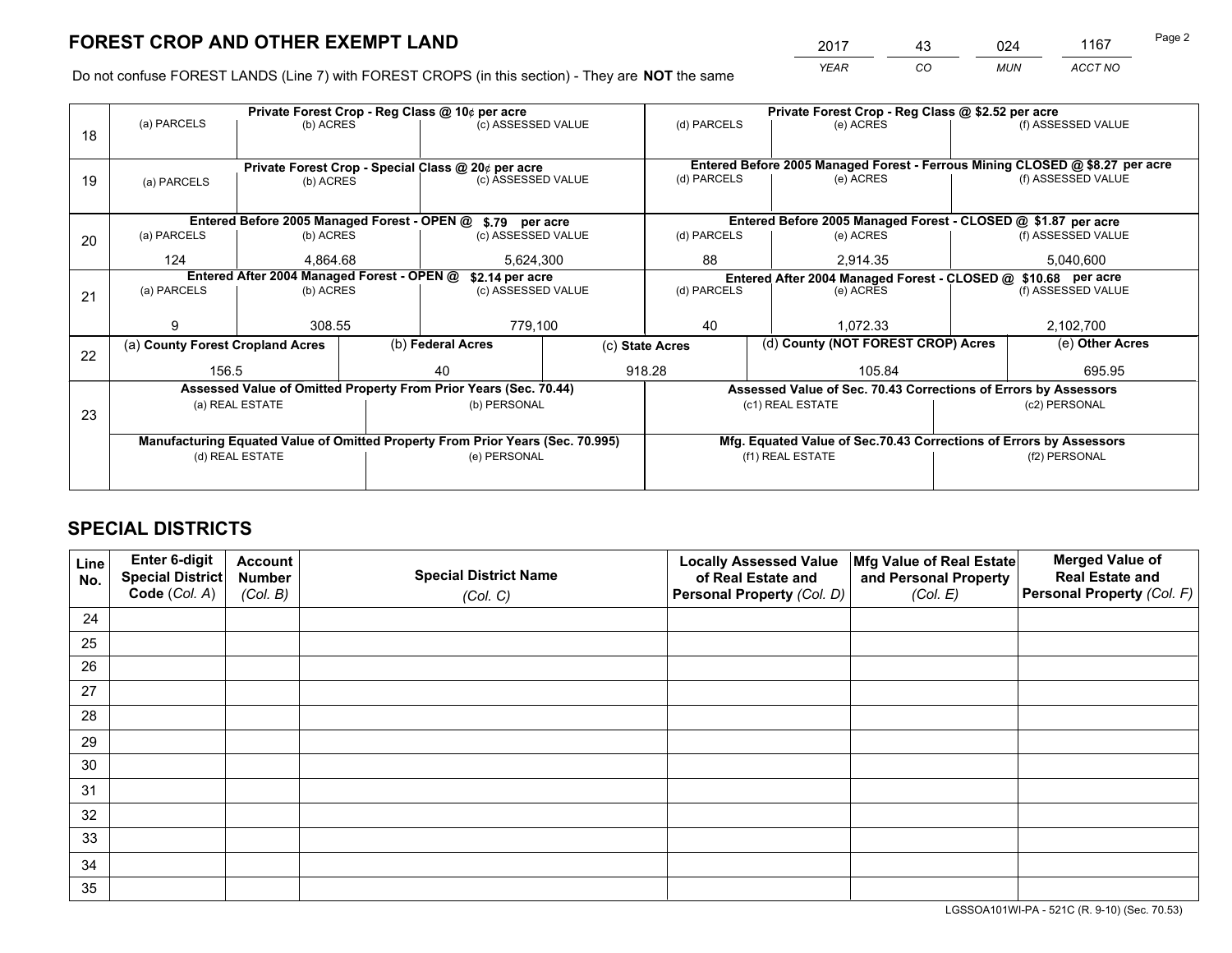*YEAR CO MUN ACCT NO* <sup>2017</sup> <sup>43</sup> <sup>024</sup> <sup>1167</sup>

Do not confuse FOREST LANDS (Line 7) with FOREST CROPS (in this section) - They are **NOT** the same

|    |                                                                                |                                 |  | Private Forest Crop - Reg Class @ 10¢ per acre                   |                 | Private Forest Crop - Reg Class @ \$2.52 per acre             |                                                                              |               |                    |  |
|----|--------------------------------------------------------------------------------|---------------------------------|--|------------------------------------------------------------------|-----------------|---------------------------------------------------------------|------------------------------------------------------------------------------|---------------|--------------------|--|
| 18 | (a) PARCELS                                                                    | (b) ACRES                       |  | (c) ASSESSED VALUE                                               |                 | (d) PARCELS                                                   | (e) ACRES                                                                    |               | (f) ASSESSED VALUE |  |
|    |                                                                                |                                 |  |                                                                  |                 |                                                               |                                                                              |               |                    |  |
|    |                                                                                |                                 |  | Private Forest Crop - Special Class @ 20¢ per acre               |                 |                                                               | Entered Before 2005 Managed Forest - Ferrous Mining CLOSED @ \$8.27 per acre |               |                    |  |
| 19 | (a) PARCELS                                                                    | (b) ACRES                       |  | (c) ASSESSED VALUE                                               |                 | (d) PARCELS                                                   | (e) ACRES                                                                    |               | (f) ASSESSED VALUE |  |
|    |                                                                                |                                 |  |                                                                  |                 |                                                               |                                                                              |               |                    |  |
|    |                                                                                |                                 |  | Entered Before 2005 Managed Forest - OPEN @ \$.79 per acre       |                 |                                                               | Entered Before 2005 Managed Forest - CLOSED @ \$1.87 per acre                |               |                    |  |
| 20 | (a) PARCELS                                                                    | (b) ACRES                       |  | (c) ASSESSED VALUE                                               |                 | (d) PARCELS                                                   | (e) ACRES                                                                    |               | (f) ASSESSED VALUE |  |
|    | 124                                                                            | 4.864.68                        |  | 5,624,300                                                        |                 | 88<br>2.914.35                                                |                                                                              | 5,040,600     |                    |  |
|    | Entered After 2004 Managed Forest - OPEN @                                     |                                 |  | \$2.14 per acre                                                  |                 | Entered After 2004 Managed Forest - CLOSED @ \$10.68 per acre |                                                                              |               |                    |  |
| 21 | (a) PARCELS                                                                    | (b) ACRES                       |  | (c) ASSESSED VALUE                                               | (d) PARCELS     |                                                               | (e) ACRES                                                                    |               | (f) ASSESSED VALUE |  |
|    |                                                                                |                                 |  |                                                                  |                 |                                                               |                                                                              |               |                    |  |
|    | g                                                                              | 308.55                          |  | 779,100                                                          |                 | 40                                                            | 1.072.33                                                                     |               | 2,102,700          |  |
| 22 | (a) County Forest Cropland Acres                                               |                                 |  | (b) Federal Acres                                                | (c) State Acres |                                                               | (d) County (NOT FOREST CROP) Acres                                           |               | (e) Other Acres    |  |
|    | 156.5                                                                          |                                 |  | 918.28<br>40                                                     |                 | 105.84                                                        |                                                                              |               | 695.95             |  |
|    |                                                                                |                                 |  | Assessed Value of Omitted Property From Prior Years (Sec. 70.44) |                 |                                                               | Assessed Value of Sec. 70.43 Corrections of Errors by Assessors              |               |                    |  |
| 23 |                                                                                | (a) REAL ESTATE                 |  | (b) PERSONAL                                                     |                 |                                                               | (c1) REAL ESTATE                                                             |               | (c2) PERSONAL      |  |
|    |                                                                                |                                 |  |                                                                  |                 |                                                               |                                                                              |               |                    |  |
|    | Manufacturing Equated Value of Omitted Property From Prior Years (Sec. 70.995) |                                 |  |                                                                  |                 |                                                               | Mfg. Equated Value of Sec.70.43 Corrections of Errors by Assessors           |               |                    |  |
|    |                                                                                | (d) REAL ESTATE<br>(e) PERSONAL |  |                                                                  |                 | (f1) REAL ESTATE                                              |                                                                              | (f2) PERSONAL |                    |  |
|    |                                                                                |                                 |  |                                                                  |                 |                                                               |                                                                              |               |                    |  |

## **SPECIAL DISTRICTS**

| Line<br>No. | Enter 6-digit<br><b>Special District</b> | <b>Account</b><br><b>Number</b> | <b>Special District Name</b> | <b>Locally Assessed Value</b><br>of Real Estate and | Mfg Value of Real Estate<br>and Personal Property | <b>Merged Value of</b><br><b>Real Estate and</b> |
|-------------|------------------------------------------|---------------------------------|------------------------------|-----------------------------------------------------|---------------------------------------------------|--------------------------------------------------|
|             | Code (Col. A)                            | (Col. B)                        | (Col. C)                     | Personal Property (Col. D)                          | (Col. E)                                          | Personal Property (Col. F)                       |
| 24          |                                          |                                 |                              |                                                     |                                                   |                                                  |
| 25          |                                          |                                 |                              |                                                     |                                                   |                                                  |
| 26          |                                          |                                 |                              |                                                     |                                                   |                                                  |
| 27          |                                          |                                 |                              |                                                     |                                                   |                                                  |
| 28          |                                          |                                 |                              |                                                     |                                                   |                                                  |
| 29          |                                          |                                 |                              |                                                     |                                                   |                                                  |
| 30          |                                          |                                 |                              |                                                     |                                                   |                                                  |
| 31          |                                          |                                 |                              |                                                     |                                                   |                                                  |
| 32          |                                          |                                 |                              |                                                     |                                                   |                                                  |
| 33          |                                          |                                 |                              |                                                     |                                                   |                                                  |
| 34          |                                          |                                 |                              |                                                     |                                                   |                                                  |
| 35          |                                          |                                 |                              |                                                     |                                                   |                                                  |

LGSSOA101WI-PA - 521C (R. 9-10) (Sec. 70.53)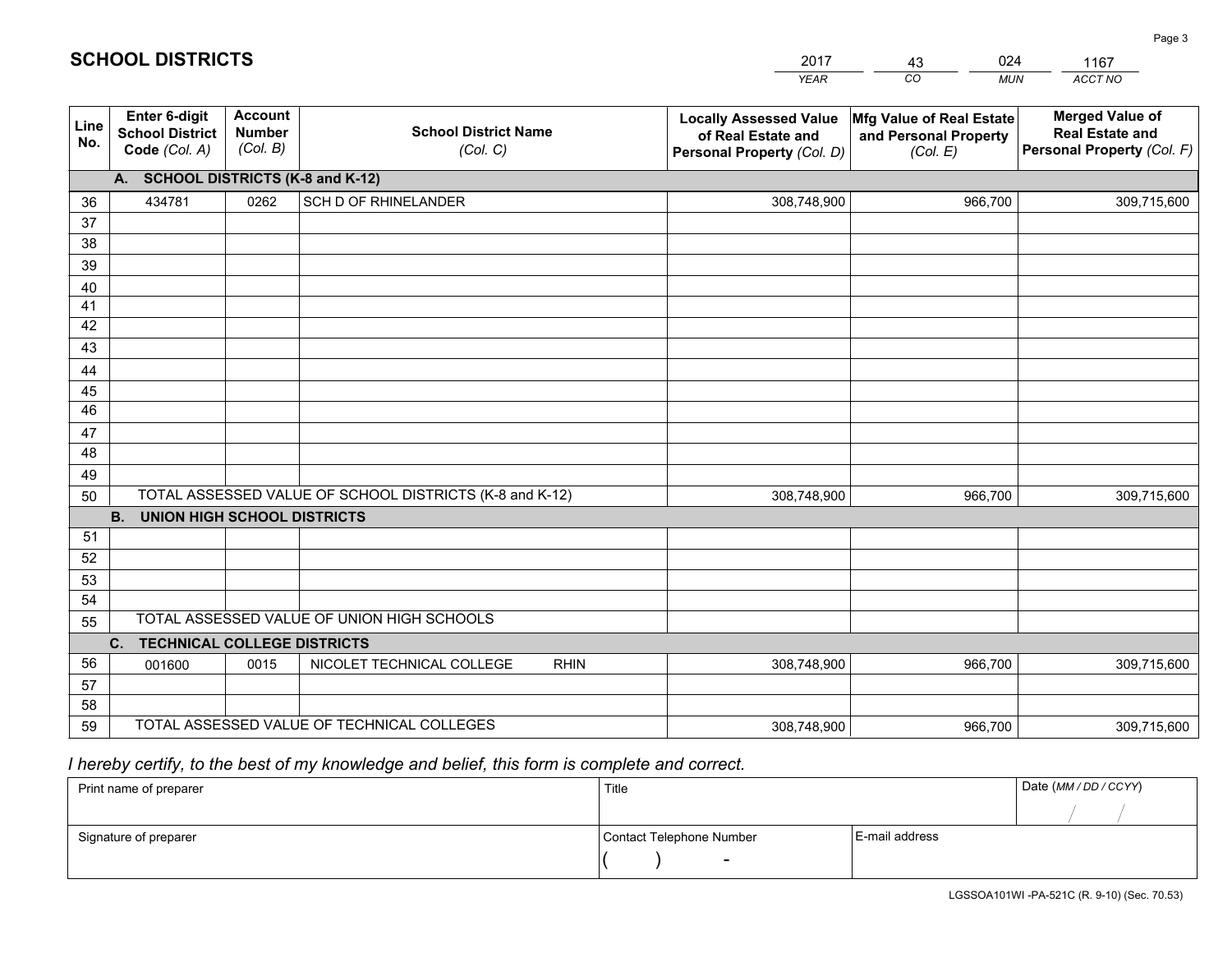|             |                                                          |                                             |                                                         | <b>YEAR</b>                                                                       | CO<br><b>MUN</b>                                              | ACCT NO                                                                        |
|-------------|----------------------------------------------------------|---------------------------------------------|---------------------------------------------------------|-----------------------------------------------------------------------------------|---------------------------------------------------------------|--------------------------------------------------------------------------------|
| Line<br>No. | Enter 6-digit<br><b>School District</b><br>Code (Col. A) | <b>Account</b><br><b>Number</b><br>(Col. B) | <b>School District Name</b><br>(Col. C)                 | <b>Locally Assessed Value</b><br>of Real Estate and<br>Personal Property (Col. D) | Mfg Value of Real Estate<br>and Personal Property<br>(Col. E) | <b>Merged Value of</b><br><b>Real Estate and</b><br>Personal Property (Col. F) |
|             | A. SCHOOL DISTRICTS (K-8 and K-12)                       |                                             |                                                         |                                                                                   |                                                               |                                                                                |
| 36          | 434781                                                   | 0262                                        | SCH D OF RHINELANDER                                    | 308,748,900                                                                       | 966,700                                                       | 309,715,600                                                                    |
| 37          |                                                          |                                             |                                                         |                                                                                   |                                                               |                                                                                |
| 38          |                                                          |                                             |                                                         |                                                                                   |                                                               |                                                                                |
| 39          |                                                          |                                             |                                                         |                                                                                   |                                                               |                                                                                |
| 40          |                                                          |                                             |                                                         |                                                                                   |                                                               |                                                                                |
| 41<br>42    |                                                          |                                             |                                                         |                                                                                   |                                                               |                                                                                |
| 43          |                                                          |                                             |                                                         |                                                                                   |                                                               |                                                                                |
| 44          |                                                          |                                             |                                                         |                                                                                   |                                                               |                                                                                |
| 45          |                                                          |                                             |                                                         |                                                                                   |                                                               |                                                                                |
| 46          |                                                          |                                             |                                                         |                                                                                   |                                                               |                                                                                |
| 47          |                                                          |                                             |                                                         |                                                                                   |                                                               |                                                                                |
| 48          |                                                          |                                             |                                                         |                                                                                   |                                                               |                                                                                |
| 49          |                                                          |                                             |                                                         |                                                                                   |                                                               |                                                                                |
| 50          |                                                          |                                             | TOTAL ASSESSED VALUE OF SCHOOL DISTRICTS (K-8 and K-12) | 308,748,900                                                                       | 966,700                                                       | 309,715,600                                                                    |
|             | <b>B.</b><br><b>UNION HIGH SCHOOL DISTRICTS</b>          |                                             |                                                         |                                                                                   |                                                               |                                                                                |
| 51          |                                                          |                                             |                                                         |                                                                                   |                                                               |                                                                                |
| 52          |                                                          |                                             |                                                         |                                                                                   |                                                               |                                                                                |
| 53<br>54    |                                                          |                                             |                                                         |                                                                                   |                                                               |                                                                                |
| 55          |                                                          |                                             | TOTAL ASSESSED VALUE OF UNION HIGH SCHOOLS              |                                                                                   |                                                               |                                                                                |
|             | C.<br><b>TECHNICAL COLLEGE DISTRICTS</b>                 |                                             |                                                         |                                                                                   |                                                               |                                                                                |
| 56          | 001600                                                   | 0015                                        | NICOLET TECHNICAL COLLEGE<br><b>RHIN</b>                | 308,748,900                                                                       | 966,700                                                       | 309,715,600                                                                    |
| 57          |                                                          |                                             |                                                         |                                                                                   |                                                               |                                                                                |
| 58          |                                                          |                                             |                                                         |                                                                                   |                                                               |                                                                                |
| 59          |                                                          |                                             | TOTAL ASSESSED VALUE OF TECHNICAL COLLEGES              | 308,748,900                                                                       | 966,700                                                       | 309,715,600                                                                    |

43

024

 *I hereby certify, to the best of my knowledge and belief, this form is complete and correct.*

**SCHOOL DISTRICTS**

| Print name of preparer | Title                    |                | Date (MM/DD/CCYY) |
|------------------------|--------------------------|----------------|-------------------|
|                        |                          |                |                   |
| Signature of preparer  | Contact Telephone Number | E-mail address |                   |
|                        | $\overline{\phantom{a}}$ |                |                   |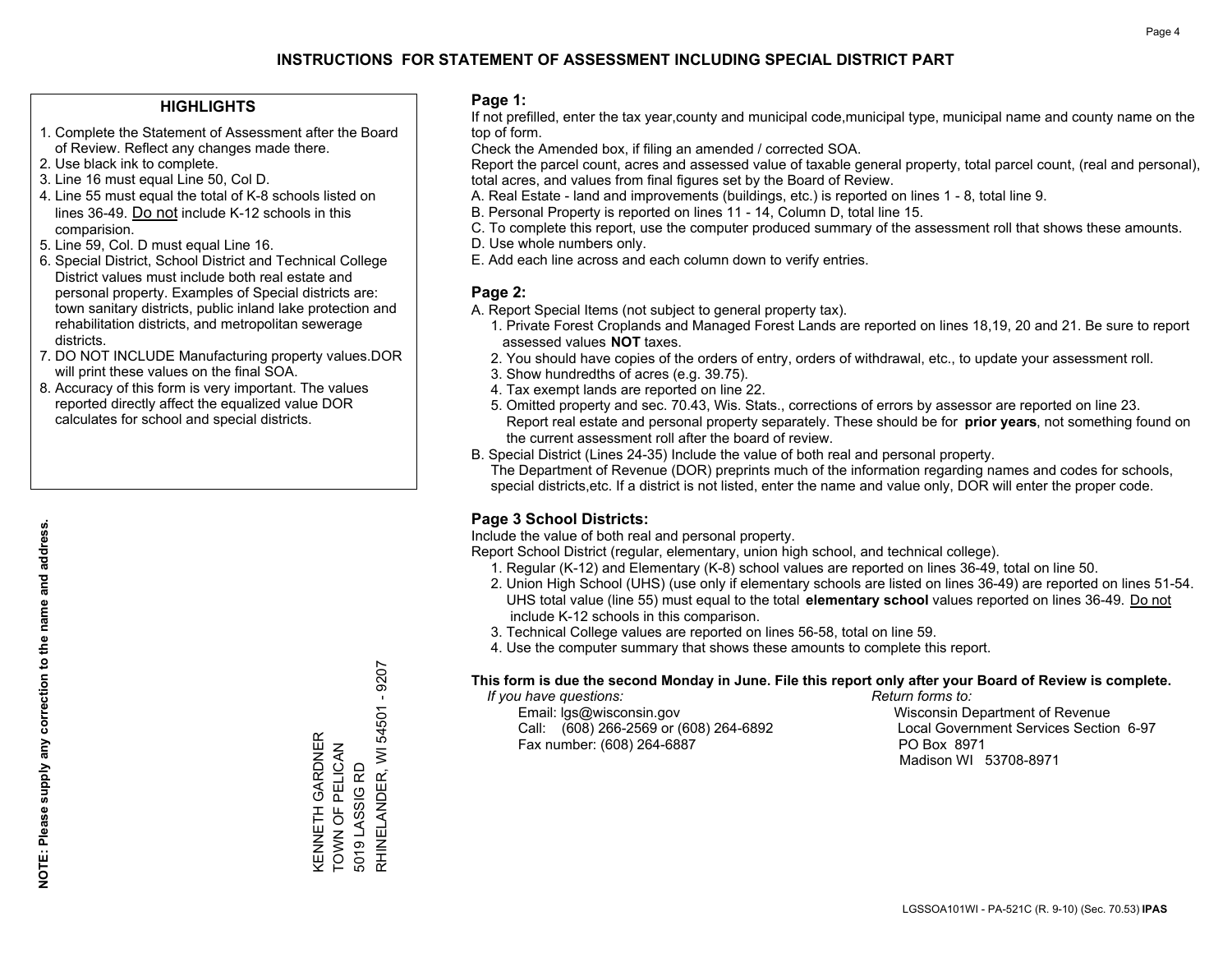### **HIGHLIGHTS**

- 1. Complete the Statement of Assessment after the Board of Review. Reflect any changes made there.
- 2. Use black ink to complete.
- 3. Line 16 must equal Line 50, Col D.
- 4. Line 55 must equal the total of K-8 schools listed on lines 36-49. Do not include K-12 schools in this comparision.
- 5. Line 59, Col. D must equal Line 16.
- 6. Special District, School District and Technical College District values must include both real estate and personal property. Examples of Special districts are: town sanitary districts, public inland lake protection and rehabilitation districts, and metropolitan sewerage districts.
- 7. DO NOT INCLUDE Manufacturing property values.DOR will print these values on the final SOA.

KENNETH GARDNER TOWN OF PELICAN 5019 LASSIG RD

KENNETH GARDNER<br>TOWN OF PELICAN

5019 LASSIG RD

RHINELANDER, WI 54501 - 9207

RHINELANDER, WI 54501 - 9207

 8. Accuracy of this form is very important. The values reported directly affect the equalized value DOR calculates for school and special districts.

#### **Page 1:**

 If not prefilled, enter the tax year,county and municipal code,municipal type, municipal name and county name on the top of form.

Check the Amended box, if filing an amended / corrected SOA.

 Report the parcel count, acres and assessed value of taxable general property, total parcel count, (real and personal), total acres, and values from final figures set by the Board of Review.

- A. Real Estate land and improvements (buildings, etc.) is reported on lines 1 8, total line 9.
- B. Personal Property is reported on lines 11 14, Column D, total line 15.
- C. To complete this report, use the computer produced summary of the assessment roll that shows these amounts.
- D. Use whole numbers only.
- E. Add each line across and each column down to verify entries.

#### **Page 2:**

- A. Report Special Items (not subject to general property tax).
- 1. Private Forest Croplands and Managed Forest Lands are reported on lines 18,19, 20 and 21. Be sure to report assessed values **NOT** taxes.
- 2. You should have copies of the orders of entry, orders of withdrawal, etc., to update your assessment roll.
	- 3. Show hundredths of acres (e.g. 39.75).
- 4. Tax exempt lands are reported on line 22.
- 5. Omitted property and sec. 70.43, Wis. Stats., corrections of errors by assessor are reported on line 23. Report real estate and personal property separately. These should be for **prior years**, not something found on the current assessment roll after the board of review.
- B. Special District (Lines 24-35) Include the value of both real and personal property.
- The Department of Revenue (DOR) preprints much of the information regarding names and codes for schools, special districts,etc. If a district is not listed, enter the name and value only, DOR will enter the proper code.

## **Page 3 School Districts:**

Include the value of both real and personal property.

Report School District (regular, elementary, union high school, and technical college).

- 1. Regular (K-12) and Elementary (K-8) school values are reported on lines 36-49, total on line 50.
- 2. Union High School (UHS) (use only if elementary schools are listed on lines 36-49) are reported on lines 51-54. UHS total value (line 55) must equal to the total **elementary school** values reported on lines 36-49. Do notinclude K-12 schools in this comparison.
- 3. Technical College values are reported on lines 56-58, total on line 59.
- 4. Use the computer summary that shows these amounts to complete this report.

#### **This form is due the second Monday in June. File this report only after your Board of Review is complete.**

 *If you have questions: Return forms to:*

 Email: lgs@wisconsin.gov Wisconsin Department of RevenueCall:  $(608)$  266-2569 or  $(608)$  264-6892 Fax number: (608) 264-6887 PO Box 8971

Local Government Services Section 6-97 Madison WI 53708-8971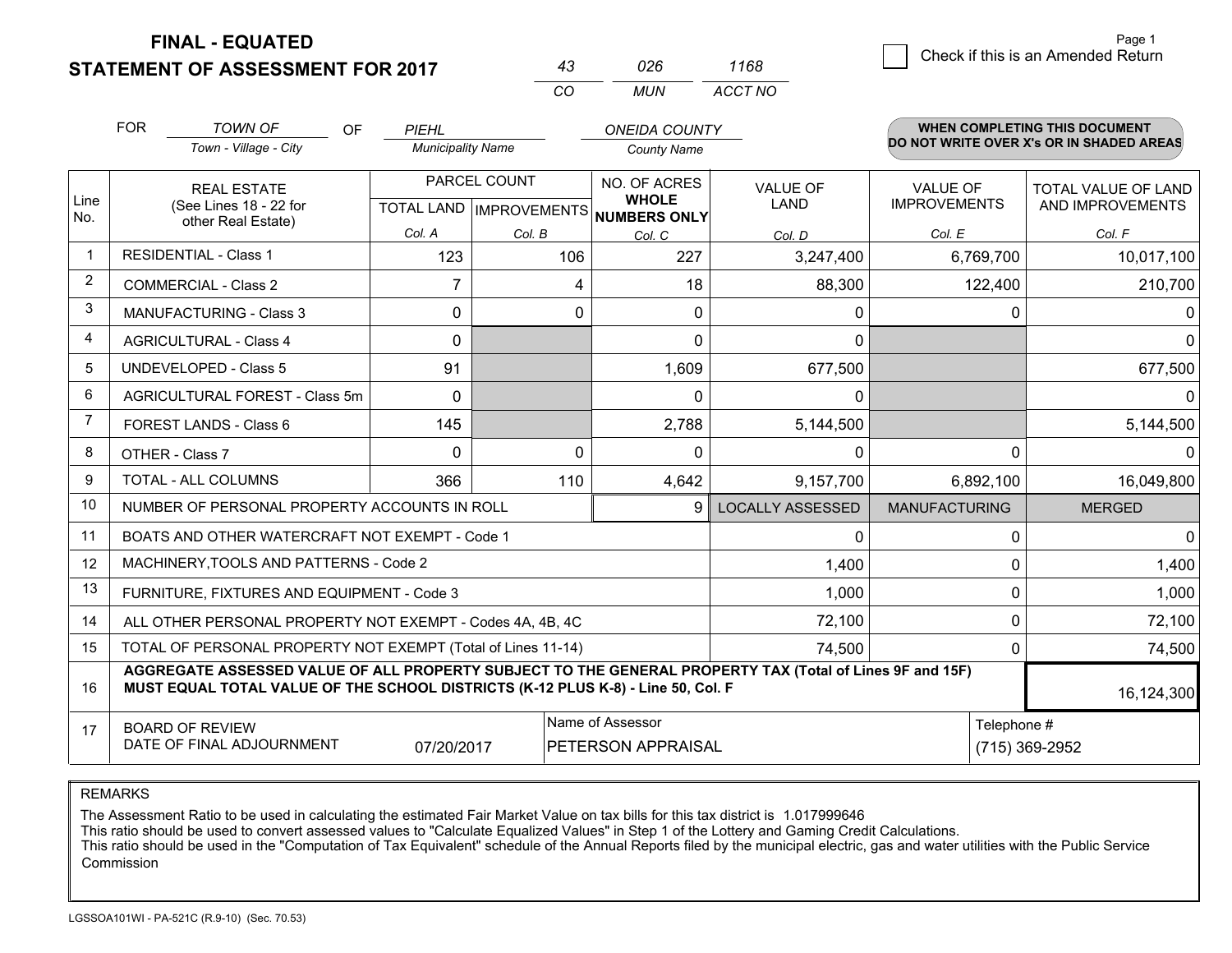## **STATEMENT OF ASSESSMENT FOR 2017**

|    | 026 | 1168    |
|----|-----|---------|
| ΓO | MUN | ACCT NO |

|                | <b>FOR</b>                                                                                                                                                                                   | <b>TOWN OF</b><br>OF<br>Town - Village - City  | PIEHL<br><b>Municipality Name</b> |              | <b>ONEIDA COUNTY</b><br><b>County Name</b>      |                         |                               | <b>WHEN COMPLETING THIS DOCUMENT</b><br>DO NOT WRITE OVER X's OR IN SHADED AREAS |
|----------------|----------------------------------------------------------------------------------------------------------------------------------------------------------------------------------------------|------------------------------------------------|-----------------------------------|--------------|-------------------------------------------------|-------------------------|-------------------------------|----------------------------------------------------------------------------------|
| Line           |                                                                                                                                                                                              | <b>REAL ESTATE</b>                             |                                   | PARCEL COUNT | NO. OF ACRES<br><b>VALUE OF</b><br><b>WHOLE</b> |                         | <b>VALUE OF</b>               | TOTAL VALUE OF LAND                                                              |
| No.            |                                                                                                                                                                                              | (See Lines 18 - 22 for<br>other Real Estate)   | Col. A                            | Col. B       | TOTAL LAND IMPROVEMENTS NUMBERS ONLY<br>Col. C  | <b>LAND</b><br>Col. D   | <b>IMPROVEMENTS</b><br>Col. E | AND IMPROVEMENTS<br>Col. F                                                       |
| -1             |                                                                                                                                                                                              | <b>RESIDENTIAL - Class 1</b>                   | 123                               | 106          | 227                                             | 3,247,400               | 6,769,700                     | 10,017,100                                                                       |
| 2              |                                                                                                                                                                                              | <b>COMMERCIAL - Class 2</b>                    | $\overline{7}$                    | 4            | 18                                              | 88,300                  | 122,400                       | 210,700                                                                          |
| 3              |                                                                                                                                                                                              | <b>MANUFACTURING - Class 3</b>                 | $\Omega$                          | $\Omega$     | $\Omega$                                        | 0                       | $\Omega$                      | $\Omega$                                                                         |
| 4              |                                                                                                                                                                                              | <b>AGRICULTURAL - Class 4</b>                  | $\Omega$                          |              | $\mathbf{0}$                                    | 0                       |                               | $\Omega$                                                                         |
| 5              |                                                                                                                                                                                              | UNDEVELOPED - Class 5                          | 91                                |              | 1,609                                           | 677,500                 |                               | 677,500                                                                          |
| 6              | AGRICULTURAL FOREST - Class 5m                                                                                                                                                               |                                                | $\Omega$                          |              | $\Omega$                                        | 0                       |                               | $\Omega$                                                                         |
| $\overline{7}$ |                                                                                                                                                                                              | FOREST LANDS - Class 6                         | 145                               |              | 2,788                                           | 5,144,500               |                               | 5,144,500                                                                        |
| 8              |                                                                                                                                                                                              | OTHER - Class 7                                | $\Omega$                          | $\Omega$     | $\Omega$                                        | 0                       | $\Omega$                      | <sup>n</sup>                                                                     |
| 9              |                                                                                                                                                                                              | TOTAL - ALL COLUMNS                            | 366                               | 110          | 4,642                                           | 9,157,700               | 6,892,100                     | 16,049,800                                                                       |
| 10             |                                                                                                                                                                                              | NUMBER OF PERSONAL PROPERTY ACCOUNTS IN ROLL   |                                   |              | 9                                               | <b>LOCALLY ASSESSED</b> | <b>MANUFACTURING</b>          | <b>MERGED</b>                                                                    |
| 11             |                                                                                                                                                                                              | BOATS AND OTHER WATERCRAFT NOT EXEMPT - Code 1 |                                   |              |                                                 | $\Omega$                | $\Omega$                      | $\Omega$                                                                         |
| 12             |                                                                                                                                                                                              | MACHINERY, TOOLS AND PATTERNS - Code 2         |                                   |              |                                                 | 1,400                   | 0                             | 1,400                                                                            |
| 13             |                                                                                                                                                                                              | FURNITURE, FIXTURES AND EQUIPMENT - Code 3     |                                   |              |                                                 | 1,000                   | $\mathbf 0$                   | 1,000                                                                            |
| 14             | 72,100<br>ALL OTHER PERSONAL PROPERTY NOT EXEMPT - Codes 4A, 4B, 4C                                                                                                                          |                                                |                                   |              |                                                 |                         |                               | 72,100                                                                           |
| 15             | TOTAL OF PERSONAL PROPERTY NOT EXEMPT (Total of Lines 11-14)<br>74,500                                                                                                                       |                                                |                                   |              |                                                 |                         | 0                             | 74,500                                                                           |
| 16             | AGGREGATE ASSESSED VALUE OF ALL PROPERTY SUBJECT TO THE GENERAL PROPERTY TAX (Total of Lines 9F and 15F)<br>MUST EQUAL TOTAL VALUE OF THE SCHOOL DISTRICTS (K-12 PLUS K-8) - Line 50, Col. F |                                                |                                   |              |                                                 |                         | 16,124,300                    |                                                                                  |
| 17             | Name of Assessor<br><b>BOARD OF REVIEW</b><br>DATE OF FINAL ADJOURNMENT<br>07/20/2017<br>PETERSON APPRAISAL                                                                                  |                                                |                                   |              |                                                 | Telephone #             | (715) 369-2952                |                                                                                  |

REMARKS

The Assessment Ratio to be used in calculating the estimated Fair Market Value on tax bills for this tax district is 1.017999646

This ratio should be used to convert assessed values to "Calculate Equalized Values" in Step 1 of the Lottery and Gaming Credit Calculations.<br>This ratio should be used in the "Computation of Tax Equivalent" schedule of the Commission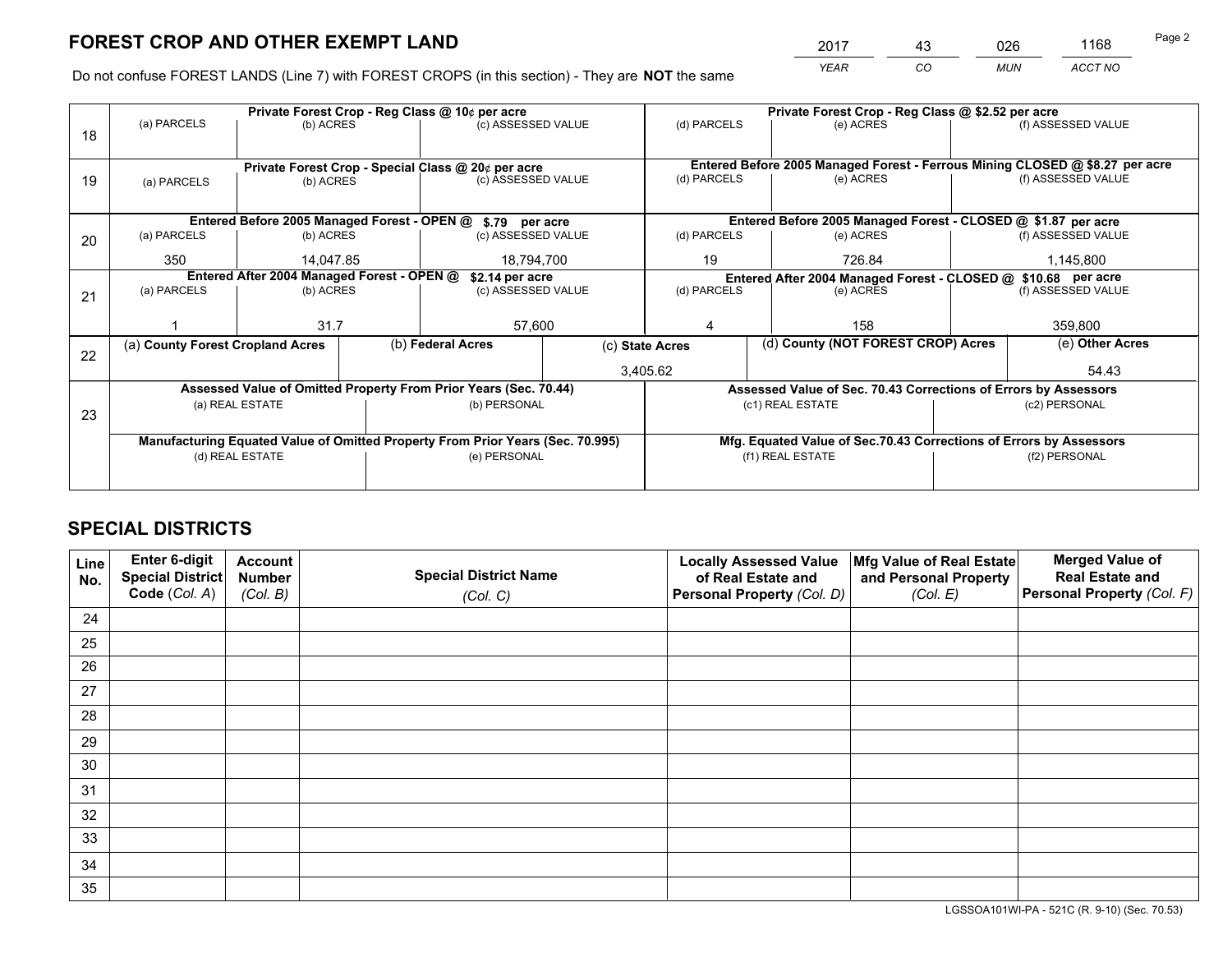*YEAR CO MUN ACCT NO* <sup>2017</sup> <sup>43</sup> <sup>026</sup> <sup>1168</sup>

Do not confuse FOREST LANDS (Line 7) with FOREST CROPS (in this section) - They are **NOT** the same

|    |                                                                                |                                            |  | Private Forest Crop - Reg Class @ 10¢ per acre                   |             | Private Forest Crop - Reg Class @ \$2.52 per acre |                                                                              |  |                    |  |
|----|--------------------------------------------------------------------------------|--------------------------------------------|--|------------------------------------------------------------------|-------------|---------------------------------------------------|------------------------------------------------------------------------------|--|--------------------|--|
| 18 | (a) PARCELS                                                                    | (b) ACRES                                  |  | (c) ASSESSED VALUE                                               |             | (d) PARCELS                                       | (e) ACRES                                                                    |  | (f) ASSESSED VALUE |  |
|    |                                                                                |                                            |  |                                                                  |             |                                                   |                                                                              |  |                    |  |
|    |                                                                                |                                            |  | Private Forest Crop - Special Class @ 20¢ per acre               |             |                                                   | Entered Before 2005 Managed Forest - Ferrous Mining CLOSED @ \$8.27 per acre |  |                    |  |
| 19 | (a) PARCELS                                                                    | (b) ACRES                                  |  | (c) ASSESSED VALUE                                               |             | (d) PARCELS                                       | (e) ACRES                                                                    |  | (f) ASSESSED VALUE |  |
|    |                                                                                |                                            |  |                                                                  |             |                                                   |                                                                              |  |                    |  |
|    |                                                                                |                                            |  | Entered Before 2005 Managed Forest - OPEN @ \$.79 per acre       |             |                                                   | Entered Before 2005 Managed Forest - CLOSED @ \$1.87 per acre                |  |                    |  |
| 20 | (a) PARCELS                                                                    | (b) ACRES                                  |  | (c) ASSESSED VALUE                                               |             | (d) PARCELS                                       | (e) ACRES                                                                    |  | (f) ASSESSED VALUE |  |
|    | 350                                                                            | 14.047.85                                  |  | 18,794,700                                                       |             | 19                                                | 726.84                                                                       |  | 1,145,800          |  |
|    |                                                                                | Entered After 2004 Managed Forest - OPEN @ |  | \$2.14 per acre                                                  |             |                                                   | Entered After 2004 Managed Forest - CLOSED @ \$10.68 per acre                |  |                    |  |
| 21 | (a) PARCELS                                                                    | (b) ACRES                                  |  | (c) ASSESSED VALUE                                               | (d) PARCELS |                                                   | (e) ACRES                                                                    |  | (f) ASSESSED VALUE |  |
|    |                                                                                |                                            |  |                                                                  |             |                                                   |                                                                              |  |                    |  |
|    |                                                                                | 31.7                                       |  | 57,600                                                           |             | 158<br>4                                          |                                                                              |  | 359,800            |  |
| 22 | (a) County Forest Cropland Acres                                               |                                            |  | (b) Federal Acres                                                |             | (c) State Acres                                   | (d) County (NOT FOREST CROP) Acres                                           |  | (e) Other Acres    |  |
|    |                                                                                |                                            |  |                                                                  | 3,405.62    |                                                   |                                                                              |  | 54.43              |  |
|    |                                                                                |                                            |  | Assessed Value of Omitted Property From Prior Years (Sec. 70.44) |             |                                                   | Assessed Value of Sec. 70.43 Corrections of Errors by Assessors              |  |                    |  |
| 23 |                                                                                | (a) REAL ESTATE                            |  | (b) PERSONAL                                                     |             |                                                   | (c1) REAL ESTATE                                                             |  | (c2) PERSONAL      |  |
|    |                                                                                |                                            |  |                                                                  |             |                                                   |                                                                              |  |                    |  |
|    | Manufacturing Equated Value of Omitted Property From Prior Years (Sec. 70.995) |                                            |  |                                                                  |             |                                                   | Mfg. Equated Value of Sec.70.43 Corrections of Errors by Assessors           |  |                    |  |
|    |                                                                                | (d) REAL ESTATE                            |  | (e) PERSONAL                                                     |             | (f1) REAL ESTATE                                  |                                                                              |  | (f2) PERSONAL      |  |
|    |                                                                                |                                            |  |                                                                  |             |                                                   |                                                                              |  |                    |  |

## **SPECIAL DISTRICTS**

| Line<br>No. | Enter 6-digit<br>Special District<br>Code (Col. A) | <b>Account</b><br><b>Number</b> | <b>Special District Name</b> | <b>Locally Assessed Value</b><br>of Real Estate and | Mfg Value of Real Estate<br>and Personal Property | <b>Merged Value of</b><br><b>Real Estate and</b><br>Personal Property (Col. F) |
|-------------|----------------------------------------------------|---------------------------------|------------------------------|-----------------------------------------------------|---------------------------------------------------|--------------------------------------------------------------------------------|
|             |                                                    | (Col. B)                        | (Col. C)                     | Personal Property (Col. D)                          | (Col. E)                                          |                                                                                |
| 24          |                                                    |                                 |                              |                                                     |                                                   |                                                                                |
| 25          |                                                    |                                 |                              |                                                     |                                                   |                                                                                |
| 26          |                                                    |                                 |                              |                                                     |                                                   |                                                                                |
| 27          |                                                    |                                 |                              |                                                     |                                                   |                                                                                |
| 28          |                                                    |                                 |                              |                                                     |                                                   |                                                                                |
| 29          |                                                    |                                 |                              |                                                     |                                                   |                                                                                |
| 30          |                                                    |                                 |                              |                                                     |                                                   |                                                                                |
| 31          |                                                    |                                 |                              |                                                     |                                                   |                                                                                |
| 32          |                                                    |                                 |                              |                                                     |                                                   |                                                                                |
| 33          |                                                    |                                 |                              |                                                     |                                                   |                                                                                |
| 34          |                                                    |                                 |                              |                                                     |                                                   |                                                                                |
| 35          |                                                    |                                 |                              |                                                     |                                                   |                                                                                |

LGSSOA101WI-PA - 521C (R. 9-10) (Sec. 70.53)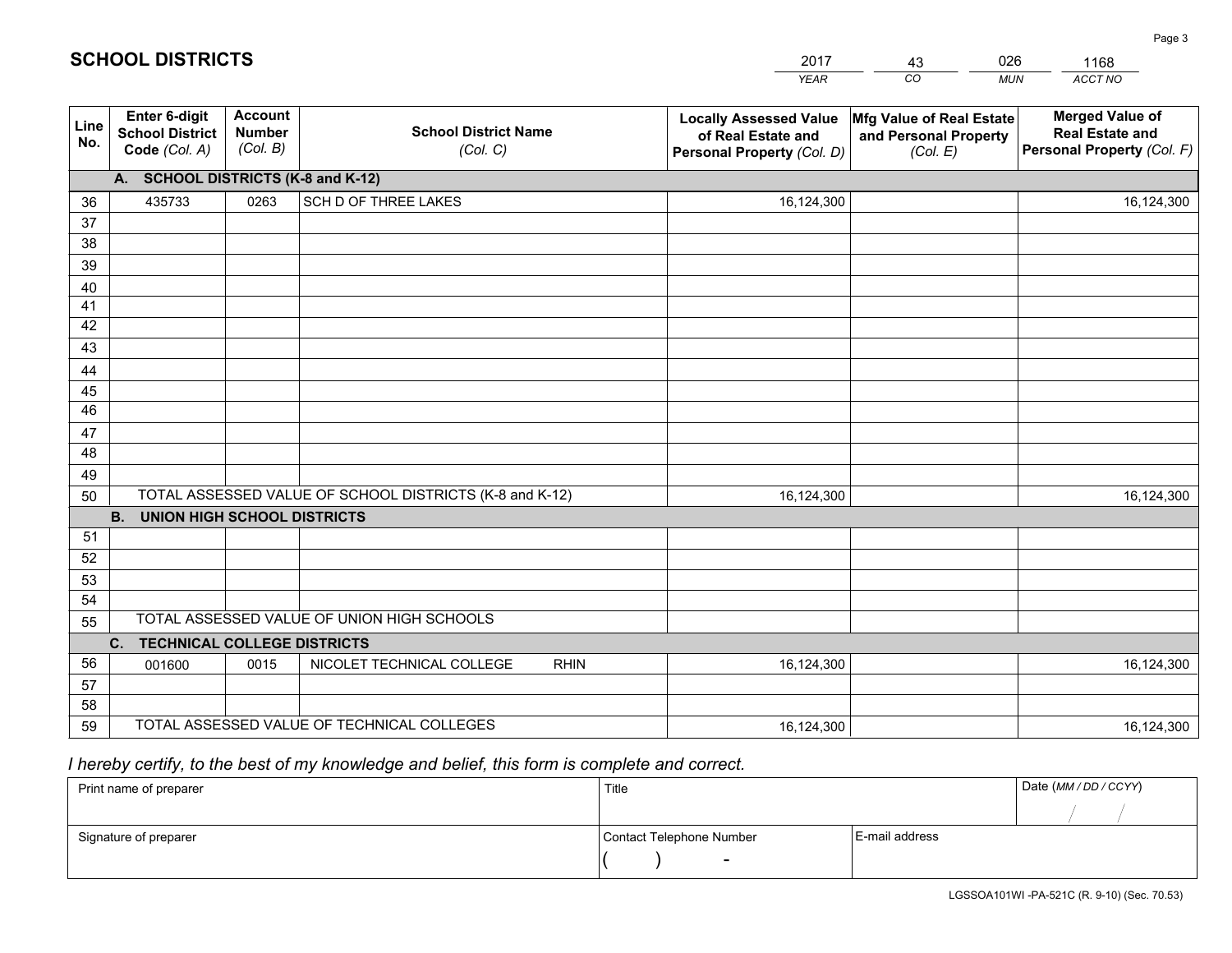|             |                                                          |                                             |                                                         | <b>YEAR</b>                                                                       | CO<br><b>MUN</b>                                              | ACCT NO                                                                        |
|-------------|----------------------------------------------------------|---------------------------------------------|---------------------------------------------------------|-----------------------------------------------------------------------------------|---------------------------------------------------------------|--------------------------------------------------------------------------------|
| Line<br>No. | Enter 6-digit<br><b>School District</b><br>Code (Col. A) | <b>Account</b><br><b>Number</b><br>(Col. B) | <b>School District Name</b><br>(Col. C)                 | <b>Locally Assessed Value</b><br>of Real Estate and<br>Personal Property (Col. D) | Mfg Value of Real Estate<br>and Personal Property<br>(Col. E) | <b>Merged Value of</b><br><b>Real Estate and</b><br>Personal Property (Col. F) |
|             | A. SCHOOL DISTRICTS (K-8 and K-12)                       |                                             |                                                         |                                                                                   |                                                               |                                                                                |
| 36          | 435733                                                   | 0263                                        | SCH D OF THREE LAKES                                    | 16,124,300                                                                        |                                                               | 16,124,300                                                                     |
| 37          |                                                          |                                             |                                                         |                                                                                   |                                                               |                                                                                |
| 38          |                                                          |                                             |                                                         |                                                                                   |                                                               |                                                                                |
| 39          |                                                          |                                             |                                                         |                                                                                   |                                                               |                                                                                |
| 40          |                                                          |                                             |                                                         |                                                                                   |                                                               |                                                                                |
| 41          |                                                          |                                             |                                                         |                                                                                   |                                                               |                                                                                |
| 42          |                                                          |                                             |                                                         |                                                                                   |                                                               |                                                                                |
| 43          |                                                          |                                             |                                                         |                                                                                   |                                                               |                                                                                |
| 44          |                                                          |                                             |                                                         |                                                                                   |                                                               |                                                                                |
| 45<br>46    |                                                          |                                             |                                                         |                                                                                   |                                                               |                                                                                |
|             |                                                          |                                             |                                                         |                                                                                   |                                                               |                                                                                |
| 47<br>48    |                                                          |                                             |                                                         |                                                                                   |                                                               |                                                                                |
| 49          |                                                          |                                             |                                                         |                                                                                   |                                                               |                                                                                |
| 50          |                                                          |                                             | TOTAL ASSESSED VALUE OF SCHOOL DISTRICTS (K-8 and K-12) | 16,124,300                                                                        |                                                               | 16,124,300                                                                     |
|             | <b>B.</b><br><b>UNION HIGH SCHOOL DISTRICTS</b>          |                                             |                                                         |                                                                                   |                                                               |                                                                                |
| 51          |                                                          |                                             |                                                         |                                                                                   |                                                               |                                                                                |
| 52          |                                                          |                                             |                                                         |                                                                                   |                                                               |                                                                                |
| 53          |                                                          |                                             |                                                         |                                                                                   |                                                               |                                                                                |
| 54          |                                                          |                                             |                                                         |                                                                                   |                                                               |                                                                                |
| 55          |                                                          |                                             | TOTAL ASSESSED VALUE OF UNION HIGH SCHOOLS              |                                                                                   |                                                               |                                                                                |
|             | C.<br><b>TECHNICAL COLLEGE DISTRICTS</b>                 |                                             |                                                         |                                                                                   |                                                               |                                                                                |
| 56          | 001600                                                   | 0015                                        | NICOLET TECHNICAL COLLEGE<br><b>RHIN</b>                | 16,124,300                                                                        |                                                               | 16,124,300                                                                     |
| 57          |                                                          |                                             |                                                         |                                                                                   |                                                               |                                                                                |
| 58          |                                                          |                                             |                                                         |                                                                                   |                                                               |                                                                                |
| 59          |                                                          |                                             | TOTAL ASSESSED VALUE OF TECHNICAL COLLEGES              | 16,124,300                                                                        |                                                               | 16,124,300                                                                     |

43

026

 *I hereby certify, to the best of my knowledge and belief, this form is complete and correct.*

**SCHOOL DISTRICTS**

| Print name of preparer | Title                    | Date (MM/DD/CCYY) |  |
|------------------------|--------------------------|-------------------|--|
|                        |                          |                   |  |
| Signature of preparer  | Contact Telephone Number | E-mail address    |  |
|                        | $\overline{\phantom{a}}$ |                   |  |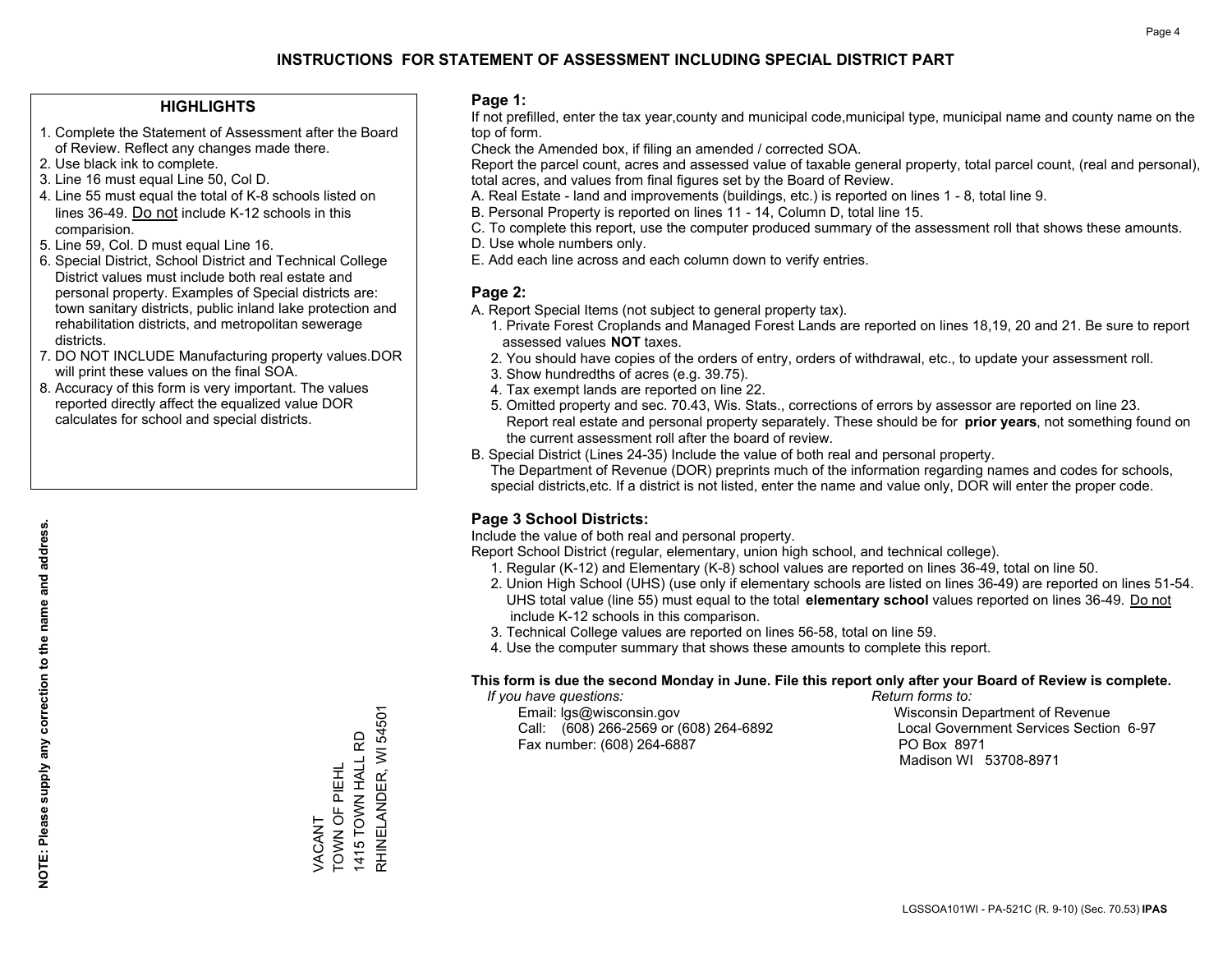### **HIGHLIGHTS**

- 1. Complete the Statement of Assessment after the Board of Review. Reflect any changes made there.
- 2. Use black ink to complete.
- 3. Line 16 must equal Line 50, Col D.
- 4. Line 55 must equal the total of K-8 schools listed on lines 36-49. Do not include K-12 schools in this comparision.
- 5. Line 59, Col. D must equal Line 16.
- 6. Special District, School District and Technical College District values must include both real estate and personal property. Examples of Special districts are: town sanitary districts, public inland lake protection and rehabilitation districts, and metropolitan sewerage districts.
- 7. DO NOT INCLUDE Manufacturing property values.DOR will print these values on the final SOA.
- 8. Accuracy of this form is very important. The values reported directly affect the equalized value DOR calculates for school and special districts.

#### **Page 1:**

 If not prefilled, enter the tax year,county and municipal code,municipal type, municipal name and county name on the top of form.

Check the Amended box, if filing an amended / corrected SOA.

 Report the parcel count, acres and assessed value of taxable general property, total parcel count, (real and personal), total acres, and values from final figures set by the Board of Review.

- A. Real Estate land and improvements (buildings, etc.) is reported on lines 1 8, total line 9.
- B. Personal Property is reported on lines 11 14, Column D, total line 15.
- C. To complete this report, use the computer produced summary of the assessment roll that shows these amounts.
- D. Use whole numbers only.
- E. Add each line across and each column down to verify entries.

### **Page 2:**

- A. Report Special Items (not subject to general property tax).
- 1. Private Forest Croplands and Managed Forest Lands are reported on lines 18,19, 20 and 21. Be sure to report assessed values **NOT** taxes.
- 2. You should have copies of the orders of entry, orders of withdrawal, etc., to update your assessment roll.
	- 3. Show hundredths of acres (e.g. 39.75).
- 4. Tax exempt lands are reported on line 22.
- 5. Omitted property and sec. 70.43, Wis. Stats., corrections of errors by assessor are reported on line 23. Report real estate and personal property separately. These should be for **prior years**, not something found on the current assessment roll after the board of review.
- B. Special District (Lines 24-35) Include the value of both real and personal property.

 The Department of Revenue (DOR) preprints much of the information regarding names and codes for schools, special districts,etc. If a district is not listed, enter the name and value only, DOR will enter the proper code.

## **Page 3 School Districts:**

Include the value of both real and personal property.

Report School District (regular, elementary, union high school, and technical college).

- 1. Regular (K-12) and Elementary (K-8) school values are reported on lines 36-49, total on line 50.
- 2. Union High School (UHS) (use only if elementary schools are listed on lines 36-49) are reported on lines 51-54. UHS total value (line 55) must equal to the total **elementary school** values reported on lines 36-49. Do notinclude K-12 schools in this comparison.
- 3. Technical College values are reported on lines 56-58, total on line 59.
- 4. Use the computer summary that shows these amounts to complete this report.

#### **This form is due the second Monday in June. File this report only after your Board of Review is complete.**

 *If you have questions: Return forms to:*

 Email: lgs@wisconsin.gov Wisconsin Department of RevenueCall:  $(608)$  266-2569 or  $(608)$  264-6892 Fax number: (608) 264-6887 PO Box 8971

Local Government Services Section 6-97 Madison WI 53708-8971

RHINELANDER, WI 54501 RHINELANDER, WI 54501 1415 TOWN HALL RD 1415 TOWN HALL RD TOWN OF PIEHL TOWN OF PIEHL *JACANT* VACANT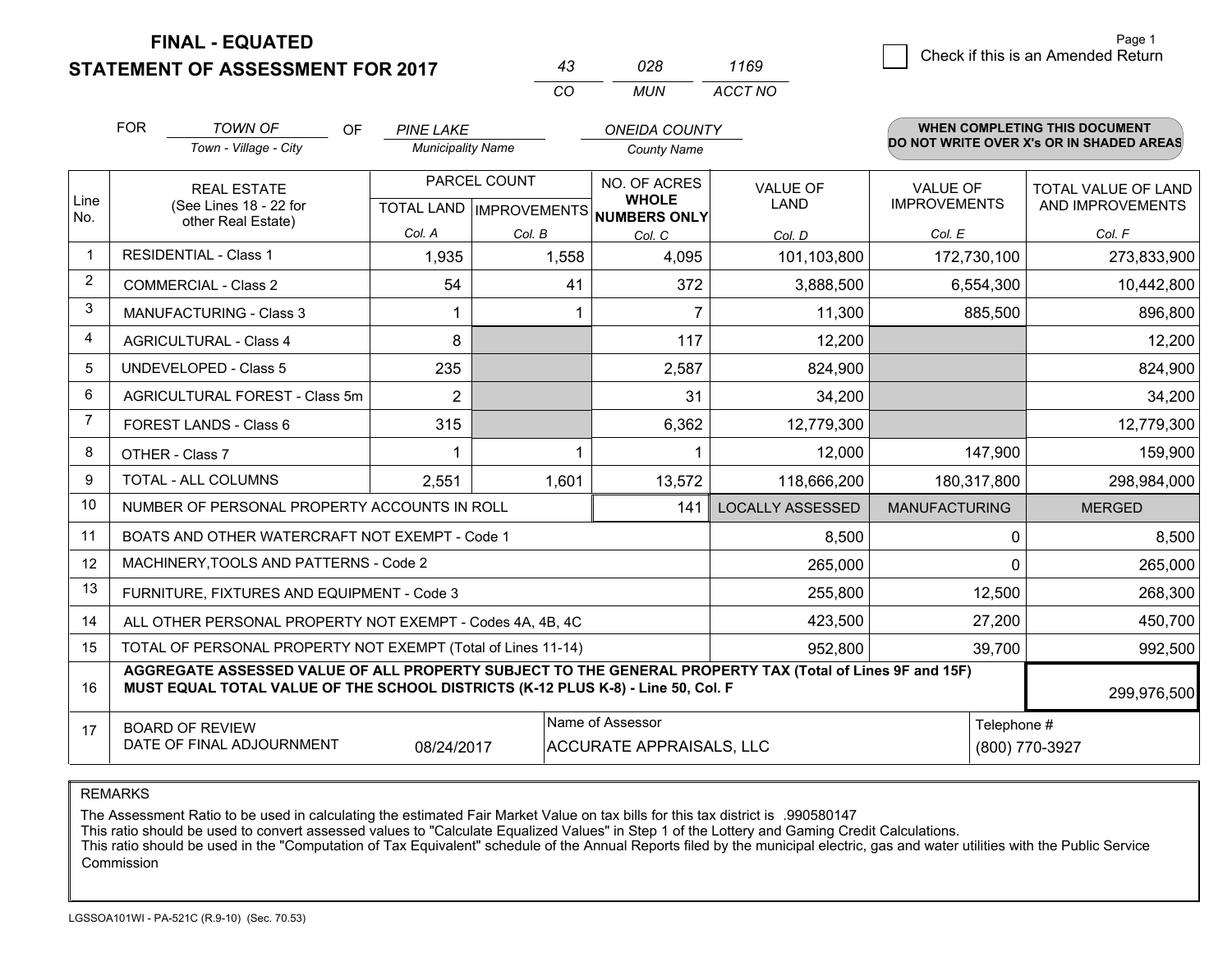## **STATEMENT OF ASSESSMENT FOR 2017**

| 43  | 028 | 1169    |
|-----|-----|---------|
| rn. | MUN | ACCT NO |

|             | <b>FOR</b>                                                                                                                                                                                   | <b>TOWN OF</b><br><b>OF</b>                                  | <b>PINE LAKE</b>         |                           | <b>ONEIDA COUNTY</b>         |                         |                      | <b>WHEN COMPLETING THIS DOCUMENT</b><br>DO NOT WRITE OVER X's OR IN SHADED AREAS |  |
|-------------|----------------------------------------------------------------------------------------------------------------------------------------------------------------------------------------------|--------------------------------------------------------------|--------------------------|---------------------------|------------------------------|-------------------------|----------------------|----------------------------------------------------------------------------------|--|
|             |                                                                                                                                                                                              | Town - Village - City                                        | <b>Municipality Name</b> |                           | <b>County Name</b>           |                         |                      |                                                                                  |  |
|             |                                                                                                                                                                                              | <b>REAL ESTATE</b>                                           |                          | PARCEL COUNT              | NO. OF ACRES                 | VALUE OF                | <b>VALUE OF</b>      | TOTAL VALUE OF LAND                                                              |  |
| Line<br>No. |                                                                                                                                                                                              | (See Lines 18 - 22 for<br>other Real Estate)                 |                          | TOTAL LAND   IMPROVEMENTS | <b>WHOLE</b><br>NUMBERS ONLY | <b>LAND</b>             | <b>IMPROVEMENTS</b>  | AND IMPROVEMENTS                                                                 |  |
|             |                                                                                                                                                                                              |                                                              | Col. A                   | Col. B                    | Col. C                       | Col. D                  | Col. E               | Col. F                                                                           |  |
|             |                                                                                                                                                                                              | <b>RESIDENTIAL - Class 1</b>                                 | 1,935                    | 1,558                     | 4,095                        | 101,103,800             | 172,730,100          | 273,833,900                                                                      |  |
| 2           |                                                                                                                                                                                              | <b>COMMERCIAL - Class 2</b>                                  | 54                       | 41                        | 372                          | 3,888,500               | 6,554,300            | 10,442,800                                                                       |  |
| 3           |                                                                                                                                                                                              | <b>MANUFACTURING - Class 3</b>                               |                          |                           | $\overline{7}$               | 11,300                  | 885,500              | 896,800                                                                          |  |
| 4           |                                                                                                                                                                                              | <b>AGRICULTURAL - Class 4</b>                                | 8                        |                           | 117                          | 12,200                  |                      | 12,200                                                                           |  |
| 5           |                                                                                                                                                                                              | UNDEVELOPED - Class 5                                        | 235                      |                           | 2,587                        | 824,900                 |                      | 824,900                                                                          |  |
| 6           |                                                                                                                                                                                              | AGRICULTURAL FOREST - Class 5m                               | $\overline{2}$           |                           | 31                           | 34,200                  |                      | 34,200                                                                           |  |
| 7           |                                                                                                                                                                                              | FOREST LANDS - Class 6                                       | 315                      |                           | 6,362                        | 12,779,300              |                      | 12,779,300                                                                       |  |
| 8           |                                                                                                                                                                                              | OTHER - Class 7                                              |                          |                           |                              | 12,000                  | 147,900              | 159,900                                                                          |  |
| 9           |                                                                                                                                                                                              | TOTAL - ALL COLUMNS                                          | 2,551                    | 1,601                     | 13,572                       | 118,666,200             | 180,317,800          | 298,984,000                                                                      |  |
| 10          |                                                                                                                                                                                              | NUMBER OF PERSONAL PROPERTY ACCOUNTS IN ROLL                 |                          |                           | 141                          | <b>LOCALLY ASSESSED</b> | <b>MANUFACTURING</b> | <b>MERGED</b>                                                                    |  |
| 11          |                                                                                                                                                                                              | BOATS AND OTHER WATERCRAFT NOT EXEMPT - Code 1               |                          |                           |                              | 8,500                   | 0                    | 8,500                                                                            |  |
| 12          |                                                                                                                                                                                              | MACHINERY, TOOLS AND PATTERNS - Code 2                       |                          |                           |                              | 265,000                 | $\Omega$             | 265,000                                                                          |  |
| 13          |                                                                                                                                                                                              | FURNITURE, FIXTURES AND EQUIPMENT - Code 3                   |                          |                           |                              | 255,800                 | 12,500               | 268,300                                                                          |  |
| 14          |                                                                                                                                                                                              | ALL OTHER PERSONAL PROPERTY NOT EXEMPT - Codes 4A, 4B, 4C    |                          |                           |                              | 423,500                 | 27,200               | 450,700                                                                          |  |
| 15          |                                                                                                                                                                                              | TOTAL OF PERSONAL PROPERTY NOT EXEMPT (Total of Lines 11-14) |                          |                           |                              | 952,800                 | 39,700               | 992,500                                                                          |  |
| 16          | AGGREGATE ASSESSED VALUE OF ALL PROPERTY SUBJECT TO THE GENERAL PROPERTY TAX (Total of Lines 9F and 15F)<br>MUST EQUAL TOTAL VALUE OF THE SCHOOL DISTRICTS (K-12 PLUS K-8) - Line 50, Col. F |                                                              |                          |                           |                              |                         |                      | 299,976,500                                                                      |  |
| 17          | Name of Assessor<br><b>BOARD OF REVIEW</b><br>DATE OF FINAL ADJOURNMENT<br>08/24/2017<br><b>ACCURATE APPRAISALS, LLC</b>                                                                     |                                                              |                          |                           |                              | Telephone #             | (800) 770-3927       |                                                                                  |  |

REMARKS

The Assessment Ratio to be used in calculating the estimated Fair Market Value on tax bills for this tax district is .990580147

This ratio should be used to convert assessed values to "Calculate Equalized Values" in Step 1 of the Lottery and Gaming Credit Calculations.<br>This ratio should be used in the "Computation of Tax Equivalent" schedule of the Commission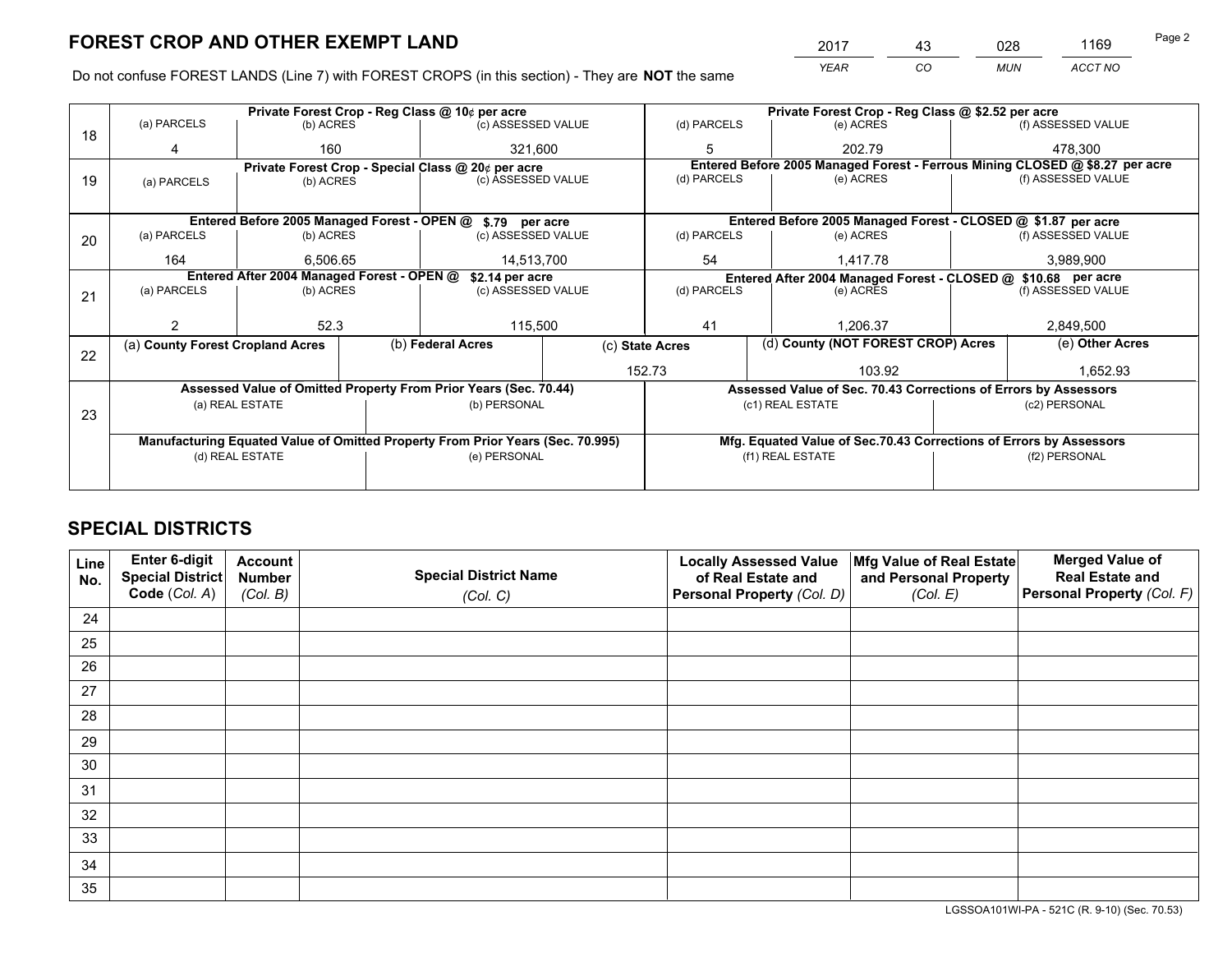*YEAR CO MUN ACCT NO* <sup>2017</sup> <sup>43</sup> <sup>028</sup> <sup>1169</sup> Page 2

Do not confuse FOREST LANDS (Line 7) with FOREST CROPS (in this section) - They are **NOT** the same

|    |                                                               |                                 |  | Private Forest Crop - Reg Class @ 10¢ per acre                                 |                 |                  | Private Forest Crop - Reg Class @ \$2.52 per acre                  |           |                    |                                                                              |  |
|----|---------------------------------------------------------------|---------------------------------|--|--------------------------------------------------------------------------------|-----------------|------------------|--------------------------------------------------------------------|-----------|--------------------|------------------------------------------------------------------------------|--|
| 18 | (a) PARCELS                                                   | (b) ACRES                       |  | (c) ASSESSED VALUE                                                             |                 | (d) PARCELS      | (e) ACRES                                                          |           |                    | (f) ASSESSED VALUE                                                           |  |
|    | 4                                                             | 160                             |  | 321,600                                                                        |                 | 5                | 202.79                                                             |           |                    | 478.300                                                                      |  |
|    |                                                               |                                 |  | Private Forest Crop - Special Class @ 20¢ per acre                             |                 |                  |                                                                    |           |                    | Entered Before 2005 Managed Forest - Ferrous Mining CLOSED @ \$8.27 per acre |  |
| 19 | (a) PARCELS                                                   | (c) ASSESSED VALUE<br>(b) ACRES |  |                                                                                | (d) PARCELS     | (e) ACRES        |                                                                    |           | (f) ASSESSED VALUE |                                                                              |  |
|    |                                                               |                                 |  |                                                                                |                 |                  |                                                                    |           |                    |                                                                              |  |
|    |                                                               |                                 |  | Entered Before 2005 Managed Forest - OPEN @ \$.79 per acre                     |                 |                  | Entered Before 2005 Managed Forest - CLOSED @ \$1.87 per acre      |           |                    |                                                                              |  |
| 20 | (a) PARCELS                                                   | (b) ACRES                       |  | (c) ASSESSED VALUE                                                             |                 | (d) PARCELS      | (e) ACRES                                                          |           |                    | (f) ASSESSED VALUE                                                           |  |
|    | 164                                                           | 6.506.65                        |  | 14,513,700                                                                     |                 | 54               | 1.417.78                                                           |           |                    | 3,989,900                                                                    |  |
|    | Entered After 2004 Managed Forest - OPEN @<br>\$2.14 per acre |                                 |  |                                                                                |                 |                  | Entered After 2004 Managed Forest - CLOSED @ \$10.68 per acre      |           |                    |                                                                              |  |
| 21 | (a) PARCELS                                                   | (b) ACRES                       |  | (c) ASSESSED VALUE                                                             |                 | (d) PARCELS      |                                                                    | (e) ACRES |                    | (f) ASSESSED VALUE                                                           |  |
|    |                                                               |                                 |  |                                                                                |                 |                  |                                                                    |           |                    |                                                                              |  |
|    | 2                                                             | 52.3                            |  | 115,500                                                                        |                 | 41               | 1.206.37                                                           |           |                    | 2,849,500                                                                    |  |
| 22 | (a) County Forest Cropland Acres                              |                                 |  | (b) Federal Acres                                                              | (c) State Acres |                  | (d) County (NOT FOREST CROP) Acres                                 |           |                    | (e) Other Acres                                                              |  |
|    |                                                               |                                 |  |                                                                                |                 | 152.73           |                                                                    | 103.92    |                    | 1,652.93                                                                     |  |
|    |                                                               |                                 |  | Assessed Value of Omitted Property From Prior Years (Sec. 70.44)               |                 |                  | Assessed Value of Sec. 70.43 Corrections of Errors by Assessors    |           |                    |                                                                              |  |
|    |                                                               | (a) REAL ESTATE                 |  | (b) PERSONAL                                                                   |                 |                  | (c1) REAL ESTATE                                                   |           |                    | (c2) PERSONAL                                                                |  |
| 23 |                                                               |                                 |  |                                                                                |                 |                  |                                                                    |           |                    |                                                                              |  |
|    |                                                               |                                 |  | Manufacturing Equated Value of Omitted Property From Prior Years (Sec. 70.995) |                 |                  | Mfg. Equated Value of Sec.70.43 Corrections of Errors by Assessors |           |                    |                                                                              |  |
|    |                                                               | (d) REAL ESTATE                 |  | (e) PERSONAL                                                                   |                 | (f1) REAL ESTATE |                                                                    |           | (f2) PERSONAL      |                                                                              |  |
|    |                                                               |                                 |  |                                                                                |                 |                  |                                                                    |           |                    |                                                                              |  |

## **SPECIAL DISTRICTS**

| Line<br>No. | Enter 6-digit<br>Special District | <b>Account</b><br><b>Number</b> | <b>Special District Name</b> | <b>Locally Assessed Value</b><br>of Real Estate and | Mfg Value of Real Estate<br>and Personal Property | <b>Merged Value of</b><br><b>Real Estate and</b> |
|-------------|-----------------------------------|---------------------------------|------------------------------|-----------------------------------------------------|---------------------------------------------------|--------------------------------------------------|
|             | Code (Col. A)                     | (Col. B)                        | (Col. C)                     | Personal Property (Col. D)                          | (Col. E)                                          | Personal Property (Col. F)                       |
| 24          |                                   |                                 |                              |                                                     |                                                   |                                                  |
| 25          |                                   |                                 |                              |                                                     |                                                   |                                                  |
| 26          |                                   |                                 |                              |                                                     |                                                   |                                                  |
| 27          |                                   |                                 |                              |                                                     |                                                   |                                                  |
| 28          |                                   |                                 |                              |                                                     |                                                   |                                                  |
| 29          |                                   |                                 |                              |                                                     |                                                   |                                                  |
| 30          |                                   |                                 |                              |                                                     |                                                   |                                                  |
| 31          |                                   |                                 |                              |                                                     |                                                   |                                                  |
| 32          |                                   |                                 |                              |                                                     |                                                   |                                                  |
| 33          |                                   |                                 |                              |                                                     |                                                   |                                                  |
| 34          |                                   |                                 |                              |                                                     |                                                   |                                                  |
| 35          |                                   |                                 |                              |                                                     |                                                   |                                                  |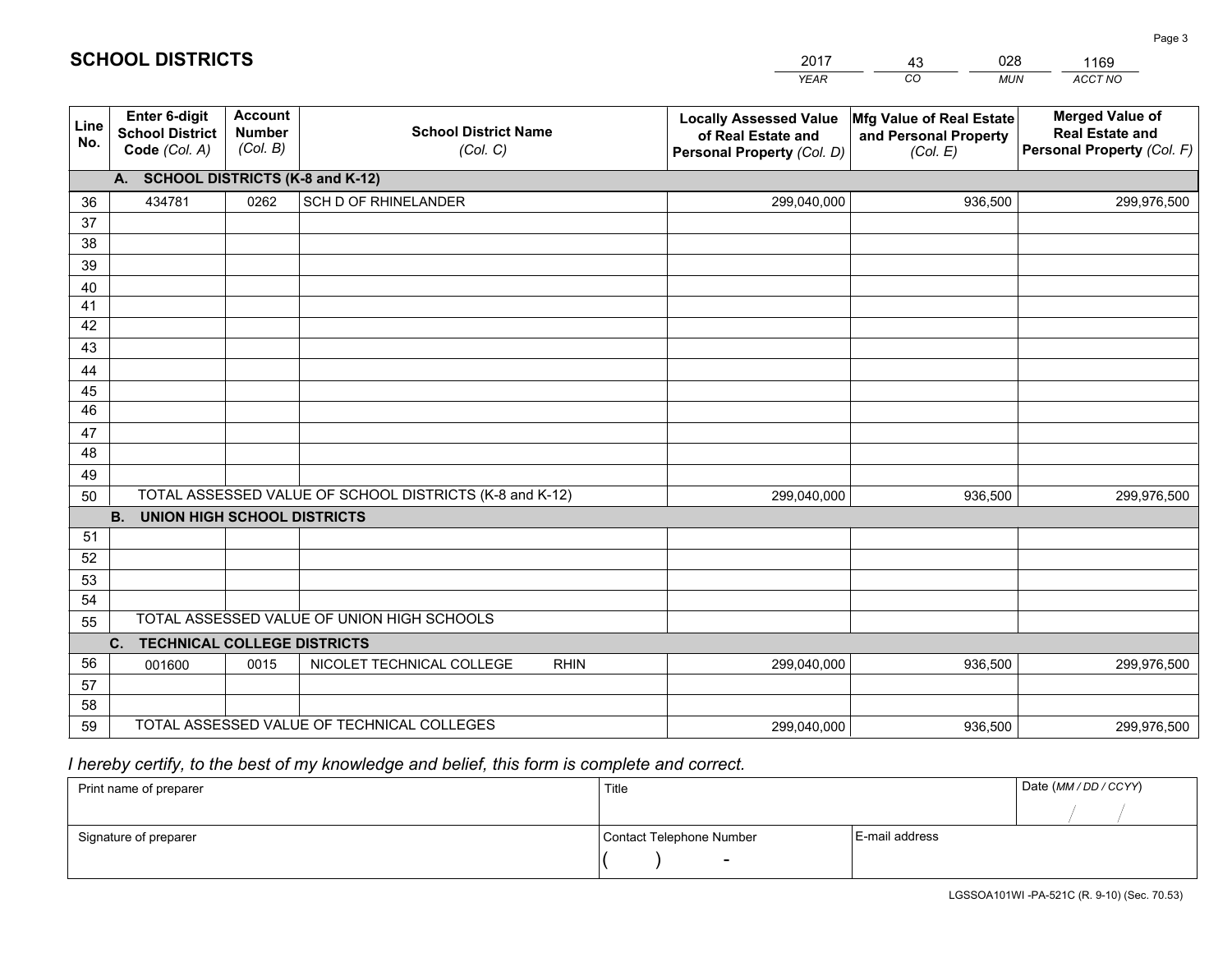|             |                                                                 |                                             |                                                         | <b>YEAR</b>                                                                       | CO<br><b>MUN</b>                                              | ACCT NO                                                                        |
|-------------|-----------------------------------------------------------------|---------------------------------------------|---------------------------------------------------------|-----------------------------------------------------------------------------------|---------------------------------------------------------------|--------------------------------------------------------------------------------|
| Line<br>No. | <b>Enter 6-digit</b><br><b>School District</b><br>Code (Col. A) | <b>Account</b><br><b>Number</b><br>(Col. B) | <b>School District Name</b><br>(Col. C)                 | <b>Locally Assessed Value</b><br>of Real Estate and<br>Personal Property (Col. D) | Mfg Value of Real Estate<br>and Personal Property<br>(Col. E) | <b>Merged Value of</b><br><b>Real Estate and</b><br>Personal Property (Col. F) |
|             | A. SCHOOL DISTRICTS (K-8 and K-12)                              |                                             |                                                         |                                                                                   |                                                               |                                                                                |
| 36          | 434781                                                          | 0262                                        | SCH D OF RHINELANDER                                    | 299,040,000                                                                       | 936,500                                                       | 299,976,500                                                                    |
| 37          |                                                                 |                                             |                                                         |                                                                                   |                                                               |                                                                                |
| 38          |                                                                 |                                             |                                                         |                                                                                   |                                                               |                                                                                |
| 39          |                                                                 |                                             |                                                         |                                                                                   |                                                               |                                                                                |
| 40          |                                                                 |                                             |                                                         |                                                                                   |                                                               |                                                                                |
| 41          |                                                                 |                                             |                                                         |                                                                                   |                                                               |                                                                                |
| 42          |                                                                 |                                             |                                                         |                                                                                   |                                                               |                                                                                |
| 43          |                                                                 |                                             |                                                         |                                                                                   |                                                               |                                                                                |
| 44          |                                                                 |                                             |                                                         |                                                                                   |                                                               |                                                                                |
| 45<br>46    |                                                                 |                                             |                                                         |                                                                                   |                                                               |                                                                                |
| 47          |                                                                 |                                             |                                                         |                                                                                   |                                                               |                                                                                |
| 48          |                                                                 |                                             |                                                         |                                                                                   |                                                               |                                                                                |
| 49          |                                                                 |                                             |                                                         |                                                                                   |                                                               |                                                                                |
| 50          |                                                                 |                                             | TOTAL ASSESSED VALUE OF SCHOOL DISTRICTS (K-8 and K-12) | 299,040,000                                                                       | 936,500                                                       | 299,976,500                                                                    |
|             | <b>B.</b><br><b>UNION HIGH SCHOOL DISTRICTS</b>                 |                                             |                                                         |                                                                                   |                                                               |                                                                                |
| 51          |                                                                 |                                             |                                                         |                                                                                   |                                                               |                                                                                |
| 52          |                                                                 |                                             |                                                         |                                                                                   |                                                               |                                                                                |
| 53          |                                                                 |                                             |                                                         |                                                                                   |                                                               |                                                                                |
| 54          |                                                                 |                                             |                                                         |                                                                                   |                                                               |                                                                                |
| 55          |                                                                 |                                             | TOTAL ASSESSED VALUE OF UNION HIGH SCHOOLS              |                                                                                   |                                                               |                                                                                |
|             | C.<br><b>TECHNICAL COLLEGE DISTRICTS</b>                        |                                             |                                                         |                                                                                   |                                                               |                                                                                |
| 56          | 001600                                                          | 0015                                        | NICOLET TECHNICAL COLLEGE<br><b>RHIN</b>                | 299,040,000                                                                       | 936,500                                                       | 299,976,500                                                                    |
| 57          |                                                                 |                                             |                                                         |                                                                                   |                                                               |                                                                                |
| 58          |                                                                 |                                             |                                                         |                                                                                   |                                                               |                                                                                |
| 59          |                                                                 |                                             | TOTAL ASSESSED VALUE OF TECHNICAL COLLEGES              | 299,040,000                                                                       | 936,500                                                       | 299,976,500                                                                    |

43

028

1169

 *I hereby certify, to the best of my knowledge and belief, this form is complete and correct.*

**SCHOOL DISTRICTS**

| Print name of preparer | Title                    | Date (MM / DD / CCYY) |  |
|------------------------|--------------------------|-----------------------|--|
|                        |                          |                       |  |
| Signature of preparer  | Contact Telephone Number | E-mail address        |  |
|                        | $\sim$                   |                       |  |

Page 3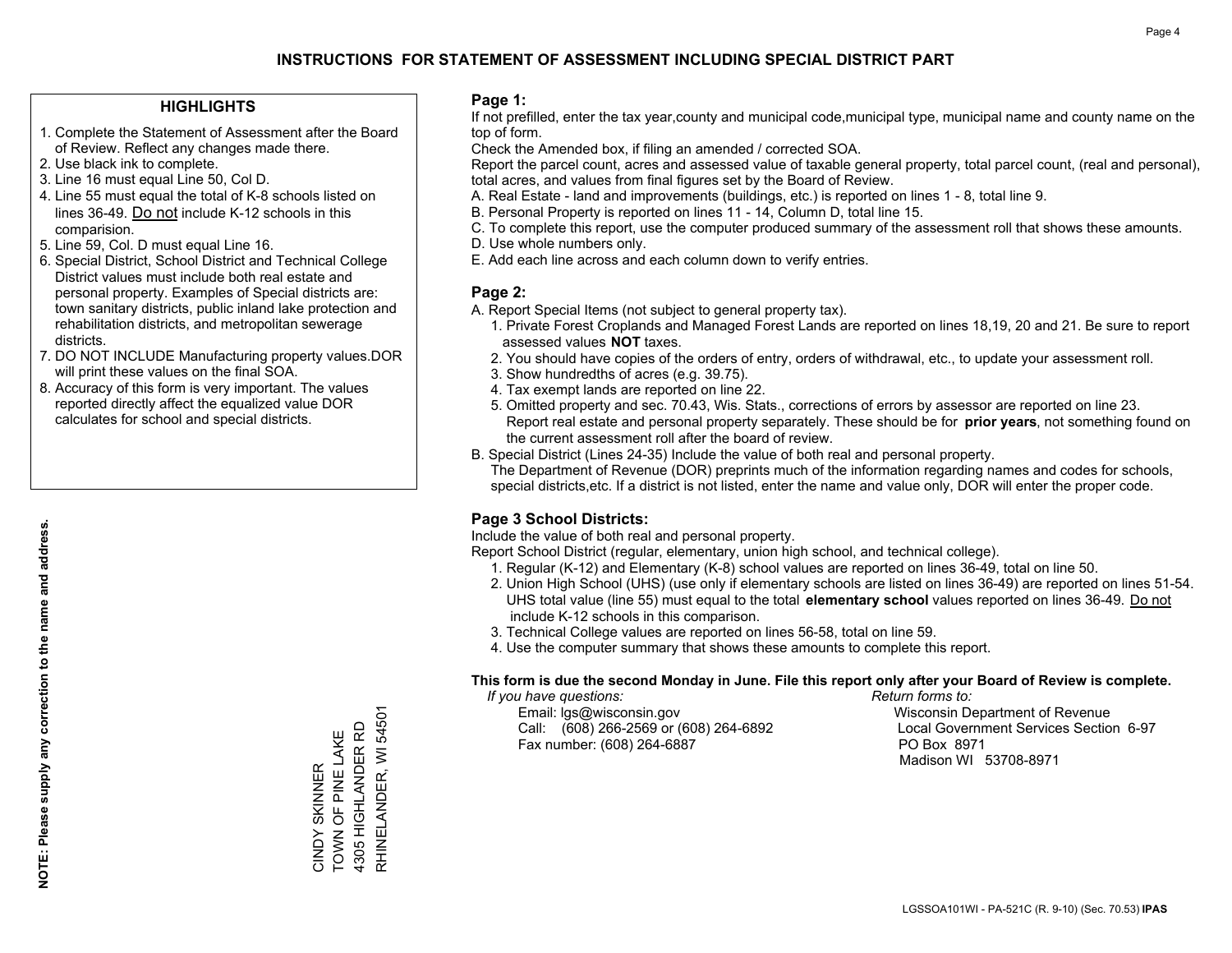### **HIGHLIGHTS**

- 1. Complete the Statement of Assessment after the Board of Review. Reflect any changes made there.
- 2. Use black ink to complete.
- 3. Line 16 must equal Line 50, Col D.
- 4. Line 55 must equal the total of K-8 schools listed on lines 36-49. Do not include K-12 schools in this comparision.
- 5. Line 59, Col. D must equal Line 16.
- 6. Special District, School District and Technical College District values must include both real estate and personal property. Examples of Special districts are: town sanitary districts, public inland lake protection and rehabilitation districts, and metropolitan sewerage districts.
- 7. DO NOT INCLUDE Manufacturing property values.DOR will print these values on the final SOA.

CINDY SKINNER TOWN OF PINE LAKE 4305 HIGHLANDER RD RHINELANDER, WI 54501

RHINELANDER, WI 54501 4305 HIGHLANDER RD CINDY SKINNER<br>TOWN OF PINE LAKE

 8. Accuracy of this form is very important. The values reported directly affect the equalized value DOR calculates for school and special districts.

#### **Page 1:**

 If not prefilled, enter the tax year,county and municipal code,municipal type, municipal name and county name on the top of form.

Check the Amended box, if filing an amended / corrected SOA.

 Report the parcel count, acres and assessed value of taxable general property, total parcel count, (real and personal), total acres, and values from final figures set by the Board of Review.

- A. Real Estate land and improvements (buildings, etc.) is reported on lines 1 8, total line 9.
- B. Personal Property is reported on lines 11 14, Column D, total line 15.
- C. To complete this report, use the computer produced summary of the assessment roll that shows these amounts.
- D. Use whole numbers only.
- E. Add each line across and each column down to verify entries.

## **Page 2:**

- A. Report Special Items (not subject to general property tax).
- 1. Private Forest Croplands and Managed Forest Lands are reported on lines 18,19, 20 and 21. Be sure to report assessed values **NOT** taxes.
- 2. You should have copies of the orders of entry, orders of withdrawal, etc., to update your assessment roll.
	- 3. Show hundredths of acres (e.g. 39.75).
- 4. Tax exempt lands are reported on line 22.
- 5. Omitted property and sec. 70.43, Wis. Stats., corrections of errors by assessor are reported on line 23. Report real estate and personal property separately. These should be for **prior years**, not something found on the current assessment roll after the board of review.
- B. Special District (Lines 24-35) Include the value of both real and personal property.

 The Department of Revenue (DOR) preprints much of the information regarding names and codes for schools, special districts,etc. If a district is not listed, enter the name and value only, DOR will enter the proper code.

## **Page 3 School Districts:**

Include the value of both real and personal property.

Report School District (regular, elementary, union high school, and technical college).

- 1. Regular (K-12) and Elementary (K-8) school values are reported on lines 36-49, total on line 50.
- 2. Union High School (UHS) (use only if elementary schools are listed on lines 36-49) are reported on lines 51-54. UHS total value (line 55) must equal to the total **elementary school** values reported on lines 36-49. Do notinclude K-12 schools in this comparison.
- 3. Technical College values are reported on lines 56-58, total on line 59.
- 4. Use the computer summary that shows these amounts to complete this report.

#### **This form is due the second Monday in June. File this report only after your Board of Review is complete.**

 *If you have questions: Return forms to:*

 Email: lgs@wisconsin.gov Wisconsin Department of RevenueCall:  $(608)$  266-2569 or  $(608)$  264-6892 Fax number: (608) 264-6887 PO Box 8971

Local Government Services Section 6-97 Madison WI 53708-8971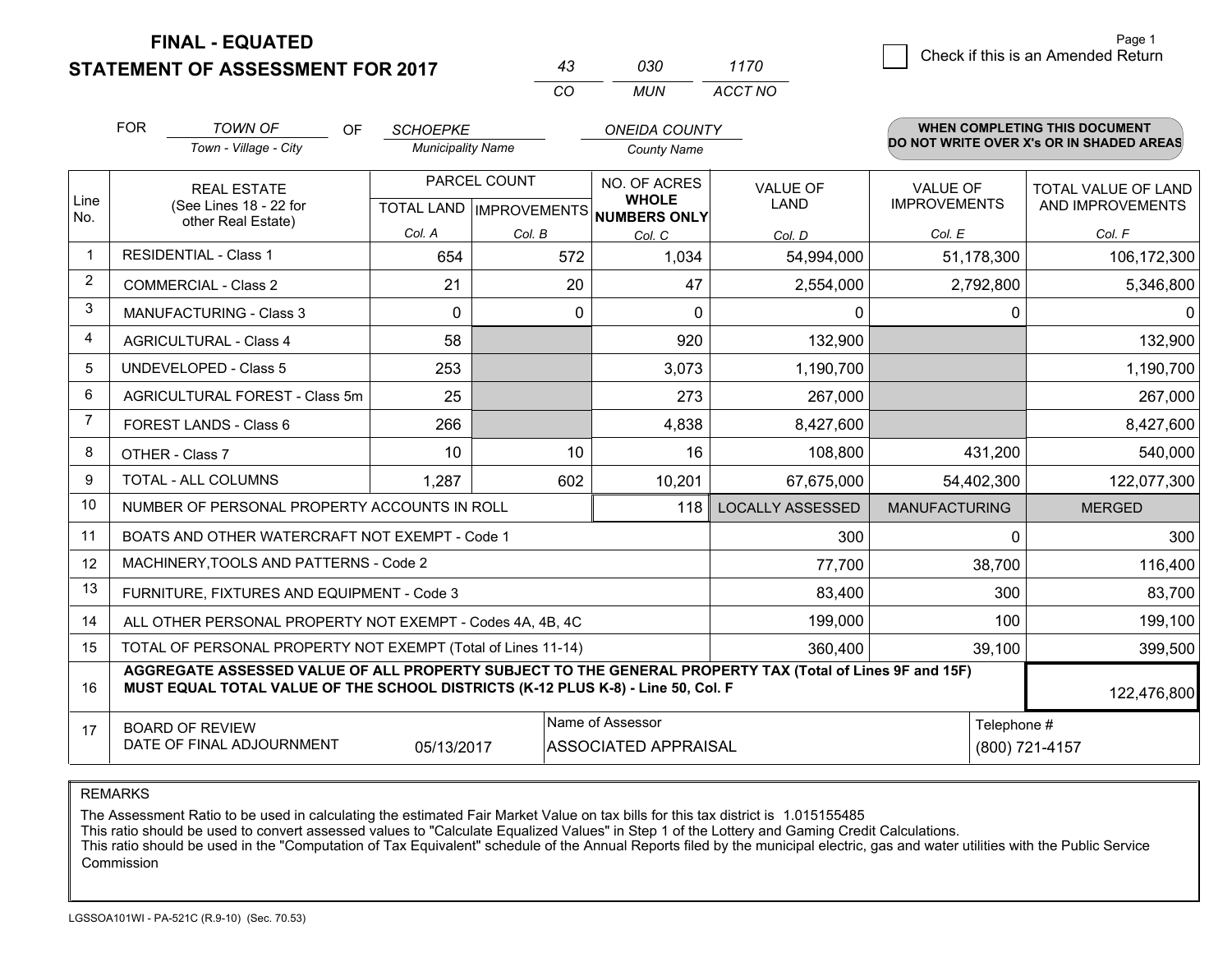**STATEMENT OF ASSESSMENT FOR 2017** 

| 43 | กาก | 1170    |
|----|-----|---------|
| cо | MUN | ACCT NO |

|             | <b>FOR</b><br><b>TOWN OF</b><br>OF<br>Town - Village - City                                                                                                                                  | <b>SCHOEPKE</b><br><b>Municipality Name</b> |          | <b>ONEIDA COUNTY</b><br><b>County Name</b>                 |                                |                                        | <b>WHEN COMPLETING THIS DOCUMENT</b><br>DO NOT WRITE OVER X's OR IN SHADED AREAS |
|-------------|----------------------------------------------------------------------------------------------------------------------------------------------------------------------------------------------|---------------------------------------------|----------|------------------------------------------------------------|--------------------------------|----------------------------------------|----------------------------------------------------------------------------------|
| Line<br>No. | <b>REAL ESTATE</b><br>(See Lines 18 - 22 for                                                                                                                                                 | PARCEL COUNT<br>TOTAL LAND   IMPROVEMENTS   |          | <b>NO. OF ACRES</b><br><b>WHOLE</b><br><b>NUMBERS ONLY</b> | <b>VALUE OF</b><br><b>LAND</b> | <b>VALUE OF</b><br><b>IMPROVEMENTS</b> | <b>TOTAL VALUE OF LAND</b><br>AND IMPROVEMENTS                                   |
|             | other Real Estate)                                                                                                                                                                           | Col. A                                      | Col. B   | Col. C                                                     | Col. D                         | Col. E                                 | Col. F                                                                           |
|             | <b>RESIDENTIAL - Class 1</b>                                                                                                                                                                 | 654                                         | 572      | 1,034                                                      | 54,994,000                     | 51,178,300                             | 106,172,300                                                                      |
| 2           | <b>COMMERCIAL - Class 2</b>                                                                                                                                                                  | 21                                          | 20       | 47                                                         | 2,554,000                      | 2,792,800                              | 5,346,800                                                                        |
| 3           | <b>MANUFACTURING - Class 3</b>                                                                                                                                                               | $\Omega$                                    | $\Omega$ | $\Omega$                                                   | $\mathbf{0}$                   | $\Omega$                               | $\Omega$                                                                         |
| 4           | <b>AGRICULTURAL - Class 4</b>                                                                                                                                                                | 58                                          |          | 920                                                        | 132,900                        |                                        | 132,900                                                                          |
| 5           | <b>UNDEVELOPED - Class 5</b>                                                                                                                                                                 | 253                                         |          | 3,073                                                      | 1,190,700                      |                                        | 1,190,700                                                                        |
| 6           | AGRICULTURAL FOREST - Class 5m                                                                                                                                                               | 25                                          |          | 273                                                        | 267,000                        |                                        | 267,000                                                                          |
|             | FOREST LANDS - Class 6                                                                                                                                                                       | 266                                         |          | 4,838                                                      | 8,427,600                      |                                        | 8,427,600                                                                        |
| 8           | OTHER - Class 7                                                                                                                                                                              | 10                                          | 10       | 16                                                         | 108,800                        | 431,200                                | 540,000                                                                          |
| 9           | TOTAL - ALL COLUMNS                                                                                                                                                                          | 1,287                                       | 602      | 10,201                                                     | 67,675,000                     | 54,402,300                             | 122,077,300                                                                      |
| 10          | NUMBER OF PERSONAL PROPERTY ACCOUNTS IN ROLL                                                                                                                                                 |                                             |          | 118                                                        | <b>LOCALLY ASSESSED</b>        | <b>MANUFACTURING</b>                   | <b>MERGED</b>                                                                    |
| 11          | BOATS AND OTHER WATERCRAFT NOT EXEMPT - Code 1                                                                                                                                               |                                             |          |                                                            | 300                            | 0                                      | 300                                                                              |
| 12          | MACHINERY, TOOLS AND PATTERNS - Code 2                                                                                                                                                       |                                             |          |                                                            | 77,700                         | 38,700                                 | 116,400                                                                          |
| 13          | FURNITURE, FIXTURES AND EQUIPMENT - Code 3                                                                                                                                                   |                                             |          |                                                            | 83,400                         | 300                                    | 83,700                                                                           |
| 14          | ALL OTHER PERSONAL PROPERTY NOT EXEMPT - Codes 4A, 4B, 4C                                                                                                                                    |                                             |          |                                                            | 199,000                        | 100                                    | 199,100                                                                          |
| 15          | TOTAL OF PERSONAL PROPERTY NOT EXEMPT (Total of Lines 11-14)                                                                                                                                 |                                             |          |                                                            | 360,400                        | 39,100                                 | 399,500                                                                          |
| 16          | AGGREGATE ASSESSED VALUE OF ALL PROPERTY SUBJECT TO THE GENERAL PROPERTY TAX (Total of Lines 9F and 15F)<br>MUST EQUAL TOTAL VALUE OF THE SCHOOL DISTRICTS (K-12 PLUS K-8) - Line 50, Col. F |                                             |          |                                                            |                                |                                        | 122,476,800                                                                      |
| 17          | Name of Assessor<br><b>BOARD OF REVIEW</b><br>DATE OF FINAL ADJOURNMENT<br><b>ASSOCIATED APPRAISAL</b><br>05/13/2017                                                                         |                                             |          |                                                            |                                | Telephone #                            | (800) 721-4157                                                                   |

REMARKS

The Assessment Ratio to be used in calculating the estimated Fair Market Value on tax bills for this tax district is 1.015155485

This ratio should be used to convert assessed values to "Calculate Equalized Values" in Step 1 of the Lottery and Gaming Credit Calculations.<br>This ratio should be used in the "Computation of Tax Equivalent" schedule of the Commission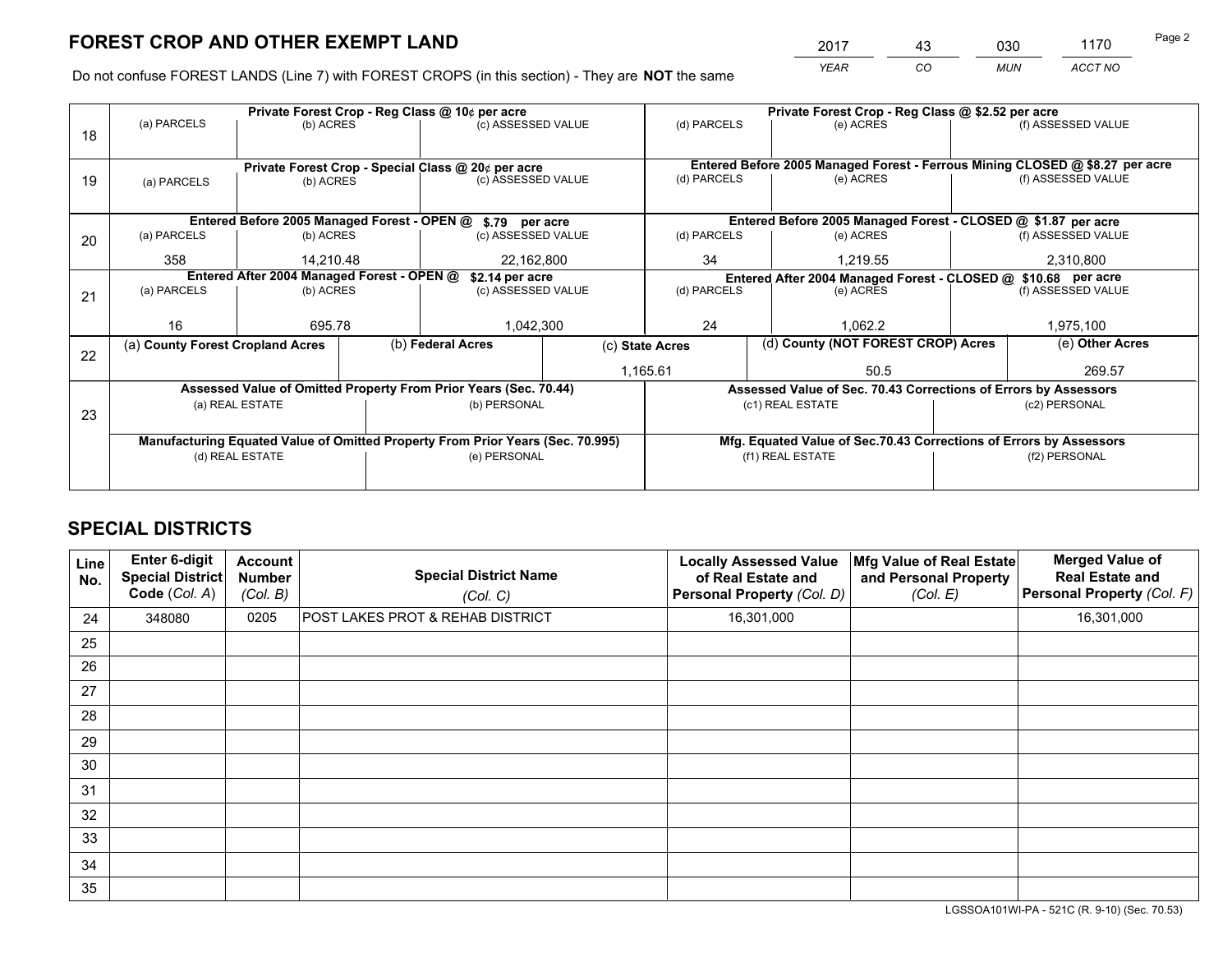*YEAR CO MUN ACCT NO* <u>2017 - 43 030 1170</u>

Do not confuse FOREST LANDS (Line 7) with FOREST CROPS (in this section) - They are **NOT** the same

|    |                                  |                                            |  | Private Forest Crop - Reg Class @ 10¢ per acre                                 |                                   |                                                                                     | Private Forest Crop - Reg Class @ \$2.52 per acre                  |  |                                                                              |  |
|----|----------------------------------|--------------------------------------------|--|--------------------------------------------------------------------------------|-----------------------------------|-------------------------------------------------------------------------------------|--------------------------------------------------------------------|--|------------------------------------------------------------------------------|--|
| 18 | (a) PARCELS                      | (b) ACRES                                  |  | (c) ASSESSED VALUE                                                             |                                   | (d) PARCELS                                                                         | (e) ACRES                                                          |  | (f) ASSESSED VALUE                                                           |  |
|    |                                  |                                            |  |                                                                                |                                   |                                                                                     |                                                                    |  |                                                                              |  |
|    |                                  |                                            |  | Private Forest Crop - Special Class @ 20¢ per acre                             |                                   |                                                                                     |                                                                    |  | Entered Before 2005 Managed Forest - Ferrous Mining CLOSED @ \$8.27 per acre |  |
| 19 | (a) PARCELS                      | (b) ACRES                                  |  | (c) ASSESSED VALUE                                                             |                                   | (d) PARCELS                                                                         | (e) ACRES                                                          |  | (f) ASSESSED VALUE                                                           |  |
|    |                                  |                                            |  |                                                                                |                                   |                                                                                     |                                                                    |  |                                                                              |  |
|    |                                  |                                            |  | Entered Before 2005 Managed Forest - OPEN @ \$.79 per acre                     |                                   |                                                                                     | Entered Before 2005 Managed Forest - CLOSED @ \$1.87 per acre      |  |                                                                              |  |
| 20 | (a) PARCELS                      | (b) ACRES                                  |  | (c) ASSESSED VALUE                                                             |                                   | (d) PARCELS                                                                         | (e) ACRES                                                          |  | (f) ASSESSED VALUE                                                           |  |
|    | 358                              | 14.210.48                                  |  | 22,162,800                                                                     |                                   | 34                                                                                  | 1.219.55                                                           |  | 2,310,800                                                                    |  |
|    |                                  | Entered After 2004 Managed Forest - OPEN @ |  | \$2.14 per acre                                                                |                                   | Entered After 2004 Managed Forest - CLOSED @ \$10.68 per acre<br>(f) ASSESSED VALUE |                                                                    |  |                                                                              |  |
| 21 | (a) PARCELS                      | (b) ACRES                                  |  |                                                                                | (d) PARCELS<br>(c) ASSESSED VALUE |                                                                                     | (e) ACRES                                                          |  |                                                                              |  |
|    |                                  |                                            |  |                                                                                |                                   |                                                                                     |                                                                    |  |                                                                              |  |
|    | 16                               | 695.78                                     |  | 1,042,300                                                                      |                                   | 24                                                                                  | 1.062.2                                                            |  | 1,975,100                                                                    |  |
| 22 | (a) County Forest Cropland Acres |                                            |  | (b) Federal Acres                                                              | (c) State Acres                   |                                                                                     | (d) County (NOT FOREST CROP) Acres                                 |  | (e) Other Acres                                                              |  |
|    |                                  |                                            |  |                                                                                |                                   | 1,165.61                                                                            | 50.5                                                               |  | 269.57                                                                       |  |
|    |                                  |                                            |  | Assessed Value of Omitted Property From Prior Years (Sec. 70.44)               |                                   |                                                                                     | Assessed Value of Sec. 70.43 Corrections of Errors by Assessors    |  |                                                                              |  |
| 23 |                                  | (a) REAL ESTATE                            |  | (b) PERSONAL                                                                   |                                   |                                                                                     | (c1) REAL ESTATE                                                   |  | (c2) PERSONAL                                                                |  |
|    |                                  |                                            |  |                                                                                |                                   |                                                                                     |                                                                    |  |                                                                              |  |
|    |                                  |                                            |  | Manufacturing Equated Value of Omitted Property From Prior Years (Sec. 70.995) |                                   |                                                                                     | Mfg. Equated Value of Sec.70.43 Corrections of Errors by Assessors |  |                                                                              |  |
|    | (d) REAL ESTATE                  |                                            |  | (e) PERSONAL                                                                   |                                   | (f1) REAL ESTATE                                                                    |                                                                    |  | (f2) PERSONAL                                                                |  |
|    |                                  |                                            |  |                                                                                |                                   |                                                                                     |                                                                    |  |                                                                              |  |

## **SPECIAL DISTRICTS**

| Line<br>No. | <b>Enter 6-digit</b><br><b>Special District</b><br>Code (Col. A) | <b>Account</b><br><b>Number</b><br>(Col. B) | <b>Special District Name</b><br>(Col. C) | <b>Locally Assessed Value</b><br>of Real Estate and<br>Personal Property (Col. D) | Mfg Value of Real Estate<br>and Personal Property<br>(Col. E) | <b>Merged Value of</b><br><b>Real Estate and</b><br>Personal Property (Col. F) |
|-------------|------------------------------------------------------------------|---------------------------------------------|------------------------------------------|-----------------------------------------------------------------------------------|---------------------------------------------------------------|--------------------------------------------------------------------------------|
| 24          | 348080                                                           | 0205                                        | POST LAKES PROT & REHAB DISTRICT         | 16,301,000                                                                        |                                                               | 16,301,000                                                                     |
| 25          |                                                                  |                                             |                                          |                                                                                   |                                                               |                                                                                |
| 26          |                                                                  |                                             |                                          |                                                                                   |                                                               |                                                                                |
| 27          |                                                                  |                                             |                                          |                                                                                   |                                                               |                                                                                |
| 28          |                                                                  |                                             |                                          |                                                                                   |                                                               |                                                                                |
| 29          |                                                                  |                                             |                                          |                                                                                   |                                                               |                                                                                |
| 30          |                                                                  |                                             |                                          |                                                                                   |                                                               |                                                                                |
| 31          |                                                                  |                                             |                                          |                                                                                   |                                                               |                                                                                |
| 32          |                                                                  |                                             |                                          |                                                                                   |                                                               |                                                                                |
| 33          |                                                                  |                                             |                                          |                                                                                   |                                                               |                                                                                |
| 34          |                                                                  |                                             |                                          |                                                                                   |                                                               |                                                                                |
| 35          |                                                                  |                                             |                                          |                                                                                   |                                                               |                                                                                |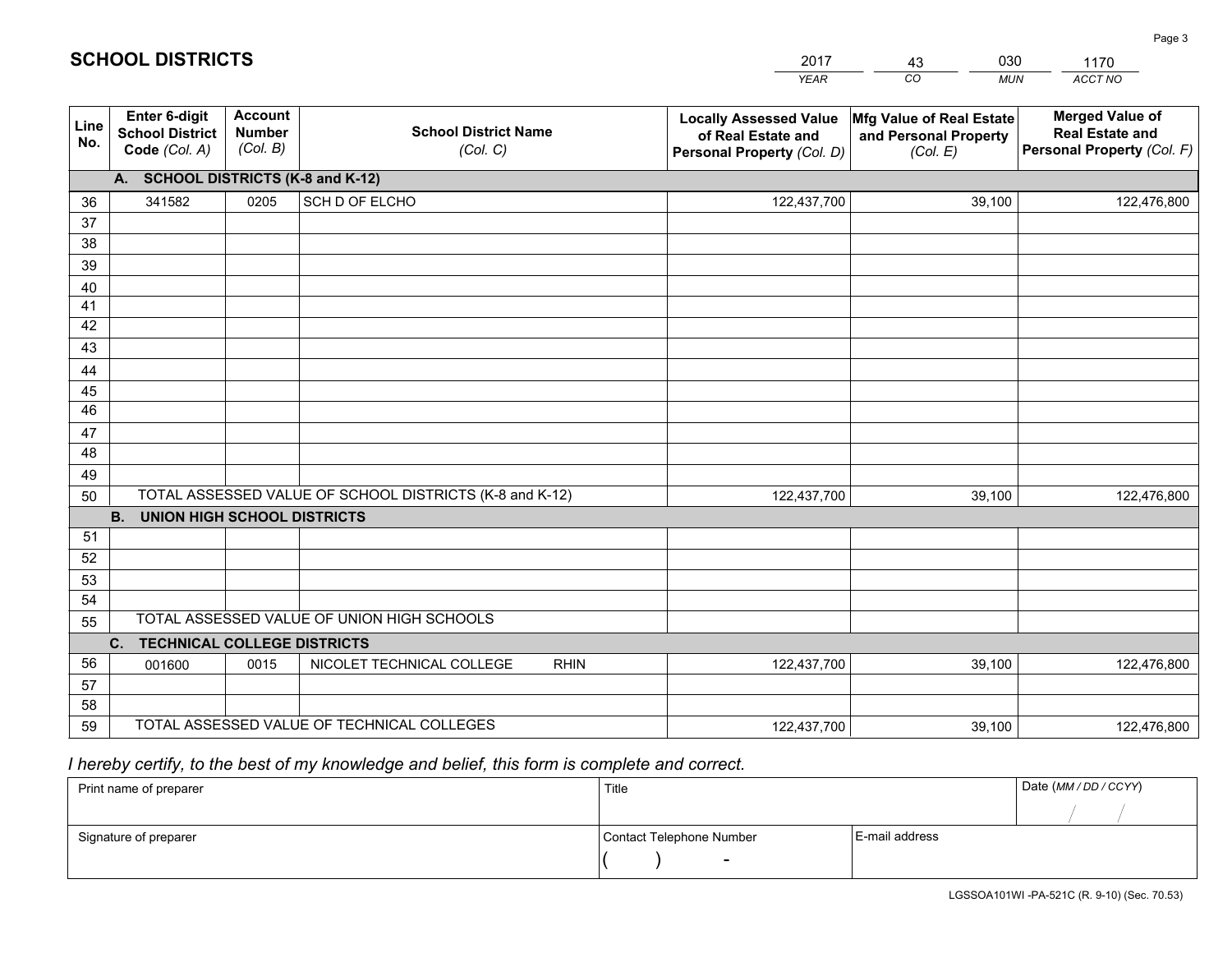|             |                                                                 |                                             |                                                         | <b>YEAR</b>                                                                       | CO<br><b>MUN</b>                                              | ACCT NO                                                                        |
|-------------|-----------------------------------------------------------------|---------------------------------------------|---------------------------------------------------------|-----------------------------------------------------------------------------------|---------------------------------------------------------------|--------------------------------------------------------------------------------|
| Line<br>No. | <b>Enter 6-digit</b><br><b>School District</b><br>Code (Col. A) | <b>Account</b><br><b>Number</b><br>(Col. B) | <b>School District Name</b><br>(Col. C)                 | <b>Locally Assessed Value</b><br>of Real Estate and<br>Personal Property (Col. D) | Mfg Value of Real Estate<br>and Personal Property<br>(Col. E) | <b>Merged Value of</b><br><b>Real Estate and</b><br>Personal Property (Col. F) |
|             | A. SCHOOL DISTRICTS (K-8 and K-12)                              |                                             |                                                         |                                                                                   |                                                               |                                                                                |
| 36          | 341582                                                          | 0205                                        | SCH D OF ELCHO                                          | 122,437,700                                                                       | 39,100                                                        | 122,476,800                                                                    |
| 37          |                                                                 |                                             |                                                         |                                                                                   |                                                               |                                                                                |
| 38          |                                                                 |                                             |                                                         |                                                                                   |                                                               |                                                                                |
| 39          |                                                                 |                                             |                                                         |                                                                                   |                                                               |                                                                                |
| 40          |                                                                 |                                             |                                                         |                                                                                   |                                                               |                                                                                |
| 41<br>42    |                                                                 |                                             |                                                         |                                                                                   |                                                               |                                                                                |
| 43          |                                                                 |                                             |                                                         |                                                                                   |                                                               |                                                                                |
| 44          |                                                                 |                                             |                                                         |                                                                                   |                                                               |                                                                                |
| 45          |                                                                 |                                             |                                                         |                                                                                   |                                                               |                                                                                |
| 46          |                                                                 |                                             |                                                         |                                                                                   |                                                               |                                                                                |
| 47          |                                                                 |                                             |                                                         |                                                                                   |                                                               |                                                                                |
| 48          |                                                                 |                                             |                                                         |                                                                                   |                                                               |                                                                                |
| 49          |                                                                 |                                             |                                                         |                                                                                   |                                                               |                                                                                |
| 50          |                                                                 |                                             | TOTAL ASSESSED VALUE OF SCHOOL DISTRICTS (K-8 and K-12) | 122,437,700                                                                       | 39,100                                                        | 122,476,800                                                                    |
|             | <b>B.</b><br>UNION HIGH SCHOOL DISTRICTS                        |                                             |                                                         |                                                                                   |                                                               |                                                                                |
| 51          |                                                                 |                                             |                                                         |                                                                                   |                                                               |                                                                                |
| 52          |                                                                 |                                             |                                                         |                                                                                   |                                                               |                                                                                |
| 53          |                                                                 |                                             |                                                         |                                                                                   |                                                               |                                                                                |
| 54          |                                                                 |                                             |                                                         |                                                                                   |                                                               |                                                                                |
| 55          |                                                                 |                                             | TOTAL ASSESSED VALUE OF UNION HIGH SCHOOLS              |                                                                                   |                                                               |                                                                                |
|             | C.<br><b>TECHNICAL COLLEGE DISTRICTS</b>                        |                                             |                                                         |                                                                                   |                                                               |                                                                                |
| 56          | 001600                                                          | 0015                                        | NICOLET TECHNICAL COLLEGE<br><b>RHIN</b>                | 122,437,700                                                                       | 39,100                                                        | 122,476,800                                                                    |
| 57<br>58    |                                                                 |                                             |                                                         |                                                                                   |                                                               |                                                                                |
| 59          |                                                                 |                                             | TOTAL ASSESSED VALUE OF TECHNICAL COLLEGES              | 122,437,700                                                                       | 39,100                                                        | 122,476,800                                                                    |
|             |                                                                 |                                             |                                                         |                                                                                   |                                                               |                                                                                |

43

030

 *I hereby certify, to the best of my knowledge and belief, this form is complete and correct.*

**SCHOOL DISTRICTS**

| Print name of preparer | Title                    |                | Date (MM / DD / CCYY) |
|------------------------|--------------------------|----------------|-----------------------|
|                        |                          |                |                       |
| Signature of preparer  | Contact Telephone Number | E-mail address |                       |
|                        | $\overline{\phantom{0}}$ |                |                       |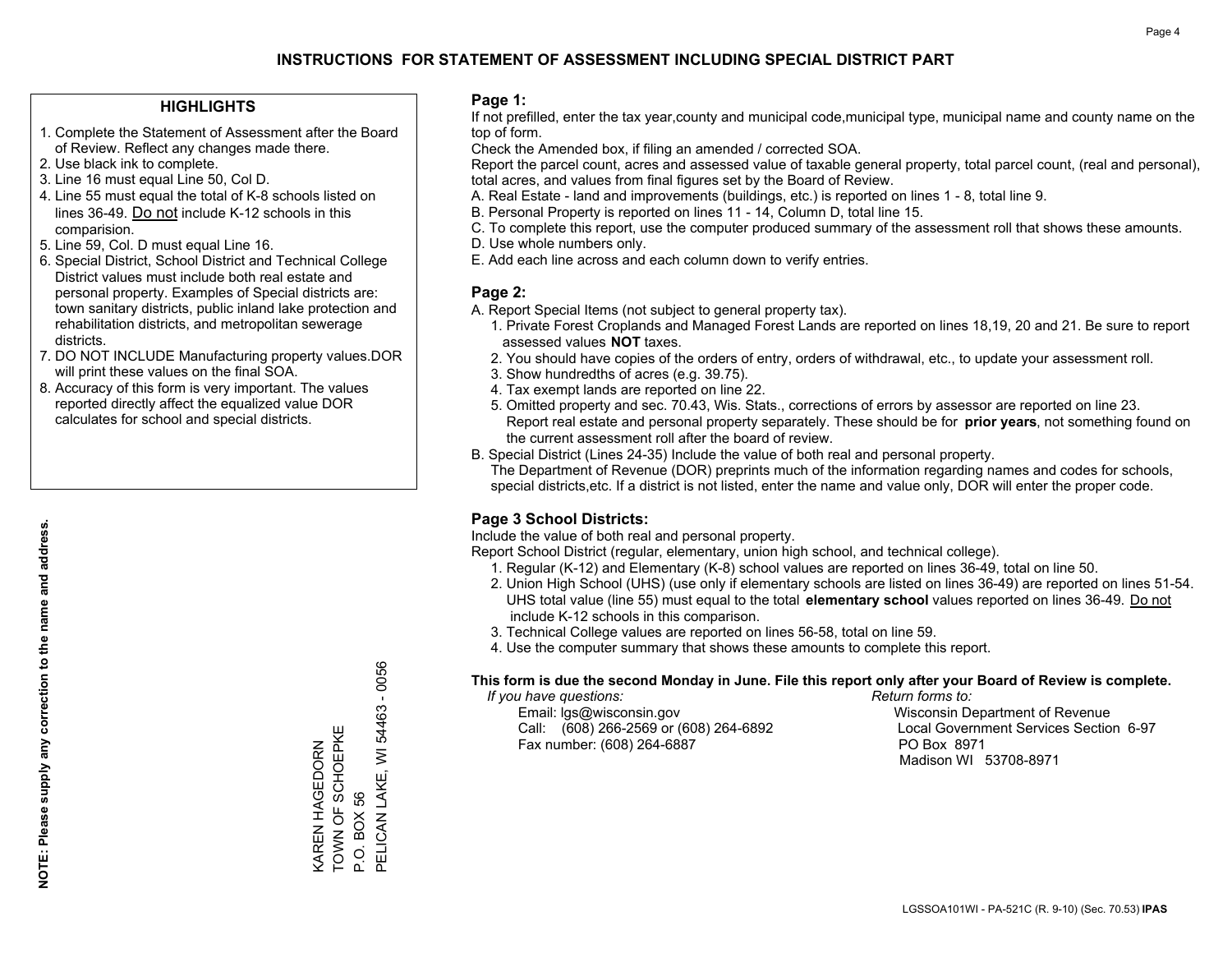### **HIGHLIGHTS**

- 1. Complete the Statement of Assessment after the Board of Review. Reflect any changes made there.
- 2. Use black ink to complete.
- 3. Line 16 must equal Line 50, Col D.
- 4. Line 55 must equal the total of K-8 schools listed on lines 36-49. Do not include K-12 schools in this comparision.
- 5. Line 59, Col. D must equal Line 16.
- 6. Special District, School District and Technical College District values must include both real estate and personal property. Examples of Special districts are: town sanitary districts, public inland lake protection and rehabilitation districts, and metropolitan sewerage districts.
- 7. DO NOT INCLUDE Manufacturing property values.DOR will print these values on the final SOA.

KAREN HAGEDORN TOWN OF SCHOEPKE

KAREN HAGEDORN<br>TOWN OF SCHOEPKI

Ш

P.O. BOX 56

P.O. BOX 56

PELICAN LAKE, WI 54463 - 0056

PELICAN LAKE, WI 54463 - 0056

 8. Accuracy of this form is very important. The values reported directly affect the equalized value DOR calculates for school and special districts.

#### **Page 1:**

 If not prefilled, enter the tax year,county and municipal code,municipal type, municipal name and county name on the top of form.

Check the Amended box, if filing an amended / corrected SOA.

 Report the parcel count, acres and assessed value of taxable general property, total parcel count, (real and personal), total acres, and values from final figures set by the Board of Review.

- A. Real Estate land and improvements (buildings, etc.) is reported on lines 1 8, total line 9.
- B. Personal Property is reported on lines 11 14, Column D, total line 15.
- C. To complete this report, use the computer produced summary of the assessment roll that shows these amounts.
- D. Use whole numbers only.
- E. Add each line across and each column down to verify entries.

#### **Page 2:**

- A. Report Special Items (not subject to general property tax).
- 1. Private Forest Croplands and Managed Forest Lands are reported on lines 18,19, 20 and 21. Be sure to report assessed values **NOT** taxes.
- 2. You should have copies of the orders of entry, orders of withdrawal, etc., to update your assessment roll.
	- 3. Show hundredths of acres (e.g. 39.75).
- 4. Tax exempt lands are reported on line 22.
- 5. Omitted property and sec. 70.43, Wis. Stats., corrections of errors by assessor are reported on line 23. Report real estate and personal property separately. These should be for **prior years**, not something found on the current assessment roll after the board of review.
- B. Special District (Lines 24-35) Include the value of both real and personal property.
- The Department of Revenue (DOR) preprints much of the information regarding names and codes for schools, special districts,etc. If a district is not listed, enter the name and value only, DOR will enter the proper code.

## **Page 3 School Districts:**

Include the value of both real and personal property.

Report School District (regular, elementary, union high school, and technical college).

- 1. Regular (K-12) and Elementary (K-8) school values are reported on lines 36-49, total on line 50.
- 2. Union High School (UHS) (use only if elementary schools are listed on lines 36-49) are reported on lines 51-54. UHS total value (line 55) must equal to the total **elementary school** values reported on lines 36-49. Do notinclude K-12 schools in this comparison.
- 3. Technical College values are reported on lines 56-58, total on line 59.
- 4. Use the computer summary that shows these amounts to complete this report.

#### **This form is due the second Monday in June. File this report only after your Board of Review is complete.**

 *If you have questions: Return forms to:*

 Email: lgs@wisconsin.gov Wisconsin Department of RevenueCall:  $(608)$  266-2569 or  $(608)$  264-6892 Fax number: (608) 264-6887 PO Box 8971

Local Government Services Section 6-97 Madison WI 53708-8971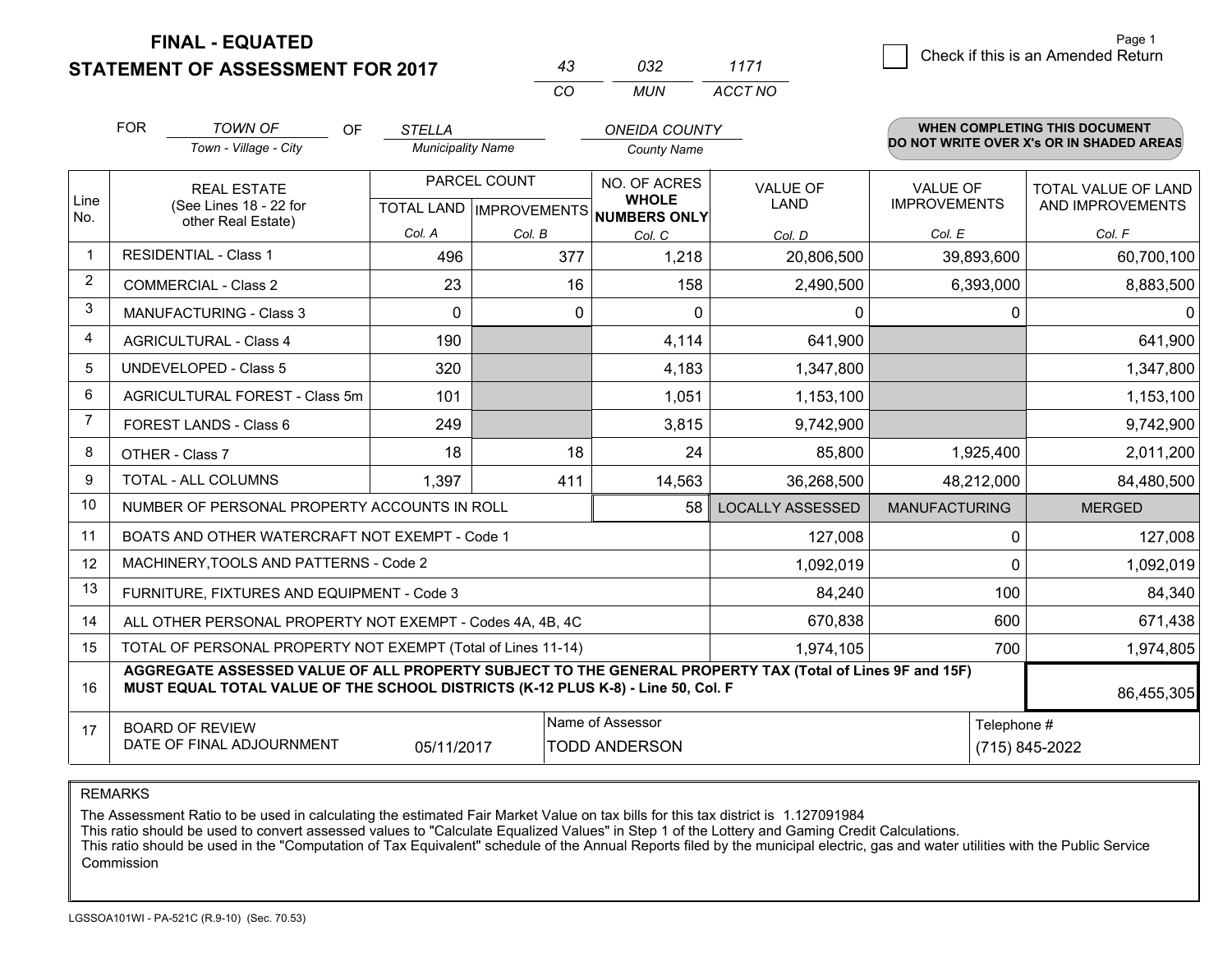## **STATEMENT OF ASSESSMENT FOR 2017**

|          | ุกจว | 1171    |
|----------|------|---------|
| $\alpha$ | MUN  | ACCT NO |

|                | <b>FOR</b>                                                                                                                                     | <b>TOWN OF</b><br><b>OF</b>                                                                                                                                                                  | <b>STELLA</b>            |                           | <b>ONEIDA COUNTY</b>         |                         |                      | <b>WHEN COMPLETING THIS DOCUMENT</b><br>DO NOT WRITE OVER X's OR IN SHADED AREAS |
|----------------|------------------------------------------------------------------------------------------------------------------------------------------------|----------------------------------------------------------------------------------------------------------------------------------------------------------------------------------------------|--------------------------|---------------------------|------------------------------|-------------------------|----------------------|----------------------------------------------------------------------------------|
|                |                                                                                                                                                | Town - Village - City                                                                                                                                                                        | <b>Municipality Name</b> |                           | <b>County Name</b>           |                         |                      |                                                                                  |
|                |                                                                                                                                                | <b>REAL ESTATE</b>                                                                                                                                                                           |                          | PARCEL COUNT              | NO. OF ACRES                 | <b>VALUE OF</b>         | <b>VALUE OF</b>      | <b>TOTAL VALUE OF LAND</b>                                                       |
| Line<br>No.    |                                                                                                                                                | (See Lines 18 - 22 for<br>other Real Estate)                                                                                                                                                 |                          | TOTAL LAND   IMPROVEMENTS | <b>WHOLE</b><br>NUMBERS ONLY | <b>LAND</b>             | <b>IMPROVEMENTS</b>  | AND IMPROVEMENTS                                                                 |
|                |                                                                                                                                                |                                                                                                                                                                                              | Col. A                   | Col. B                    | Col. C                       | Col. D                  | Col. E               | Col. F                                                                           |
| 1              |                                                                                                                                                | <b>RESIDENTIAL - Class 1</b>                                                                                                                                                                 | 496                      | 377                       | 1,218                        | 20,806,500              | 39,893,600           | 60,700,100                                                                       |
| $\overline{2}$ |                                                                                                                                                | <b>COMMERCIAL - Class 2</b>                                                                                                                                                                  | 23                       | 16                        | 158                          | 2,490,500               | 6,393,000            | 8,883,500                                                                        |
| 3              |                                                                                                                                                | <b>MANUFACTURING - Class 3</b>                                                                                                                                                               | $\Omega$                 | 0                         | $\Omega$                     | 0                       |                      | $\Omega$<br>$\mathbf{0}$                                                         |
| $\overline{4}$ |                                                                                                                                                | <b>AGRICULTURAL - Class 4</b>                                                                                                                                                                | 190                      |                           | 4,114                        | 641,900                 |                      | 641,900                                                                          |
| 5              |                                                                                                                                                | <b>UNDEVELOPED - Class 5</b>                                                                                                                                                                 | 320                      |                           | 4,183                        | 1,347,800               |                      | 1,347,800                                                                        |
| 6              |                                                                                                                                                | AGRICULTURAL FOREST - Class 5m                                                                                                                                                               | 101                      |                           | 1,051                        | 1,153,100               |                      | 1,153,100                                                                        |
| $\overline{7}$ |                                                                                                                                                | FOREST LANDS - Class 6                                                                                                                                                                       | 249                      |                           | 3,815                        | 9,742,900               |                      | 9,742,900                                                                        |
| 8              | OTHER - Class 7                                                                                                                                |                                                                                                                                                                                              | 18                       | 18                        | 24                           | 85,800                  | 1,925,400            | 2,011,200                                                                        |
| 9              |                                                                                                                                                | <b>TOTAL - ALL COLUMNS</b>                                                                                                                                                                   | 1,397                    | 411                       | 14,563                       | 36,268,500              | 48,212,000           | 84,480,500                                                                       |
| 10             |                                                                                                                                                | NUMBER OF PERSONAL PROPERTY ACCOUNTS IN ROLL                                                                                                                                                 |                          |                           | 58                           | <b>LOCALLY ASSESSED</b> | <b>MANUFACTURING</b> | <b>MERGED</b>                                                                    |
| 11             |                                                                                                                                                | BOATS AND OTHER WATERCRAFT NOT EXEMPT - Code 1                                                                                                                                               |                          |                           |                              | 127,008                 |                      | $\Omega$<br>127,008                                                              |
| 12             |                                                                                                                                                | MACHINERY, TOOLS AND PATTERNS - Code 2                                                                                                                                                       |                          |                           |                              | 1,092,019               |                      | 1,092,019<br>$\Omega$                                                            |
| 13             |                                                                                                                                                | FURNITURE, FIXTURES AND EQUIPMENT - Code 3                                                                                                                                                   |                          |                           |                              | 84,240                  | 100                  | 84,340                                                                           |
| 14             |                                                                                                                                                | ALL OTHER PERSONAL PROPERTY NOT EXEMPT - Codes 4A, 4B, 4C                                                                                                                                    |                          |                           |                              | 670,838                 | 600                  | 671,438                                                                          |
| 15             |                                                                                                                                                | TOTAL OF PERSONAL PROPERTY NOT EXEMPT (Total of Lines 11-14)                                                                                                                                 |                          |                           |                              | 1,974,105               | 700                  | 1,974,805                                                                        |
| 16             |                                                                                                                                                | AGGREGATE ASSESSED VALUE OF ALL PROPERTY SUBJECT TO THE GENERAL PROPERTY TAX (Total of Lines 9F and 15F)<br>MUST EQUAL TOTAL VALUE OF THE SCHOOL DISTRICTS (K-12 PLUS K-8) - Line 50, Col. F |                          |                           |                              |                         |                      | 86,455,305                                                                       |
| 17             | Name of Assessor<br>Telephone #<br><b>BOARD OF REVIEW</b><br>DATE OF FINAL ADJOURNMENT<br><b>TODD ANDERSON</b><br>05/11/2017<br>(715) 845-2022 |                                                                                                                                                                                              |                          |                           |                              |                         |                      |                                                                                  |

REMARKS

The Assessment Ratio to be used in calculating the estimated Fair Market Value on tax bills for this tax district is 1.127091984<br>This ratio should be used to convert assessed values to "Calculate Equalized Values" in Step Commission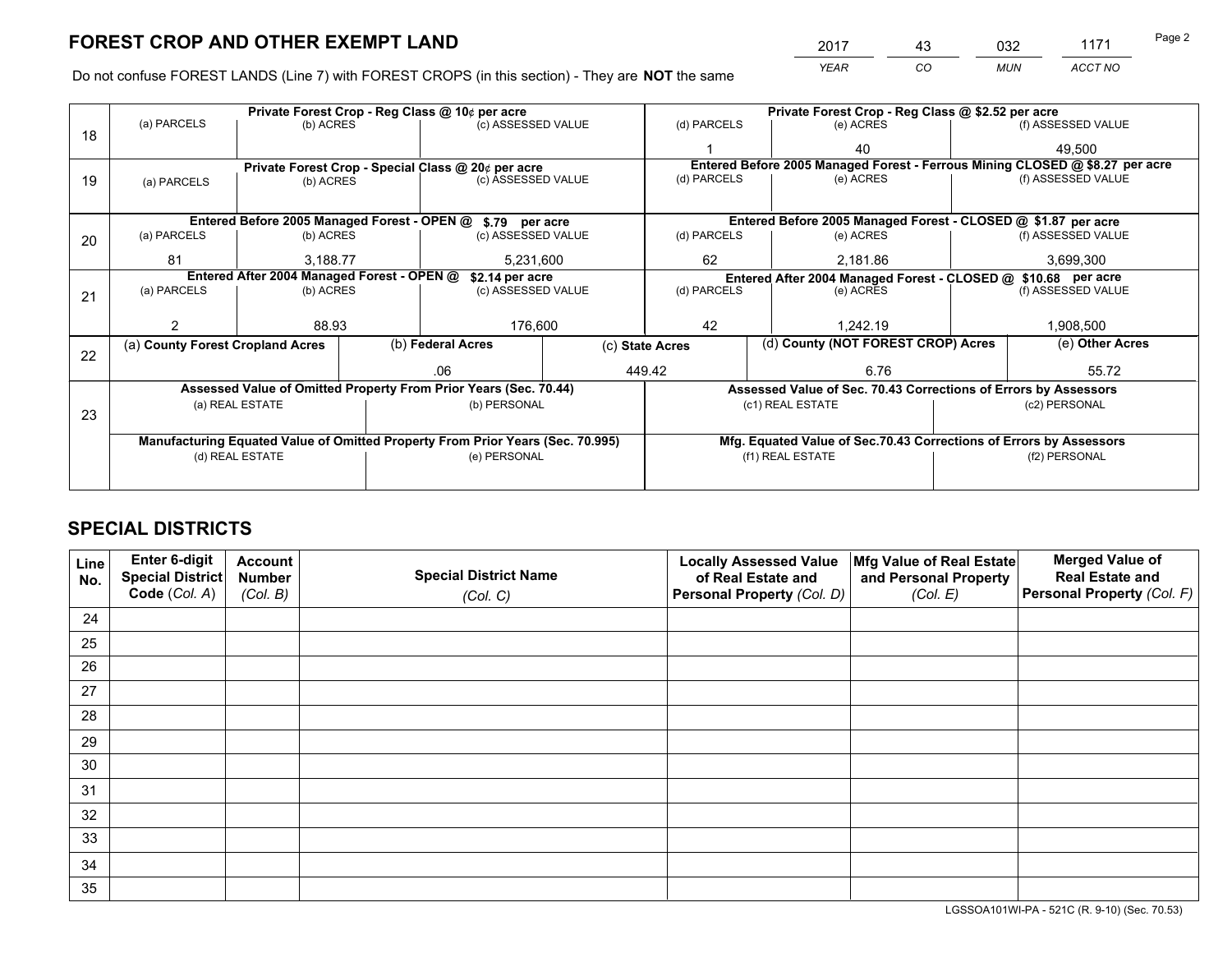*YEAR CO MUN ACCT NO* 2017 43 032 1171

Do not confuse FOREST LANDS (Line 7) with FOREST CROPS (in this section) - They are **NOT** the same

|    |                                  |                                                    |  | Private Forest Crop - Reg Class @ 10¢ per acre                                 |                    | Private Forest Crop - Reg Class @ \$2.52 per acre             |                |                                                                    |           |                                                                              |
|----|----------------------------------|----------------------------------------------------|--|--------------------------------------------------------------------------------|--------------------|---------------------------------------------------------------|----------------|--------------------------------------------------------------------|-----------|------------------------------------------------------------------------------|
| 18 | (a) PARCELS                      | (b) ACRES                                          |  | (c) ASSESSED VALUE                                                             |                    | (d) PARCELS                                                   |                | (e) ACRES                                                          |           | (f) ASSESSED VALUE                                                           |
|    |                                  |                                                    |  |                                                                                |                    |                                                               |                | 40                                                                 |           | 49,500                                                                       |
|    |                                  | Private Forest Crop - Special Class @ 20¢ per acre |  |                                                                                |                    | (d) PARCELS                                                   |                |                                                                    |           | Entered Before 2005 Managed Forest - Ferrous Mining CLOSED @ \$8.27 per acre |
| 19 | (a) PARCELS                      | (b) ACRES                                          |  |                                                                                | (c) ASSESSED VALUE |                                                               |                | (e) ACRES                                                          |           | (f) ASSESSED VALUE                                                           |
|    |                                  |                                                    |  |                                                                                |                    |                                                               |                |                                                                    |           |                                                                              |
|    |                                  |                                                    |  | Entered Before 2005 Managed Forest - OPEN @ \$.79 per acre                     |                    |                                                               |                | Entered Before 2005 Managed Forest - CLOSED @ \$1.87 per acre      |           |                                                                              |
| 20 | (a) PARCELS                      | (b) ACRES                                          |  |                                                                                | (c) ASSESSED VALUE |                                                               | (d) PARCELS    | (e) ACRES                                                          |           | (f) ASSESSED VALUE                                                           |
|    | 81                               | 3,188.77                                           |  |                                                                                | 5,231,600          |                                                               | 62<br>2,181.86 |                                                                    | 3,699,300 |                                                                              |
|    |                                  | Entered After 2004 Managed Forest - OPEN @         |  | \$2.14 per acre                                                                |                    | Entered After 2004 Managed Forest - CLOSED @ \$10.68 per acre |                |                                                                    |           |                                                                              |
| 21 | (a) PARCELS                      | (b) ACRES                                          |  | (c) ASSESSED VALUE                                                             |                    | (d) PARCELS                                                   |                | (e) ACRES                                                          |           | (f) ASSESSED VALUE                                                           |
|    |                                  |                                                    |  |                                                                                |                    |                                                               |                |                                                                    |           |                                                                              |
|    |                                  | 88.93                                              |  | 176,600                                                                        |                    | 42<br>1.242.19                                                |                | 1,908,500                                                          |           |                                                                              |
|    | (a) County Forest Cropland Acres |                                                    |  | (b) Federal Acres                                                              |                    | (d) County (NOT FOREST CROP) Acres<br>(c) State Acres         |                |                                                                    |           | (e) Other Acres                                                              |
| 22 |                                  |                                                    |  | .06                                                                            |                    | 449.42                                                        |                | 6.76                                                               |           | 55.72                                                                        |
|    |                                  |                                                    |  | Assessed Value of Omitted Property From Prior Years (Sec. 70.44)               |                    |                                                               |                | Assessed Value of Sec. 70.43 Corrections of Errors by Assessors    |           |                                                                              |
|    |                                  | (a) REAL ESTATE                                    |  | (b) PERSONAL                                                                   |                    |                                                               |                | (c1) REAL ESTATE                                                   |           | (c2) PERSONAL                                                                |
| 23 |                                  |                                                    |  |                                                                                |                    |                                                               |                |                                                                    |           |                                                                              |
|    |                                  |                                                    |  |                                                                                |                    |                                                               |                |                                                                    |           |                                                                              |
|    |                                  |                                                    |  | Manufacturing Equated Value of Omitted Property From Prior Years (Sec. 70.995) |                    |                                                               |                | Mfg. Equated Value of Sec.70.43 Corrections of Errors by Assessors |           |                                                                              |
|    |                                  | (d) REAL ESTATE                                    |  | (e) PERSONAL                                                                   |                    |                                                               |                | (f1) REAL ESTATE                                                   |           | (f2) PERSONAL                                                                |
|    |                                  |                                                    |  |                                                                                |                    |                                                               |                |                                                                    |           |                                                                              |

## **SPECIAL DISTRICTS**

| Line<br>No. | Enter 6-digit<br>Special District<br>Code (Col. A) | <b>Account</b><br><b>Number</b> | <b>Special District Name</b> | <b>Locally Assessed Value</b><br>of Real Estate and | Mfg Value of Real Estate<br>and Personal Property | <b>Merged Value of</b><br><b>Real Estate and</b><br>Personal Property (Col. F) |
|-------------|----------------------------------------------------|---------------------------------|------------------------------|-----------------------------------------------------|---------------------------------------------------|--------------------------------------------------------------------------------|
|             |                                                    | (Col. B)                        | (Col. C)                     | Personal Property (Col. D)                          | (Col. E)                                          |                                                                                |
| 24          |                                                    |                                 |                              |                                                     |                                                   |                                                                                |
| 25          |                                                    |                                 |                              |                                                     |                                                   |                                                                                |
| 26          |                                                    |                                 |                              |                                                     |                                                   |                                                                                |
| 27          |                                                    |                                 |                              |                                                     |                                                   |                                                                                |
| 28          |                                                    |                                 |                              |                                                     |                                                   |                                                                                |
| 29          |                                                    |                                 |                              |                                                     |                                                   |                                                                                |
| 30          |                                                    |                                 |                              |                                                     |                                                   |                                                                                |
| 31          |                                                    |                                 |                              |                                                     |                                                   |                                                                                |
| 32          |                                                    |                                 |                              |                                                     |                                                   |                                                                                |
| 33          |                                                    |                                 |                              |                                                     |                                                   |                                                                                |
| 34          |                                                    |                                 |                              |                                                     |                                                   |                                                                                |
| 35          |                                                    |                                 |                              |                                                     |                                                   |                                                                                |

LGSSOA101WI-PA - 521C (R. 9-10) (Sec. 70.53)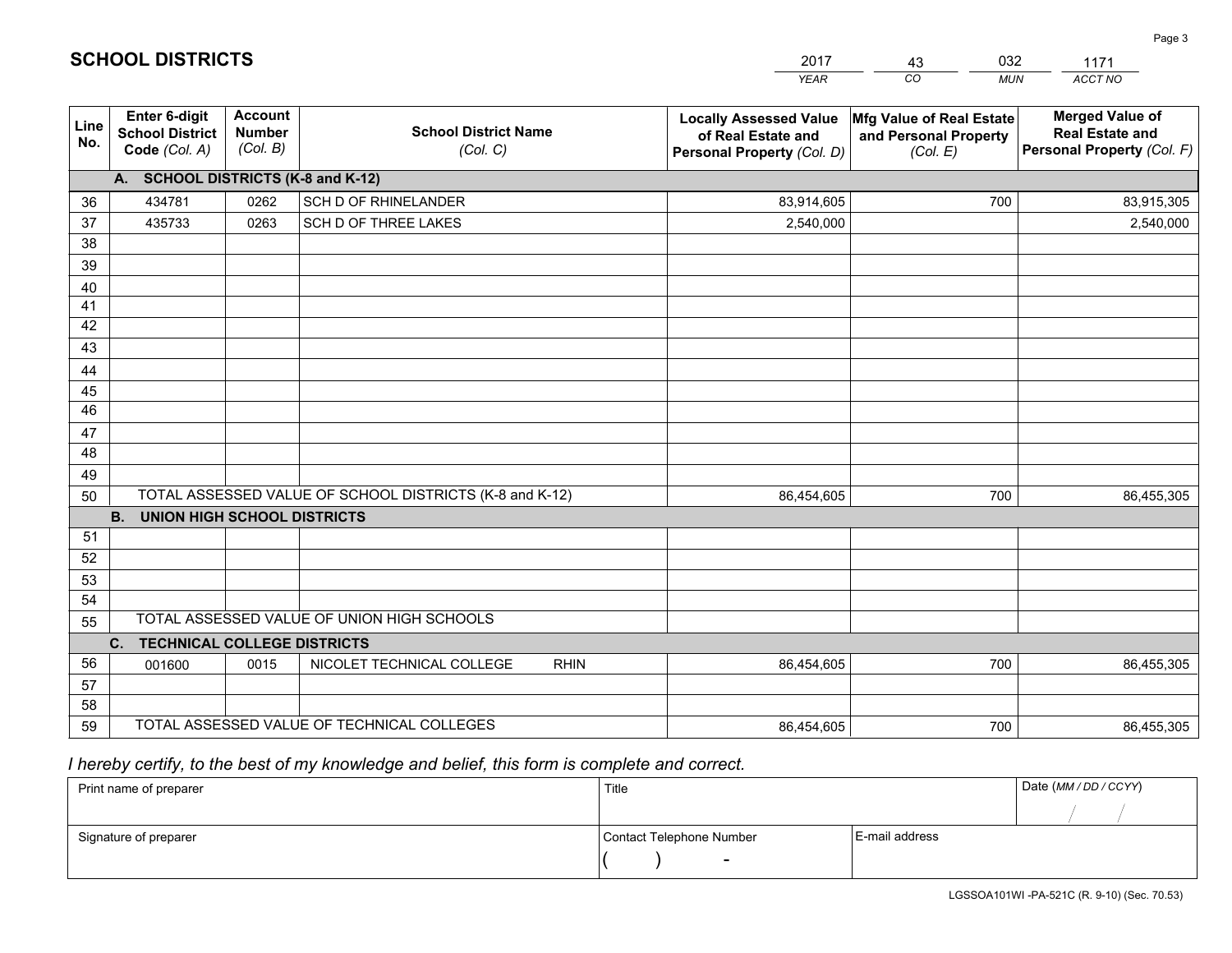|             |                                                                 |                                             |                                                         | <b>YEAR</b>                                                                       | CO<br><b>MUN</b>                                              | <b>ACCT NO</b>                                                                 |
|-------------|-----------------------------------------------------------------|---------------------------------------------|---------------------------------------------------------|-----------------------------------------------------------------------------------|---------------------------------------------------------------|--------------------------------------------------------------------------------|
| Line<br>No. | <b>Enter 6-digit</b><br><b>School District</b><br>Code (Col. A) | <b>Account</b><br><b>Number</b><br>(Col. B) | <b>School District Name</b><br>(Col. C)                 | <b>Locally Assessed Value</b><br>of Real Estate and<br>Personal Property (Col. D) | Mfg Value of Real Estate<br>and Personal Property<br>(Col. E) | <b>Merged Value of</b><br><b>Real Estate and</b><br>Personal Property (Col. F) |
|             | A. SCHOOL DISTRICTS (K-8 and K-12)                              |                                             |                                                         |                                                                                   |                                                               |                                                                                |
| 36          | 434781                                                          | 0262                                        | SCH D OF RHINELANDER                                    | 83,914,605                                                                        | 700                                                           | 83,915,305                                                                     |
| 37          | 435733                                                          | 0263                                        | SCH D OF THREE LAKES                                    | 2,540,000                                                                         |                                                               | 2,540,000                                                                      |
| 38          |                                                                 |                                             |                                                         |                                                                                   |                                                               |                                                                                |
| 39          |                                                                 |                                             |                                                         |                                                                                   |                                                               |                                                                                |
| 40          |                                                                 |                                             |                                                         |                                                                                   |                                                               |                                                                                |
| 41          |                                                                 |                                             |                                                         |                                                                                   |                                                               |                                                                                |
| 42          |                                                                 |                                             |                                                         |                                                                                   |                                                               |                                                                                |
| 43          |                                                                 |                                             |                                                         |                                                                                   |                                                               |                                                                                |
| 44<br>45    |                                                                 |                                             |                                                         |                                                                                   |                                                               |                                                                                |
| 46          |                                                                 |                                             |                                                         |                                                                                   |                                                               |                                                                                |
| 47          |                                                                 |                                             |                                                         |                                                                                   |                                                               |                                                                                |
| 48          |                                                                 |                                             |                                                         |                                                                                   |                                                               |                                                                                |
| 49          |                                                                 |                                             |                                                         |                                                                                   |                                                               |                                                                                |
| 50          |                                                                 |                                             | TOTAL ASSESSED VALUE OF SCHOOL DISTRICTS (K-8 and K-12) | 86,454,605                                                                        | 700                                                           | 86,455,305                                                                     |
|             | <b>B.</b><br><b>UNION HIGH SCHOOL DISTRICTS</b>                 |                                             |                                                         |                                                                                   |                                                               |                                                                                |
| 51          |                                                                 |                                             |                                                         |                                                                                   |                                                               |                                                                                |
| 52          |                                                                 |                                             |                                                         |                                                                                   |                                                               |                                                                                |
| 53          |                                                                 |                                             |                                                         |                                                                                   |                                                               |                                                                                |
| 54          |                                                                 |                                             |                                                         |                                                                                   |                                                               |                                                                                |
| 55          |                                                                 |                                             | TOTAL ASSESSED VALUE OF UNION HIGH SCHOOLS              |                                                                                   |                                                               |                                                                                |
|             | C.<br><b>TECHNICAL COLLEGE DISTRICTS</b>                        |                                             |                                                         |                                                                                   |                                                               |                                                                                |
| 56          | 001600                                                          | 0015                                        | NICOLET TECHNICAL COLLEGE<br><b>RHIN</b>                | 86,454,605                                                                        | 700                                                           | 86,455,305                                                                     |
| 57          |                                                                 |                                             |                                                         |                                                                                   |                                                               |                                                                                |
| 58          |                                                                 |                                             |                                                         |                                                                                   |                                                               |                                                                                |
| 59          |                                                                 |                                             | TOTAL ASSESSED VALUE OF TECHNICAL COLLEGES              | 86,454,605                                                                        | 700                                                           | 86,455,305                                                                     |

43

032

 *I hereby certify, to the best of my knowledge and belief, this form is complete and correct.*

**SCHOOL DISTRICTS**

| Print name of preparer | Title                    |                | Date (MM / DD / CCYY) |
|------------------------|--------------------------|----------------|-----------------------|
|                        |                          |                |                       |
| Signature of preparer  | Contact Telephone Number | E-mail address |                       |
|                        | $\sim$                   |                |                       |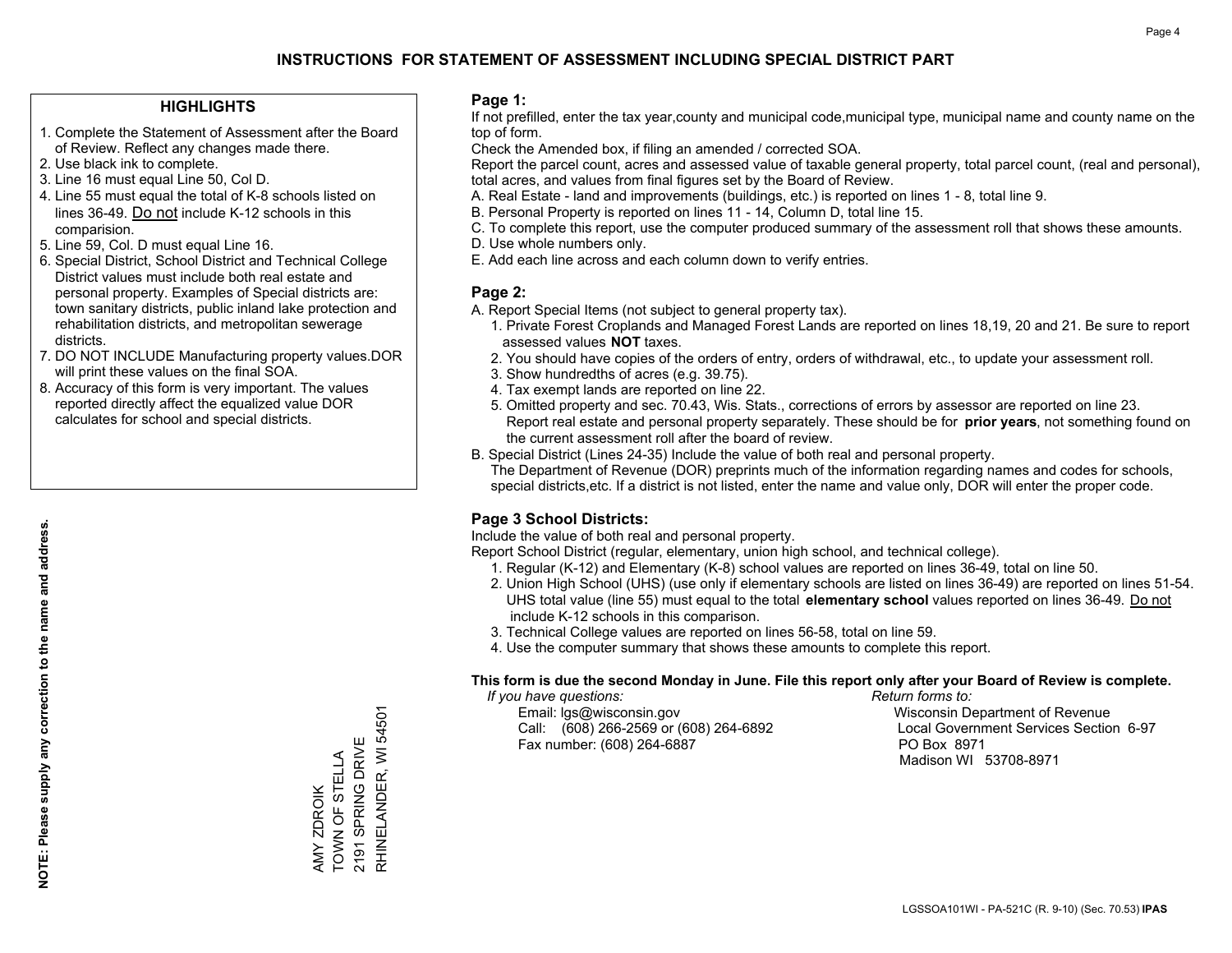### **HIGHLIGHTS**

- 1. Complete the Statement of Assessment after the Board of Review. Reflect any changes made there.
- 2. Use black ink to complete.
- 3. Line 16 must equal Line 50, Col D.
- 4. Line 55 must equal the total of K-8 schools listed on lines 36-49. Do not include K-12 schools in this comparision.
- 5. Line 59, Col. D must equal Line 16.
- 6. Special District, School District and Technical College District values must include both real estate and personal property. Examples of Special districts are: town sanitary districts, public inland lake protection and rehabilitation districts, and metropolitan sewerage districts.
- 7. DO NOT INCLUDE Manufacturing property values.DOR will print these values on the final SOA.
- 8. Accuracy of this form is very important. The values reported directly affect the equalized value DOR calculates for school and special districts.

#### **Page 1:**

 If not prefilled, enter the tax year,county and municipal code,municipal type, municipal name and county name on the top of form.

Check the Amended box, if filing an amended / corrected SOA.

 Report the parcel count, acres and assessed value of taxable general property, total parcel count, (real and personal), total acres, and values from final figures set by the Board of Review.

- A. Real Estate land and improvements (buildings, etc.) is reported on lines 1 8, total line 9.
- B. Personal Property is reported on lines 11 14, Column D, total line 15.
- C. To complete this report, use the computer produced summary of the assessment roll that shows these amounts.
- D. Use whole numbers only.
- E. Add each line across and each column down to verify entries.

## **Page 2:**

- A. Report Special Items (not subject to general property tax).
- 1. Private Forest Croplands and Managed Forest Lands are reported on lines 18,19, 20 and 21. Be sure to report assessed values **NOT** taxes.
- 2. You should have copies of the orders of entry, orders of withdrawal, etc., to update your assessment roll.
	- 3. Show hundredths of acres (e.g. 39.75).
- 4. Tax exempt lands are reported on line 22.
- 5. Omitted property and sec. 70.43, Wis. Stats., corrections of errors by assessor are reported on line 23. Report real estate and personal property separately. These should be for **prior years**, not something found on the current assessment roll after the board of review.
- B. Special District (Lines 24-35) Include the value of both real and personal property.

 The Department of Revenue (DOR) preprints much of the information regarding names and codes for schools, special districts,etc. If a district is not listed, enter the name and value only, DOR will enter the proper code.

## **Page 3 School Districts:**

Include the value of both real and personal property.

Report School District (regular, elementary, union high school, and technical college).

- 1. Regular (K-12) and Elementary (K-8) school values are reported on lines 36-49, total on line 50.
- 2. Union High School (UHS) (use only if elementary schools are listed on lines 36-49) are reported on lines 51-54. UHS total value (line 55) must equal to the total **elementary school** values reported on lines 36-49. Do notinclude K-12 schools in this comparison.
- 3. Technical College values are reported on lines 56-58, total on line 59.
- 4. Use the computer summary that shows these amounts to complete this report.

#### **This form is due the second Monday in June. File this report only after your Board of Review is complete.**

 *If you have questions: Return forms to:*

 Email: lgs@wisconsin.gov Wisconsin Department of RevenueCall:  $(608)$  266-2569 or  $(608)$  264-6892 Fax number: (608) 264-6887 PO Box 8971

Local Government Services Section 6-97 Madison WI 53708-8971

RHINELANDER, WI 54501 RHINELANDER, WI 54501 2191 SPRING DRIVE 2191 SPRING DRIVE TOWN OF STELLA AMY ZDROIK<br>TOWN OF STELLA AMY ZDROIK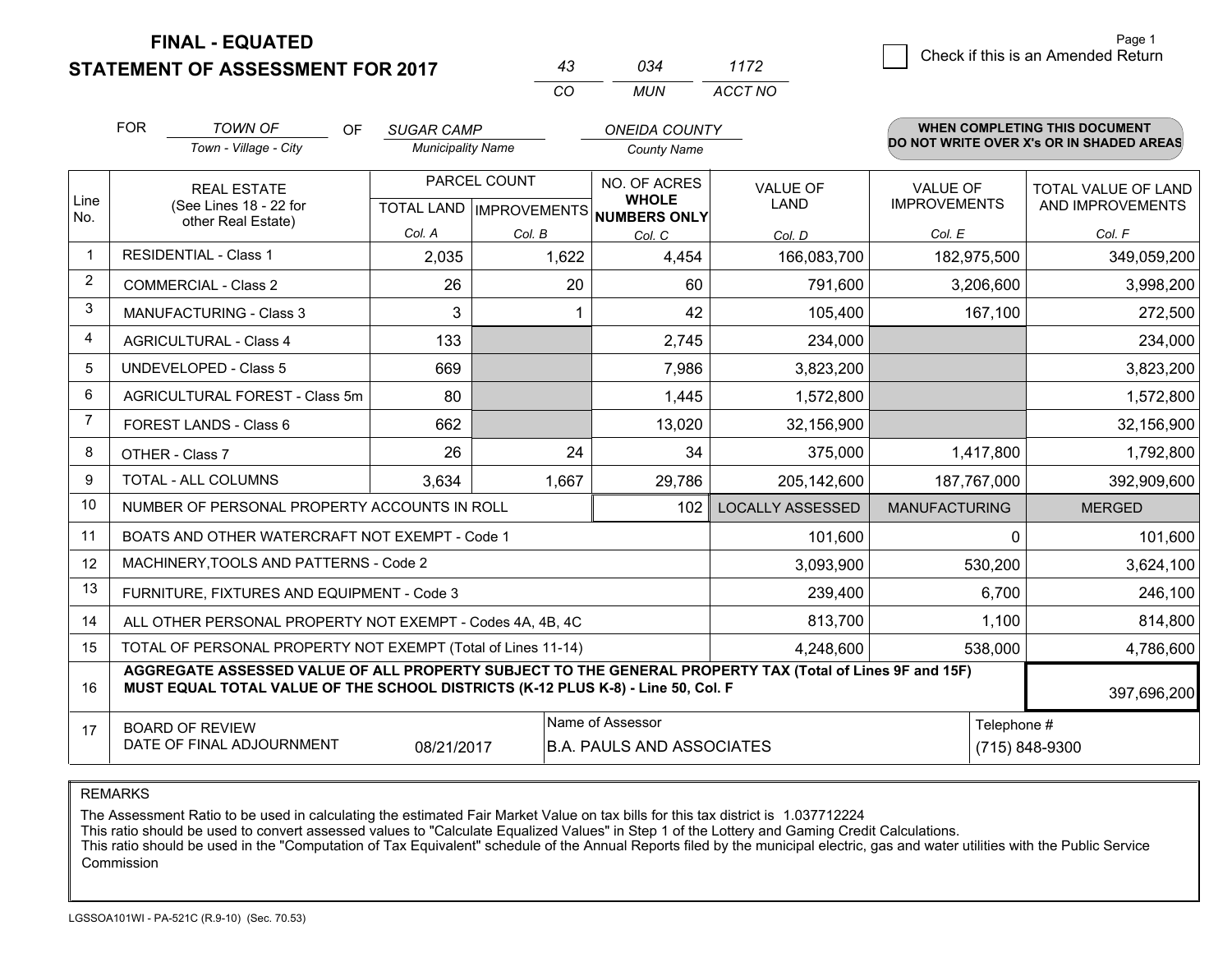**STATEMENT OF ASSESSMENT FOR 2017** 

| 43 | กจ⊿ | 1172    |
|----|-----|---------|
| (  | MUN | ACCT NO |

|                | <b>FOR</b>                                                                                                                | <b>TOWN OF</b><br>Town - Village - City                                          | <b>OF</b> | <b>SUGAR CAMP</b><br><b>Municipality Name</b> |                                                     |    | <b>ONEIDA COUNTY</b><br><b>County Name</b> |                                                                                                          |                                        |             | <b>WHEN COMPLETING THIS DOCUMENT</b><br>DO NOT WRITE OVER X's OR IN SHADED AREAS |
|----------------|---------------------------------------------------------------------------------------------------------------------------|----------------------------------------------------------------------------------|-----------|-----------------------------------------------|-----------------------------------------------------|----|--------------------------------------------|----------------------------------------------------------------------------------------------------------|----------------------------------------|-------------|----------------------------------------------------------------------------------|
| Line<br>No.    |                                                                                                                           | <b>REAL ESTATE</b><br>(See Lines 18 - 22 for<br>other Real Estate)               |           |                                               | PARCEL COUNT<br>TOTAL LAND MPROVEMENTS NUMBERS ONLY |    | NO. OF ACRES<br><b>WHOLE</b>               | <b>VALUE OF</b><br><b>LAND</b>                                                                           | <b>VALUE OF</b><br><b>IMPROVEMENTS</b> |             | <b>TOTAL VALUE OF LAND</b><br>AND IMPROVEMENTS                                   |
|                |                                                                                                                           |                                                                                  |           | Col. A                                        | Col. B                                              |    | Col. C                                     | Col. D                                                                                                   | Col. E                                 |             | Col. F                                                                           |
| $\mathbf 1$    | <b>RESIDENTIAL - Class 1</b>                                                                                              |                                                                                  |           | 2,035                                         | 1,622                                               |    | 4,454                                      | 166,083,700                                                                                              |                                        | 182,975,500 | 349,059,200                                                                      |
| 2              | <b>COMMERCIAL - Class 2</b>                                                                                               |                                                                                  |           | 26                                            |                                                     | 20 | 60                                         | 791,600                                                                                                  |                                        | 3,206,600   | 3,998,200                                                                        |
| 3              |                                                                                                                           | MANUFACTURING - Class 3                                                          |           | 3                                             |                                                     |    | 42                                         | 105,400                                                                                                  |                                        | 167,100     | 272,500                                                                          |
| $\overline{4}$ | <b>AGRICULTURAL - Class 4</b>                                                                                             |                                                                                  |           | 133                                           |                                                     |    | 2,745                                      | 234,000                                                                                                  |                                        |             | 234,000                                                                          |
| 5              | <b>UNDEVELOPED - Class 5</b>                                                                                              |                                                                                  |           | 669                                           |                                                     |    | 7,986                                      | 3,823,200                                                                                                |                                        |             | 3,823,200                                                                        |
| 6              | AGRICULTURAL FOREST - Class 5m                                                                                            |                                                                                  |           | 80                                            |                                                     |    | 1,445                                      | 1,572,800                                                                                                |                                        |             | 1,572,800                                                                        |
| $\overline{7}$ | FOREST LANDS - Class 6                                                                                                    |                                                                                  |           | 662                                           |                                                     |    | 13,020                                     | 32,156,900                                                                                               |                                        |             | 32,156,900                                                                       |
| 8              | OTHER - Class 7                                                                                                           |                                                                                  |           | 26                                            |                                                     | 24 | 34                                         | 375,000                                                                                                  |                                        | 1,417,800   | 1,792,800                                                                        |
| 9              | TOTAL - ALL COLUMNS                                                                                                       |                                                                                  |           | 3,634                                         | 1,667                                               |    | 29,786                                     | 205,142,600                                                                                              |                                        | 187,767,000 | 392,909,600                                                                      |
| 10             |                                                                                                                           | NUMBER OF PERSONAL PROPERTY ACCOUNTS IN ROLL                                     |           |                                               |                                                     |    | 102                                        | <b>LOCALLY ASSESSED</b>                                                                                  | <b>MANUFACTURING</b>                   |             | <b>MERGED</b>                                                                    |
| 11             |                                                                                                                           | BOATS AND OTHER WATERCRAFT NOT EXEMPT - Code 1                                   |           |                                               |                                                     |    |                                            | 101,600                                                                                                  |                                        | $\Omega$    | 101,600                                                                          |
| 12             |                                                                                                                           | MACHINERY, TOOLS AND PATTERNS - Code 2                                           |           |                                               |                                                     |    |                                            | 3,093,900                                                                                                |                                        | 530,200     | 3,624,100                                                                        |
| 13             |                                                                                                                           | FURNITURE, FIXTURES AND EQUIPMENT - Code 3                                       |           |                                               |                                                     |    |                                            | 239,400                                                                                                  |                                        | 6,700       | 246,100                                                                          |
| 14             |                                                                                                                           | ALL OTHER PERSONAL PROPERTY NOT EXEMPT - Codes 4A, 4B, 4C                        |           |                                               |                                                     |    |                                            | 813,700                                                                                                  |                                        | 1,100       | 814,800                                                                          |
| 15             |                                                                                                                           | TOTAL OF PERSONAL PROPERTY NOT EXEMPT (Total of Lines 11-14)                     |           |                                               |                                                     |    |                                            | 4,248,600                                                                                                |                                        | 538,000     | 4,786,600                                                                        |
| 16             |                                                                                                                           | MUST EQUAL TOTAL VALUE OF THE SCHOOL DISTRICTS (K-12 PLUS K-8) - Line 50, Col. F |           |                                               |                                                     |    |                                            | AGGREGATE ASSESSED VALUE OF ALL PROPERTY SUBJECT TO THE GENERAL PROPERTY TAX (Total of Lines 9F and 15F) |                                        |             | 397,696,200                                                                      |
| 17             | Name of Assessor<br><b>BOARD OF REVIEW</b><br>DATE OF FINAL ADJOURNMENT<br>08/21/2017<br><b>B.A. PAULS AND ASSOCIATES</b> |                                                                                  |           |                                               |                                                     |    |                                            | Telephone #                                                                                              | (715) 848-9300                         |             |                                                                                  |

REMARKS

The Assessment Ratio to be used in calculating the estimated Fair Market Value on tax bills for this tax district is 1.037712224

This ratio should be used to convert assessed values to "Calculate Equalized Values" in Step 1 of the Lottery and Gaming Credit Calculations.<br>This ratio should be used in the "Computation of Tax Equivalent" schedule of the Commission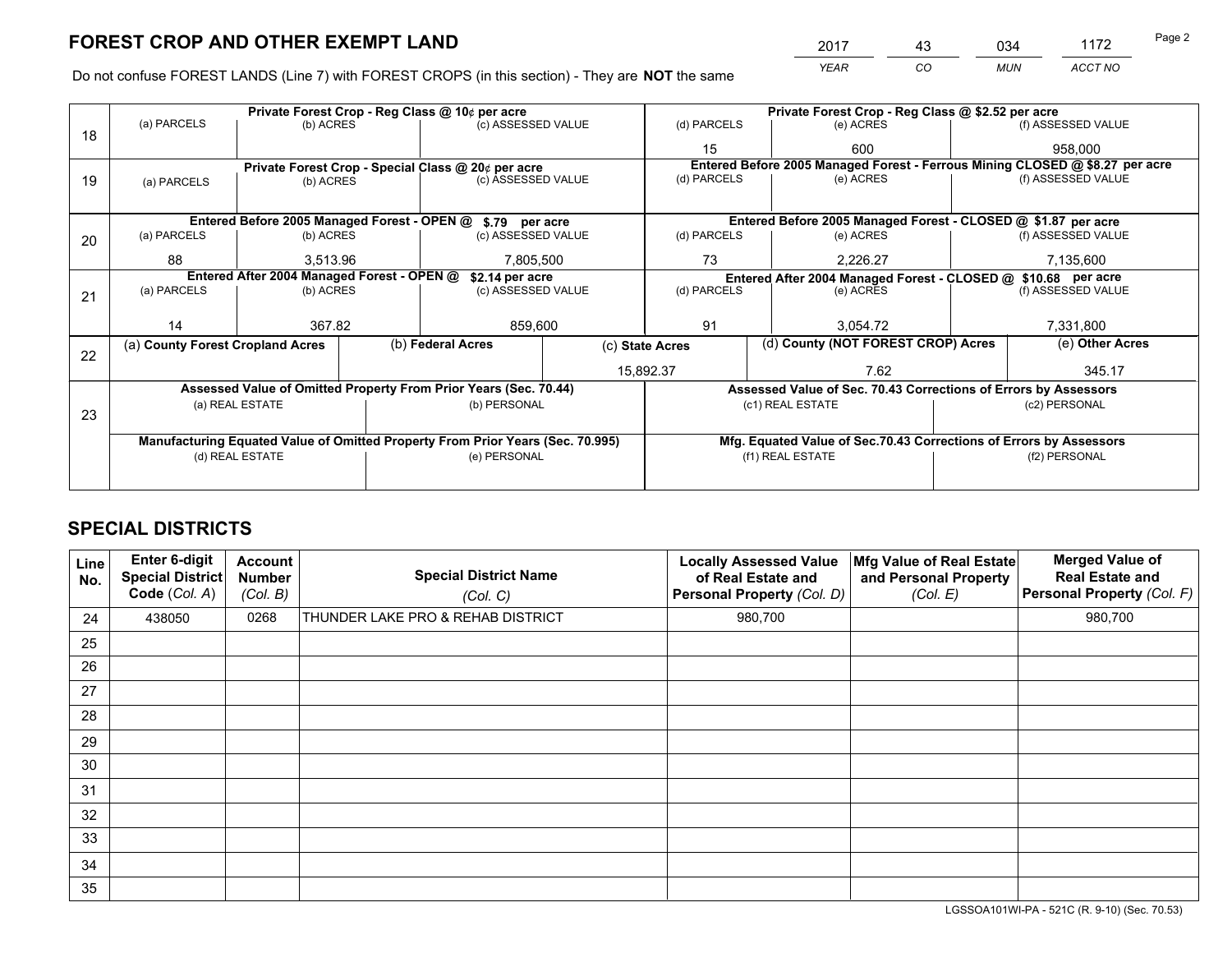*YEAR CO MUN ACCT NO* 2017 43 034 1172 Page 2

Do not confuse FOREST LANDS (Line 7) with FOREST CROPS (in this section) - They are **NOT** the same

|    |                                  |                                            |                                                    | Private Forest Crop - Reg Class @ 10¢ per acre                                 |    | Private Forest Crop - Reg Class @ \$2.52 per acre             |                                                                              |                                                                    |                    |                    |  |
|----|----------------------------------|--------------------------------------------|----------------------------------------------------|--------------------------------------------------------------------------------|----|---------------------------------------------------------------|------------------------------------------------------------------------------|--------------------------------------------------------------------|--------------------|--------------------|--|
| 18 | (a) PARCELS                      | (b) ACRES                                  |                                                    | (c) ASSESSED VALUE                                                             |    | (d) PARCELS                                                   |                                                                              | (e) ACRES                                                          |                    | (f) ASSESSED VALUE |  |
|    |                                  |                                            |                                                    | 15                                                                             |    | 600                                                           |                                                                              | 958,000                                                            |                    |                    |  |
|    |                                  |                                            | Private Forest Crop - Special Class @ 20¢ per acre |                                                                                |    |                                                               | Entered Before 2005 Managed Forest - Ferrous Mining CLOSED @ \$8.27 per acre |                                                                    |                    |                    |  |
| 19 | (a) PARCELS                      | (b) ACRES                                  |                                                    | (c) ASSESSED VALUE                                                             |    | (d) PARCELS                                                   |                                                                              | (e) ACRES                                                          |                    | (f) ASSESSED VALUE |  |
|    |                                  |                                            |                                                    |                                                                                |    |                                                               |                                                                              |                                                                    |                    |                    |  |
|    |                                  |                                            |                                                    | Entered Before 2005 Managed Forest - OPEN @ \$.79 per acre                     |    |                                                               |                                                                              | Entered Before 2005 Managed Forest - CLOSED @ \$1.87 per acre      |                    |                    |  |
| 20 | (a) PARCELS                      | (b) ACRES                                  |                                                    | (c) ASSESSED VALUE                                                             |    | (d) PARCELS                                                   |                                                                              | (e) ACRES                                                          |                    | (f) ASSESSED VALUE |  |
|    | 88                               | 3,513.96                                   |                                                    | 7,805,500                                                                      |    | 73                                                            | 2,226.27                                                                     |                                                                    | 7,135,600          |                    |  |
|    |                                  | Entered After 2004 Managed Forest - OPEN @ |                                                    | \$2.14 per acre                                                                |    | Entered After 2004 Managed Forest - CLOSED @ \$10.68 per acre |                                                                              |                                                                    |                    |                    |  |
| 21 | (a) PARCELS                      | (b) ACRES                                  |                                                    | (c) ASSESSED VALUE                                                             |    | (d) PARCELS                                                   |                                                                              | (e) ACRES                                                          | (f) ASSESSED VALUE |                    |  |
|    |                                  |                                            |                                                    |                                                                                |    |                                                               |                                                                              |                                                                    |                    |                    |  |
|    | 14                               | 367.82                                     |                                                    | 859,600                                                                        | 91 |                                                               |                                                                              | 3.054.72                                                           |                    | 7,331,800          |  |
| 22 | (a) County Forest Cropland Acres |                                            |                                                    | (b) Federal Acres                                                              |    | (d) County (NOT FOREST CROP) Acres<br>(c) State Acres         |                                                                              |                                                                    | (e) Other Acres    |                    |  |
|    |                                  |                                            |                                                    |                                                                                |    | 15,892.37                                                     |                                                                              | 7.62                                                               |                    | 345.17             |  |
|    |                                  |                                            |                                                    | Assessed Value of Omitted Property From Prior Years (Sec. 70.44)               |    |                                                               |                                                                              | Assessed Value of Sec. 70.43 Corrections of Errors by Assessors    |                    |                    |  |
|    |                                  | (a) REAL ESTATE                            |                                                    | (b) PERSONAL                                                                   |    |                                                               |                                                                              | (c1) REAL ESTATE                                                   |                    | (c2) PERSONAL      |  |
| 23 |                                  |                                            |                                                    |                                                                                |    |                                                               |                                                                              |                                                                    |                    |                    |  |
|    |                                  |                                            |                                                    | Manufacturing Equated Value of Omitted Property From Prior Years (Sec. 70.995) |    |                                                               |                                                                              | Mfg. Equated Value of Sec.70.43 Corrections of Errors by Assessors |                    |                    |  |
|    |                                  | (d) REAL ESTATE                            |                                                    | (e) PERSONAL                                                                   |    |                                                               |                                                                              | (f1) REAL ESTATE                                                   |                    | (f2) PERSONAL      |  |
|    |                                  |                                            |                                                    |                                                                                |    |                                                               |                                                                              |                                                                    |                    |                    |  |

## **SPECIAL DISTRICTS**

| Line<br>No. | Enter 6-digit<br>Special District<br>Code (Col. A) | <b>Account</b><br><b>Number</b><br>(Col. B) | <b>Special District Name</b><br>(Col. C) | <b>Locally Assessed Value</b><br>of Real Estate and<br>Personal Property (Col. D) | Mfg Value of Real Estate<br>and Personal Property<br>(Col. E) | <b>Merged Value of</b><br><b>Real Estate and</b><br>Personal Property (Col. F) |
|-------------|----------------------------------------------------|---------------------------------------------|------------------------------------------|-----------------------------------------------------------------------------------|---------------------------------------------------------------|--------------------------------------------------------------------------------|
| 24          | 438050                                             | 0268                                        | THUNDER LAKE PRO & REHAB DISTRICT        | 980,700                                                                           |                                                               | 980,700                                                                        |
| 25          |                                                    |                                             |                                          |                                                                                   |                                                               |                                                                                |
| 26          |                                                    |                                             |                                          |                                                                                   |                                                               |                                                                                |
| 27          |                                                    |                                             |                                          |                                                                                   |                                                               |                                                                                |
| 28          |                                                    |                                             |                                          |                                                                                   |                                                               |                                                                                |
| 29          |                                                    |                                             |                                          |                                                                                   |                                                               |                                                                                |
| 30          |                                                    |                                             |                                          |                                                                                   |                                                               |                                                                                |
| 31          |                                                    |                                             |                                          |                                                                                   |                                                               |                                                                                |
| 32          |                                                    |                                             |                                          |                                                                                   |                                                               |                                                                                |
| 33          |                                                    |                                             |                                          |                                                                                   |                                                               |                                                                                |
| 34          |                                                    |                                             |                                          |                                                                                   |                                                               |                                                                                |
| 35          |                                                    |                                             |                                          |                                                                                   |                                                               |                                                                                |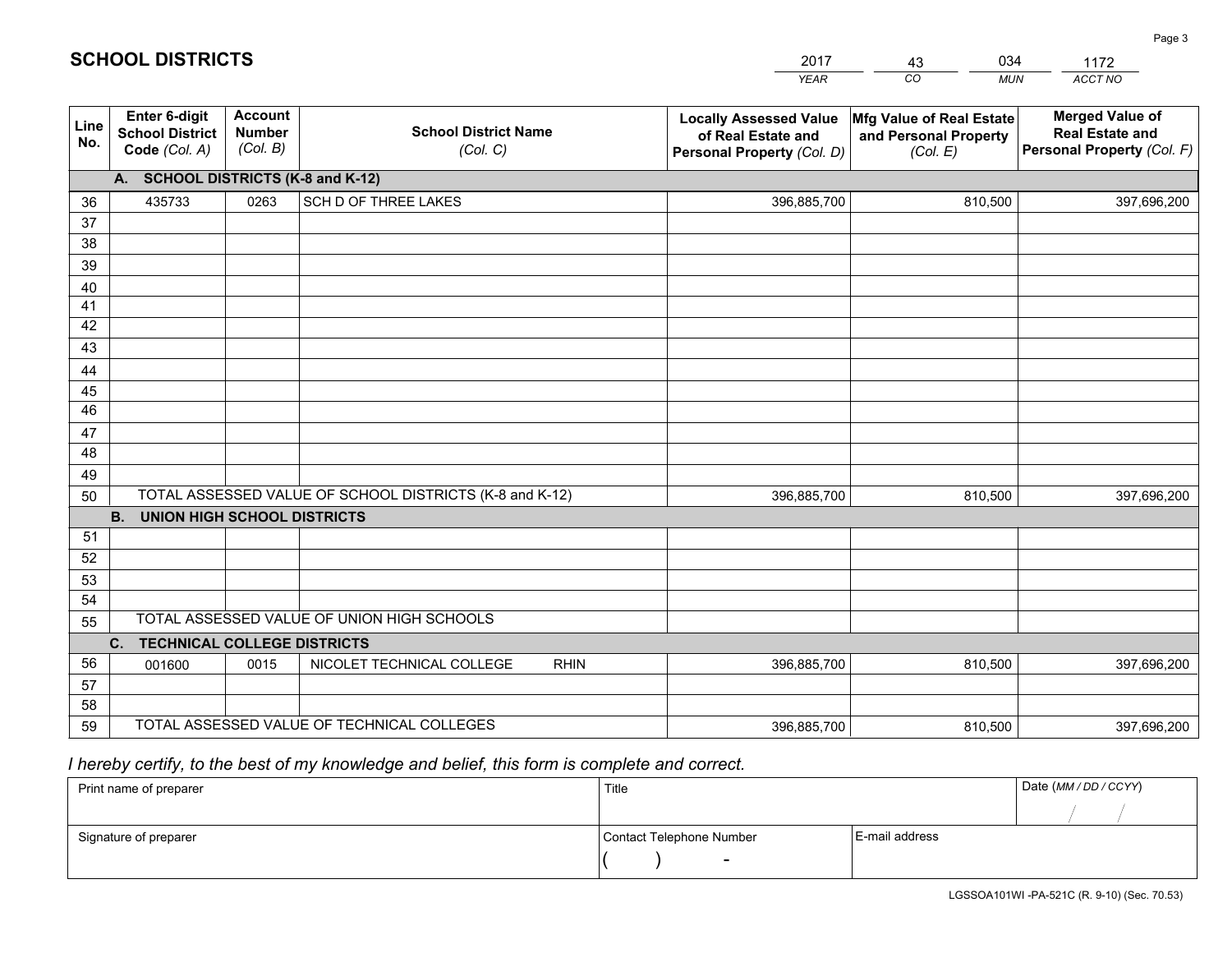| <b>Account</b><br><b>Enter 6-digit</b><br><b>Locally Assessed Value</b><br>Mfg Value of Real Estate<br>Line<br><b>Number</b><br><b>School District Name</b><br><b>School District</b><br>of Real Estate and<br>and Personal Property | <b>Merged Value of</b><br><b>Real Estate and</b> |
|--------------------------------------------------------------------------------------------------------------------------------------------------------------------------------------------------------------------------------------|--------------------------------------------------|
| No.<br>(Col. B)<br>Code (Col. A)<br>Personal Property (Col. F)<br>(Col. C)<br>Personal Property (Col. D)<br>(Col. E)                                                                                                                 |                                                  |
| A. SCHOOL DISTRICTS (K-8 and K-12)                                                                                                                                                                                                   |                                                  |
| <b>SCH D OF THREE LAKES</b><br>0263<br>435733<br>396,885,700<br>810,500<br>36                                                                                                                                                        | 397,696,200                                      |
| 37                                                                                                                                                                                                                                   |                                                  |
| 38                                                                                                                                                                                                                                   |                                                  |
| 39                                                                                                                                                                                                                                   |                                                  |
| 40                                                                                                                                                                                                                                   |                                                  |
| 41<br>42                                                                                                                                                                                                                             |                                                  |
| 43                                                                                                                                                                                                                                   |                                                  |
| 44                                                                                                                                                                                                                                   |                                                  |
| 45                                                                                                                                                                                                                                   |                                                  |
| 46                                                                                                                                                                                                                                   |                                                  |
| 47                                                                                                                                                                                                                                   |                                                  |
| 48                                                                                                                                                                                                                                   |                                                  |
| 49                                                                                                                                                                                                                                   |                                                  |
| TOTAL ASSESSED VALUE OF SCHOOL DISTRICTS (K-8 and K-12)<br>50<br>810,500<br>396,885,700                                                                                                                                              | 397,696,200                                      |
| <b>B.</b><br><b>UNION HIGH SCHOOL DISTRICTS</b>                                                                                                                                                                                      |                                                  |
| 51                                                                                                                                                                                                                                   |                                                  |
| 52                                                                                                                                                                                                                                   |                                                  |
| 53                                                                                                                                                                                                                                   |                                                  |
| 54<br>TOTAL ASSESSED VALUE OF UNION HIGH SCHOOLS                                                                                                                                                                                     |                                                  |
| 55                                                                                                                                                                                                                                   |                                                  |
| C.<br><b>TECHNICAL COLLEGE DISTRICTS</b><br>56<br>NICOLET TECHNICAL COLLEGE<br><b>RHIN</b><br>0015<br>396,885,700<br>810,500<br>001600                                                                                               | 397,696,200                                      |
| 57                                                                                                                                                                                                                                   |                                                  |
| 58                                                                                                                                                                                                                                   |                                                  |
| TOTAL ASSESSED VALUE OF TECHNICAL COLLEGES<br>59<br>396,885,700<br>810,500                                                                                                                                                           | 397,696,200                                      |

43

034

 *I hereby certify, to the best of my knowledge and belief, this form is complete and correct.*

**SCHOOL DISTRICTS**

| Print name of preparer | Title                    |                | Date (MM/DD/CCYY) |
|------------------------|--------------------------|----------------|-------------------|
|                        |                          |                |                   |
| Signature of preparer  | Contact Telephone Number | E-mail address |                   |
|                        | $\overline{\phantom{a}}$ |                |                   |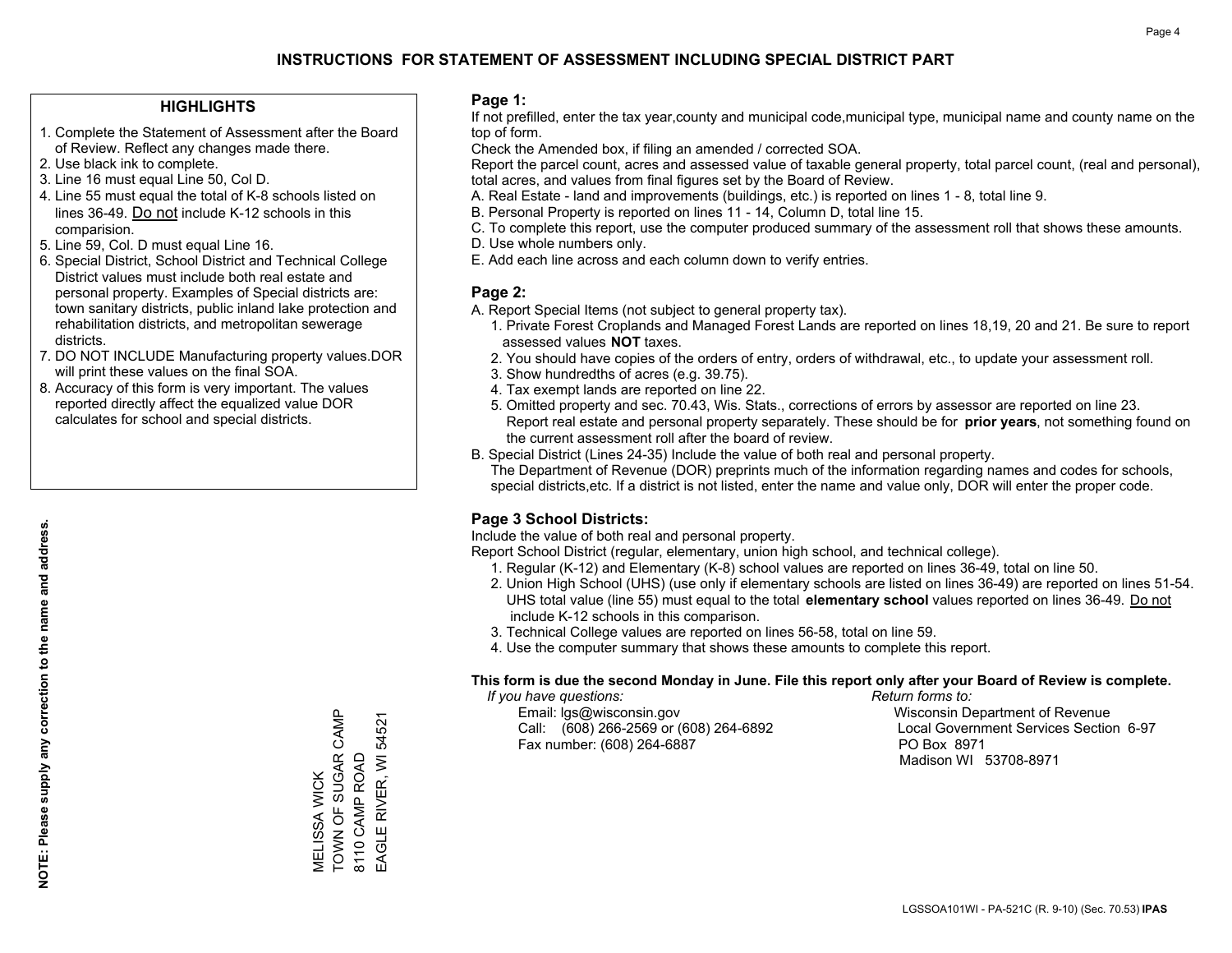### **HIGHLIGHTS**

- 1. Complete the Statement of Assessment after the Board of Review. Reflect any changes made there.
- 2. Use black ink to complete.
- 3. Line 16 must equal Line 50, Col D.
- 4. Line 55 must equal the total of K-8 schools listed on lines 36-49. Do not include K-12 schools in this comparision.
- 5. Line 59, Col. D must equal Line 16.
- 6. Special District, School District and Technical College District values must include both real estate and personal property. Examples of Special districts are: town sanitary districts, public inland lake protection and rehabilitation districts, and metropolitan sewerage districts.
- 7. DO NOT INCLUDE Manufacturing property values.DOR will print these values on the final SOA.

MELISSA WICK

TOWN OF SUGAR CAMP

MELISSA WICK<br>TOWN OF SUGAR CAMP

8110 CAMP ROAD EAGLE RIVER, WI 54521

EAGLE RIVER, WI 54521 8110 CAMP ROAD

 8. Accuracy of this form is very important. The values reported directly affect the equalized value DOR calculates for school and special districts.

#### **Page 1:**

 If not prefilled, enter the tax year,county and municipal code,municipal type, municipal name and county name on the top of form.

Check the Amended box, if filing an amended / corrected SOA.

 Report the parcel count, acres and assessed value of taxable general property, total parcel count, (real and personal), total acres, and values from final figures set by the Board of Review.

- A. Real Estate land and improvements (buildings, etc.) is reported on lines 1 8, total line 9.
- B. Personal Property is reported on lines 11 14, Column D, total line 15.
- C. To complete this report, use the computer produced summary of the assessment roll that shows these amounts.
- D. Use whole numbers only.
- E. Add each line across and each column down to verify entries.

## **Page 2:**

- A. Report Special Items (not subject to general property tax).
- 1. Private Forest Croplands and Managed Forest Lands are reported on lines 18,19, 20 and 21. Be sure to report assessed values **NOT** taxes.
- 2. You should have copies of the orders of entry, orders of withdrawal, etc., to update your assessment roll.
	- 3. Show hundredths of acres (e.g. 39.75).
- 4. Tax exempt lands are reported on line 22.
- 5. Omitted property and sec. 70.43, Wis. Stats., corrections of errors by assessor are reported on line 23. Report real estate and personal property separately. These should be for **prior years**, not something found on the current assessment roll after the board of review.
- B. Special District (Lines 24-35) Include the value of both real and personal property.

 The Department of Revenue (DOR) preprints much of the information regarding names and codes for schools, special districts,etc. If a district is not listed, enter the name and value only, DOR will enter the proper code.

## **Page 3 School Districts:**

Include the value of both real and personal property.

Report School District (regular, elementary, union high school, and technical college).

- 1. Regular (K-12) and Elementary (K-8) school values are reported on lines 36-49, total on line 50.
- 2. Union High School (UHS) (use only if elementary schools are listed on lines 36-49) are reported on lines 51-54. UHS total value (line 55) must equal to the total **elementary school** values reported on lines 36-49. Do notinclude K-12 schools in this comparison.
- 3. Technical College values are reported on lines 56-58, total on line 59.
- 4. Use the computer summary that shows these amounts to complete this report.

#### **This form is due the second Monday in June. File this report only after your Board of Review is complete.**

 *If you have questions: Return forms to:*

 Email: lgs@wisconsin.gov Wisconsin Department of RevenueCall:  $(608)$  266-2569 or  $(608)$  264-6892 Fax number: (608) 264-6887 PO Box 8971

Local Government Services Section 6-97 Madison WI 53708-8971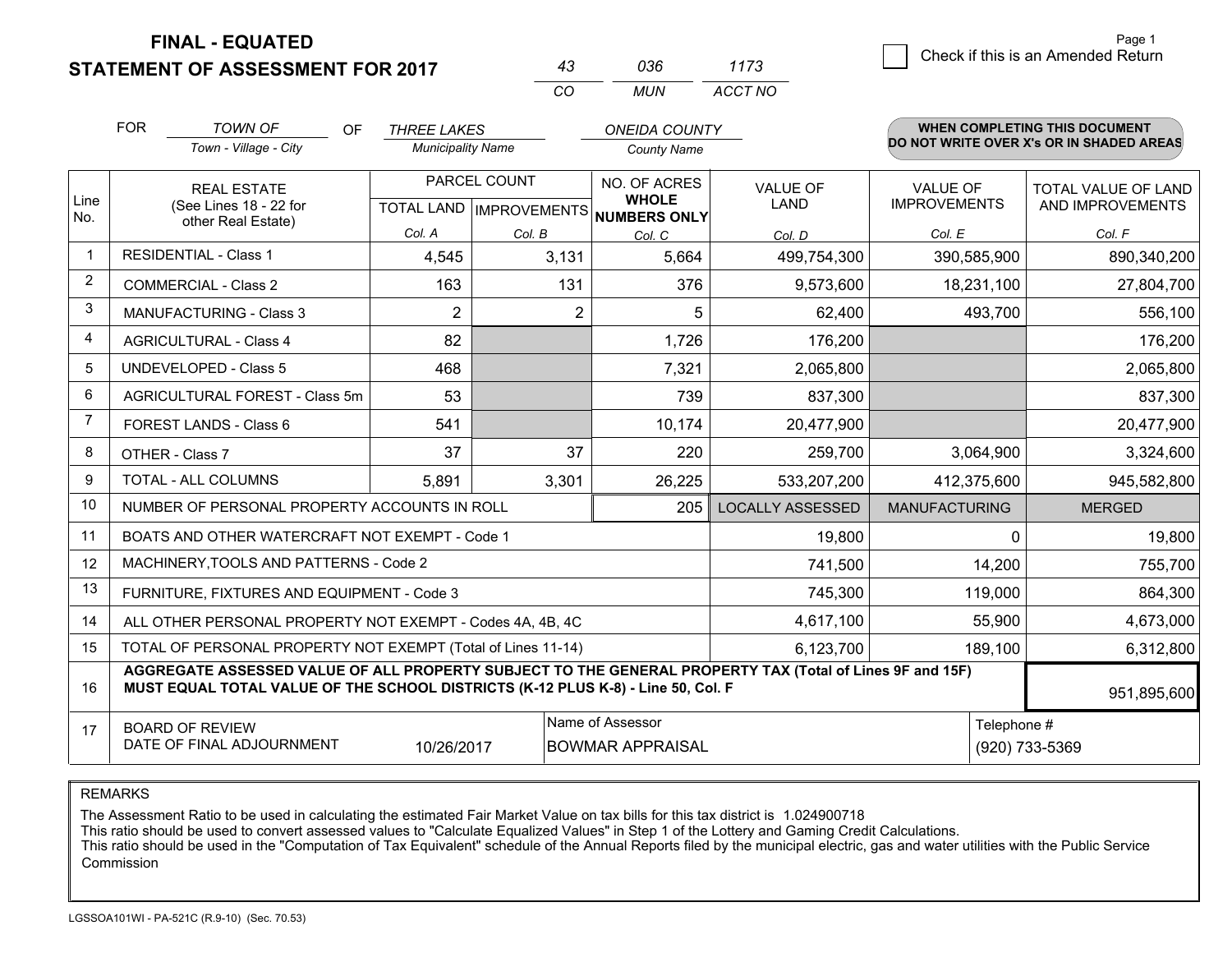**STATEMENT OF ASSESSMENT FOR 2017** 

| 43 | 036 | 1173    |
|----|-----|---------|
| cо | MUN | ACCT NO |

|                | <b>FOR</b><br><b>TOWN OF</b><br><b>ONEIDA COUNTY</b><br>OF.<br><b>THREE LAKES</b><br>Town - Village - City<br><b>Municipality Name</b><br><b>County Name</b>                                 |                |                | WHEN COMPLETING THIS DOCUMENT<br>DO NOT WRITE OVER X's OR IN SHADED AREAS |                         |                                        |                                         |
|----------------|----------------------------------------------------------------------------------------------------------------------------------------------------------------------------------------------|----------------|----------------|---------------------------------------------------------------------------|-------------------------|----------------------------------------|-----------------------------------------|
| Line           | PARCEL COUNT<br><b>REAL ESTATE</b><br>(See Lines 18 - 22 for<br>TOTAL LAND MPROVEMENTS NUMBERS ONLY                                                                                          |                |                | NO. OF ACRES<br><b>WHOLE</b>                                              | VALUE OF<br><b>LAND</b> | <b>VALUE OF</b><br><b>IMPROVEMENTS</b> | TOTAL VALUE OF LAND<br>AND IMPROVEMENTS |
| No.            | other Real Estate)                                                                                                                                                                           | Col. A         | Col. B         | Col. C                                                                    | Col. D                  | Col. E                                 | Col. F                                  |
| $\mathbf 1$    | <b>RESIDENTIAL - Class 1</b>                                                                                                                                                                 | 4,545          | 3,131          | 5,664                                                                     | 499,754,300             | 390,585,900                            | 890,340,200                             |
| 2              | <b>COMMERCIAL - Class 2</b>                                                                                                                                                                  | 163            | 131            | 376                                                                       | 9,573,600               | 18,231,100                             | 27,804,700                              |
| 3              | MANUFACTURING - Class 3                                                                                                                                                                      | $\overline{2}$ | $\overline{2}$ | 5                                                                         | 62,400                  | 493,700                                | 556,100                                 |
| 4              | <b>AGRICULTURAL - Class 4</b>                                                                                                                                                                | 82             |                | 1,726                                                                     | 176,200                 |                                        | 176,200                                 |
| 5              | UNDEVELOPED - Class 5                                                                                                                                                                        | 468            |                | 7,321                                                                     | 2,065,800               |                                        | 2,065,800                               |
| 6              | AGRICULTURAL FOREST - Class 5m                                                                                                                                                               | 53             |                | 739                                                                       | 837,300                 |                                        | 837,300                                 |
| $\overline{7}$ | FOREST LANDS - Class 6                                                                                                                                                                       | 541            |                | 10,174                                                                    | 20,477,900              |                                        | 20,477,900                              |
| 8              | OTHER - Class 7                                                                                                                                                                              | 37             | 37             | 220                                                                       | 259,700                 | 3,064,900                              | 3,324,600                               |
| $\mathbf{Q}$   | TOTAL - ALL COLUMNS                                                                                                                                                                          | 5,891          | 3,301          | 26,225                                                                    | 533,207,200             | 412,375,600                            | 945,582,800                             |
| 10             | NUMBER OF PERSONAL PROPERTY ACCOUNTS IN ROLL                                                                                                                                                 |                |                | 205                                                                       | <b>LOCALLY ASSESSED</b> | <b>MANUFACTURING</b>                   | <b>MERGED</b>                           |
| 11             | BOATS AND OTHER WATERCRAFT NOT EXEMPT - Code 1                                                                                                                                               |                |                |                                                                           | 19,800                  | $\Omega$                               | 19,800                                  |
| 12             | MACHINERY, TOOLS AND PATTERNS - Code 2                                                                                                                                                       |                |                |                                                                           | 741,500                 | 14,200                                 | 755,700                                 |
| 13             | FURNITURE, FIXTURES AND EQUIPMENT - Code 3                                                                                                                                                   | 119,000        | 864,300        |                                                                           |                         |                                        |                                         |
| 14             | 4,617,100<br>55,900<br>ALL OTHER PERSONAL PROPERTY NOT EXEMPT - Codes 4A, 4B, 4C                                                                                                             |                |                |                                                                           |                         |                                        |                                         |
| 15             | TOTAL OF PERSONAL PROPERTY NOT EXEMPT (Total of Lines 11-14)                                                                                                                                 | 189,100        | 6,312,800      |                                                                           |                         |                                        |                                         |
| 16             | AGGREGATE ASSESSED VALUE OF ALL PROPERTY SUBJECT TO THE GENERAL PROPERTY TAX (Total of Lines 9F and 15F)<br>MUST EQUAL TOTAL VALUE OF THE SCHOOL DISTRICTS (K-12 PLUS K-8) - Line 50, Col. F |                |                |                                                                           |                         |                                        | 951,895,600                             |
| 17             | Name of Assessor<br><b>BOARD OF REVIEW</b><br>DATE OF FINAL ADJOURNMENT<br>10/26/2017<br><b>BOWMAR APPRAISAL</b>                                                                             |                |                |                                                                           |                         | Telephone #                            | (920) 733-5369                          |

REMARKS

The Assessment Ratio to be used in calculating the estimated Fair Market Value on tax bills for this tax district is 1.024900718

This ratio should be used to convert assessed values to "Calculate Equalized Values" in Step 1 of the Lottery and Gaming Credit Calculations.<br>This ratio should be used in the "Computation of Tax Equivalent" schedule of the Commission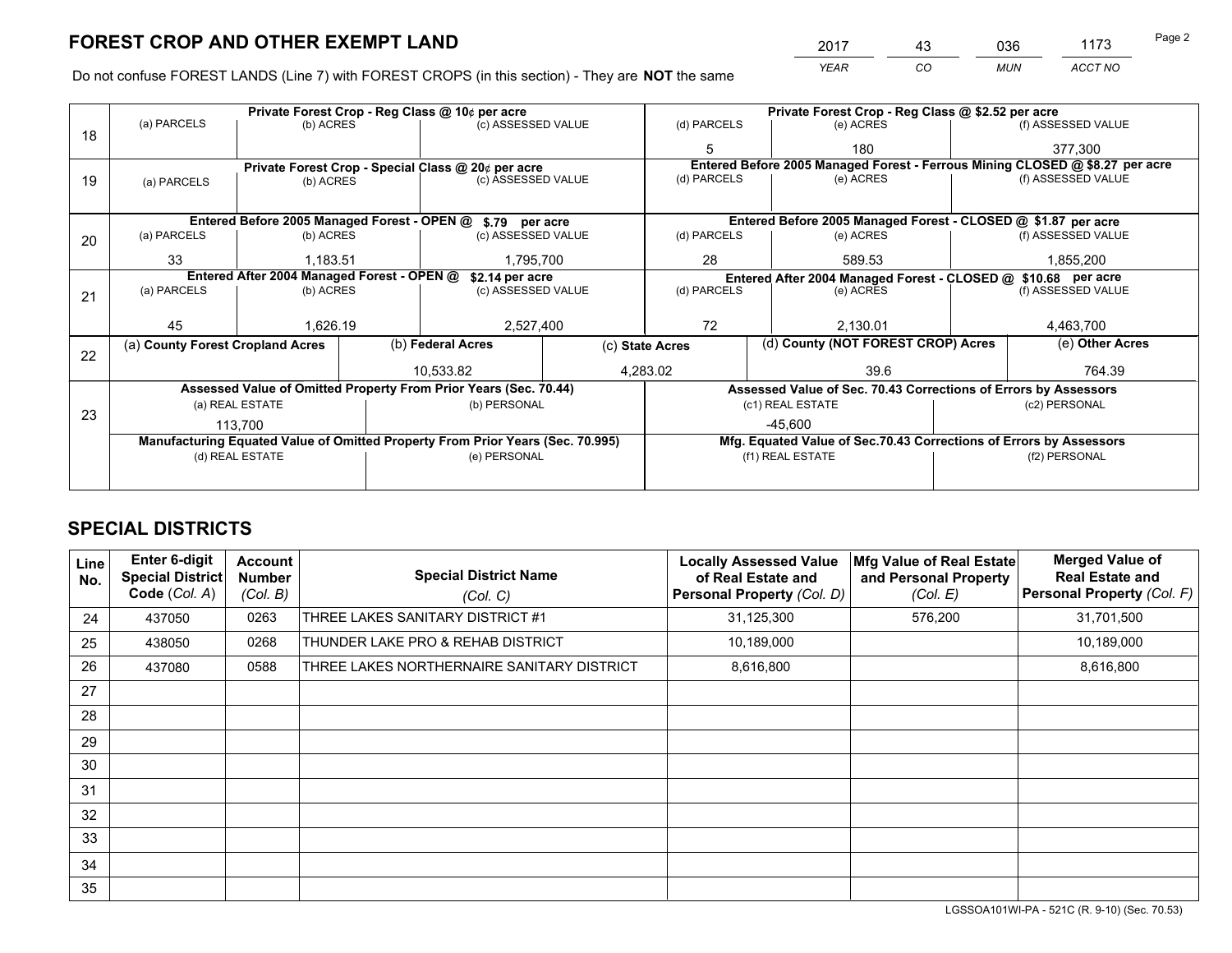*YEAR CO MUN ACCT NO* <u>2017 - 43 036 1173</u>

Do not confuse FOREST LANDS (Line 7) with FOREST CROPS (in this section) - They are **NOT** the same

|    |                                                                                |                 |             | Private Forest Crop - Reg Class @ 10¢ per acre             |                                                               | Private Forest Crop - Reg Class @ \$2.52 per acre                            |                    |                                    |                    |                                                               |
|----|--------------------------------------------------------------------------------|-----------------|-------------|------------------------------------------------------------|---------------------------------------------------------------|------------------------------------------------------------------------------|--------------------|------------------------------------|--------------------|---------------------------------------------------------------|
| 18 | (a) PARCELS                                                                    | (b) ACRES       |             | (c) ASSESSED VALUE                                         |                                                               | (d) PARCELS                                                                  |                    | (e) ACRES                          |                    | (f) ASSESSED VALUE                                            |
|    |                                                                                |                 |             |                                                            |                                                               |                                                                              |                    | 180                                |                    | 377,300                                                       |
|    |                                                                                |                 |             | Private Forest Crop - Special Class @ 20¢ per acre         |                                                               | Entered Before 2005 Managed Forest - Ferrous Mining CLOSED @ \$8.27 per acre |                    |                                    |                    |                                                               |
| 19 | (c) ASSESSED VALUE<br>(b) ACRES<br>(a) PARCELS                                 |                 | (d) PARCELS |                                                            | (e) ACRES                                                     |                                                                              | (f) ASSESSED VALUE |                                    |                    |                                                               |
|    |                                                                                |                 |             |                                                            |                                                               |                                                                              |                    |                                    |                    |                                                               |
|    |                                                                                |                 |             | Entered Before 2005 Managed Forest - OPEN @ \$.79 per acre |                                                               |                                                                              |                    |                                    |                    | Entered Before 2005 Managed Forest - CLOSED @ \$1.87 per acre |
| 20 | (a) PARCELS                                                                    | (b) ACRES       |             | (c) ASSESSED VALUE                                         |                                                               | (d) PARCELS<br>(e) ACRES                                                     |                    |                                    |                    | (f) ASSESSED VALUE                                            |
|    | 33                                                                             | 1.183.51        |             | 1,795,700                                                  |                                                               | 28                                                                           |                    | 589.53                             |                    | 1,855,200                                                     |
|    | Entered After 2004 Managed Forest - OPEN @<br>\$2.14 per acre                  |                 |             |                                                            | Entered After 2004 Managed Forest - CLOSED @ \$10.68 per acre |                                                                              |                    |                                    |                    |                                                               |
| 21 | (a) PARCELS                                                                    | (b) ACRES       |             | (c) ASSESSED VALUE                                         |                                                               | (d) PARCELS<br>(e) ACRES                                                     |                    |                                    | (f) ASSESSED VALUE |                                                               |
|    |                                                                                |                 |             |                                                            |                                                               |                                                                              |                    |                                    |                    |                                                               |
|    | 45                                                                             | 1,626.19        |             | 2,527,400                                                  |                                                               | 72                                                                           |                    | 2,130.01                           |                    | 4,463,700                                                     |
|    | (a) County Forest Cropland Acres                                               |                 |             | (b) Federal Acres                                          |                                                               | (c) State Acres                                                              |                    | (d) County (NOT FOREST CROP) Acres |                    | (e) Other Acres                                               |
| 22 |                                                                                |                 |             | 10.533.82                                                  | 4,283.02                                                      |                                                                              |                    | 39.6                               |                    | 764.39                                                        |
|    |                                                                                |                 |             |                                                            |                                                               |                                                                              |                    |                                    |                    |                                                               |
|    | Assessed Value of Omitted Property From Prior Years (Sec. 70.44)               |                 |             |                                                            |                                                               | Assessed Value of Sec. 70.43 Corrections of Errors by Assessors              |                    |                                    |                    |                                                               |
| 23 | (a) REAL ESTATE                                                                |                 |             |                                                            | (b) PERSONAL                                                  |                                                                              | (c1) REAL ESTATE   |                                    |                    | (c2) PERSONAL                                                 |
|    | 113.700                                                                        |                 |             |                                                            |                                                               | $-45.600$                                                                    |                    |                                    |                    |                                                               |
|    | Manufacturing Equated Value of Omitted Property From Prior Years (Sec. 70.995) |                 |             |                                                            |                                                               | Mfg. Equated Value of Sec.70.43 Corrections of Errors by Assessors           |                    |                                    |                    |                                                               |
|    |                                                                                | (d) REAL ESTATE |             | (e) PERSONAL                                               |                                                               | (f1) REAL ESTATE                                                             |                    |                                    |                    | (f2) PERSONAL                                                 |
|    |                                                                                |                 |             |                                                            |                                                               |                                                                              |                    |                                    |                    |                                                               |
|    |                                                                                |                 |             |                                                            |                                                               |                                                                              |                    |                                    |                    |                                                               |

## **SPECIAL DISTRICTS**

| Line<br>No.     | <b>Enter 6-digit</b><br><b>Special District</b><br>Code (Col. A) | <b>Account</b><br><b>Number</b><br>(Col. B) | <b>Special District Name</b><br>(Col. C)   | <b>Locally Assessed Value</b><br>of Real Estate and<br><b>Personal Property (Col. D)</b> | Mfg Value of Real Estate<br>and Personal Property<br>(Col. E) | <b>Merged Value of</b><br><b>Real Estate and</b><br>Personal Property (Col. F) |
|-----------------|------------------------------------------------------------------|---------------------------------------------|--------------------------------------------|------------------------------------------------------------------------------------------|---------------------------------------------------------------|--------------------------------------------------------------------------------|
| 24              | 437050                                                           | 0263                                        | THREE LAKES SANITARY DISTRICT #1           | 31,125,300                                                                               | 576,200                                                       | 31,701,500                                                                     |
| 25              | 438050                                                           | 0268                                        | THUNDER LAKE PRO & REHAB DISTRICT          | 10,189,000                                                                               |                                                               | 10,189,000                                                                     |
| 26              | 437080                                                           | 0588                                        | THREE LAKES NORTHERNAIRE SANITARY DISTRICT | 8,616,800                                                                                |                                                               | 8,616,800                                                                      |
| 27              |                                                                  |                                             |                                            |                                                                                          |                                                               |                                                                                |
| 28              |                                                                  |                                             |                                            |                                                                                          |                                                               |                                                                                |
| 29              |                                                                  |                                             |                                            |                                                                                          |                                                               |                                                                                |
| 30              |                                                                  |                                             |                                            |                                                                                          |                                                               |                                                                                |
| 31              |                                                                  |                                             |                                            |                                                                                          |                                                               |                                                                                |
| 32 <sup>2</sup> |                                                                  |                                             |                                            |                                                                                          |                                                               |                                                                                |
| 33              |                                                                  |                                             |                                            |                                                                                          |                                                               |                                                                                |
| 34              |                                                                  |                                             |                                            |                                                                                          |                                                               |                                                                                |
| 35              |                                                                  |                                             |                                            |                                                                                          |                                                               |                                                                                |

LGSSOA101WI-PA - 521C (R. 9-10) (Sec. 70.53)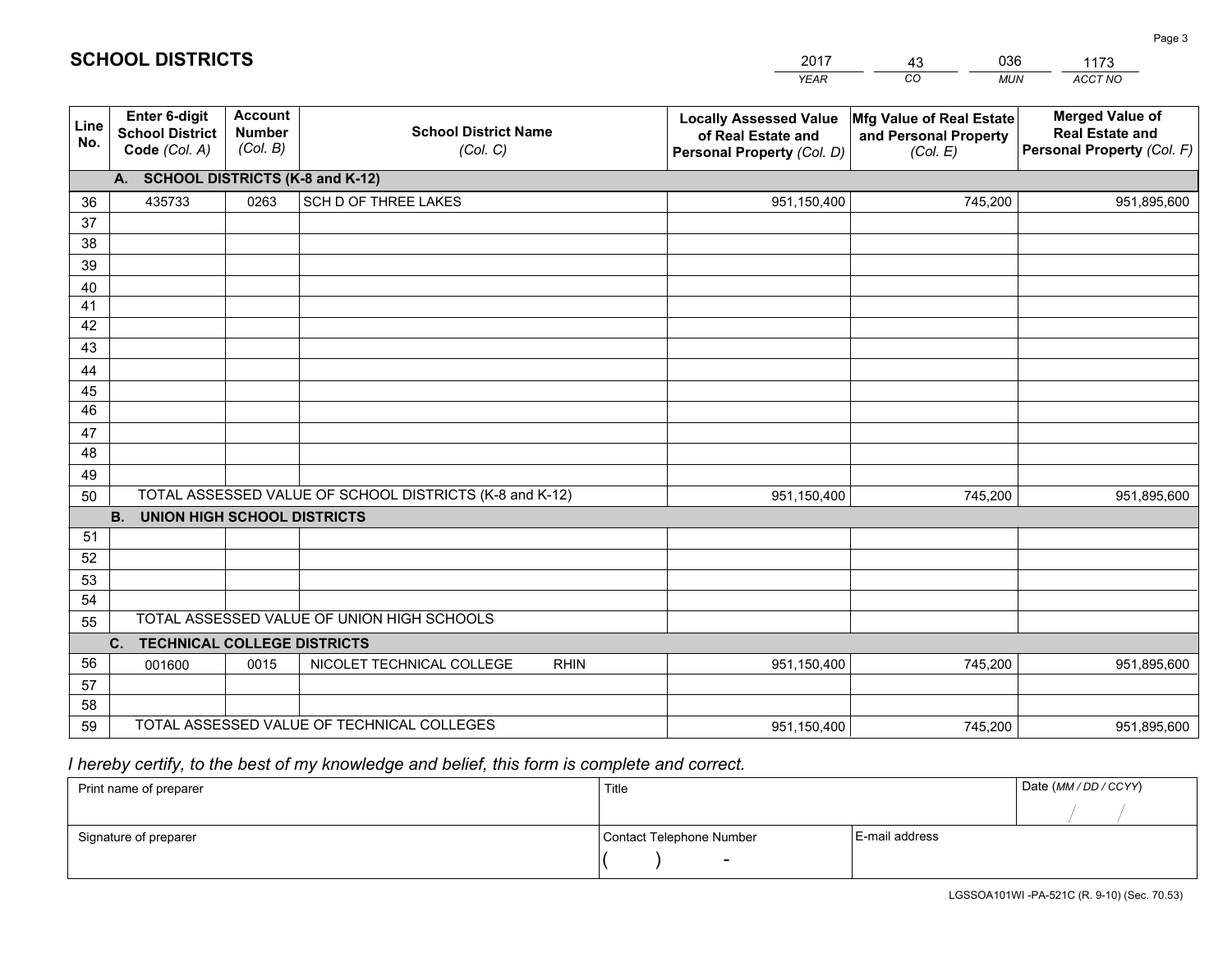|             |                                                                 |                                             |                                                         | <b>YEAR</b>                                                                       | CO<br><b>MUN</b>                                              | ACCT NO                                                                        |  |  |  |
|-------------|-----------------------------------------------------------------|---------------------------------------------|---------------------------------------------------------|-----------------------------------------------------------------------------------|---------------------------------------------------------------|--------------------------------------------------------------------------------|--|--|--|
| Line<br>No. | <b>Enter 6-digit</b><br><b>School District</b><br>Code (Col. A) | <b>Account</b><br><b>Number</b><br>(Col. B) | <b>School District Name</b><br>(Col. C)                 | <b>Locally Assessed Value</b><br>of Real Estate and<br>Personal Property (Col. D) | Mfg Value of Real Estate<br>and Personal Property<br>(Col. E) | <b>Merged Value of</b><br><b>Real Estate and</b><br>Personal Property (Col. F) |  |  |  |
|             | A. SCHOOL DISTRICTS (K-8 and K-12)                              |                                             |                                                         |                                                                                   |                                                               |                                                                                |  |  |  |
| 36          | 435733                                                          | 0263                                        | SCH D OF THREE LAKES                                    | 951,150,400                                                                       | 745,200                                                       | 951,895,600                                                                    |  |  |  |
| 37          |                                                                 |                                             |                                                         |                                                                                   |                                                               |                                                                                |  |  |  |
| 38          |                                                                 |                                             |                                                         |                                                                                   |                                                               |                                                                                |  |  |  |
| 39          |                                                                 |                                             |                                                         |                                                                                   |                                                               |                                                                                |  |  |  |
| 40          |                                                                 |                                             |                                                         |                                                                                   |                                                               |                                                                                |  |  |  |
| 41          |                                                                 |                                             |                                                         |                                                                                   |                                                               |                                                                                |  |  |  |
| 42          |                                                                 |                                             |                                                         |                                                                                   |                                                               |                                                                                |  |  |  |
| 43          |                                                                 |                                             |                                                         |                                                                                   |                                                               |                                                                                |  |  |  |
| 44          |                                                                 |                                             |                                                         |                                                                                   |                                                               |                                                                                |  |  |  |
| 45<br>46    |                                                                 |                                             |                                                         |                                                                                   |                                                               |                                                                                |  |  |  |
| 47          |                                                                 |                                             |                                                         |                                                                                   |                                                               |                                                                                |  |  |  |
| 48          |                                                                 |                                             |                                                         |                                                                                   |                                                               |                                                                                |  |  |  |
| 49          |                                                                 |                                             |                                                         |                                                                                   |                                                               |                                                                                |  |  |  |
| 50          |                                                                 |                                             | TOTAL ASSESSED VALUE OF SCHOOL DISTRICTS (K-8 and K-12) | 951,150,400                                                                       | 745,200                                                       | 951,895,600                                                                    |  |  |  |
|             | <b>B.</b><br><b>UNION HIGH SCHOOL DISTRICTS</b>                 |                                             |                                                         |                                                                                   |                                                               |                                                                                |  |  |  |
| 51          |                                                                 |                                             |                                                         |                                                                                   |                                                               |                                                                                |  |  |  |
| 52          |                                                                 |                                             |                                                         |                                                                                   |                                                               |                                                                                |  |  |  |
| 53          |                                                                 |                                             |                                                         |                                                                                   |                                                               |                                                                                |  |  |  |
| 54          |                                                                 |                                             |                                                         |                                                                                   |                                                               |                                                                                |  |  |  |
| 55          |                                                                 |                                             | TOTAL ASSESSED VALUE OF UNION HIGH SCHOOLS              |                                                                                   |                                                               |                                                                                |  |  |  |
|             | C.<br><b>TECHNICAL COLLEGE DISTRICTS</b>                        |                                             |                                                         |                                                                                   |                                                               |                                                                                |  |  |  |
| 56          | 001600                                                          | 0015                                        | NICOLET TECHNICAL COLLEGE<br><b>RHIN</b>                | 951,150,400                                                                       | 745,200                                                       | 951,895,600                                                                    |  |  |  |
| 57          |                                                                 |                                             |                                                         |                                                                                   |                                                               |                                                                                |  |  |  |
| 58          |                                                                 |                                             |                                                         |                                                                                   |                                                               |                                                                                |  |  |  |
| 59          |                                                                 |                                             | TOTAL ASSESSED VALUE OF TECHNICAL COLLEGES              | 951,150,400                                                                       | 745,200                                                       | 951,895,600                                                                    |  |  |  |

43

036

 *I hereby certify, to the best of my knowledge and belief, this form is complete and correct.*

**SCHOOL DISTRICTS**

| Print name of preparer | Title                    |                | Date (MM / DD / CCYY) |
|------------------------|--------------------------|----------------|-----------------------|
|                        |                          |                |                       |
| Signature of preparer  | Contact Telephone Number | E-mail address |                       |
|                        | -                        |                |                       |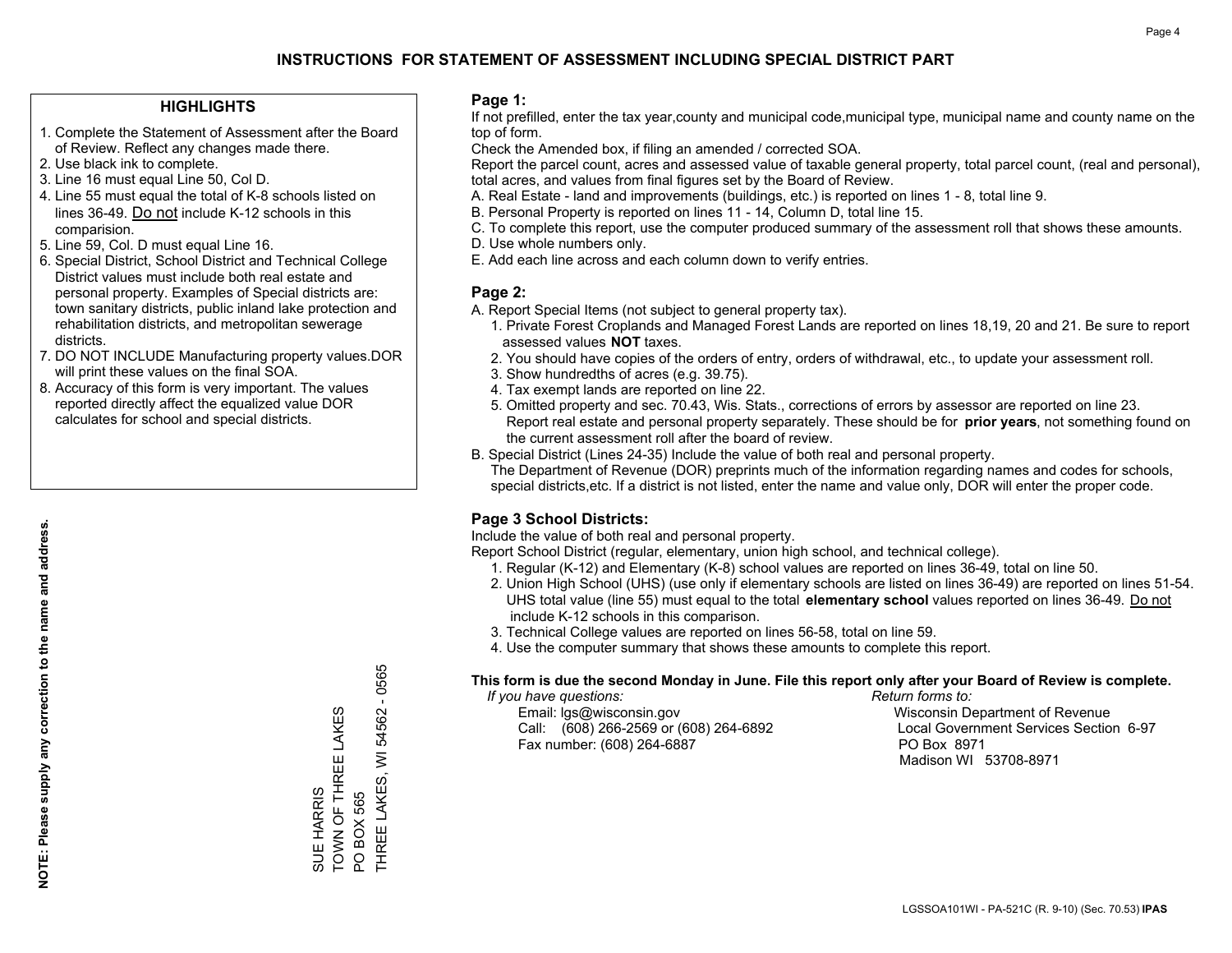### **HIGHLIGHTS**

- 1. Complete the Statement of Assessment after the Board of Review. Reflect any changes made there.
- 2. Use black ink to complete.
- 3. Line 16 must equal Line 50, Col D.
- 4. Line 55 must equal the total of K-8 schools listed on lines 36-49. Do not include K-12 schools in this comparision.
- 5. Line 59, Col. D must equal Line 16.
- 6. Special District, School District and Technical College District values must include both real estate and personal property. Examples of Special districts are: town sanitary districts, public inland lake protection and rehabilitation districts, and metropolitan sewerage districts.
- 7. DO NOT INCLUDE Manufacturing property values.DOR will print these values on the final SOA.

SUE HARRIS

TOWN OF THREE LAKES

SUE HARRIS<br>TOWN OF THREE LAKES

PO BOX 565

PO BOX 565

THREE LAKES, WI 54562 - 0565

THREE LAKES, WI

0565  $\mathbf{r}$ 54562

 8. Accuracy of this form is very important. The values reported directly affect the equalized value DOR calculates for school and special districts.

#### **Page 1:**

 If not prefilled, enter the tax year,county and municipal code,municipal type, municipal name and county name on the top of form.

Check the Amended box, if filing an amended / corrected SOA.

 Report the parcel count, acres and assessed value of taxable general property, total parcel count, (real and personal), total acres, and values from final figures set by the Board of Review.

- A. Real Estate land and improvements (buildings, etc.) is reported on lines 1 8, total line 9.
- B. Personal Property is reported on lines 11 14, Column D, total line 15.
- C. To complete this report, use the computer produced summary of the assessment roll that shows these amounts.
- D. Use whole numbers only.
- E. Add each line across and each column down to verify entries.

#### **Page 2:**

- A. Report Special Items (not subject to general property tax).
- 1. Private Forest Croplands and Managed Forest Lands are reported on lines 18,19, 20 and 21. Be sure to report assessed values **NOT** taxes.
- 2. You should have copies of the orders of entry, orders of withdrawal, etc., to update your assessment roll.
	- 3. Show hundredths of acres (e.g. 39.75).
- 4. Tax exempt lands are reported on line 22.
- 5. Omitted property and sec. 70.43, Wis. Stats., corrections of errors by assessor are reported on line 23. Report real estate and personal property separately. These should be for **prior years**, not something found on the current assessment roll after the board of review.
- B. Special District (Lines 24-35) Include the value of both real and personal property.
- The Department of Revenue (DOR) preprints much of the information regarding names and codes for schools, special districts,etc. If a district is not listed, enter the name and value only, DOR will enter the proper code.

## **Page 3 School Districts:**

Include the value of both real and personal property.

Report School District (regular, elementary, union high school, and technical college).

- 1. Regular (K-12) and Elementary (K-8) school values are reported on lines 36-49, total on line 50.
- 2. Union High School (UHS) (use only if elementary schools are listed on lines 36-49) are reported on lines 51-54. UHS total value (line 55) must equal to the total **elementary school** values reported on lines 36-49. Do notinclude K-12 schools in this comparison.
- 3. Technical College values are reported on lines 56-58, total on line 59.
- 4. Use the computer summary that shows these amounts to complete this report.

#### **This form is due the second Monday in June. File this report only after your Board of Review is complete.**

 *If you have questions: Return forms to:*

 Email: lgs@wisconsin.gov Wisconsin Department of RevenueCall:  $(608)$  266-2569 or  $(608)$  264-6892 Fax number: (608) 264-6887 PO Box 8971

Local Government Services Section 6-97 Madison WI 53708-8971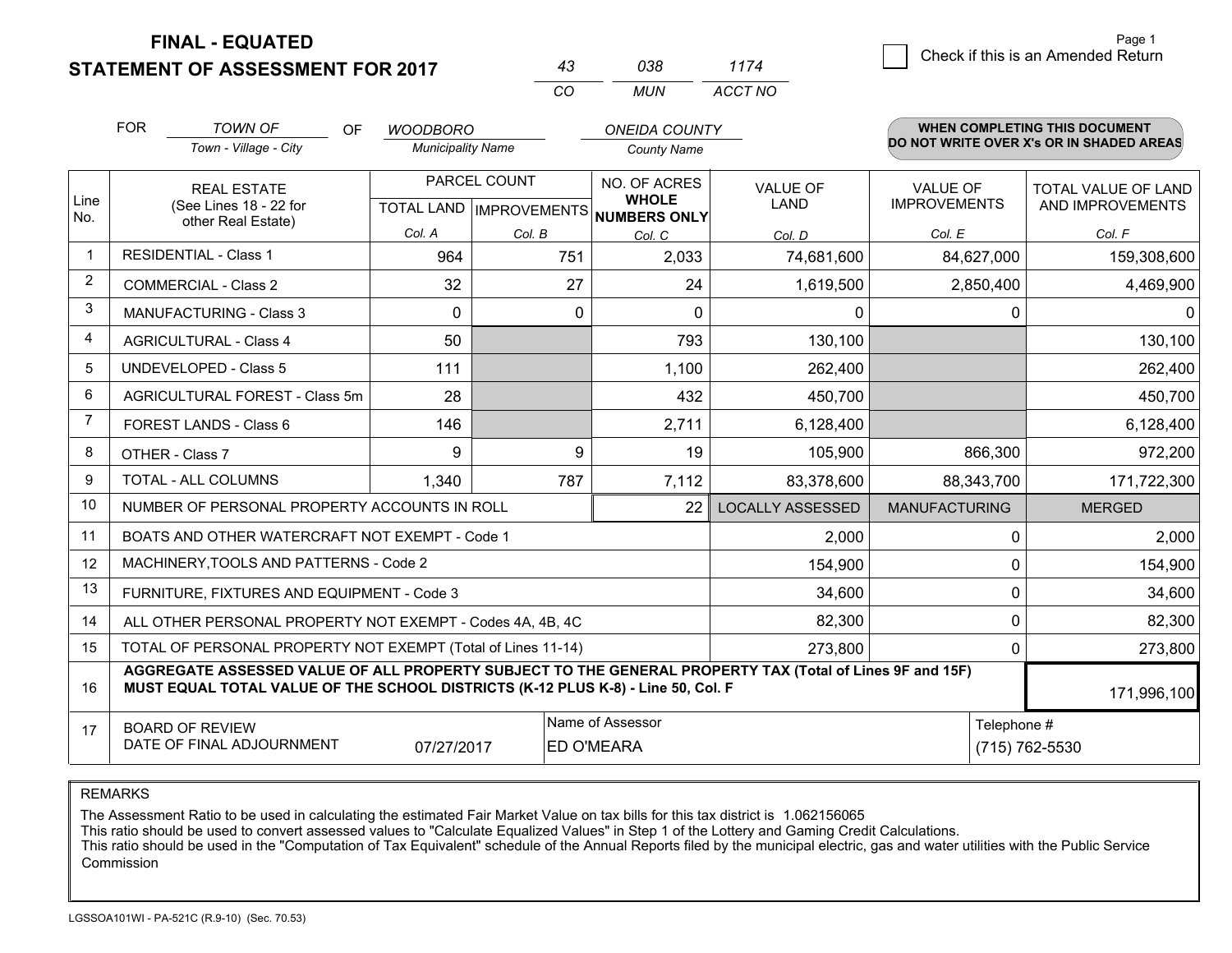**FINAL - EQUATED**

**STATEMENT OF ASSESSMENT FOR 2017** 

| 43 | กาล | 1174    |
|----|-----|---------|
| (  | MUN | ACCT NO |

|             | <b>FOR</b>                                                                                                                                                                                   | <b>TOWN OF</b><br><b>OF</b>                                  | <b>WOODBORO</b>          |              | <b>ONEIDA COUNTY</b>                                 |                         |                      | WHEN COMPLETING THIS DOCUMENT<br>DO NOT WRITE OVER X's OR IN SHADED AREAS |
|-------------|----------------------------------------------------------------------------------------------------------------------------------------------------------------------------------------------|--------------------------------------------------------------|--------------------------|--------------|------------------------------------------------------|-------------------------|----------------------|---------------------------------------------------------------------------|
|             |                                                                                                                                                                                              | Town - Village - City                                        | <b>Municipality Name</b> |              | <b>County Name</b>                                   |                         |                      |                                                                           |
|             |                                                                                                                                                                                              | <b>REAL ESTATE</b>                                           |                          | PARCEL COUNT | NO. OF ACRES                                         | <b>VALUE OF</b>         | VALUE OF             | TOTAL VALUE OF LAND                                                       |
| Line<br>No. | (See Lines 18 - 22 for                                                                                                                                                                       | other Real Estate)                                           |                          |              | <b>WHOLE</b><br>TOTAL LAND IMPROVEMENTS NUMBERS ONLY | <b>LAND</b>             | <b>IMPROVEMENTS</b>  | AND IMPROVEMENTS                                                          |
|             |                                                                                                                                                                                              |                                                              | Col. A                   | Col. B       | Col. C                                               | Col. D                  | Col. E               | Col. F                                                                    |
| $\mathbf 1$ |                                                                                                                                                                                              | <b>RESIDENTIAL - Class 1</b>                                 | 964                      | 751          | 2,033                                                | 74,681,600              | 84,627,000           | 159,308,600                                                               |
| 2           |                                                                                                                                                                                              | <b>COMMERCIAL - Class 2</b>                                  | 32                       | 27           | 24                                                   | 1,619,500               | 2,850,400            | 4,469,900                                                                 |
| 3           |                                                                                                                                                                                              | <b>MANUFACTURING - Class 3</b>                               | $\mathbf{0}$             | 0            | $\Omega$                                             | 0                       |                      | 0<br>$\mathbf{0}$                                                         |
| 4           |                                                                                                                                                                                              | <b>AGRICULTURAL - Class 4</b>                                | 50                       |              | 793                                                  | 130,100                 |                      | 130,100                                                                   |
| 5           |                                                                                                                                                                                              | <b>UNDEVELOPED - Class 5</b>                                 | 111                      |              | 1,100                                                | 262,400                 |                      | 262,400                                                                   |
| 6           |                                                                                                                                                                                              | AGRICULTURAL FOREST - Class 5m                               | 28                       |              | 432                                                  | 450,700                 |                      | 450,700                                                                   |
| 7           |                                                                                                                                                                                              | FOREST LANDS - Class 6                                       | 146                      |              | 2,711                                                | 6,128,400               |                      | 6,128,400                                                                 |
| 8           |                                                                                                                                                                                              | OTHER - Class 7                                              | 9                        | 9            | 19                                                   | 105,900                 | 866,300              | 972,200                                                                   |
| 9           |                                                                                                                                                                                              | TOTAL - ALL COLUMNS                                          | 1,340                    | 787          | 7,112                                                | 83,378,600              | 88,343,700           | 171,722,300                                                               |
| 10          |                                                                                                                                                                                              | NUMBER OF PERSONAL PROPERTY ACCOUNTS IN ROLL                 |                          |              | 22                                                   | <b>LOCALLY ASSESSED</b> | <b>MANUFACTURING</b> | <b>MERGED</b>                                                             |
| 11          |                                                                                                                                                                                              | BOATS AND OTHER WATERCRAFT NOT EXEMPT - Code 1               |                          |              |                                                      | 2,000                   |                      | 2,000<br>$\mathbf 0$                                                      |
| 12          |                                                                                                                                                                                              | MACHINERY, TOOLS AND PATTERNS - Code 2                       |                          |              |                                                      | 154,900                 |                      | 154,900<br>0                                                              |
| 13          |                                                                                                                                                                                              | FURNITURE, FIXTURES AND EQUIPMENT - Code 3                   |                          |              |                                                      | 34,600                  |                      | $\mathbf 0$<br>34,600                                                     |
| 14          |                                                                                                                                                                                              | ALL OTHER PERSONAL PROPERTY NOT EXEMPT - Codes 4A, 4B, 4C    |                          |              |                                                      | 82,300                  |                      | $\mathbf 0$<br>82,300                                                     |
| 15          |                                                                                                                                                                                              | TOTAL OF PERSONAL PROPERTY NOT EXEMPT (Total of Lines 11-14) |                          |              |                                                      | 273,800                 |                      | 273,800<br>$\Omega$                                                       |
| 16          | AGGREGATE ASSESSED VALUE OF ALL PROPERTY SUBJECT TO THE GENERAL PROPERTY TAX (Total of Lines 9F and 15F)<br>MUST EQUAL TOTAL VALUE OF THE SCHOOL DISTRICTS (K-12 PLUS K-8) - Line 50, Col. F |                                                              |                          |              |                                                      |                         |                      | 171,996,100                                                               |
| 17          |                                                                                                                                                                                              | <b>BOARD OF REVIEW</b>                                       |                          |              | Name of Assessor                                     |                         |                      | Telephone #                                                               |
|             | DATE OF FINAL ADJOURNMENT<br>ED O'MEARA<br>07/27/2017                                                                                                                                        |                                                              |                          |              |                                                      |                         | (715) 762-5530       |                                                                           |

REMARKS

The Assessment Ratio to be used in calculating the estimated Fair Market Value on tax bills for this tax district is 1.062156065

This ratio should be used to convert assessed values to "Calculate Equalized Values" in Step 1 of the Lottery and Gaming Credit Calculations.<br>This ratio should be used in the "Computation of Tax Equivalent" schedule of the Commission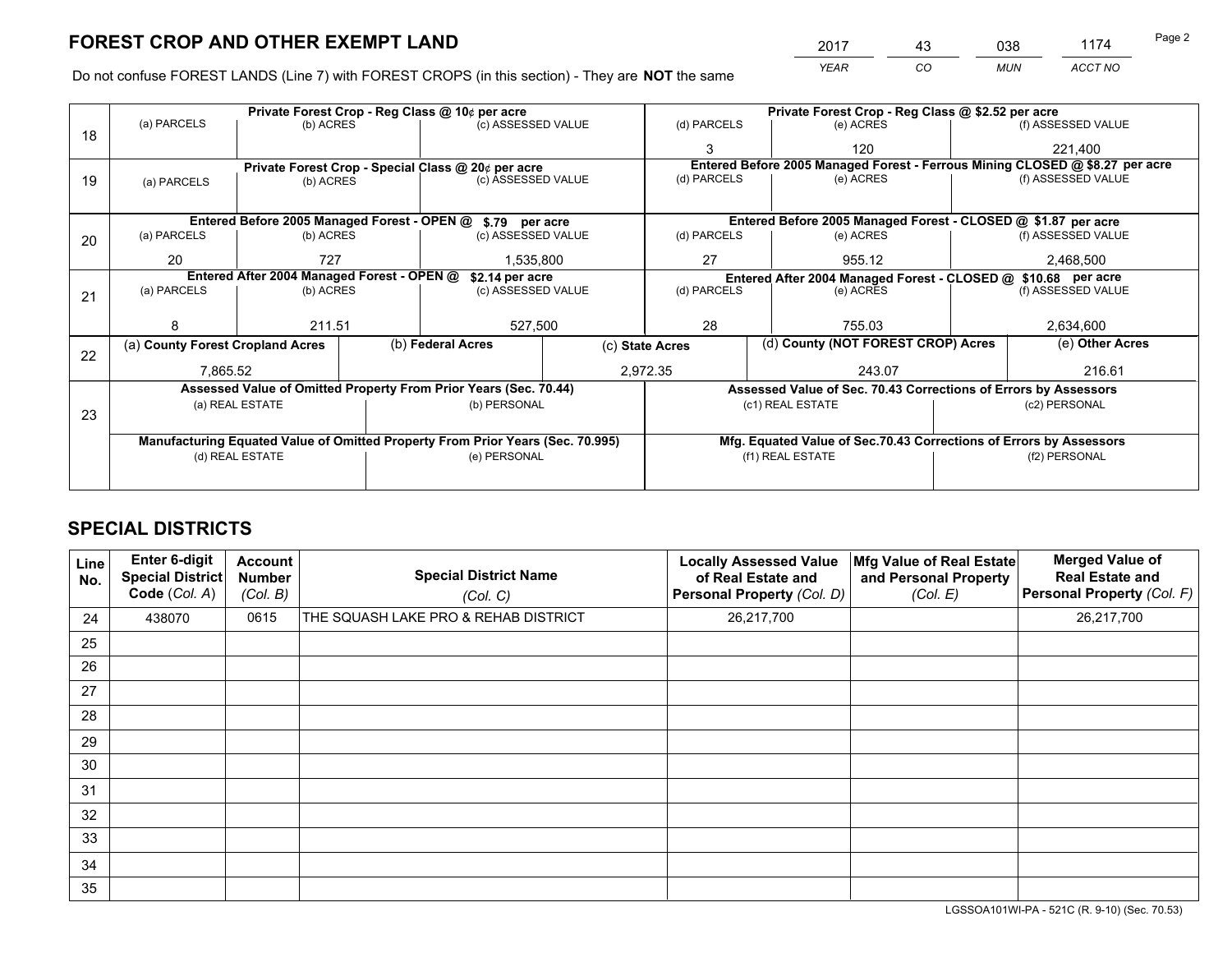# **FOREST CROP AND OTHER EXEMPT LAND**

 *YEAR CO MUN ACCT NO* <u>2017 - 43 038 1174</u>

Do not confuse FOREST LANDS (Line 7) with FOREST CROPS (in this section) - They are **NOT** the same

|    |                                                               |                 |  | Private Forest Crop - Reg Class @ 10¢ per acre                                 |                 |                          | Private Forest Crop - Reg Class @ \$2.52 per acre             |                                                                    |               |                                                                              |  |
|----|---------------------------------------------------------------|-----------------|--|--------------------------------------------------------------------------------|-----------------|--------------------------|---------------------------------------------------------------|--------------------------------------------------------------------|---------------|------------------------------------------------------------------------------|--|
| 18 | (a) PARCELS                                                   | (b) ACRES       |  | (c) ASSESSED VALUE                                                             |                 | (d) PARCELS              |                                                               | (e) ACRES                                                          |               | (f) ASSESSED VALUE                                                           |  |
|    |                                                               |                 |  |                                                                                |                 |                          |                                                               | 120                                                                |               | 221,400                                                                      |  |
|    |                                                               |                 |  | Private Forest Crop - Special Class @ 20¢ per acre                             |                 |                          |                                                               |                                                                    |               | Entered Before 2005 Managed Forest - Ferrous Mining CLOSED @ \$8.27 per acre |  |
| 19 | (a) PARCELS                                                   | (b) ACRES       |  | (c) ASSESSED VALUE                                                             |                 | (d) PARCELS              |                                                               | (e) ACRES                                                          |               | (f) ASSESSED VALUE                                                           |  |
|    |                                                               |                 |  |                                                                                |                 |                          |                                                               |                                                                    |               |                                                                              |  |
|    |                                                               |                 |  | Entered Before 2005 Managed Forest - OPEN @ \$.79 per acre                     |                 |                          |                                                               | Entered Before 2005 Managed Forest - CLOSED @ \$1.87 per acre      |               |                                                                              |  |
| 20 | (a) PARCELS                                                   | (b) ACRES       |  | (c) ASSESSED VALUE                                                             |                 | (d) PARCELS              |                                                               | (e) ACRES                                                          |               | (f) ASSESSED VALUE                                                           |  |
|    | 20                                                            | 727             |  |                                                                                | 1,535,800       |                          |                                                               | 955.12                                                             | 2,468,500     |                                                                              |  |
|    | Entered After 2004 Managed Forest - OPEN @<br>\$2.14 per acre |                 |  |                                                                                |                 |                          | Entered After 2004 Managed Forest - CLOSED @ \$10.68 per acre |                                                                    |               |                                                                              |  |
| 21 | (a) PARCELS                                                   | (b) ACRES       |  | (c) ASSESSED VALUE                                                             |                 | (d) PARCELS<br>(e) ACRES |                                                               | (f) ASSESSED VALUE                                                 |               |                                                                              |  |
|    |                                                               |                 |  |                                                                                |                 |                          |                                                               |                                                                    |               |                                                                              |  |
|    | 8                                                             | 211.51          |  | 527,500                                                                        |                 | 28                       |                                                               | 755.03                                                             |               | 2,634,600                                                                    |  |
| 22 | (a) County Forest Cropland Acres                              |                 |  | (b) Federal Acres                                                              | (c) State Acres |                          |                                                               | (d) County (NOT FOREST CROP) Acres                                 |               | (e) Other Acres                                                              |  |
|    | 7,865.52                                                      |                 |  |                                                                                |                 | 2,972.35                 |                                                               | 243.07                                                             |               | 216.61                                                                       |  |
|    |                                                               |                 |  | Assessed Value of Omitted Property From Prior Years (Sec. 70.44)               |                 |                          |                                                               | Assessed Value of Sec. 70.43 Corrections of Errors by Assessors    |               |                                                                              |  |
|    |                                                               | (a) REAL ESTATE |  | (b) PERSONAL                                                                   |                 |                          |                                                               | (c1) REAL ESTATE                                                   |               | (c2) PERSONAL                                                                |  |
| 23 |                                                               |                 |  |                                                                                |                 |                          |                                                               |                                                                    |               |                                                                              |  |
|    |                                                               |                 |  | Manufacturing Equated Value of Omitted Property From Prior Years (Sec. 70.995) |                 |                          |                                                               | Mfg. Equated Value of Sec.70.43 Corrections of Errors by Assessors |               |                                                                              |  |
|    | (d) REAL ESTATE                                               |                 |  | (e) PERSONAL                                                                   |                 | (f1) REAL ESTATE         |                                                               |                                                                    | (f2) PERSONAL |                                                                              |  |
|    |                                                               |                 |  |                                                                                |                 |                          |                                                               |                                                                    |               |                                                                              |  |

## **SPECIAL DISTRICTS**

| Line<br>No. | Enter 6-digit<br><b>Special District</b><br>Code (Col. A) | <b>Account</b><br><b>Number</b><br>(Col. B) | <b>Special District Name</b><br>(Col. C) | <b>Locally Assessed Value</b><br>of Real Estate and<br>Personal Property (Col. D) | Mfg Value of Real Estate<br>and Personal Property<br>(Col. E) | <b>Merged Value of</b><br><b>Real Estate and</b><br>Personal Property (Col. F) |
|-------------|-----------------------------------------------------------|---------------------------------------------|------------------------------------------|-----------------------------------------------------------------------------------|---------------------------------------------------------------|--------------------------------------------------------------------------------|
| 24          | 438070                                                    | 0615                                        | THE SQUASH LAKE PRO & REHAB DISTRICT     | 26,217,700                                                                        |                                                               | 26,217,700                                                                     |
| 25          |                                                           |                                             |                                          |                                                                                   |                                                               |                                                                                |
| 26          |                                                           |                                             |                                          |                                                                                   |                                                               |                                                                                |
| 27          |                                                           |                                             |                                          |                                                                                   |                                                               |                                                                                |
| 28          |                                                           |                                             |                                          |                                                                                   |                                                               |                                                                                |
| 29          |                                                           |                                             |                                          |                                                                                   |                                                               |                                                                                |
| 30          |                                                           |                                             |                                          |                                                                                   |                                                               |                                                                                |
| 31          |                                                           |                                             |                                          |                                                                                   |                                                               |                                                                                |
| 32          |                                                           |                                             |                                          |                                                                                   |                                                               |                                                                                |
| 33          |                                                           |                                             |                                          |                                                                                   |                                                               |                                                                                |
| 34          |                                                           |                                             |                                          |                                                                                   |                                                               |                                                                                |
| 35          |                                                           |                                             |                                          |                                                                                   |                                                               |                                                                                |

LGSSOA101WI-PA - 521C (R. 9-10) (Sec. 70.53)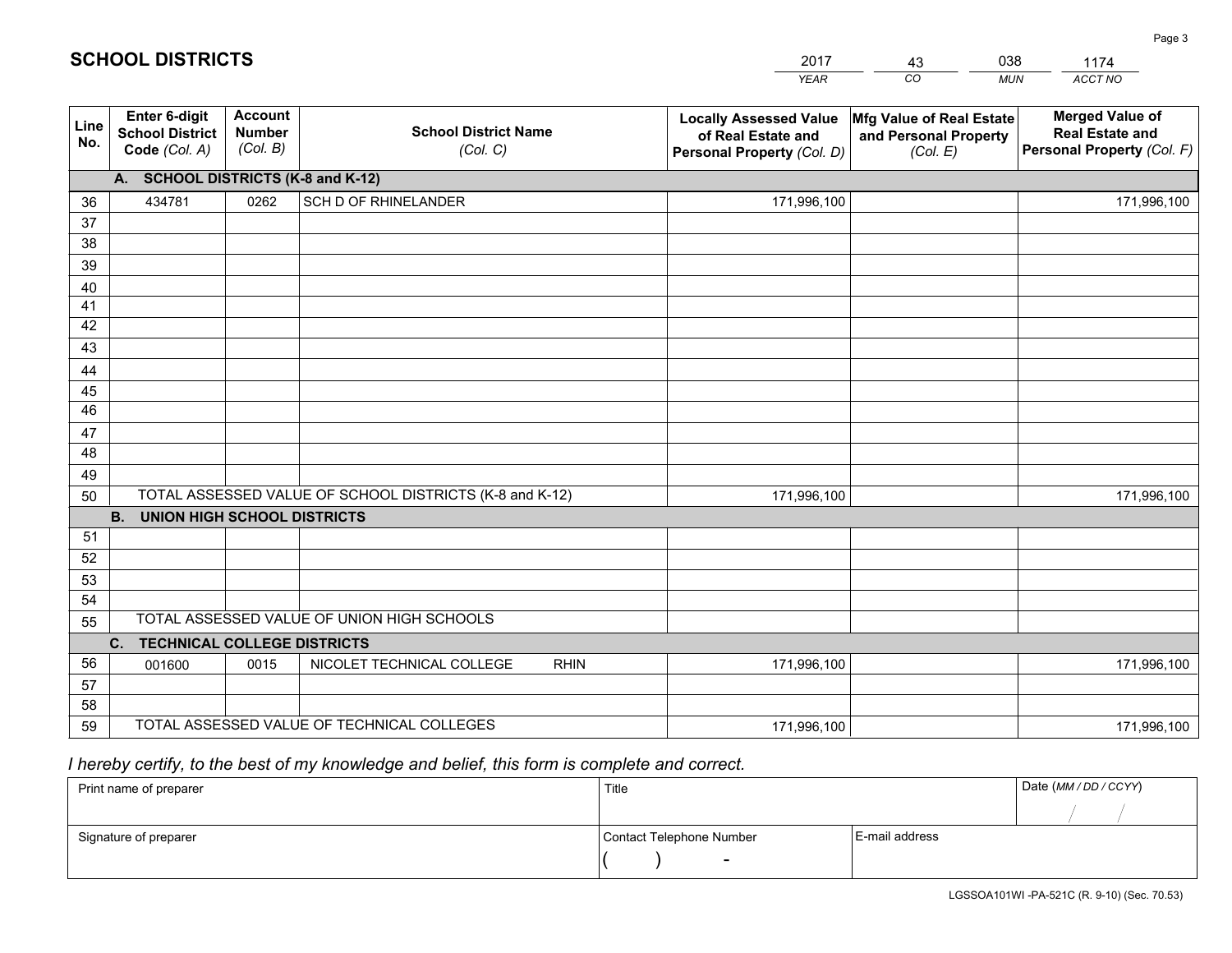|             |                                                          |                                             |                                                         | <b>YEAR</b>                                                                       | CO<br><b>MUN</b>                                              | ACCT NO                                                                        |
|-------------|----------------------------------------------------------|---------------------------------------------|---------------------------------------------------------|-----------------------------------------------------------------------------------|---------------------------------------------------------------|--------------------------------------------------------------------------------|
| Line<br>No. | Enter 6-digit<br><b>School District</b><br>Code (Col. A) | <b>Account</b><br><b>Number</b><br>(Col. B) | <b>School District Name</b><br>(Col. C)                 | <b>Locally Assessed Value</b><br>of Real Estate and<br>Personal Property (Col. D) | Mfg Value of Real Estate<br>and Personal Property<br>(Col. E) | <b>Merged Value of</b><br><b>Real Estate and</b><br>Personal Property (Col. F) |
|             | A. SCHOOL DISTRICTS (K-8 and K-12)                       |                                             |                                                         |                                                                                   |                                                               |                                                                                |
| 36          | 434781                                                   | 0262                                        | SCH D OF RHINELANDER                                    | 171,996,100                                                                       |                                                               | 171,996,100                                                                    |
| 37          |                                                          |                                             |                                                         |                                                                                   |                                                               |                                                                                |
| 38          |                                                          |                                             |                                                         |                                                                                   |                                                               |                                                                                |
| 39          |                                                          |                                             |                                                         |                                                                                   |                                                               |                                                                                |
| 40          |                                                          |                                             |                                                         |                                                                                   |                                                               |                                                                                |
| 41          |                                                          |                                             |                                                         |                                                                                   |                                                               |                                                                                |
| 42          |                                                          |                                             |                                                         |                                                                                   |                                                               |                                                                                |
| 43          |                                                          |                                             |                                                         |                                                                                   |                                                               |                                                                                |
| 44<br>45    |                                                          |                                             |                                                         |                                                                                   |                                                               |                                                                                |
| 46          |                                                          |                                             |                                                         |                                                                                   |                                                               |                                                                                |
| 47          |                                                          |                                             |                                                         |                                                                                   |                                                               |                                                                                |
| 48          |                                                          |                                             |                                                         |                                                                                   |                                                               |                                                                                |
| 49          |                                                          |                                             |                                                         |                                                                                   |                                                               |                                                                                |
| 50          |                                                          |                                             | TOTAL ASSESSED VALUE OF SCHOOL DISTRICTS (K-8 and K-12) | 171,996,100                                                                       |                                                               | 171,996,100                                                                    |
|             | <b>B.</b><br><b>UNION HIGH SCHOOL DISTRICTS</b>          |                                             |                                                         |                                                                                   |                                                               |                                                                                |
| 51          |                                                          |                                             |                                                         |                                                                                   |                                                               |                                                                                |
| 52          |                                                          |                                             |                                                         |                                                                                   |                                                               |                                                                                |
| 53          |                                                          |                                             |                                                         |                                                                                   |                                                               |                                                                                |
| 54          |                                                          |                                             |                                                         |                                                                                   |                                                               |                                                                                |
| 55          |                                                          |                                             | TOTAL ASSESSED VALUE OF UNION HIGH SCHOOLS              |                                                                                   |                                                               |                                                                                |
|             | C. TECHNICAL COLLEGE DISTRICTS                           |                                             |                                                         |                                                                                   |                                                               |                                                                                |
| 56          | 001600                                                   | 0015                                        | NICOLET TECHNICAL COLLEGE<br><b>RHIN</b>                | 171,996,100                                                                       |                                                               | 171,996,100                                                                    |
| 57          |                                                          |                                             |                                                         |                                                                                   |                                                               |                                                                                |
| 58          |                                                          |                                             | TOTAL ASSESSED VALUE OF TECHNICAL COLLEGES              |                                                                                   |                                                               |                                                                                |
| 59          |                                                          |                                             |                                                         | 171,996,100                                                                       |                                                               | 171,996,100                                                                    |

2017

43

038

## *I hereby certify, to the best of my knowledge and belief, this form is complete and correct.*

**SCHOOL DISTRICTS**

| Print name of preparer | Title                    |                | Date (MM / DD / CCYY) |
|------------------------|--------------------------|----------------|-----------------------|
|                        |                          |                |                       |
| Signature of preparer  | Contact Telephone Number | E-mail address |                       |
|                        | $\sim$                   |                |                       |

1174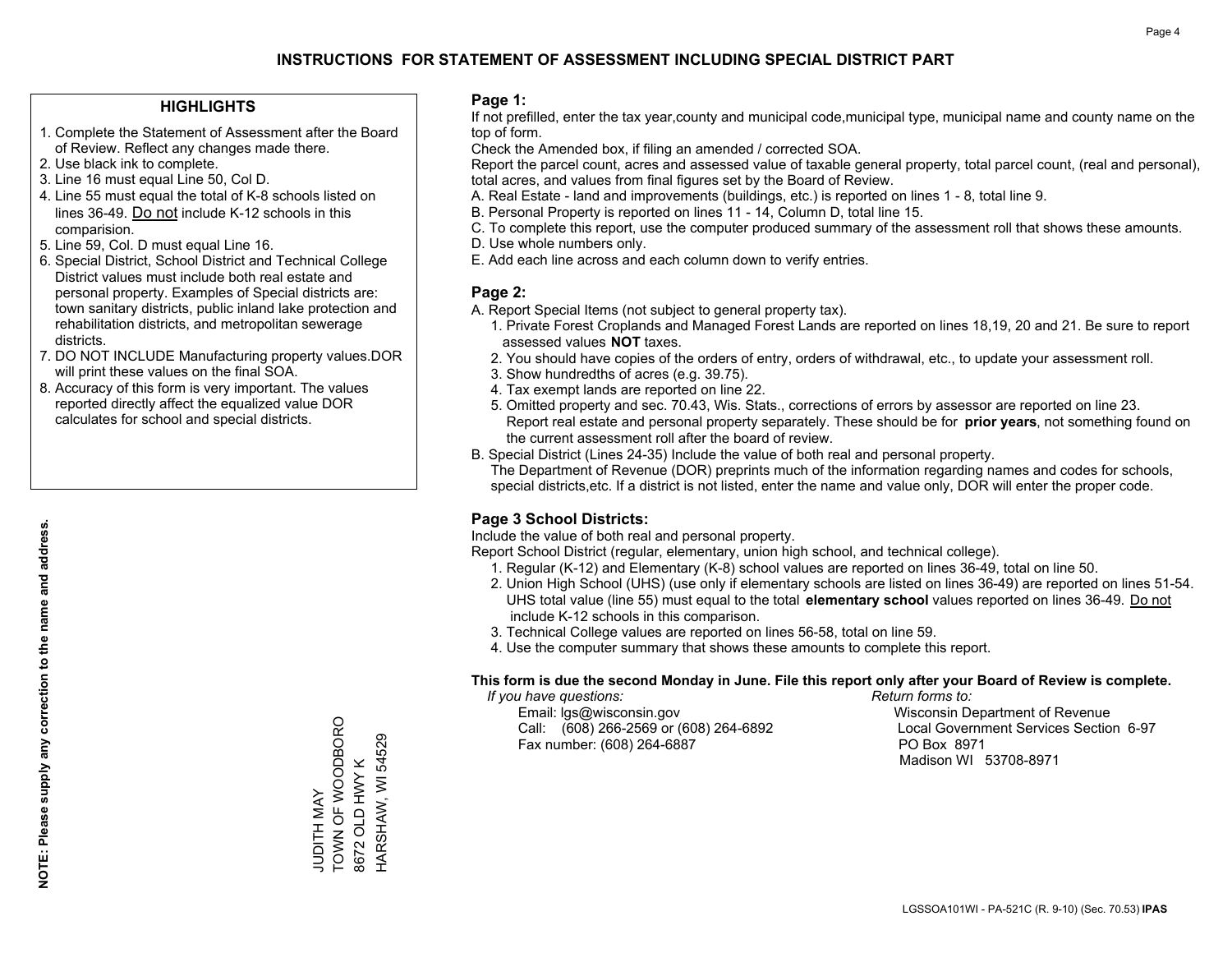## **INSTRUCTIONS FOR STATEMENT OF ASSESSMENT INCLUDING SPECIAL DISTRICT PART**

#### **HIGHLIGHTS**

- 1. Complete the Statement of Assessment after the Board of Review. Reflect any changes made there.
- 2. Use black ink to complete.
- 3. Line 16 must equal Line 50, Col D.
- 4. Line 55 must equal the total of K-8 schools listed on lines 36-49. Do not include K-12 schools in this comparision.
- 5. Line 59, Col. D must equal Line 16.
- 6. Special District, School District and Technical College District values must include both real estate and personal property. Examples of Special districts are: town sanitary districts, public inland lake protection and rehabilitation districts, and metropolitan sewerage districts.
- 7. DO NOT INCLUDE Manufacturing property values.DOR will print these values on the final SOA.
- 8. Accuracy of this form is very important. The values reported directly affect the equalized value DOR calculates for school and special districts.

#### **Page 1:**

 If not prefilled, enter the tax year,county and municipal code,municipal type, municipal name and county name on the top of form.

Check the Amended box, if filing an amended / corrected SOA.

 Report the parcel count, acres and assessed value of taxable general property, total parcel count, (real and personal), total acres, and values from final figures set by the Board of Review.

- A. Real Estate land and improvements (buildings, etc.) is reported on lines 1 8, total line 9.
- B. Personal Property is reported on lines 11 14, Column D, total line 15.
- C. To complete this report, use the computer produced summary of the assessment roll that shows these amounts.
- D. Use whole numbers only.
- E. Add each line across and each column down to verify entries.

#### **Page 2:**

- A. Report Special Items (not subject to general property tax).
- 1. Private Forest Croplands and Managed Forest Lands are reported on lines 18,19, 20 and 21. Be sure to report assessed values **NOT** taxes.
- 2. You should have copies of the orders of entry, orders of withdrawal, etc., to update your assessment roll.
	- 3. Show hundredths of acres (e.g. 39.75).
- 4. Tax exempt lands are reported on line 22.
- 5. Omitted property and sec. 70.43, Wis. Stats., corrections of errors by assessor are reported on line 23. Report real estate and personal property separately. These should be for **prior years**, not something found on the current assessment roll after the board of review.
- B. Special District (Lines 24-35) Include the value of both real and personal property.

 The Department of Revenue (DOR) preprints much of the information regarding names and codes for schools, special districts,etc. If a district is not listed, enter the name and value only, DOR will enter the proper code.

### **Page 3 School Districts:**

Include the value of both real and personal property.

Report School District (regular, elementary, union high school, and technical college).

- 1. Regular (K-12) and Elementary (K-8) school values are reported on lines 36-49, total on line 50.
- 2. Union High School (UHS) (use only if elementary schools are listed on lines 36-49) are reported on lines 51-54. UHS total value (line 55) must equal to the total **elementary school** values reported on lines 36-49. Do notinclude K-12 schools in this comparison.
- 3. Technical College values are reported on lines 56-58, total on line 59.
- 4. Use the computer summary that shows these amounts to complete this report.

#### **This form is due the second Monday in June. File this report only after your Board of Review is complete.**

 *If you have questions: Return forms to:*

 Email: lgs@wisconsin.gov Wisconsin Department of RevenueCall:  $(608)$  266-2569 or  $(608)$  264-6892 Fax number: (608) 264-6887 PO Box 8971

Local Government Services Section 6-97 Madison WI 53708-8971

TOWN OF WOODBORO TOWN OF WOODBORO 8672 OLD HWY K<br>HARSHAW, WI 54529 HARSHAW, WI 54529 8672 OLD HWY K **JUDITH MAY** JUDITH MAY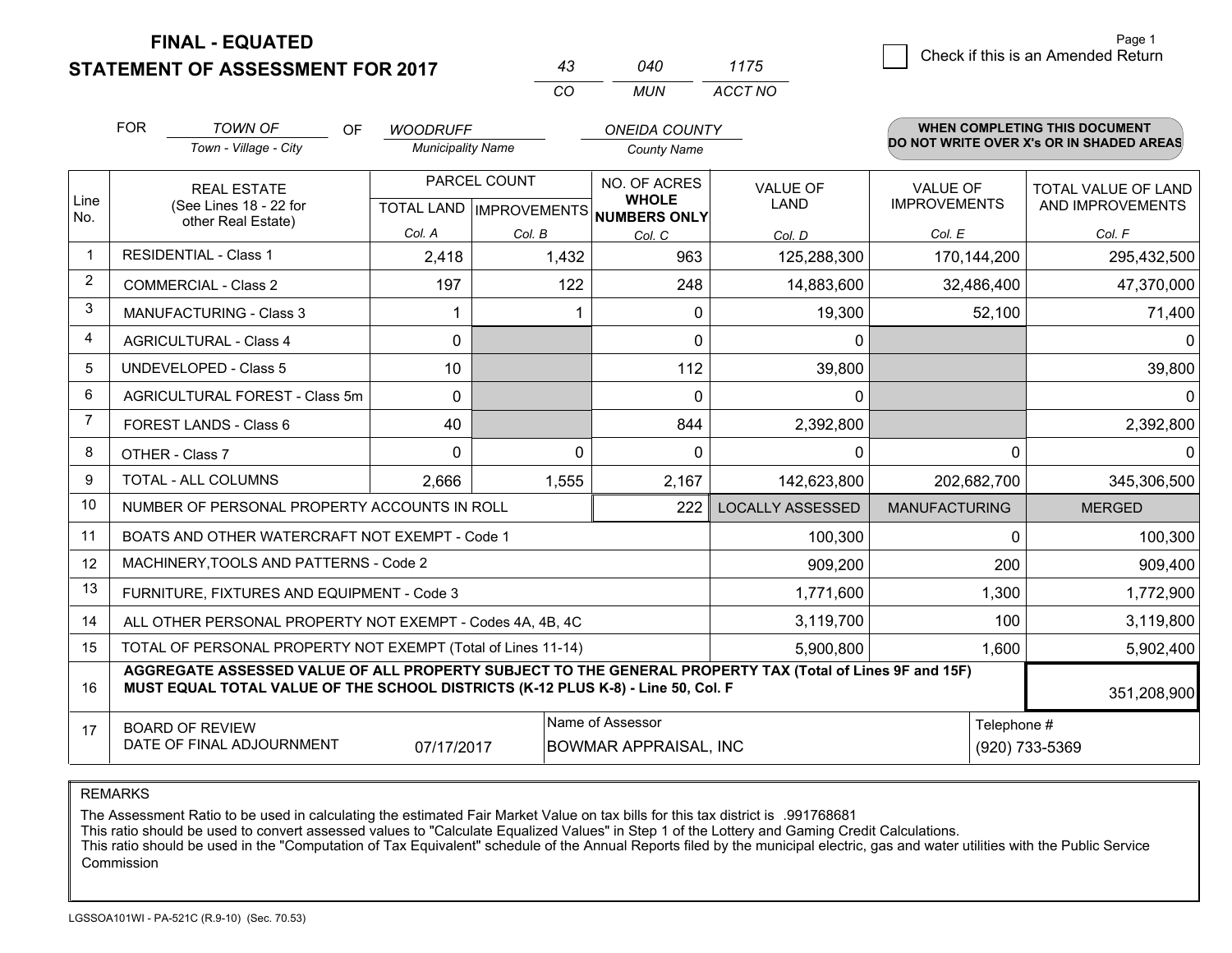**FINAL - EQUATED**

**STATEMENT OF ASSESSMENT FOR 2017** 

| 43 | 040 | 11/5    |
|----|-----|---------|
| cо | MUN | ACCT NO |

|                         | <b>FOR</b>                                                                                                                                                                                   | <b>TOWN OF</b><br>OF                                         | <b>WOODRUFF</b>          |                           | <b>ONEIDA COUNTY</b>         |                         |                      | <b>WHEN COMPLETING THIS DOCUMENT</b>     |
|-------------------------|----------------------------------------------------------------------------------------------------------------------------------------------------------------------------------------------|--------------------------------------------------------------|--------------------------|---------------------------|------------------------------|-------------------------|----------------------|------------------------------------------|
|                         |                                                                                                                                                                                              | Town - Village - City                                        | <b>Municipality Name</b> |                           | <b>County Name</b>           |                         |                      | DO NOT WRITE OVER X's OR IN SHADED AREAS |
|                         |                                                                                                                                                                                              | <b>REAL ESTATE</b>                                           |                          | PARCEL COUNT              | NO. OF ACRES                 | <b>VALUE OF</b>         | <b>VALUE OF</b>      | TOTAL VALUE OF LAND                      |
| Line<br>No.             |                                                                                                                                                                                              | (See Lines 18 - 22 for<br>other Real Estate)                 |                          | TOTAL LAND   IMPROVEMENTS | <b>WHOLE</b><br>NUMBERS ONLY | <b>LAND</b>             | <b>IMPROVEMENTS</b>  | AND IMPROVEMENTS                         |
|                         |                                                                                                                                                                                              |                                                              | Col. A                   | Col. B                    | Col. C                       | Col. D                  | Col. E               | Col. F                                   |
| $\blacktriangleleft$    |                                                                                                                                                                                              | <b>RESIDENTIAL - Class 1</b>                                 | 2,418                    | 1,432                     | 963                          | 125,288,300             | 170,144,200          | 295,432,500                              |
| 2                       |                                                                                                                                                                                              | <b>COMMERCIAL - Class 2</b>                                  | 197                      | 122                       | 248                          | 14,883,600              | 32,486,400           | 47,370,000                               |
| 3                       |                                                                                                                                                                                              | <b>MANUFACTURING - Class 3</b>                               |                          |                           | $\Omega$                     | 19,300                  | 52,100               | 71,400                                   |
| $\overline{\mathbf{4}}$ |                                                                                                                                                                                              | <b>AGRICULTURAL - Class 4</b>                                | 0                        |                           | 0                            | $\mathbf 0$             |                      | 0                                        |
| 5                       |                                                                                                                                                                                              | <b>UNDEVELOPED - Class 5</b>                                 | 10                       |                           | 112                          | 39,800                  |                      | 39,800                                   |
| 6                       | AGRICULTURAL FOREST - Class 5m                                                                                                                                                               |                                                              | $\Omega$                 |                           | $\Omega$                     | $\mathbf{0}$            |                      | $\Omega$                                 |
| 7                       | FOREST LANDS - Class 6                                                                                                                                                                       |                                                              | 40                       |                           | 844                          | 2,392,800               |                      | 2,392,800                                |
| 8                       |                                                                                                                                                                                              | OTHER - Class 7                                              | $\Omega$                 | $\Omega$                  | $\Omega$                     | $\Omega$                | 0                    | 0                                        |
| 9                       |                                                                                                                                                                                              | TOTAL - ALL COLUMNS                                          | 2,666                    | 1,555                     | 2,167                        | 142,623,800             | 202,682,700          | 345,306,500                              |
| 10                      |                                                                                                                                                                                              | NUMBER OF PERSONAL PROPERTY ACCOUNTS IN ROLL                 |                          |                           | 222                          | <b>LOCALLY ASSESSED</b> | <b>MANUFACTURING</b> | <b>MERGED</b>                            |
| 11                      |                                                                                                                                                                                              | BOATS AND OTHER WATERCRAFT NOT EXEMPT - Code 1               |                          |                           |                              | 100,300                 | $\Omega$             | 100,300                                  |
| 12                      |                                                                                                                                                                                              | MACHINERY, TOOLS AND PATTERNS - Code 2                       |                          |                           |                              | 909,200                 | 200                  | 909,400                                  |
| 13                      |                                                                                                                                                                                              | FURNITURE, FIXTURES AND EQUIPMENT - Code 3                   |                          |                           |                              | 1,771,600               | 1,300                | 1,772,900                                |
| 14                      |                                                                                                                                                                                              | ALL OTHER PERSONAL PROPERTY NOT EXEMPT - Codes 4A, 4B, 4C    |                          |                           |                              | 3,119,700               | 100                  | 3,119,800                                |
| 15                      |                                                                                                                                                                                              | TOTAL OF PERSONAL PROPERTY NOT EXEMPT (Total of Lines 11-14) |                          |                           |                              | 5,900,800               | 1,600                | 5,902,400                                |
| 16                      | AGGREGATE ASSESSED VALUE OF ALL PROPERTY SUBJECT TO THE GENERAL PROPERTY TAX (Total of Lines 9F and 15F)<br>MUST EQUAL TOTAL VALUE OF THE SCHOOL DISTRICTS (K-12 PLUS K-8) - Line 50, Col. F |                                                              |                          |                           |                              |                         |                      | 351,208,900                              |
| 17                      | <b>BOARD OF REVIEW</b>                                                                                                                                                                       |                                                              |                          |                           | Name of Assessor             |                         |                      | Telephone #                              |
|                         |                                                                                                                                                                                              | DATE OF FINAL ADJOURNMENT                                    | 07/17/2017               |                           | <b>BOWMAR APPRAISAL, INC</b> |                         |                      | (920) 733-5369                           |

REMARKS

The Assessment Ratio to be used in calculating the estimated Fair Market Value on tax bills for this tax district is .991768681

This ratio should be used to convert assessed values to "Calculate Equalized Values" in Step 1 of the Lottery and Gaming Credit Calculations.<br>This ratio should be used in the "Computation of Tax Equivalent" schedule of the Commission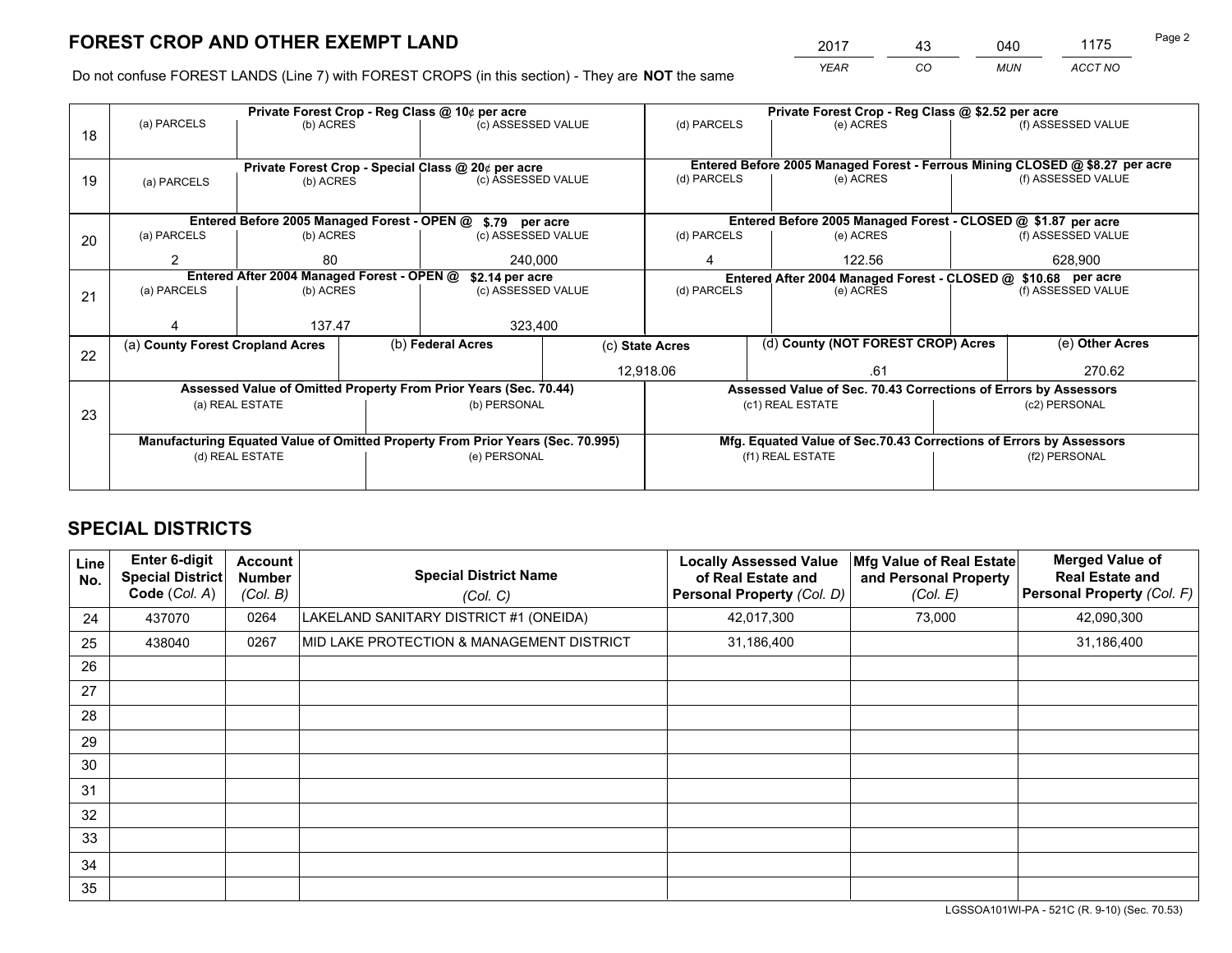# **FOREST CROP AND OTHER EXEMPT LAND**

 *YEAR CO MUN ACCT NO* <sup>2017</sup> <sup>43</sup> <sup>040</sup> <sup>1175</sup>

Do not confuse FOREST LANDS (Line 7) with FOREST CROPS (in this section) - They are **NOT** the same

|    |                                                                                |                                                               | Private Forest Crop - Reg Class @ 10¢ per acre |                                                                  | Private Forest Crop - Reg Class @ \$2.52 per acre |                                    |  |                                                                    |                                                                              |                    |  |
|----|--------------------------------------------------------------------------------|---------------------------------------------------------------|------------------------------------------------|------------------------------------------------------------------|---------------------------------------------------|------------------------------------|--|--------------------------------------------------------------------|------------------------------------------------------------------------------|--------------------|--|
| 18 | (a) PARCELS                                                                    | (b) ACRES                                                     |                                                | (c) ASSESSED VALUE                                               |                                                   | (d) PARCELS                        |  | (e) ACRES                                                          |                                                                              | (f) ASSESSED VALUE |  |
|    |                                                                                |                                                               |                                                |                                                                  |                                                   |                                    |  |                                                                    |                                                                              |                    |  |
|    | Private Forest Crop - Special Class @ 20¢ per acre                             |                                                               |                                                |                                                                  |                                                   |                                    |  |                                                                    | Entered Before 2005 Managed Forest - Ferrous Mining CLOSED @ \$8.27 per acre |                    |  |
| 19 | (a) PARCELS                                                                    | (c) ASSESSED VALUE<br>(b) ACRES                               |                                                | (d) PARCELS                                                      |                                                   | (e) ACRES                          |  | (f) ASSESSED VALUE                                                 |                                                                              |                    |  |
|    |                                                                                |                                                               |                                                |                                                                  |                                                   |                                    |  |                                                                    |                                                                              |                    |  |
|    |                                                                                |                                                               |                                                | Entered Before 2005 Managed Forest - OPEN @ \$.79 per acre       |                                                   |                                    |  | Entered Before 2005 Managed Forest - CLOSED @ \$1.87 per acre      |                                                                              |                    |  |
| 20 | (a) PARCELS                                                                    | (b) ACRES                                                     |                                                | (c) ASSESSED VALUE                                               |                                                   | (d) PARCELS                        |  | (e) ACRES                                                          |                                                                              | (f) ASSESSED VALUE |  |
|    | $\mathcal{P}$                                                                  | 80                                                            |                                                | 240,000                                                          |                                                   | 4                                  |  | 122.56                                                             |                                                                              | 628,900            |  |
|    |                                                                                | Entered After 2004 Managed Forest - OPEN @<br>\$2.14 per acre |                                                |                                                                  |                                                   |                                    |  | Entered After 2004 Managed Forest - CLOSED @ \$10.68 per acre      |                                                                              |                    |  |
| 21 | (a) PARCELS                                                                    | (b) ACRES                                                     |                                                | (c) ASSESSED VALUE                                               |                                                   | (d) PARCELS                        |  | (e) ACRES                                                          |                                                                              | (f) ASSESSED VALUE |  |
|    |                                                                                |                                                               |                                                |                                                                  |                                                   |                                    |  |                                                                    |                                                                              |                    |  |
|    |                                                                                | 137.47                                                        |                                                | 323,400                                                          |                                                   |                                    |  |                                                                    |                                                                              |                    |  |
| 22 | (a) County Forest Cropland Acres                                               |                                                               |                                                | (b) Federal Acres<br>(c) State Acres                             |                                                   | (d) County (NOT FOREST CROP) Acres |  |                                                                    | (e) Other Acres                                                              |                    |  |
|    |                                                                                |                                                               |                                                |                                                                  | 12,918.06                                         |                                    |  | .61                                                                |                                                                              | 270.62             |  |
|    |                                                                                |                                                               |                                                | Assessed Value of Omitted Property From Prior Years (Sec. 70.44) |                                                   |                                    |  | Assessed Value of Sec. 70.43 Corrections of Errors by Assessors    |                                                                              |                    |  |
| 23 |                                                                                | (a) REAL ESTATE                                               |                                                | (b) PERSONAL                                                     |                                                   |                                    |  | (c1) REAL ESTATE                                                   |                                                                              | (c2) PERSONAL      |  |
|    |                                                                                |                                                               |                                                |                                                                  |                                                   |                                    |  |                                                                    |                                                                              |                    |  |
|    | Manufacturing Equated Value of Omitted Property From Prior Years (Sec. 70.995) |                                                               |                                                |                                                                  |                                                   |                                    |  | Mfg. Equated Value of Sec.70.43 Corrections of Errors by Assessors |                                                                              |                    |  |
|    |                                                                                | (d) REAL ESTATE                                               |                                                | (e) PERSONAL                                                     |                                                   | (f1) REAL ESTATE                   |  | (f2) PERSONAL                                                      |                                                                              |                    |  |
|    |                                                                                |                                                               |                                                |                                                                  |                                                   |                                    |  |                                                                    |                                                                              |                    |  |

## **SPECIAL DISTRICTS**

| <b>Line</b><br>No. | <b>Enter 6-digit</b><br><b>Special District</b><br>Code (Col. A) | <b>Account</b><br><b>Number</b><br>(Col. B) | <b>Special District Name</b><br>(Col. C)  | <b>Locally Assessed Value</b><br>of Real Estate and<br>Personal Property (Col. D) | Mfg Value of Real Estate<br>and Personal Property<br>(Col. E) | <b>Merged Value of</b><br><b>Real Estate and</b><br>Personal Property (Col. F) |
|--------------------|------------------------------------------------------------------|---------------------------------------------|-------------------------------------------|-----------------------------------------------------------------------------------|---------------------------------------------------------------|--------------------------------------------------------------------------------|
| 24                 | 437070                                                           | 0264                                        | LAKELAND SANITARY DISTRICT #1 (ONEIDA)    | 42,017,300                                                                        | 73,000                                                        | 42,090,300                                                                     |
| 25                 | 438040                                                           | 0267                                        | MID LAKE PROTECTION & MANAGEMENT DISTRICT | 31,186,400                                                                        |                                                               | 31,186,400                                                                     |
| 26                 |                                                                  |                                             |                                           |                                                                                   |                                                               |                                                                                |
| 27                 |                                                                  |                                             |                                           |                                                                                   |                                                               |                                                                                |
| 28                 |                                                                  |                                             |                                           |                                                                                   |                                                               |                                                                                |
| 29                 |                                                                  |                                             |                                           |                                                                                   |                                                               |                                                                                |
| 30                 |                                                                  |                                             |                                           |                                                                                   |                                                               |                                                                                |
| 31                 |                                                                  |                                             |                                           |                                                                                   |                                                               |                                                                                |
| 32                 |                                                                  |                                             |                                           |                                                                                   |                                                               |                                                                                |
| 33                 |                                                                  |                                             |                                           |                                                                                   |                                                               |                                                                                |
| 34                 |                                                                  |                                             |                                           |                                                                                   |                                                               |                                                                                |
| 35                 |                                                                  |                                             |                                           |                                                                                   |                                                               |                                                                                |

LGSSOA101WI-PA - 521C (R. 9-10) (Sec. 70.53)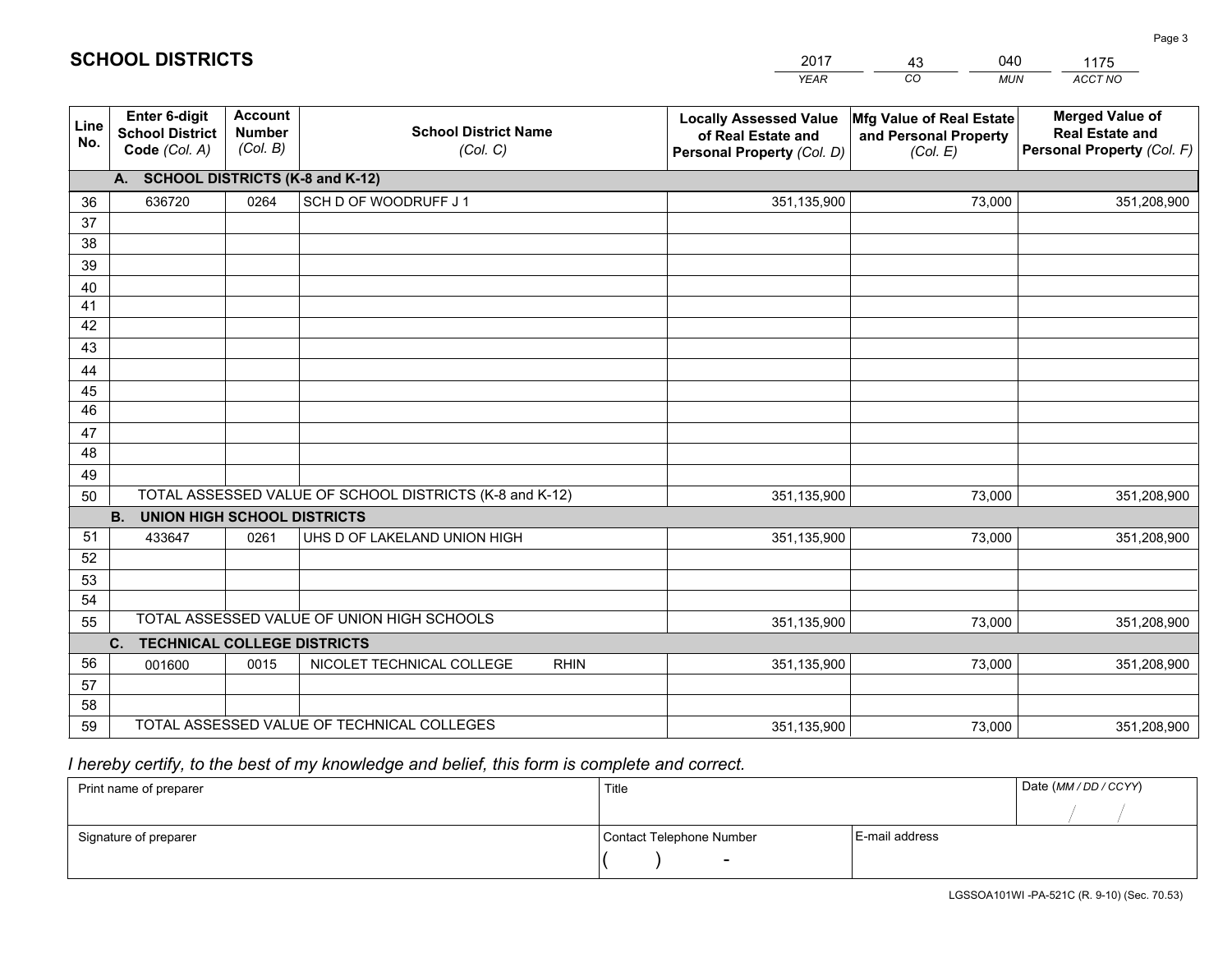|             |                                                                 |                                             |                                                         | <b>YEAR</b>                                                                       | CO<br><b>MUN</b>                                              | ACCT NO                                                                        |
|-------------|-----------------------------------------------------------------|---------------------------------------------|---------------------------------------------------------|-----------------------------------------------------------------------------------|---------------------------------------------------------------|--------------------------------------------------------------------------------|
| Line<br>No. | <b>Enter 6-digit</b><br><b>School District</b><br>Code (Col. A) | <b>Account</b><br><b>Number</b><br>(Col. B) | <b>School District Name</b><br>(Col. C)                 | <b>Locally Assessed Value</b><br>of Real Estate and<br>Personal Property (Col. D) | Mfg Value of Real Estate<br>and Personal Property<br>(Col. E) | <b>Merged Value of</b><br><b>Real Estate and</b><br>Personal Property (Col. F) |
|             | A. SCHOOL DISTRICTS (K-8 and K-12)                              |                                             |                                                         |                                                                                   |                                                               |                                                                                |
| 36          | 636720                                                          | 0264                                        | SCH D OF WOODRUFF J 1                                   | 351,135,900                                                                       | 73,000                                                        | 351,208,900                                                                    |
| 37          |                                                                 |                                             |                                                         |                                                                                   |                                                               |                                                                                |
| 38          |                                                                 |                                             |                                                         |                                                                                   |                                                               |                                                                                |
| 39          |                                                                 |                                             |                                                         |                                                                                   |                                                               |                                                                                |
| 40          |                                                                 |                                             |                                                         |                                                                                   |                                                               |                                                                                |
| 41          |                                                                 |                                             |                                                         |                                                                                   |                                                               |                                                                                |
| 42          |                                                                 |                                             |                                                         |                                                                                   |                                                               |                                                                                |
| 43          |                                                                 |                                             |                                                         |                                                                                   |                                                               |                                                                                |
| 44<br>45    |                                                                 |                                             |                                                         |                                                                                   |                                                               |                                                                                |
| 46          |                                                                 |                                             |                                                         |                                                                                   |                                                               |                                                                                |
| 47          |                                                                 |                                             |                                                         |                                                                                   |                                                               |                                                                                |
| 48          |                                                                 |                                             |                                                         |                                                                                   |                                                               |                                                                                |
| 49          |                                                                 |                                             |                                                         |                                                                                   |                                                               |                                                                                |
| 50          |                                                                 |                                             | TOTAL ASSESSED VALUE OF SCHOOL DISTRICTS (K-8 and K-12) | 351,135,900                                                                       | 73,000                                                        | 351,208,900                                                                    |
|             | <b>B.</b><br><b>UNION HIGH SCHOOL DISTRICTS</b>                 |                                             |                                                         |                                                                                   |                                                               |                                                                                |
| 51          | 433647                                                          | 0261                                        | UHS D OF LAKELAND UNION HIGH                            | 351,135,900                                                                       | 73,000                                                        | 351,208,900                                                                    |
| 52          |                                                                 |                                             |                                                         |                                                                                   |                                                               |                                                                                |
| 53          |                                                                 |                                             |                                                         |                                                                                   |                                                               |                                                                                |
| 54          |                                                                 |                                             |                                                         |                                                                                   |                                                               |                                                                                |
| 55          |                                                                 |                                             | TOTAL ASSESSED VALUE OF UNION HIGH SCHOOLS              | 351,135,900                                                                       | 73,000                                                        | 351,208,900                                                                    |
|             | C <sub>1</sub><br><b>TECHNICAL COLLEGE DISTRICTS</b>            |                                             |                                                         |                                                                                   |                                                               |                                                                                |
| 56          | 001600                                                          | 0015                                        | NICOLET TECHNICAL COLLEGE<br><b>RHIN</b>                | 351,135,900                                                                       | 73,000                                                        | 351,208,900                                                                    |
| 57          |                                                                 |                                             |                                                         |                                                                                   |                                                               |                                                                                |
| 58<br>59    |                                                                 |                                             | TOTAL ASSESSED VALUE OF TECHNICAL COLLEGES              |                                                                                   |                                                               |                                                                                |
|             |                                                                 |                                             |                                                         | 351,135,900                                                                       | 73,000                                                        | 351,208,900                                                                    |

2017

43

040

## *I hereby certify, to the best of my knowledge and belief, this form is complete and correct.*

**SCHOOL DISTRICTS**

| Print name of preparer | Title                    |                | Date (MM / DD / CCYY) |
|------------------------|--------------------------|----------------|-----------------------|
|                        |                          |                |                       |
| Signature of preparer  | Contact Telephone Number | E-mail address |                       |
|                        | $\overline{\phantom{0}}$ |                |                       |

1175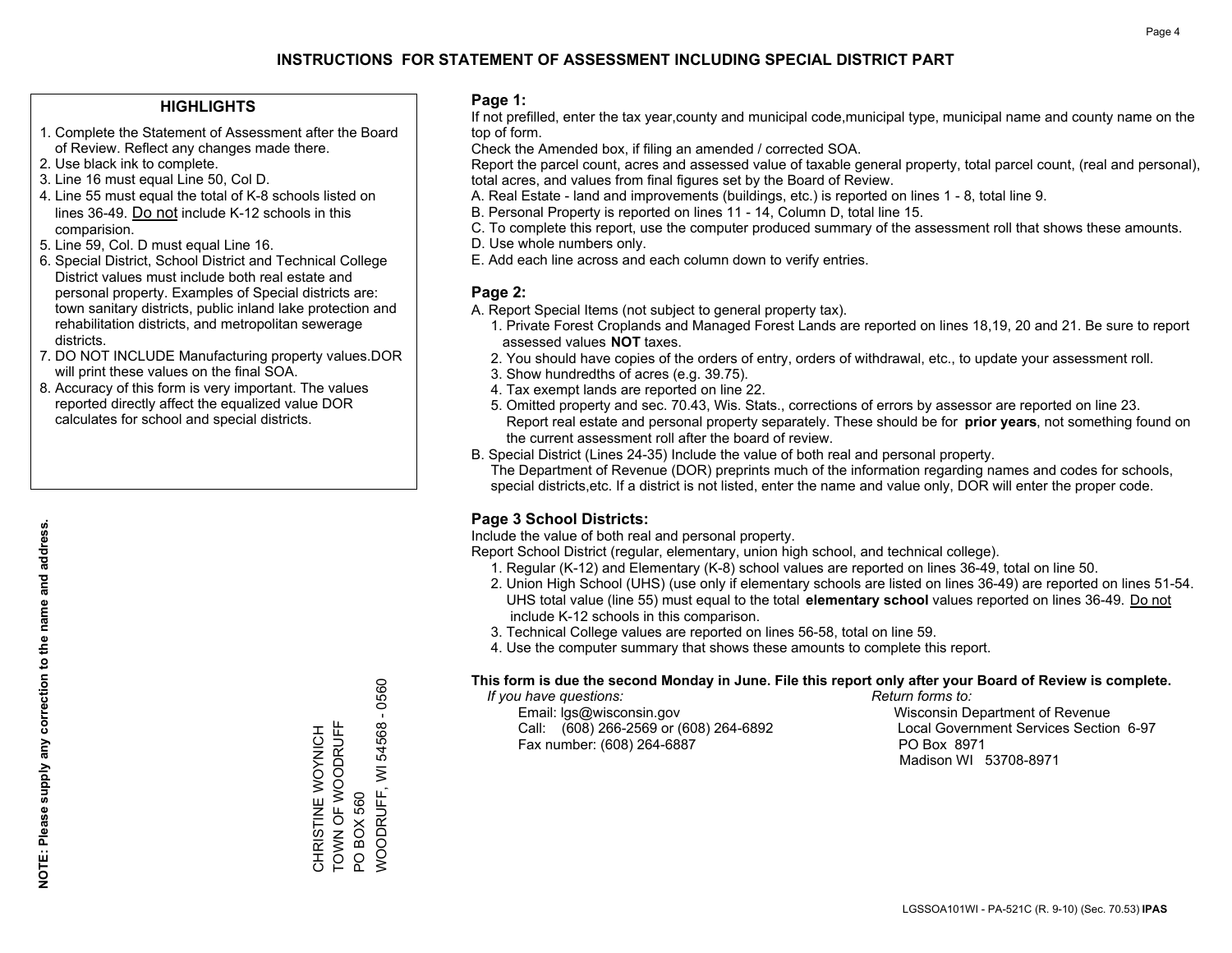## **INSTRUCTIONS FOR STATEMENT OF ASSESSMENT INCLUDING SPECIAL DISTRICT PART**

#### **HIGHLIGHTS**

- 1. Complete the Statement of Assessment after the Board of Review. Reflect any changes made there.
- 2. Use black ink to complete.
- 3. Line 16 must equal Line 50, Col D.
- 4. Line 55 must equal the total of K-8 schools listed on lines 36-49. Do not include K-12 schools in this comparision.
- 5. Line 59, Col. D must equal Line 16.
- 6. Special District, School District and Technical College District values must include both real estate and personal property. Examples of Special districts are: town sanitary districts, public inland lake protection and rehabilitation districts, and metropolitan sewerage districts.
- 7. DO NOT INCLUDE Manufacturing property values.DOR will print these values on the final SOA.
- 8. Accuracy of this form is very important. The values reported directly affect the equalized value DOR calculates for school and special districts.

#### **Page 1:**

 If not prefilled, enter the tax year,county and municipal code,municipal type, municipal name and county name on the top of form.

Check the Amended box, if filing an amended / corrected SOA.

 Report the parcel count, acres and assessed value of taxable general property, total parcel count, (real and personal), total acres, and values from final figures set by the Board of Review.

- A. Real Estate land and improvements (buildings, etc.) is reported on lines 1 8, total line 9.
- B. Personal Property is reported on lines 11 14, Column D, total line 15.
- C. To complete this report, use the computer produced summary of the assessment roll that shows these amounts.
- D. Use whole numbers only.
- E. Add each line across and each column down to verify entries.

### **Page 2:**

- A. Report Special Items (not subject to general property tax).
- 1. Private Forest Croplands and Managed Forest Lands are reported on lines 18,19, 20 and 21. Be sure to report assessed values **NOT** taxes.
- 2. You should have copies of the orders of entry, orders of withdrawal, etc., to update your assessment roll.
	- 3. Show hundredths of acres (e.g. 39.75).
- 4. Tax exempt lands are reported on line 22.
- 5. Omitted property and sec. 70.43, Wis. Stats., corrections of errors by assessor are reported on line 23. Report real estate and personal property separately. These should be for **prior years**, not something found on the current assessment roll after the board of review.
- B. Special District (Lines 24-35) Include the value of both real and personal property.

 The Department of Revenue (DOR) preprints much of the information regarding names and codes for schools, special districts,etc. If a district is not listed, enter the name and value only, DOR will enter the proper code.

### **Page 3 School Districts:**

Include the value of both real and personal property.

Report School District (regular, elementary, union high school, and technical college).

- 1. Regular (K-12) and Elementary (K-8) school values are reported on lines 36-49, total on line 50.
- 2. Union High School (UHS) (use only if elementary schools are listed on lines 36-49) are reported on lines 51-54. UHS total value (line 55) must equal to the total **elementary school** values reported on lines 36-49. Do notinclude K-12 schools in this comparison.
- 3. Technical College values are reported on lines 56-58, total on line 59.
- 4. Use the computer summary that shows these amounts to complete this report.

#### **This form is due the second Monday in June. File this report only after your Board of Review is complete.**

 *If you have questions: Return forms to:*

 Email: lgs@wisconsin.gov Wisconsin Department of RevenueCall:  $(608)$  266-2569 or  $(608)$  264-6892 Fax number: (608) 264-6887 PO Box 8971

Local Government Services Section 6-97 Madison WI 53708-8971

0560 WOODRUFF, WI 54568 - 0560  $\mathbf{I}$ TOWN OF WOODRUFF WOODRUFF, WI 54568 CHRISTINE WOYNICH<br>TOWN OF WOODRUFF CHRISTINE WOYNICH **PO BOX 560** PO BOX 560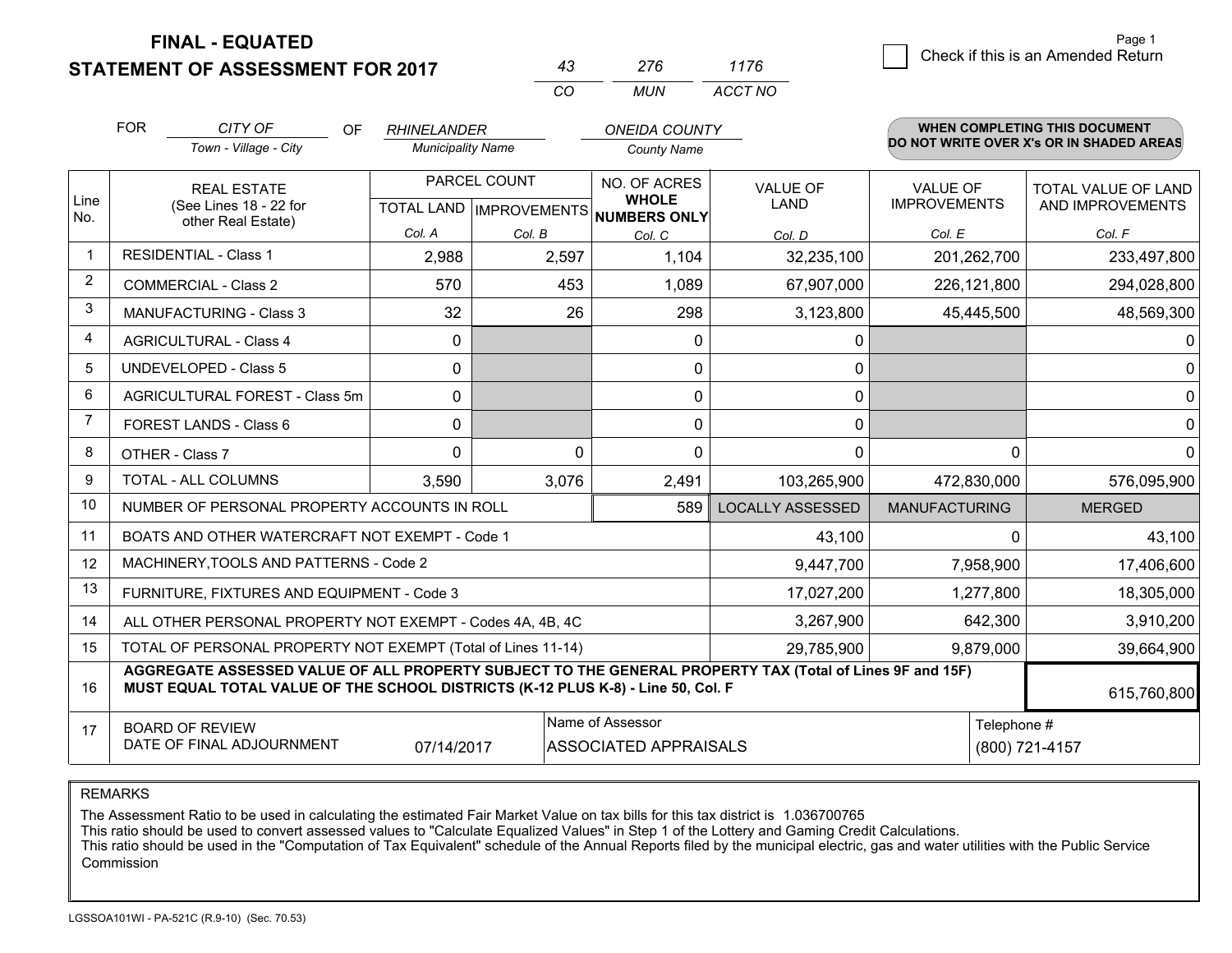**FINAL - EQUATED**

**STATEMENT OF ASSESSMENT FOR 2017** 

| $4.5^{\circ}$ | 276 | 1176    |
|---------------|-----|---------|
| $\Gamma$      | MUN | ACCT NO |

|             | <b>FOR</b>                                                                                                                                                                                                  | CITY OF<br><b>OF</b><br>Town - Village - City  | <b>RHINELANDER</b><br><b>Municipality Name</b> |          | <b>ONEIDA COUNTY</b><br><b>County Name</b>          |                                |                                 | <b>WHEN COMPLETING THIS DOCUMENT</b><br>DO NOT WRITE OVER X's OR IN SHADED AREAS |
|-------------|-------------------------------------------------------------------------------------------------------------------------------------------------------------------------------------------------------------|------------------------------------------------|------------------------------------------------|----------|-----------------------------------------------------|--------------------------------|---------------------------------|----------------------------------------------------------------------------------|
| Line<br>No. | <b>REAL ESTATE</b><br>(See Lines 18 - 22 for<br>other Real Estate)                                                                                                                                          |                                                | PARCEL COUNT<br>TOTAL LAND   IMPROVEMENTS      |          | NO. OF ACRES<br><b>WHOLE</b><br><b>NUMBERS ONLY</b> | <b>VALUE OF</b><br><b>LAND</b> | VALUE OF<br><b>IMPROVEMENTS</b> | TOTAL VALUE OF LAND<br>AND IMPROVEMENTS                                          |
|             |                                                                                                                                                                                                             |                                                | Col. A                                         | Col. B   | Col. C                                              | Col. D                         | Col. E                          | Col. F                                                                           |
| $\mathbf 1$ |                                                                                                                                                                                                             | <b>RESIDENTIAL - Class 1</b>                   | 2,988                                          | 2,597    | 1,104                                               | 32,235,100                     | 201,262,700                     | 233,497,800                                                                      |
| 2           |                                                                                                                                                                                                             | <b>COMMERCIAL - Class 2</b>                    | 570                                            | 453      | 1,089                                               | 67,907,000                     | 226,121,800                     | 294,028,800                                                                      |
| 3           |                                                                                                                                                                                                             | <b>MANUFACTURING - Class 3</b>                 | 32                                             | 26       | 298                                                 | 3,123,800                      | 45,445,500                      | 48,569,300                                                                       |
| 4           |                                                                                                                                                                                                             | <b>AGRICULTURAL - Class 4</b>                  | $\mathbf{0}$                                   |          | 0                                                   | 0                              |                                 | 0                                                                                |
| 5           |                                                                                                                                                                                                             | <b>UNDEVELOPED - Class 5</b>                   | $\Omega$                                       |          | $\mathbf{0}$                                        | 0                              |                                 | 0                                                                                |
| 6           |                                                                                                                                                                                                             | AGRICULTURAL FOREST - Class 5m                 | $\mathbf{0}$                                   |          | 0                                                   | 0                              |                                 | 0                                                                                |
| 7           | FOREST LANDS - Class 6                                                                                                                                                                                      |                                                | $\mathbf{0}$                                   |          | $\Omega$                                            | $\mathbf{0}$                   |                                 | 0                                                                                |
| 8           | OTHER - Class 7                                                                                                                                                                                             |                                                | $\Omega$                                       | $\Omega$ | $\Omega$                                            | 0                              | $\Omega$                        | 0                                                                                |
| 9           | TOTAL - ALL COLUMNS                                                                                                                                                                                         |                                                | 3,590                                          | 3,076    | 2,491                                               | 103,265,900                    | 472,830,000                     | 576,095,900                                                                      |
| 10          |                                                                                                                                                                                                             | NUMBER OF PERSONAL PROPERTY ACCOUNTS IN ROLL   |                                                |          | 589                                                 | <b>LOCALLY ASSESSED</b>        | <b>MANUFACTURING</b>            | <b>MERGED</b>                                                                    |
| 11          |                                                                                                                                                                                                             | BOATS AND OTHER WATERCRAFT NOT EXEMPT - Code 1 |                                                |          |                                                     | 43,100                         | $\Omega$                        | 43,100                                                                           |
| 12          |                                                                                                                                                                                                             | MACHINERY, TOOLS AND PATTERNS - Code 2         |                                                |          |                                                     | 9,447,700                      | 7,958,900                       | 17,406,600                                                                       |
| 13          | FURNITURE, FIXTURES AND EQUIPMENT - Code 3                                                                                                                                                                  |                                                |                                                |          |                                                     | 17,027,200                     | 1,277,800                       | 18,305,000                                                                       |
| 14          | 3,267,900<br>ALL OTHER PERSONAL PROPERTY NOT EXEMPT - Codes 4A, 4B, 4C                                                                                                                                      |                                                |                                                |          |                                                     |                                | 642,300                         | 3,910,200                                                                        |
| 15          | TOTAL OF PERSONAL PROPERTY NOT EXEMPT (Total of Lines 11-14)<br>29,785,900                                                                                                                                  |                                                |                                                |          |                                                     |                                | 9,879,000                       | 39,664,900                                                                       |
| 16          | AGGREGATE ASSESSED VALUE OF ALL PROPERTY SUBJECT TO THE GENERAL PROPERTY TAX (Total of Lines 9F and 15F)<br>MUST EQUAL TOTAL VALUE OF THE SCHOOL DISTRICTS (K-12 PLUS K-8) - Line 50, Col. F<br>615,760,800 |                                                |                                                |          |                                                     |                                |                                 |                                                                                  |
| 17          | Name of Assessor<br><b>BOARD OF REVIEW</b><br>DATE OF FINAL ADJOURNMENT<br>07/14/2017<br>ASSOCIATED APPRAISALS                                                                                              |                                                |                                                |          |                                                     | Telephone #                    | (800) 721-4157                  |                                                                                  |

REMARKS

The Assessment Ratio to be used in calculating the estimated Fair Market Value on tax bills for this tax district is 1.036700765<br>This ratio should be used to convert assessed values to "Calculate Equalized Values" in Step Commission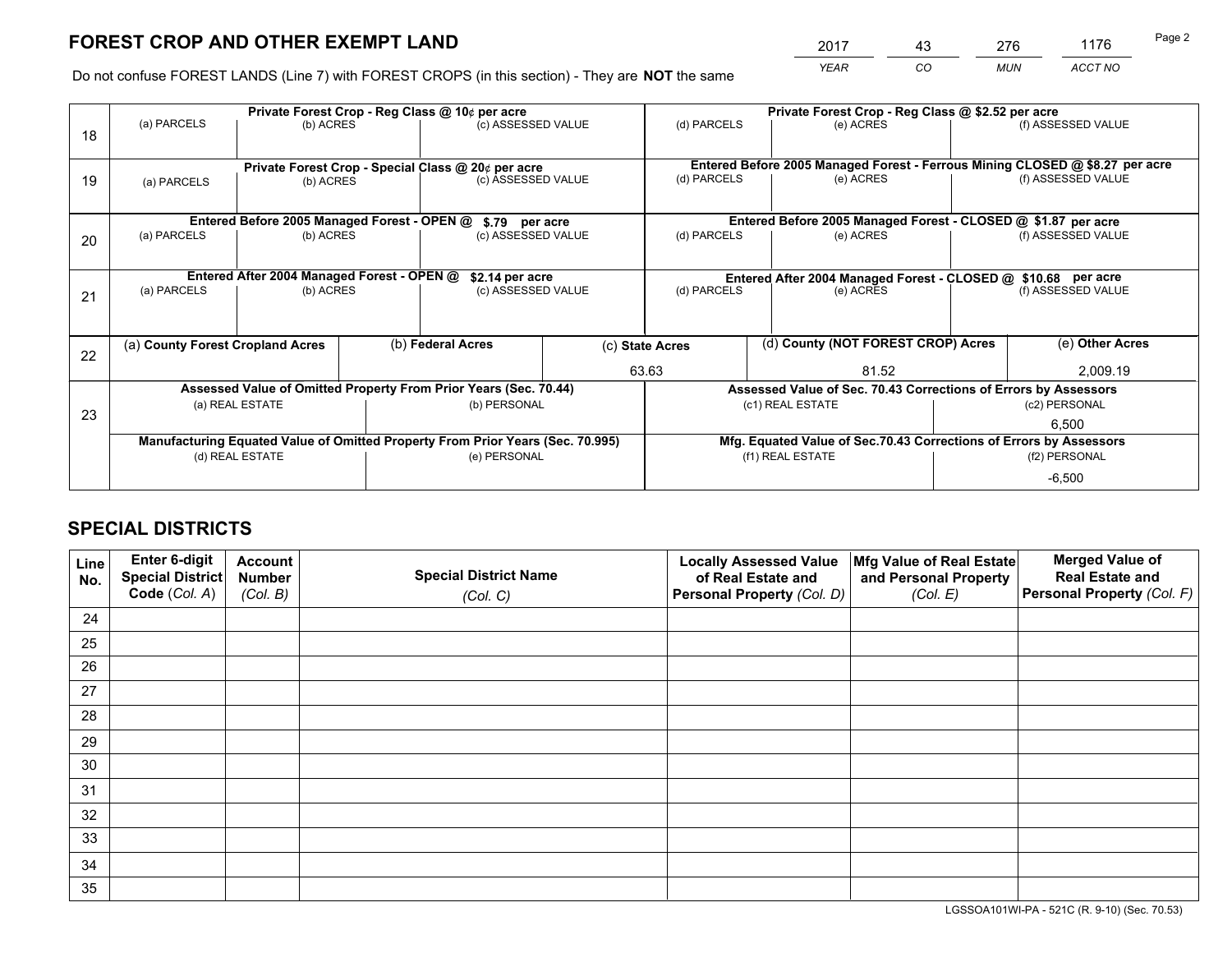# **FOREST CROP AND OTHER EXEMPT LAND**

 *YEAR CO MUN ACCT NO* <u>2017 - 43 276 1176</u> Page 2

Do not confuse FOREST LANDS (Line 7) with FOREST CROPS (in this section) - They are **NOT** the same

|                                                               | Private Forest Crop - Reg Class @ 10¢ per acre                                                                                                       |                                             |  |                                                    |             | Private Forest Crop - Reg Class @ \$2.52 per acre               |                                                                              |               |                    |  |
|---------------------------------------------------------------|------------------------------------------------------------------------------------------------------------------------------------------------------|---------------------------------------------|--|----------------------------------------------------|-------------|-----------------------------------------------------------------|------------------------------------------------------------------------------|---------------|--------------------|--|
| 18                                                            | (a) PARCELS                                                                                                                                          | (b) ACRES                                   |  | (c) ASSESSED VALUE                                 |             | (d) PARCELS                                                     | (e) ACRES                                                                    |               | (f) ASSESSED VALUE |  |
|                                                               |                                                                                                                                                      |                                             |  |                                                    |             |                                                                 |                                                                              |               |                    |  |
|                                                               |                                                                                                                                                      |                                             |  | Private Forest Crop - Special Class @ 20¢ per acre |             |                                                                 | Entered Before 2005 Managed Forest - Ferrous Mining CLOSED @ \$8.27 per acre |               |                    |  |
| 19                                                            | (a) PARCELS                                                                                                                                          | (b) ACRES                                   |  | (c) ASSESSED VALUE                                 |             | (d) PARCELS                                                     | (e) ACRES                                                                    |               | (f) ASSESSED VALUE |  |
|                                                               |                                                                                                                                                      |                                             |  |                                                    |             |                                                                 |                                                                              |               |                    |  |
|                                                               |                                                                                                                                                      | Entered Before 2005 Managed Forest - OPEN @ |  | \$.79 per acre                                     |             |                                                                 | Entered Before 2005 Managed Forest - CLOSED @ \$1.87 per acre                |               |                    |  |
| 20                                                            | (a) PARCELS                                                                                                                                          | (b) ACRES                                   |  | (c) ASSESSED VALUE                                 |             | (d) PARCELS                                                     | (e) ACRES                                                                    |               |                    |  |
|                                                               |                                                                                                                                                      |                                             |  |                                                    |             |                                                                 |                                                                              |               |                    |  |
| Entered After 2004 Managed Forest - OPEN @<br>\$2.14 per acre |                                                                                                                                                      |                                             |  |                                                    |             | Entered After 2004 Managed Forest - CLOSED @ \$10.68 per acre   |                                                                              |               |                    |  |
| 21                                                            | (a) PARCELS                                                                                                                                          | (b) ACRES                                   |  | (c) ASSESSED VALUE                                 | (d) PARCELS |                                                                 | (e) ACRES                                                                    |               |                    |  |
|                                                               |                                                                                                                                                      |                                             |  |                                                    |             |                                                                 |                                                                              |               |                    |  |
|                                                               |                                                                                                                                                      |                                             |  |                                                    |             |                                                                 |                                                                              |               |                    |  |
| 22                                                            | (a) County Forest Cropland Acres                                                                                                                     |                                             |  | (b) Federal Acres                                  |             | (c) State Acres                                                 | (d) County (NOT FOREST CROP) Acres                                           |               | (e) Other Acres    |  |
|                                                               |                                                                                                                                                      |                                             |  |                                                    |             | 63.63<br>81.52                                                  |                                                                              | 2,009.19      |                    |  |
|                                                               | Assessed Value of Omitted Property From Prior Years (Sec. 70.44)                                                                                     |                                             |  |                                                    |             | Assessed Value of Sec. 70.43 Corrections of Errors by Assessors |                                                                              |               |                    |  |
| 23                                                            | (a) REAL ESTATE                                                                                                                                      |                                             |  | (b) PERSONAL                                       |             | (c1) REAL ESTATE                                                |                                                                              | (c2) PERSONAL |                    |  |
|                                                               |                                                                                                                                                      |                                             |  |                                                    |             |                                                                 |                                                                              | 6.500         |                    |  |
|                                                               | Manufacturing Equated Value of Omitted Property From Prior Years (Sec. 70.995)<br>Mfg. Equated Value of Sec.70.43 Corrections of Errors by Assessors |                                             |  |                                                    |             |                                                                 |                                                                              |               |                    |  |
|                                                               | (d) REAL ESTATE                                                                                                                                      |                                             |  | (e) PERSONAL                                       |             | (f1) REAL ESTATE                                                |                                                                              | (f2) PERSONAL |                    |  |
|                                                               |                                                                                                                                                      |                                             |  |                                                    |             |                                                                 |                                                                              | $-6,500$      |                    |  |

## **SPECIAL DISTRICTS**

| Line<br>No. | Enter 6-digit<br><b>Special District</b> | <b>Account</b><br><b>Number</b> | <b>Special District Name</b> | <b>Locally Assessed Value</b><br>of Real Estate and | Mfg Value of Real Estate<br>and Personal Property | <b>Merged Value of</b><br><b>Real Estate and</b> |
|-------------|------------------------------------------|---------------------------------|------------------------------|-----------------------------------------------------|---------------------------------------------------|--------------------------------------------------|
|             | Code (Col. A)                            | (Col. B)                        | (Col. C)                     | Personal Property (Col. D)                          | (Col. E)                                          | Personal Property (Col. F)                       |
| 24          |                                          |                                 |                              |                                                     |                                                   |                                                  |
| 25          |                                          |                                 |                              |                                                     |                                                   |                                                  |
| 26          |                                          |                                 |                              |                                                     |                                                   |                                                  |
| 27          |                                          |                                 |                              |                                                     |                                                   |                                                  |
| 28          |                                          |                                 |                              |                                                     |                                                   |                                                  |
| 29          |                                          |                                 |                              |                                                     |                                                   |                                                  |
| 30          |                                          |                                 |                              |                                                     |                                                   |                                                  |
| 31          |                                          |                                 |                              |                                                     |                                                   |                                                  |
| 32          |                                          |                                 |                              |                                                     |                                                   |                                                  |
| 33          |                                          |                                 |                              |                                                     |                                                   |                                                  |
| 34          |                                          |                                 |                              |                                                     |                                                   |                                                  |
| 35          |                                          |                                 |                              |                                                     |                                                   |                                                  |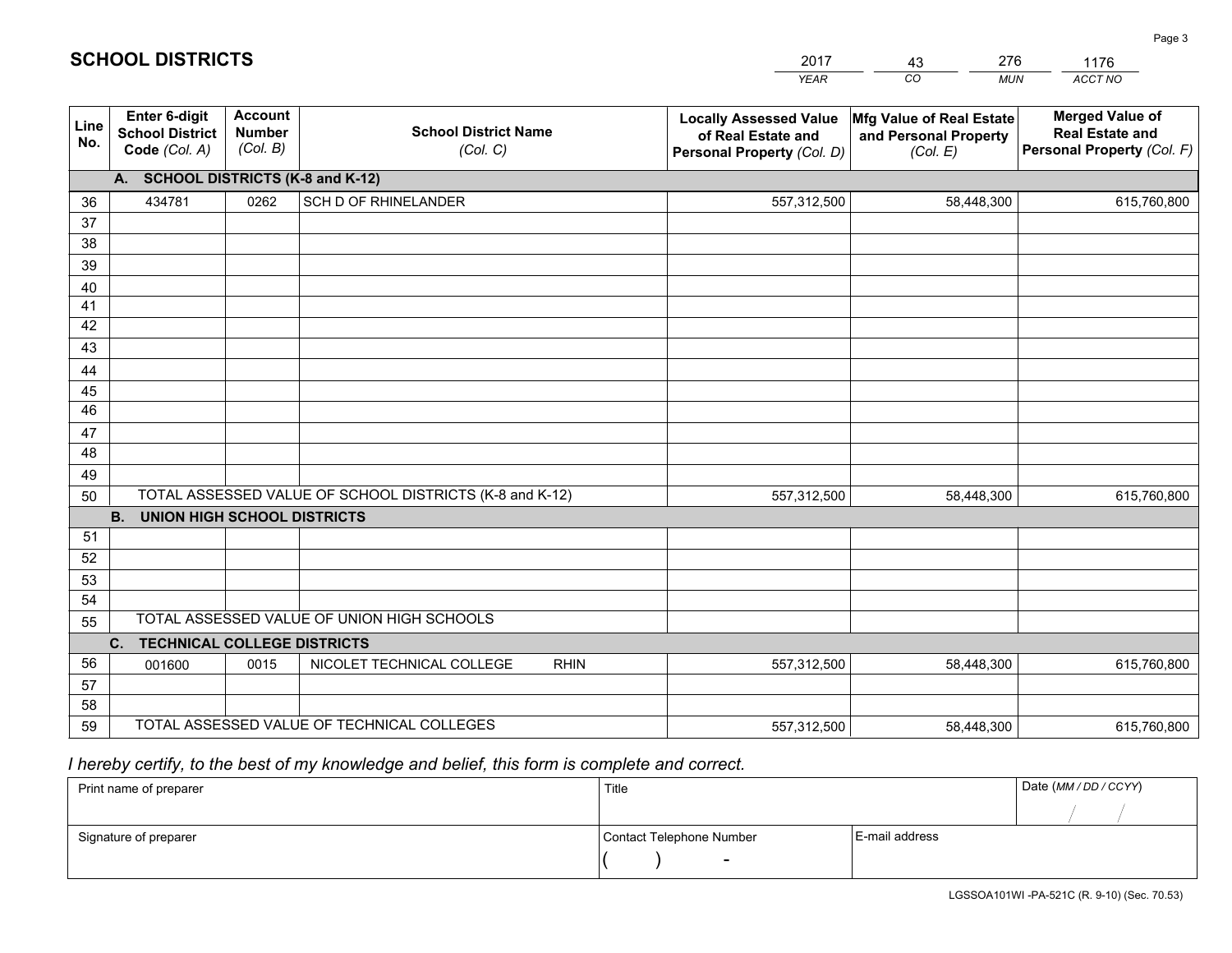|                 |                                                                 |                                             |                                                         | <b>YEAR</b>                                                                       | CO<br><b>MUN</b>                                              | ACCT NO                                                                        |
|-----------------|-----------------------------------------------------------------|---------------------------------------------|---------------------------------------------------------|-----------------------------------------------------------------------------------|---------------------------------------------------------------|--------------------------------------------------------------------------------|
| Line<br>No.     | <b>Enter 6-digit</b><br><b>School District</b><br>Code (Col. A) | <b>Account</b><br><b>Number</b><br>(Col. B) | <b>School District Name</b><br>(Col. C)                 | <b>Locally Assessed Value</b><br>of Real Estate and<br>Personal Property (Col. D) | Mfg Value of Real Estate<br>and Personal Property<br>(Col. E) | <b>Merged Value of</b><br><b>Real Estate and</b><br>Personal Property (Col. F) |
|                 | A. SCHOOL DISTRICTS (K-8 and K-12)                              |                                             |                                                         |                                                                                   |                                                               |                                                                                |
| 36              | 434781                                                          | 0262                                        | SCH D OF RHINELANDER                                    | 557,312,500                                                                       | 58,448,300                                                    | 615,760,800                                                                    |
| 37              |                                                                 |                                             |                                                         |                                                                                   |                                                               |                                                                                |
| 38              |                                                                 |                                             |                                                         |                                                                                   |                                                               |                                                                                |
| 39              |                                                                 |                                             |                                                         |                                                                                   |                                                               |                                                                                |
| 40              |                                                                 |                                             |                                                         |                                                                                   |                                                               |                                                                                |
| 41              |                                                                 |                                             |                                                         |                                                                                   |                                                               |                                                                                |
| 42<br>43        |                                                                 |                                             |                                                         |                                                                                   |                                                               |                                                                                |
|                 |                                                                 |                                             |                                                         |                                                                                   |                                                               |                                                                                |
| 44<br>45        |                                                                 |                                             |                                                         |                                                                                   |                                                               |                                                                                |
| $\overline{46}$ |                                                                 |                                             |                                                         |                                                                                   |                                                               |                                                                                |
| 47              |                                                                 |                                             |                                                         |                                                                                   |                                                               |                                                                                |
| 48              |                                                                 |                                             |                                                         |                                                                                   |                                                               |                                                                                |
| 49              |                                                                 |                                             |                                                         |                                                                                   |                                                               |                                                                                |
| 50              |                                                                 |                                             | TOTAL ASSESSED VALUE OF SCHOOL DISTRICTS (K-8 and K-12) | 557,312,500                                                                       | 58,448,300                                                    | 615,760,800                                                                    |
|                 | <b>B.</b><br><b>UNION HIGH SCHOOL DISTRICTS</b>                 |                                             |                                                         |                                                                                   |                                                               |                                                                                |
| 51              |                                                                 |                                             |                                                         |                                                                                   |                                                               |                                                                                |
| 52              |                                                                 |                                             |                                                         |                                                                                   |                                                               |                                                                                |
| 53              |                                                                 |                                             |                                                         |                                                                                   |                                                               |                                                                                |
| 54              |                                                                 |                                             |                                                         |                                                                                   |                                                               |                                                                                |
| 55              |                                                                 |                                             | TOTAL ASSESSED VALUE OF UNION HIGH SCHOOLS              |                                                                                   |                                                               |                                                                                |
|                 | C.<br><b>TECHNICAL COLLEGE DISTRICTS</b>                        |                                             |                                                         |                                                                                   |                                                               |                                                                                |
| 56              | 001600                                                          | 0015                                        | NICOLET TECHNICAL COLLEGE<br><b>RHIN</b>                | 557,312,500                                                                       | 58,448,300                                                    | 615,760,800                                                                    |
| 57<br>58        |                                                                 |                                             |                                                         |                                                                                   |                                                               |                                                                                |
| 59              |                                                                 |                                             | TOTAL ASSESSED VALUE OF TECHNICAL COLLEGES              | 557,312,500                                                                       | 58,448,300                                                    | 615,760,800                                                                    |
|                 |                                                                 |                                             |                                                         |                                                                                   |                                                               |                                                                                |

2017

43

276

## *I hereby certify, to the best of my knowledge and belief, this form is complete and correct.*

**SCHOOL DISTRICTS**

| Print name of preparer | Title                    |                | Date (MM / DD / CCYY) |
|------------------------|--------------------------|----------------|-----------------------|
|                        |                          |                |                       |
| Signature of preparer  | Contact Telephone Number | E-mail address |                       |
|                        | $\sim$                   |                |                       |

1176